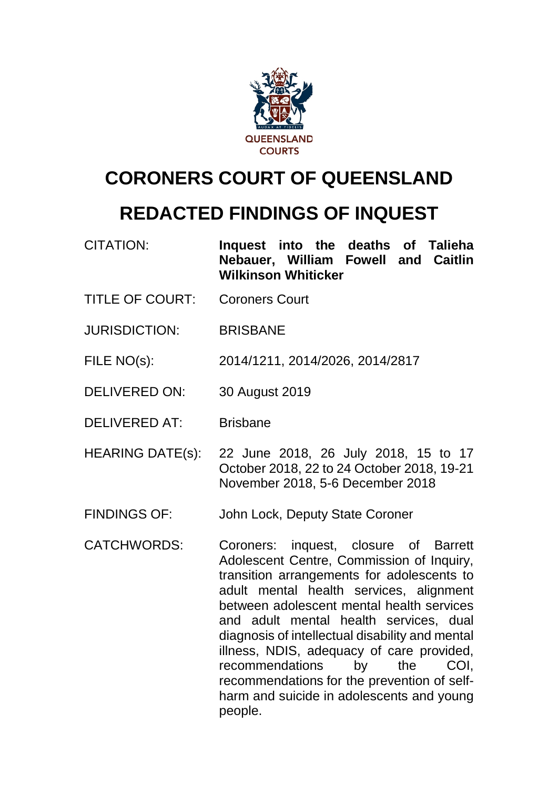

# **CORONERS COURT OF QUEENSLAND**

# **REDACTED FINDINGS OF INQUEST**

- CITATION: **Inquest into the deaths of Talieha Nebauer, William Fowell and Caitlin Wilkinson Whiticker**
- TITLE OF COURT: Coroners Court
- JURISDICTION: BRISBANE
- FILE NO(s): 2014/1211, 2014/2026, 2014/2817
- DELIVERED ON: 30 August 2019
- DELIVERED AT: Brisbane
- HEARING DATE(s): 22 June 2018, 26 July 2018, 15 to 17 October 2018, 22 to 24 October 2018, 19-21 November 2018, 5-6 December 2018
- FINDINGS OF: John Lock, Deputy State Coroner
- CATCHWORDS: Coroners: inquest, closure of Barrett Adolescent Centre, Commission of Inquiry, transition arrangements for adolescents to adult mental health services, alignment between adolescent mental health services and adult mental health services, dual diagnosis of intellectual disability and mental illness, NDIS, adequacy of care provided, recommendations by the COI, recommendations for the prevention of selfharm and suicide in adolescents and young people.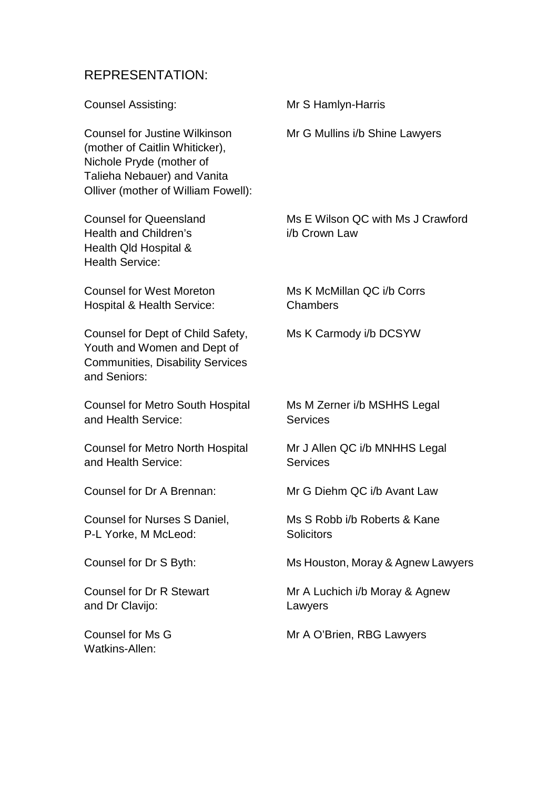## REPRESENTATION:

| <b>Counsel Assisting:</b>                                                                                                                                                | Mr S Hamlyn-Harris                                 |
|--------------------------------------------------------------------------------------------------------------------------------------------------------------------------|----------------------------------------------------|
| <b>Counsel for Justine Wilkinson</b><br>(mother of Caitlin Whiticker),<br>Nichole Pryde (mother of<br>Talieha Nebauer) and Vanita<br>Olliver (mother of William Fowell): | Mr G Mullins i/b Shine Lawyers                     |
| <b>Counsel for Queensland</b><br><b>Health and Children's</b><br>Health Qld Hospital &<br><b>Health Service:</b>                                                         | Ms E Wilson QC with Ms J Crawford<br>i/b Crown Law |
| <b>Counsel for West Moreton</b><br><b>Hospital &amp; Health Service:</b>                                                                                                 | Ms K McMillan QC i/b Corrs<br>Chambers             |
| Counsel for Dept of Child Safety,<br>Youth and Women and Dept of<br><b>Communities, Disability Services</b><br>and Seniors:                                              | Ms K Carmody i/b DCSYW                             |
| <b>Counsel for Metro South Hospital</b><br>and Health Service:                                                                                                           | Ms M Zerner i/b MSHHS Legal<br><b>Services</b>     |
| <b>Counsel for Metro North Hospital</b><br>and Health Service:                                                                                                           | Mr J Allen QC i/b MNHHS Legal<br><b>Services</b>   |
| Counsel for Dr A Brennan:                                                                                                                                                | Mr G Diehm QC i/b Avant Law                        |
| Counsel for Nurses S Daniel,<br>P-L Yorke, M McLeod:                                                                                                                     | Ms S Robb i/b Roberts & Kane<br><b>Solicitors</b>  |
| Counsel for Dr S Byth:                                                                                                                                                   | Ms Houston, Moray & Agnew Lawyers                  |
| <b>Counsel for Dr R Stewart</b><br>and Dr Clavijo:                                                                                                                       | Mr A Luchich i/b Moray & Agnew<br>Lawyers          |
| <b>Counsel for Ms G</b><br><b>Watkins-Allen:</b>                                                                                                                         | Mr A O'Brien, RBG Lawyers                          |
|                                                                                                                                                                          |                                                    |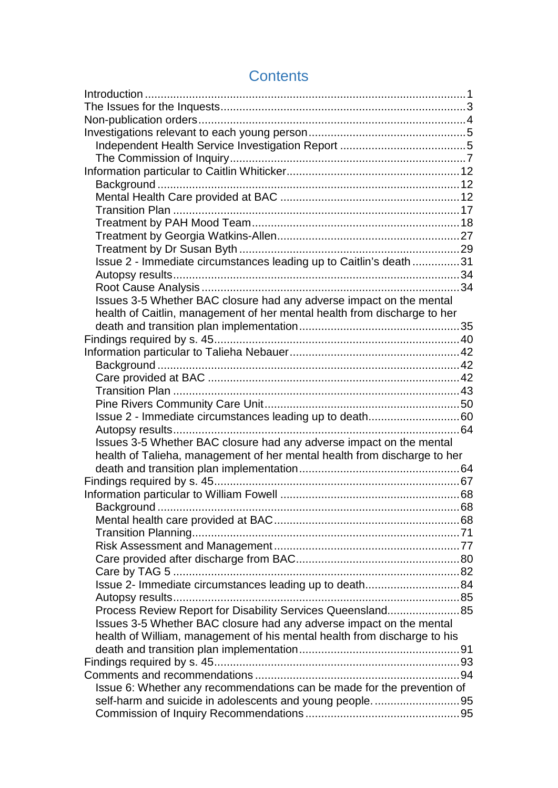| Issue 2 - Immediate circumstances leading up to Caitlin's death 31       |  |
|--------------------------------------------------------------------------|--|
|                                                                          |  |
|                                                                          |  |
| Issues 3-5 Whether BAC closure had any adverse impact on the mental      |  |
| health of Caitlin, management of her mental health from discharge to her |  |
|                                                                          |  |
|                                                                          |  |
|                                                                          |  |
|                                                                          |  |
|                                                                          |  |
|                                                                          |  |
|                                                                          |  |
| Issue 2 - Immediate circumstances leading up to death60                  |  |
|                                                                          |  |
| Issues 3-5 Whether BAC closure had any adverse impact on the mental      |  |
| health of Talieha, management of her mental health from discharge to her |  |
|                                                                          |  |
|                                                                          |  |
|                                                                          |  |
|                                                                          |  |
|                                                                          |  |
|                                                                          |  |
|                                                                          |  |
|                                                                          |  |
|                                                                          |  |
| Issue 2- Immediate circumstances leading up to death84                   |  |
|                                                                          |  |
| Process Review Report for Disability Services Queensland 85              |  |
| Issues 3-5 Whether BAC closure had any adverse impact on the mental      |  |
| health of William, management of his mental health from discharge to his |  |
|                                                                          |  |
|                                                                          |  |
|                                                                          |  |
| Issue 6: Whether any recommendations can be made for the prevention of   |  |
|                                                                          |  |
|                                                                          |  |

## **Contents**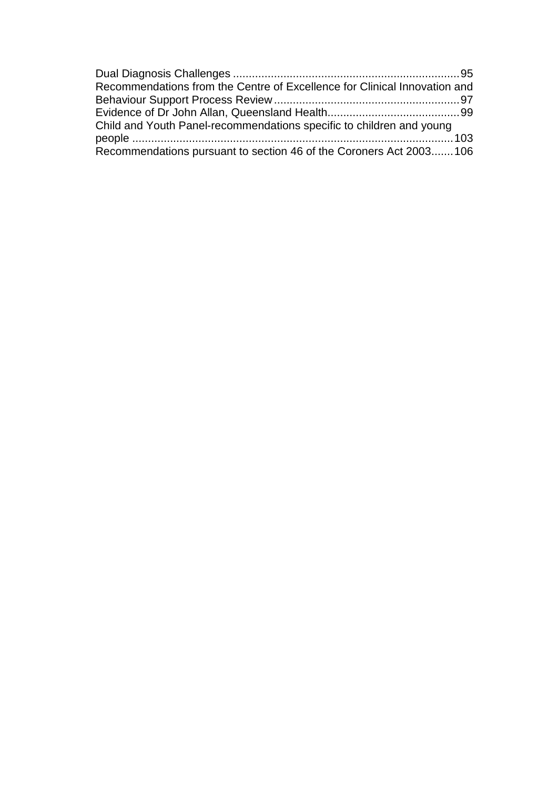| Recommendations from the Centre of Excellence for Clinical Innovation and |  |
|---------------------------------------------------------------------------|--|
|                                                                           |  |
|                                                                           |  |
| Child and Youth Panel-recommendations specific to children and young      |  |
|                                                                           |  |
| Recommendations pursuant to section 46 of the Coroners Act 2003106        |  |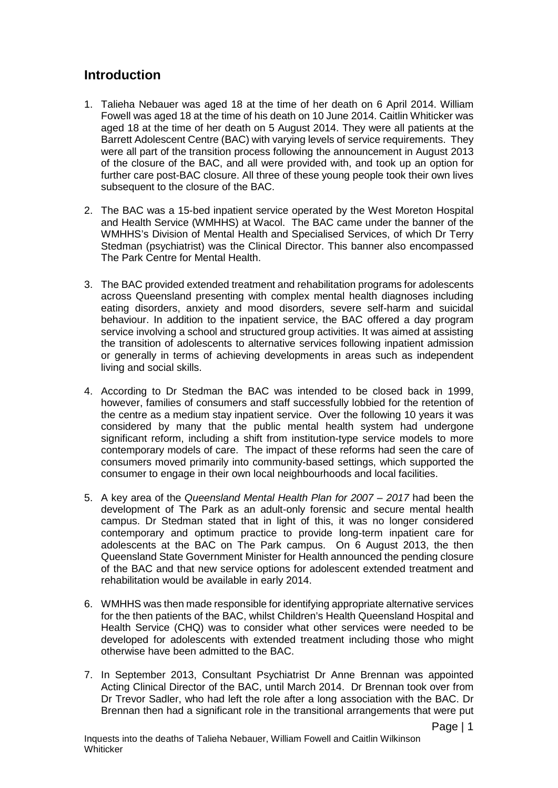## <span id="page-4-0"></span>**Introduction**

- 1. Talieha Nebauer was aged 18 at the time of her death on 6 April 2014. William Fowell was aged 18 at the time of his death on 10 June 2014. Caitlin Whiticker was aged 18 at the time of her death on 5 August 2014. They were all patients at the Barrett Adolescent Centre (BAC) with varying levels of service requirements. They were all part of the transition process following the announcement in August 2013 of the closure of the BAC, and all were provided with, and took up an option for further care post-BAC closure. All three of these young people took their own lives subsequent to the closure of the BAC.
- 2. The BAC was a 15-bed inpatient service operated by the West Moreton Hospital and Health Service (WMHHS) at Wacol. The BAC came under the banner of the WMHHS's Division of Mental Health and Specialised Services, of which Dr Terry Stedman (psychiatrist) was the Clinical Director. This banner also encompassed The Park Centre for Mental Health.
- 3. The BAC provided extended treatment and rehabilitation programs for adolescents across Queensland presenting with complex mental health diagnoses including eating disorders, anxiety and mood disorders, severe self-harm and suicidal behaviour. In addition to the inpatient service, the BAC offered a day program service involving a school and structured group activities. It was aimed at assisting the transition of adolescents to alternative services following inpatient admission or generally in terms of achieving developments in areas such as independent living and social skills.
- 4. According to Dr Stedman the BAC was intended to be closed back in 1999, however, families of consumers and staff successfully lobbied for the retention of the centre as a medium stay inpatient service. Over the following 10 years it was considered by many that the public mental health system had undergone significant reform, including a shift from institution-type service models to more contemporary models of care. The impact of these reforms had seen the care of consumers moved primarily into community-based settings, which supported the consumer to engage in their own local neighbourhoods and local facilities.
- 5. A key area of the *Queensland Mental Health Plan for 2007 – 2017* had been the development of The Park as an adult-only forensic and secure mental health campus. Dr Stedman stated that in light of this, it was no longer considered contemporary and optimum practice to provide long-term inpatient care for adolescents at the BAC on The Park campus. On 6 August 2013, the then Queensland State Government Minister for Health announced the pending closure of the BAC and that new service options for adolescent extended treatment and rehabilitation would be available in early 2014.
- 6. WMHHS was then made responsible for identifying appropriate alternative services for the then patients of the BAC, whilst Children's Health Queensland Hospital and Health Service (CHQ) was to consider what other services were needed to be developed for adolescents with extended treatment including those who might otherwise have been admitted to the BAC.
- 7. In September 2013, Consultant Psychiatrist Dr Anne Brennan was appointed Acting Clinical Director of the BAC, until March 2014. Dr Brennan took over from Dr Trevor Sadler, who had left the role after a long association with the BAC. Dr Brennan then had a significant role in the transitional arrangements that were put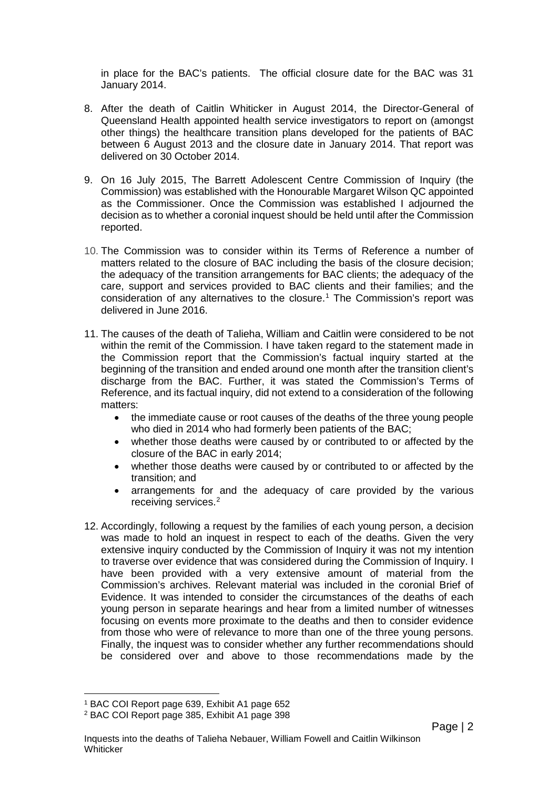in place for the BAC's patients. The official closure date for the BAC was 31 January 2014.

- 8. After the death of Caitlin Whiticker in August 2014, the Director-General of Queensland Health appointed health service investigators to report on (amongst other things) the healthcare transition plans developed for the patients of BAC between 6 August 2013 and the closure date in January 2014. That report was delivered on 30 October 2014.
- 9. On 16 July 2015, The Barrett Adolescent Centre Commission of Inquiry (the Commission) was established with the Honourable Margaret Wilson QC appointed as the Commissioner. Once the Commission was established I adjourned the decision as to whether a coronial inquest should be held until after the Commission reported.
- 10. The Commission was to consider within its Terms of Reference a number of matters related to the closure of BAC including the basis of the closure decision; the adequacy of the transition arrangements for BAC clients; the adequacy of the care, support and services provided to BAC clients and their families; and the consideration of any alternatives to the closure.[1](#page-5-0) The Commission's report was delivered in June 2016.
- 11. The causes of the death of Talieha, William and Caitlin were considered to be not within the remit of the Commission. I have taken regard to the statement made in the Commission report that the Commission's factual inquiry started at the beginning of the transition and ended around one month after the transition client's discharge from the BAC. Further, it was stated the Commission's Terms of Reference, and its factual inquiry, did not extend to a consideration of the following matters:
	- the immediate cause or root causes of the deaths of the three young people who died in 2014 who had formerly been patients of the BAC;
	- whether those deaths were caused by or contributed to or affected by the closure of the BAC in early 2014;
	- whether those deaths were caused by or contributed to or affected by the transition; and
	- arrangements for and the adequacy of care provided by the various receiving services.<sup>[2](#page-5-1)</sup>
- 12. Accordingly, following a request by the families of each young person, a decision was made to hold an inquest in respect to each of the deaths. Given the very extensive inquiry conducted by the Commission of Inquiry it was not my intention to traverse over evidence that was considered during the Commission of Inquiry. I have been provided with a very extensive amount of material from the Commission's archives. Relevant material was included in the coronial Brief of Evidence. It was intended to consider the circumstances of the deaths of each young person in separate hearings and hear from a limited number of witnesses focusing on events more proximate to the deaths and then to consider evidence from those who were of relevance to more than one of the three young persons. Finally, the inquest was to consider whether any further recommendations should be considered over and above to those recommendations made by the

<sup>1</sup> BAC COI Report page 639, Exhibit A1 page 652  $\overline{a}$ 

<span id="page-5-1"></span><span id="page-5-0"></span><sup>2</sup> BAC COI Report page 385, Exhibit A1 page 398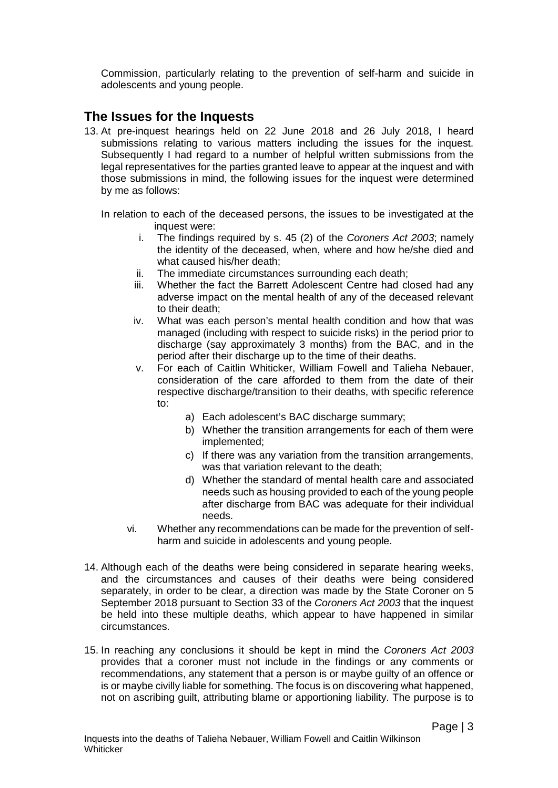Commission, particularly relating to the prevention of self-harm and suicide in adolescents and young people.

## <span id="page-6-0"></span>**The Issues for the Inquests**

13. At pre-inquest hearings held on 22 June 2018 and 26 July 2018, I heard submissions relating to various matters including the issues for the inquest. Subsequently I had regard to a number of helpful written submissions from the legal representatives for the parties granted leave to appear at the inquest and with those submissions in mind, the following issues for the inquest were determined by me as follows:

In relation to each of the deceased persons, the issues to be investigated at the inquest were:

- i. The findings required by s. 45 (2) of the *Coroners Act 2003*; namely the identity of the deceased, when, where and how he/she died and what caused his/her death;
- ii. The immediate circumstances surrounding each death;
- iii. Whether the fact the Barrett Adolescent Centre had closed had any adverse impact on the mental health of any of the deceased relevant to their death;
- iv. What was each person's mental health condition and how that was managed (including with respect to suicide risks) in the period prior to discharge (say approximately 3 months) from the BAC, and in the period after their discharge up to the time of their deaths.
- v. For each of Caitlin Whiticker, William Fowell and Talieha Nebauer, consideration of the care afforded to them from the date of their respective discharge/transition to their deaths, with specific reference to:
	- a) Each adolescent's BAC discharge summary;
	- b) Whether the transition arrangements for each of them were implemented;
	- c) If there was any variation from the transition arrangements, was that variation relevant to the death;
	- d) Whether the standard of mental health care and associated needs such as housing provided to each of the young people after discharge from BAC was adequate for their individual needs.
- vi. Whether any recommendations can be made for the prevention of selfharm and suicide in adolescents and young people.
- 14. Although each of the deaths were being considered in separate hearing weeks, and the circumstances and causes of their deaths were being considered separately, in order to be clear, a direction was made by the State Coroner on 5 September 2018 pursuant to Section 33 of the *Coroners Act 2003* that the inquest be held into these multiple deaths, which appear to have happened in similar circumstances.
- 15. In reaching any conclusions it should be kept in mind the *Coroners Act 2003*  provides that a coroner must not include in the findings or any comments or recommendations, any statement that a person is or maybe guilty of an offence or is or maybe civilly liable for something. The focus is on discovering what happened, not on ascribing guilt, attributing blame or apportioning liability. The purpose is to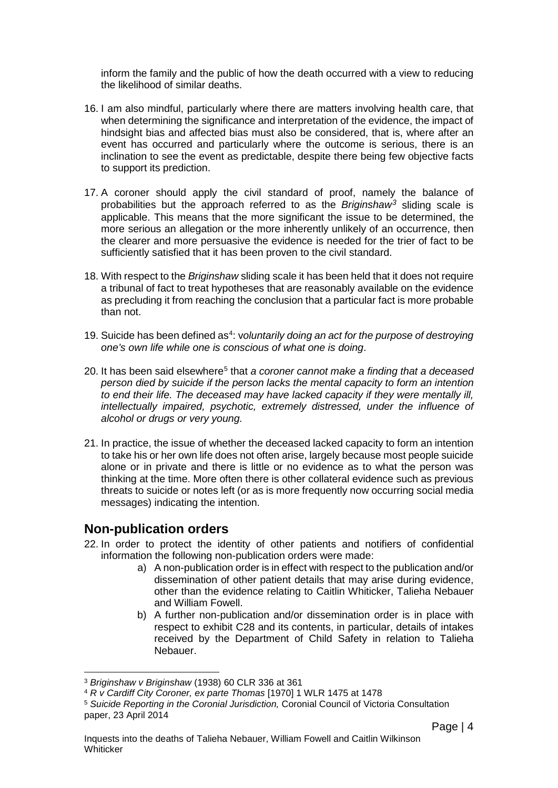inform the family and the public of how the death occurred with a view to reducing the likelihood of similar deaths.

- 16. I am also mindful, particularly where there are matters involving health care, that when determining the significance and interpretation of the evidence, the impact of hindsight bias and affected bias must also be considered, that is, where after an event has occurred and particularly where the outcome is serious, there is an inclination to see the event as predictable, despite there being few objective facts to support its prediction.
- 17. A coroner should apply the civil standard of proof, namely the balance of probabilities but the approach referred to as the *Briginshaw[3](#page-7-1)* sliding scale is applicable. This means that the more significant the issue to be determined, the more serious an allegation or the more inherently unlikely of an occurrence, then the clearer and more persuasive the evidence is needed for the trier of fact to be sufficiently satisfied that it has been proven to the civil standard.
- 18. With respect to the *Briginshaw* sliding scale it has been held that it does not require a tribunal of fact to treat hypotheses that are reasonably available on the evidence as precluding it from reaching the conclusion that a particular fact is more probable than not.
- 19. Suicide has been defined as<sup>[4](#page-7-2)</sup>: voluntarily doing an act for the purpose of destroying *one's own life while one is conscious of what one is doing*.
- 20. It has been said elsewhere[5](#page-7-3) that *a coroner cannot make a finding that a deceased person died by suicide if the person lacks the mental capacity to form an intention to end their life. The deceased may have lacked capacity if they were mentally ill, intellectually impaired, psychotic, extremely distressed, under the influence of alcohol or drugs or very young.*
- 21. In practice, the issue of whether the deceased lacked capacity to form an intention to take his or her own life does not often arise, largely because most people suicide alone or in private and there is little or no evidence as to what the person was thinking at the time. More often there is other collateral evidence such as previous threats to suicide or notes left (or as is more frequently now occurring social media messages) indicating the intention.

### <span id="page-7-0"></span>**Non-publication orders**

- 22. In order to protect the identity of other patients and notifiers of confidential information the following non-publication orders were made:
	- a) A non-publication order is in effect with respect to the publication and/or dissemination of other patient details that may arise during evidence, other than the evidence relating to Caitlin Whiticker, Talieha Nebauer and William Fowell.
	- b) A further non-publication and/or dissemination order is in place with respect to exhibit C28 and its contents, in particular, details of intakes received by the Department of Child Safety in relation to Talieha Nebauer.

Page | 4

<sup>3</sup> *Briginshaw v Briginshaw* (1938) 60 CLR 336 at 361  $\overline{a}$ 

<span id="page-7-2"></span><span id="page-7-1"></span><sup>4</sup> *R v Cardiff City Coroner, ex parte Thomas* [1970] 1 WLR 1475 at 1478

<span id="page-7-3"></span><sup>5</sup> *Suicide Reporting in the Coronial Jurisdiction,* Coronial Council of Victoria Consultation paper, 23 April 2014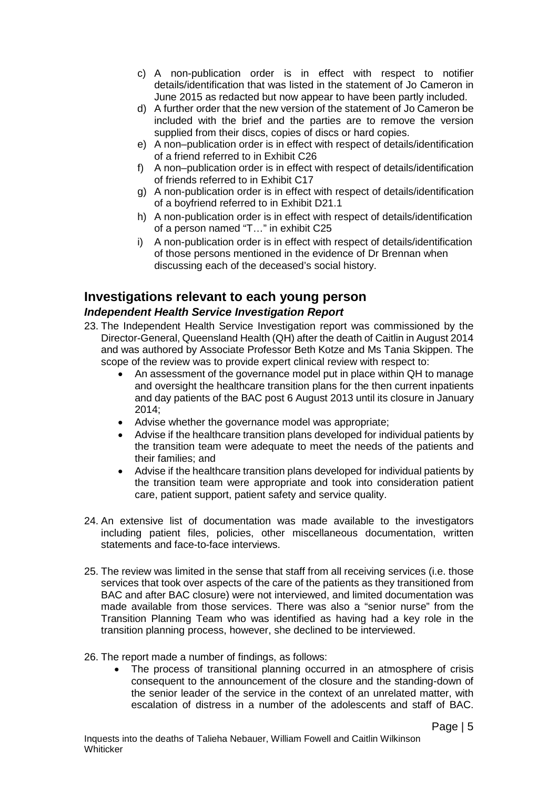- c) A non-publication order is in effect with respect to notifier details/identification that was listed in the statement of Jo Cameron in June 2015 as redacted but now appear to have been partly included.
- d) A further order that the new version of the statement of Jo Cameron be included with the brief and the parties are to remove the version supplied from their discs, copies of discs or hard copies.
- e) A non–publication order is in effect with respect of details/identification of a friend referred to in Exhibit C26
- f) A non–publication order is in effect with respect of details/identification of friends referred to in Exhibit C17
- g) A non-publication order is in effect with respect of details/identification of a boyfriend referred to in Exhibit D21.1
- h) A non-publication order is in effect with respect of details/identification of a person named "T…" in exhibit C25
- i) A non-publication order is in effect with respect of details/identification of those persons mentioned in the evidence of Dr Brennan when discussing each of the deceased's social history.

## <span id="page-8-0"></span>**Investigations relevant to each young person**

#### <span id="page-8-1"></span>*Independent Health Service Investigation Report*

- 23. The Independent Health Service Investigation report was commissioned by the Director-General, Queensland Health (QH) after the death of Caitlin in August 2014 and was authored by Associate Professor Beth Kotze and Ms Tania Skippen. The scope of the review was to provide expert clinical review with respect to:
	- An assessment of the governance model put in place within QH to manage and oversight the healthcare transition plans for the then current inpatients and day patients of the BAC post 6 August 2013 until its closure in January 2014;
	- Advise whether the governance model was appropriate;
	- Advise if the healthcare transition plans developed for individual patients by the transition team were adequate to meet the needs of the patients and their families; and
	- Advise if the healthcare transition plans developed for individual patients by the transition team were appropriate and took into consideration patient care, patient support, patient safety and service quality.
- 24. An extensive list of documentation was made available to the investigators including patient files, policies, other miscellaneous documentation, written statements and face-to-face interviews.
- 25. The review was limited in the sense that staff from all receiving services (i.e. those services that took over aspects of the care of the patients as they transitioned from BAC and after BAC closure) were not interviewed, and limited documentation was made available from those services. There was also a "senior nurse" from the Transition Planning Team who was identified as having had a key role in the transition planning process, however, she declined to be interviewed.
- 26. The report made a number of findings, as follows:
	- The process of transitional planning occurred in an atmosphere of crisis consequent to the announcement of the closure and the standing-down of the senior leader of the service in the context of an unrelated matter, with escalation of distress in a number of the adolescents and staff of BAC.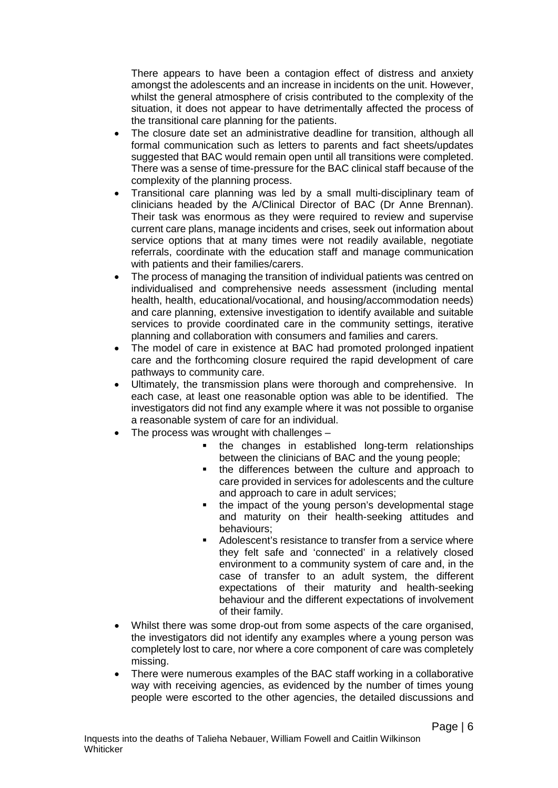There appears to have been a contagion effect of distress and anxiety amongst the adolescents and an increase in incidents on the unit. However, whilst the general atmosphere of crisis contributed to the complexity of the situation, it does not appear to have detrimentally affected the process of the transitional care planning for the patients.

- The closure date set an administrative deadline for transition, although all formal communication such as letters to parents and fact sheets/updates suggested that BAC would remain open until all transitions were completed. There was a sense of time-pressure for the BAC clinical staff because of the complexity of the planning process.
- Transitional care planning was led by a small multi-disciplinary team of clinicians headed by the A/Clinical Director of BAC (Dr Anne Brennan). Their task was enormous as they were required to review and supervise current care plans, manage incidents and crises, seek out information about service options that at many times were not readily available, negotiate referrals, coordinate with the education staff and manage communication with patients and their families/carers.
- The process of managing the transition of individual patients was centred on individualised and comprehensive needs assessment (including mental health, health, educational/vocational, and housing/accommodation needs) and care planning, extensive investigation to identify available and suitable services to provide coordinated care in the community settings, iterative planning and collaboration with consumers and families and carers.
- The model of care in existence at BAC had promoted prolonged inpatient care and the forthcoming closure required the rapid development of care pathways to community care.
- Ultimately, the transmission plans were thorough and comprehensive. In each case, at least one reasonable option was able to be identified. The investigators did not find any example where it was not possible to organise a reasonable system of care for an individual.
- The process was wrought with challenges  $$ 
	- **the changes in established long-term relationships** between the clinicians of BAC and the young people;
	- the differences between the culture and approach to care provided in services for adolescents and the culture and approach to care in adult services;
	- the impact of the young person's developmental stage and maturity on their health-seeking attitudes and behaviours;
	- Adolescent's resistance to transfer from a service where they felt safe and 'connected' in a relatively closed environment to a community system of care and, in the case of transfer to an adult system, the different expectations of their maturity and health-seeking behaviour and the different expectations of involvement of their family.
- Whilst there was some drop-out from some aspects of the care organised, the investigators did not identify any examples where a young person was completely lost to care, nor where a core component of care was completely missing.
- There were numerous examples of the BAC staff working in a collaborative way with receiving agencies, as evidenced by the number of times young people were escorted to the other agencies, the detailed discussions and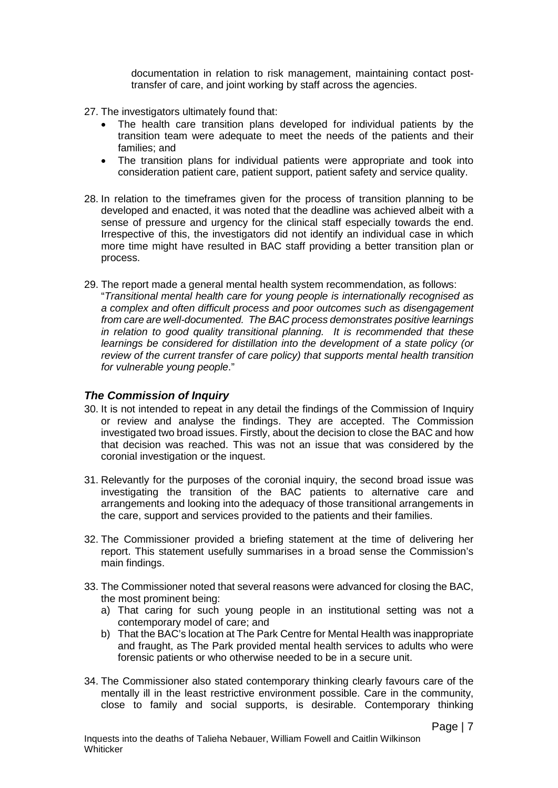documentation in relation to risk management, maintaining contact posttransfer of care, and joint working by staff across the agencies.

- 27. The investigators ultimately found that:
	- The health care transition plans developed for individual patients by the transition team were adequate to meet the needs of the patients and their families; and
	- The transition plans for individual patients were appropriate and took into consideration patient care, patient support, patient safety and service quality.
- 28. In relation to the timeframes given for the process of transition planning to be developed and enacted, it was noted that the deadline was achieved albeit with a sense of pressure and urgency for the clinical staff especially towards the end. Irrespective of this, the investigators did not identify an individual case in which more time might have resulted in BAC staff providing a better transition plan or process.
- 29. The report made a general mental health system recommendation, as follows: "*Transitional mental health care for young people is internationally recognised as a complex and often difficult process and poor outcomes such as disengagement from care are well-documented. The BAC process demonstrates positive learnings in relation to good quality transitional planning. It is recommended that these learnings be considered for distillation into the development of a state policy (or review of the current transfer of care policy) that supports mental health transition for vulnerable young people*."

#### <span id="page-10-0"></span>*The Commission of Inquiry*

- 30. It is not intended to repeat in any detail the findings of the Commission of Inquiry or review and analyse the findings. They are accepted. The Commission investigated two broad issues. Firstly, about the decision to close the BAC and how that decision was reached. This was not an issue that was considered by the coronial investigation or the inquest.
- 31. Relevantly for the purposes of the coronial inquiry, the second broad issue was investigating the transition of the BAC patients to alternative care and arrangements and looking into the adequacy of those transitional arrangements in the care, support and services provided to the patients and their families.
- 32. The Commissioner provided a briefing statement at the time of delivering her report. This statement usefully summarises in a broad sense the Commission's main findings.
- 33. The Commissioner noted that several reasons were advanced for closing the BAC, the most prominent being:
	- a) That caring for such young people in an institutional setting was not a contemporary model of care; and
	- b) That the BAC's location at The Park Centre for Mental Health was inappropriate and fraught, as The Park provided mental health services to adults who were forensic patients or who otherwise needed to be in a secure unit.
- 34. The Commissioner also stated contemporary thinking clearly favours care of the mentally ill in the least restrictive environment possible. Care in the community, close to family and social supports, is desirable. Contemporary thinking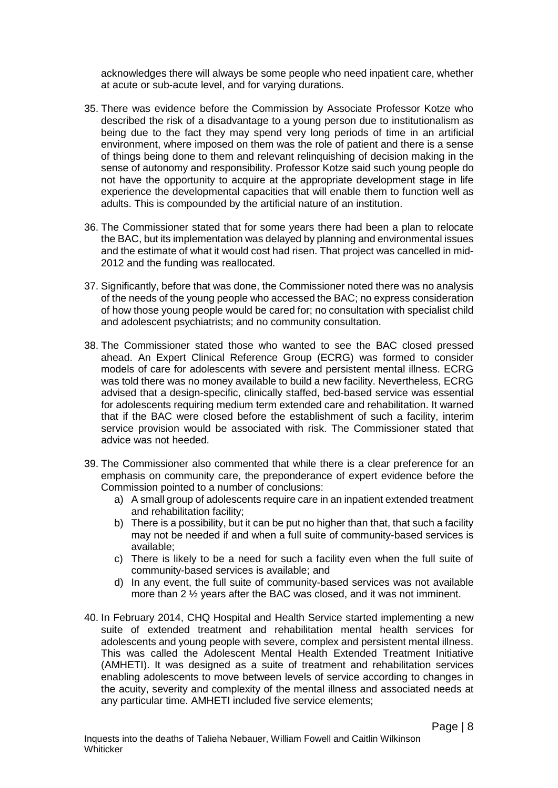acknowledges there will always be some people who need inpatient care, whether at acute or sub-acute level, and for varying durations.

- 35. There was evidence before the Commission by Associate Professor Kotze who described the risk of a disadvantage to a young person due to institutionalism as being due to the fact they may spend very long periods of time in an artificial environment, where imposed on them was the role of patient and there is a sense of things being done to them and relevant relinquishing of decision making in the sense of autonomy and responsibility. Professor Kotze said such young people do not have the opportunity to acquire at the appropriate development stage in life experience the developmental capacities that will enable them to function well as adults. This is compounded by the artificial nature of an institution.
- 36. The Commissioner stated that for some years there had been a plan to relocate the BAC, but its implementation was delayed by planning and environmental issues and the estimate of what it would cost had risen. That project was cancelled in mid-2012 and the funding was reallocated.
- 37. Significantly, before that was done, the Commissioner noted there was no analysis of the needs of the young people who accessed the BAC; no express consideration of how those young people would be cared for; no consultation with specialist child and adolescent psychiatrists; and no community consultation.
- 38. The Commissioner stated those who wanted to see the BAC closed pressed ahead. An Expert Clinical Reference Group (ECRG) was formed to consider models of care for adolescents with severe and persistent mental illness. ECRG was told there was no money available to build a new facility. Nevertheless, ECRG advised that a design-specific, clinically staffed, bed-based service was essential for adolescents requiring medium term extended care and rehabilitation. It warned that if the BAC were closed before the establishment of such a facility, interim service provision would be associated with risk. The Commissioner stated that advice was not heeded.
- 39. The Commissioner also commented that while there is a clear preference for an emphasis on community care, the preponderance of expert evidence before the Commission pointed to a number of conclusions:
	- a) A small group of adolescents require care in an inpatient extended treatment and rehabilitation facility;
	- b) There is a possibility, but it can be put no higher than that, that such a facility may not be needed if and when a full suite of community-based services is available;
	- c) There is likely to be a need for such a facility even when the full suite of community-based services is available; and
	- d) In any event, the full suite of community-based services was not available more than 2 ½ years after the BAC was closed, and it was not imminent.
- 40. In February 2014, CHQ Hospital and Health Service started implementing a new suite of extended treatment and rehabilitation mental health services for adolescents and young people with severe, complex and persistent mental illness. This was called the Adolescent Mental Health Extended Treatment Initiative (AMHETI). It was designed as a suite of treatment and rehabilitation services enabling adolescents to move between levels of service according to changes in the acuity, severity and complexity of the mental illness and associated needs at any particular time. AMHETI included five service elements;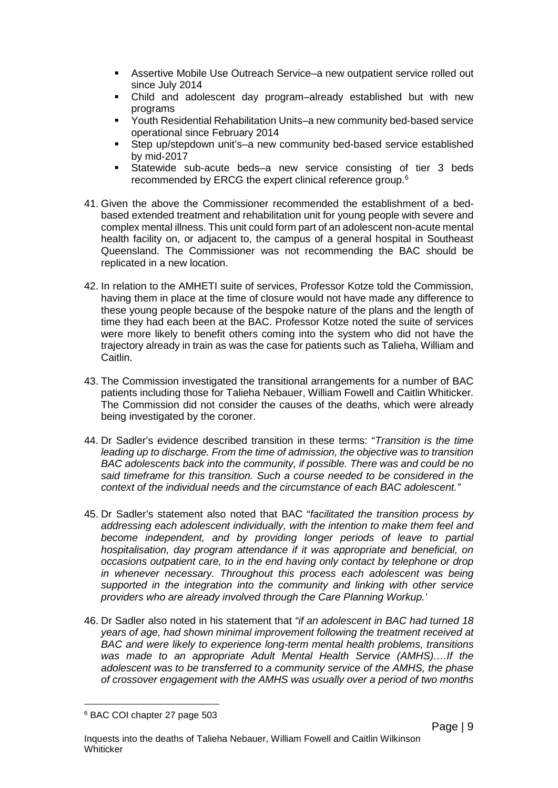- Assertive Mobile Use Outreach Service–a new outpatient service rolled out since July 2014
- Child and adolescent day program–already established but with new programs
- Youth Residential Rehabilitation Units–a new community bed-based service operational since February 2014
- Step up/stepdown unit's–a new community bed-based service established by mid-2017
- Statewide sub-acute beds–a new service consisting of tier 3 beds recommended by ERCG the expert clinical reference group.<sup>[6](#page-12-0)</sup>
- 41. Given the above the Commissioner recommended the establishment of a bedbased extended treatment and rehabilitation unit for young people with severe and complex mental illness. This unit could form part of an adolescent non-acute mental health facility on, or adjacent to, the campus of a general hospital in Southeast Queensland. The Commissioner was not recommending the BAC should be replicated in a new location.
- 42. In relation to the AMHETI suite of services, Professor Kotze told the Commission, having them in place at the time of closure would not have made any difference to these young people because of the bespoke nature of the plans and the length of time they had each been at the BAC. Professor Kotze noted the suite of services were more likely to benefit others coming into the system who did not have the trajectory already in train as was the case for patients such as Talieha, William and Caitlin.
- 43. The Commission investigated the transitional arrangements for a number of BAC patients including those for Talieha Nebauer, William Fowell and Caitlin Whiticker. The Commission did not consider the causes of the deaths, which were already being investigated by the coroner.
- 44. Dr Sadler's evidence described transition in these terms: "*Transition is the time leading up to discharge. From the time of admission, the objective was to transition BAC adolescents back into the community, if possible. There was and could be no said timeframe for this transition. Such a course needed to be considered in the context of the individual needs and the circumstance of each BAC adolescent."*
- 45. Dr Sadler's statement also noted that BAC "*facilitated the transition process by addressing each adolescent individually, with the intention to make them feel and become independent, and by providing longer periods of leave to partial hospitalisation, day program attendance if it was appropriate and beneficial, on occasions outpatient care, to in the end having only contact by telephone or drop in whenever necessary. Throughout this process each adolescent was being supported in the integration into the community and linking with other service providers who are already involved through the Care Planning Workup.'*
- 46. Dr Sadler also noted in his statement that *"if an adolescent in BAC had turned 18 years of age, had shown minimal improvement following the treatment received at BAC and were likely to experience long-term mental health problems, transitions was made to an appropriate Adult Mental Health Service (AMHS)….If the adolescent was to be transferred to a community service of the AMHS, the phase of crossover engagement with the AMHS was usually over a period of two months*

 $\overline{a}$ 

Page | 9

<span id="page-12-0"></span><sup>6</sup> BAC COI chapter 27 page 503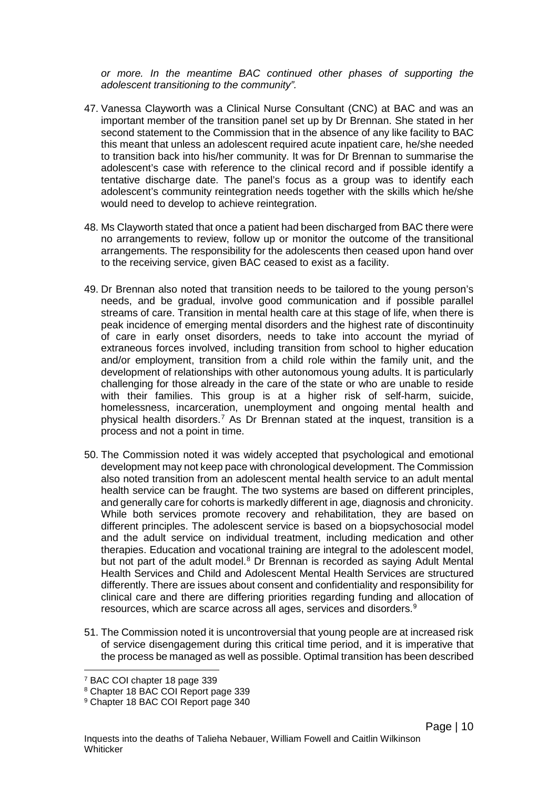*or more. In the meantime BAC continued other phases of supporting the adolescent transitioning to the community".*

- 47. Vanessa Clayworth was a Clinical Nurse Consultant (CNC) at BAC and was an important member of the transition panel set up by Dr Brennan. She stated in her second statement to the Commission that in the absence of any like facility to BAC this meant that unless an adolescent required acute inpatient care, he/she needed to transition back into his/her community. It was for Dr Brennan to summarise the adolescent's case with reference to the clinical record and if possible identify a tentative discharge date. The panel's focus as a group was to identify each adolescent's community reintegration needs together with the skills which he/she would need to develop to achieve reintegration.
- 48. Ms Clayworth stated that once a patient had been discharged from BAC there were no arrangements to review, follow up or monitor the outcome of the transitional arrangements. The responsibility for the adolescents then ceased upon hand over to the receiving service, given BAC ceased to exist as a facility.
- 49. Dr Brennan also noted that transition needs to be tailored to the young person's needs, and be gradual, involve good communication and if possible parallel streams of care. Transition in mental health care at this stage of life, when there is peak incidence of emerging mental disorders and the highest rate of discontinuity of care in early onset disorders, needs to take into account the myriad of extraneous forces involved, including transition from school to higher education and/or employment, transition from a child role within the family unit, and the development of relationships with other autonomous young adults. It is particularly challenging for those already in the care of the state or who are unable to reside with their families. This group is at a higher risk of self-harm, suicide, homelessness, incarceration, unemployment and ongoing mental health and physical health disorders.[7](#page-13-0) As Dr Brennan stated at the inquest, transition is a process and not a point in time.
- 50. The Commission noted it was widely accepted that psychological and emotional development may not keep pace with chronological development. The Commission also noted transition from an adolescent mental health service to an adult mental health service can be fraught. The two systems are based on different principles, and generally care for cohorts is markedly different in age, diagnosis and chronicity. While both services promote recovery and rehabilitation, they are based on different principles. The adolescent service is based on a biopsychosocial model and the adult service on individual treatment, including medication and other therapies. Education and vocational training are integral to the adolescent model, but not part of the adult model.<sup>[8](#page-13-1)</sup> Dr Brennan is recorded as saying Adult Mental Health Services and Child and Adolescent Mental Health Services are structured differently. There are issues about consent and confidentiality and responsibility for clinical care and there are differing priorities regarding funding and allocation of resources, which are scarce across all ages, services and disorders.<sup>[9](#page-13-2)</sup>
- 51. The Commission noted it is uncontroversial that young people are at increased risk of service disengagement during this critical time period, and it is imperative that the process be managed as well as possible. Optimal transition has been described

 $\overline{a}$ 

<span id="page-13-0"></span><sup>7</sup> BAC COI chapter 18 page 339

<span id="page-13-1"></span><sup>8</sup> Chapter 18 BAC COI Report page 339

<span id="page-13-2"></span><sup>9</sup> Chapter 18 BAC COI Report page 340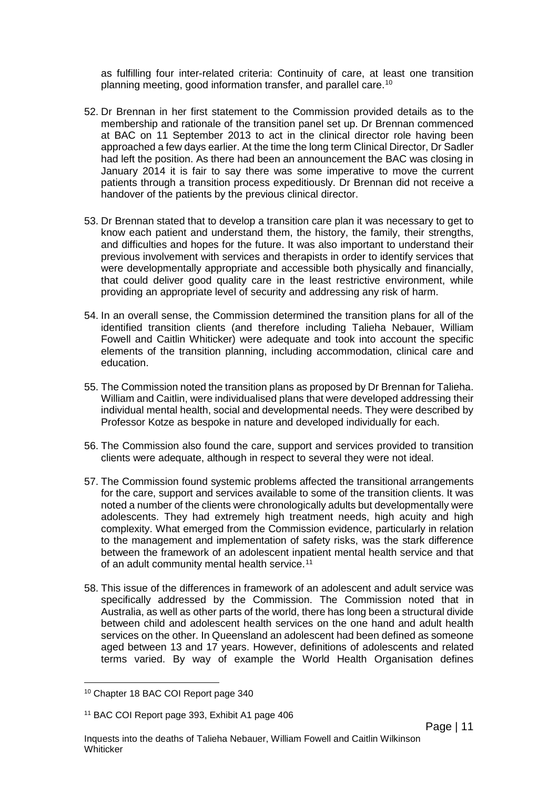as fulfilling four inter-related criteria: Continuity of care, at least one transition planning meeting, good information transfer, and parallel care.[10](#page-14-0)

- 52. Dr Brennan in her first statement to the Commission provided details as to the membership and rationale of the transition panel set up. Dr Brennan commenced at BAC on 11 September 2013 to act in the clinical director role having been approached a few days earlier. At the time the long term Clinical Director, Dr Sadler had left the position. As there had been an announcement the BAC was closing in January 2014 it is fair to say there was some imperative to move the current patients through a transition process expeditiously. Dr Brennan did not receive a handover of the patients by the previous clinical director.
- 53. Dr Brennan stated that to develop a transition care plan it was necessary to get to know each patient and understand them, the history, the family, their strengths, and difficulties and hopes for the future. It was also important to understand their previous involvement with services and therapists in order to identify services that were developmentally appropriate and accessible both physically and financially, that could deliver good quality care in the least restrictive environment, while providing an appropriate level of security and addressing any risk of harm.
- 54. In an overall sense, the Commission determined the transition plans for all of the identified transition clients (and therefore including Talieha Nebauer, William Fowell and Caitlin Whiticker) were adequate and took into account the specific elements of the transition planning, including accommodation, clinical care and education.
- 55. The Commission noted the transition plans as proposed by Dr Brennan for Talieha. William and Caitlin, were individualised plans that were developed addressing their individual mental health, social and developmental needs. They were described by Professor Kotze as bespoke in nature and developed individually for each.
- 56. The Commission also found the care, support and services provided to transition clients were adequate, although in respect to several they were not ideal.
- 57. The Commission found systemic problems affected the transitional arrangements for the care, support and services available to some of the transition clients. It was noted a number of the clients were chronologically adults but developmentally were adolescents. They had extremely high treatment needs, high acuity and high complexity. What emerged from the Commission evidence, particularly in relation to the management and implementation of safety risks, was the stark difference between the framework of an adolescent inpatient mental health service and that of an adult community mental health service.<sup>[11](#page-14-1)</sup>
- 58. This issue of the differences in framework of an adolescent and adult service was specifically addressed by the Commission. The Commission noted that in Australia, as well as other parts of the world, there has long been a structural divide between child and adolescent health services on the one hand and adult health services on the other. In Queensland an adolescent had been defined as someone aged between 13 and 17 years. However, definitions of adolescents and related terms varied. By way of example the World Health Organisation defines

<span id="page-14-0"></span><sup>10</sup> Chapter 18 BAC COI Report page 340  $\overline{a}$ 

<span id="page-14-1"></span><sup>11</sup> BAC COI Report page 393, Exhibit A1 page 406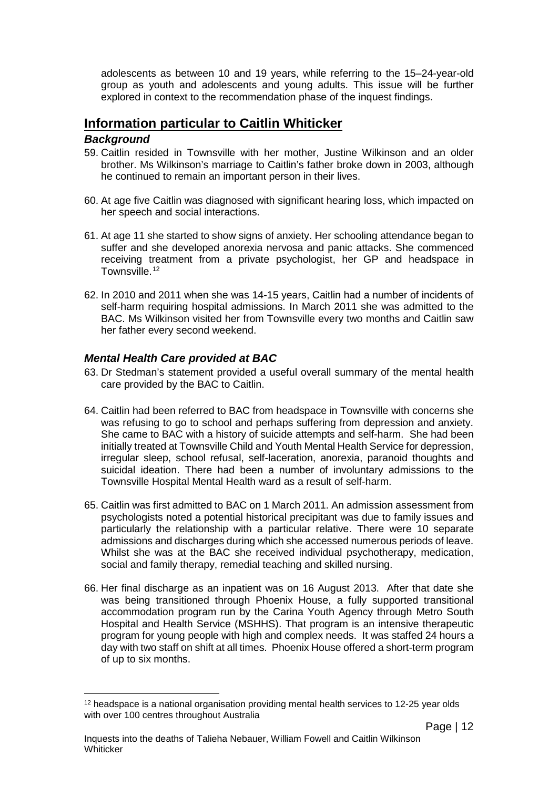adolescents as between 10 and 19 years, while referring to the 15–24-year-old group as youth and adolescents and young adults. This issue will be further explored in context to the recommendation phase of the inquest findings.

## <span id="page-15-0"></span>**Information particular to Caitlin Whiticker**

#### <span id="page-15-1"></span>*Background*

- 59. Caitlin resided in Townsville with her mother, Justine Wilkinson and an older brother. Ms Wilkinson's marriage to Caitlin's father broke down in 2003, although he continued to remain an important person in their lives.
- 60. At age five Caitlin was diagnosed with significant hearing loss, which impacted on her speech and social interactions.
- 61. At age 11 she started to show signs of anxiety. Her schooling attendance began to suffer and she developed anorexia nervosa and panic attacks. She commenced receiving treatment from a private psychologist, her GP and headspace in Townsville.<sup>[12](#page-15-3)</sup>
- 62. In 2010 and 2011 when she was 14-15 years, Caitlin had a number of incidents of self-harm requiring hospital admissions. In March 2011 she was admitted to the BAC. Ms Wilkinson visited her from Townsville every two months and Caitlin saw her father every second weekend.

#### <span id="page-15-2"></span>*Mental Health Care provided at BAC*

- 63. Dr Stedman's statement provided a useful overall summary of the mental health care provided by the BAC to Caitlin.
- 64. Caitlin had been referred to BAC from headspace in Townsville with concerns she was refusing to go to school and perhaps suffering from depression and anxiety. She came to BAC with a history of suicide attempts and self-harm. She had been initially treated at Townsville Child and Youth Mental Health Service for depression, irregular sleep, school refusal, self-laceration, anorexia, paranoid thoughts and suicidal ideation. There had been a number of involuntary admissions to the Townsville Hospital Mental Health ward as a result of self-harm.
- 65. Caitlin was first admitted to BAC on 1 March 2011. An admission assessment from psychologists noted a potential historical precipitant was due to family issues and particularly the relationship with a particular relative. There were 10 separate admissions and discharges during which she accessed numerous periods of leave. Whilst she was at the BAC she received individual psychotherapy, medication, social and family therapy, remedial teaching and skilled nursing.
- 66. Her final discharge as an inpatient was on 16 August 2013. After that date she was being transitioned through Phoenix House, a fully supported transitional accommodation program run by the Carina Youth Agency through Metro South Hospital and Health Service (MSHHS). That program is an intensive therapeutic program for young people with high and complex needs. It was staffed 24 hours a day with two staff on shift at all times. Phoenix House offered a short-term program of up to six months.

<span id="page-15-3"></span><sup>&</sup>lt;sup>12</sup> headspace is a national organisation providing mental health services to 12-25 year olds with over 100 centres throughout Australia  $\overline{a}$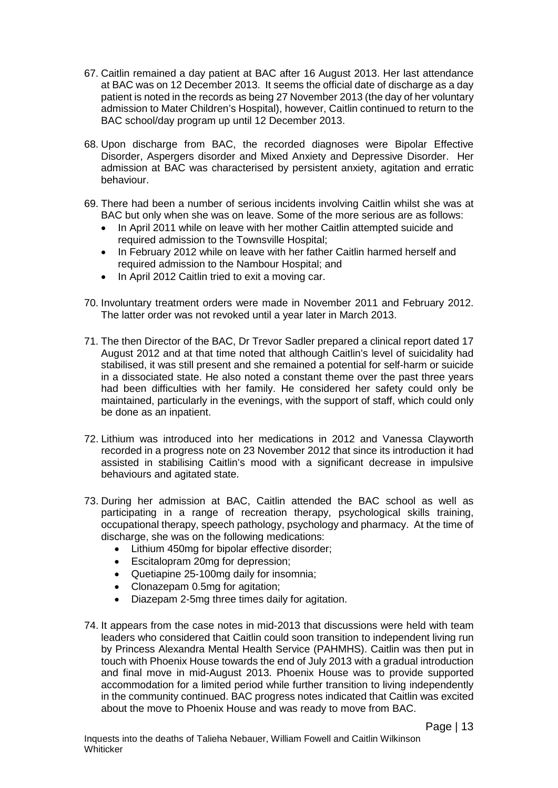- 67. Caitlin remained a day patient at BAC after 16 August 2013. Her last attendance at BAC was on 12 December 2013. It seems the official date of discharge as a day patient is noted in the records as being 27 November 2013 (the day of her voluntary admission to Mater Children's Hospital), however, Caitlin continued to return to the BAC school/day program up until 12 December 2013.
- 68. Upon discharge from BAC, the recorded diagnoses were Bipolar Effective Disorder, Aspergers disorder and Mixed Anxiety and Depressive Disorder. Her admission at BAC was characterised by persistent anxiety, agitation and erratic behaviour.
- 69. There had been a number of serious incidents involving Caitlin whilst she was at BAC but only when she was on leave. Some of the more serious are as follows:
	- In April 2011 while on leave with her mother Caitlin attempted suicide and required admission to the Townsville Hospital;
	- In February 2012 while on leave with her father Caitlin harmed herself and required admission to the Nambour Hospital; and
	- In April 2012 Caitlin tried to exit a moving car.
- 70. Involuntary treatment orders were made in November 2011 and February 2012. The latter order was not revoked until a year later in March 2013.
- 71. The then Director of the BAC, Dr Trevor Sadler prepared a clinical report dated 17 August 2012 and at that time noted that although Caitlin's level of suicidality had stabilised, it was still present and she remained a potential for self-harm or suicide in a dissociated state. He also noted a constant theme over the past three years had been difficulties with her family. He considered her safety could only be maintained, particularly in the evenings, with the support of staff, which could only be done as an inpatient.
- 72. Lithium was introduced into her medications in 2012 and Vanessa Clayworth recorded in a progress note on 23 November 2012 that since its introduction it had assisted in stabilising Caitlin's mood with a significant decrease in impulsive behaviours and agitated state.
- 73. During her admission at BAC, Caitlin attended the BAC school as well as participating in a range of recreation therapy, psychological skills training, occupational therapy, speech pathology, psychology and pharmacy. At the time of discharge, she was on the following medications:
	- Lithium 450mg for bipolar effective disorder;
	- Escitalopram 20mg for depression;
	- Quetiapine 25-100mg daily for insomnia;
	- Clonazepam 0.5mg for agitation;
	- Diazepam 2-5mg three times daily for agitation.
- 74. It appears from the case notes in mid-2013 that discussions were held with team leaders who considered that Caitlin could soon transition to independent living run by Princess Alexandra Mental Health Service (PAHMHS). Caitlin was then put in touch with Phoenix House towards the end of July 2013 with a gradual introduction and final move in mid-August 2013. Phoenix House was to provide supported accommodation for a limited period while further transition to living independently in the community continued. BAC progress notes indicated that Caitlin was excited about the move to Phoenix House and was ready to move from BAC.

Page | 13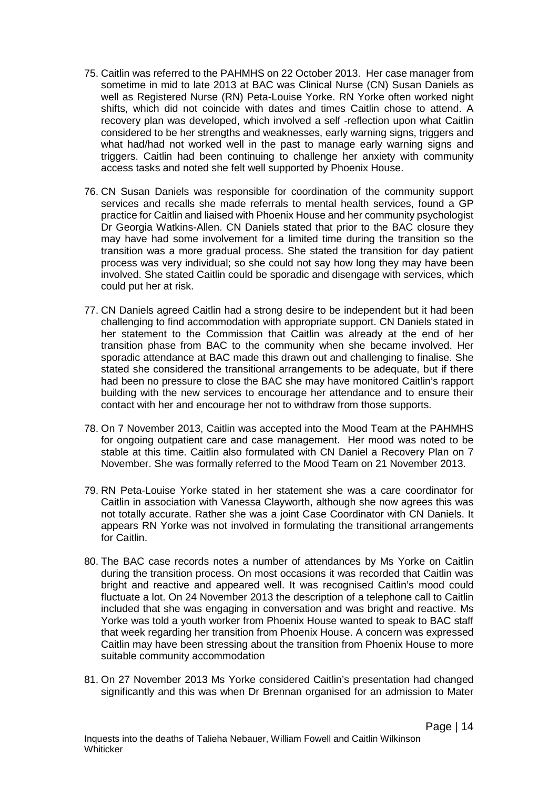- 75. Caitlin was referred to the PAHMHS on 22 October 2013. Her case manager from sometime in mid to late 2013 at BAC was Clinical Nurse (CN) Susan Daniels as well as Registered Nurse (RN) Peta-Louise Yorke. RN Yorke often worked night shifts, which did not coincide with dates and times Caitlin chose to attend. A recovery plan was developed, which involved a self -reflection upon what Caitlin considered to be her strengths and weaknesses, early warning signs, triggers and what had/had not worked well in the past to manage early warning signs and triggers. Caitlin had been continuing to challenge her anxiety with community access tasks and noted she felt well supported by Phoenix House.
- 76. CN Susan Daniels was responsible for coordination of the community support services and recalls she made referrals to mental health services, found a GP practice for Caitlin and liaised with Phoenix House and her community psychologist Dr Georgia Watkins-Allen. CN Daniels stated that prior to the BAC closure they may have had some involvement for a limited time during the transition so the transition was a more gradual process. She stated the transition for day patient process was very individual; so she could not say how long they may have been involved. She stated Caitlin could be sporadic and disengage with services, which could put her at risk.
- 77. CN Daniels agreed Caitlin had a strong desire to be independent but it had been challenging to find accommodation with appropriate support. CN Daniels stated in her statement to the Commission that Caitlin was already at the end of her transition phase from BAC to the community when she became involved. Her sporadic attendance at BAC made this drawn out and challenging to finalise. She stated she considered the transitional arrangements to be adequate, but if there had been no pressure to close the BAC she may have monitored Caitlin's rapport building with the new services to encourage her attendance and to ensure their contact with her and encourage her not to withdraw from those supports.
- 78. On 7 November 2013, Caitlin was accepted into the Mood Team at the PAHMHS for ongoing outpatient care and case management. Her mood was noted to be stable at this time. Caitlin also formulated with CN Daniel a Recovery Plan on 7 November. She was formally referred to the Mood Team on 21 November 2013.
- 79. RN Peta-Louise Yorke stated in her statement she was a care coordinator for Caitlin in association with Vanessa Clayworth, although she now agrees this was not totally accurate. Rather she was a joint Case Coordinator with CN Daniels. It appears RN Yorke was not involved in formulating the transitional arrangements for Caitlin.
- 80. The BAC case records notes a number of attendances by Ms Yorke on Caitlin during the transition process. On most occasions it was recorded that Caitlin was bright and reactive and appeared well. It was recognised Caitlin's mood could fluctuate a lot. On 24 November 2013 the description of a telephone call to Caitlin included that she was engaging in conversation and was bright and reactive. Ms Yorke was told a youth worker from Phoenix House wanted to speak to BAC staff that week regarding her transition from Phoenix House. A concern was expressed Caitlin may have been stressing about the transition from Phoenix House to more suitable community accommodation
- 81. On 27 November 2013 Ms Yorke considered Caitlin's presentation had changed significantly and this was when Dr Brennan organised for an admission to Mater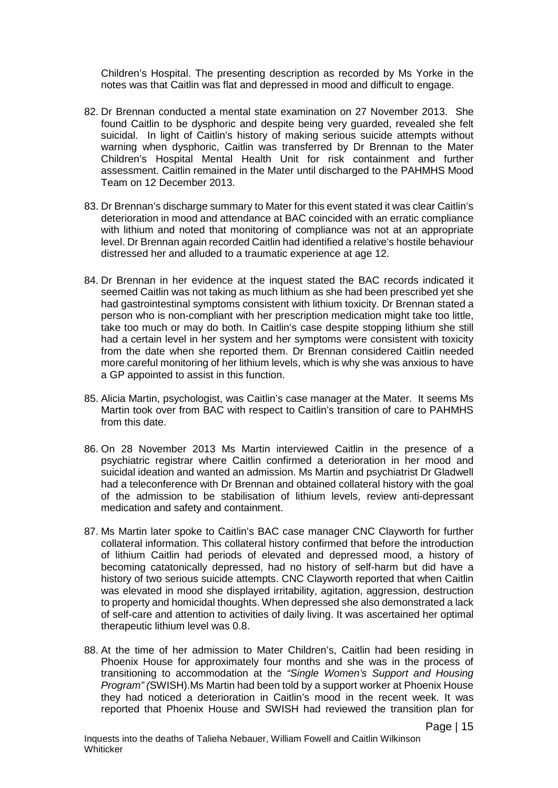Children's Hospital. The presenting description as recorded by Ms Yorke in the notes was that Caitlin was flat and depressed in mood and difficult to engage.

- 82. Dr Brennan conducted a mental state examination on 27 November 2013. She found Caitlin to be dysphoric and despite being very guarded, revealed she felt suicidal. In light of Caitlin's history of making serious suicide attempts without warning when dysphoric, Caitlin was transferred by Dr Brennan to the Mater Children's Hospital Mental Health Unit for risk containment and further assessment. Caitlin remained in the Mater until discharged to the PAHMHS Mood Team on 12 December 2013.
- 83. Dr Brennan's discharge summary to Mater for this event stated it was clear Caitlin's deterioration in mood and attendance at BAC coincided with an erratic compliance with lithium and noted that monitoring of compliance was not at an appropriate level. Dr Brennan again recorded Caitlin had identified a relative's hostile behaviour distressed her and alluded to a traumatic experience at age 12.
- 84. Dr Brennan in her evidence at the inquest stated the BAC records indicated it seemed Caitlin was not taking as much lithium as she had been prescribed yet she had gastrointestinal symptoms consistent with lithium toxicity. Dr Brennan stated a person who is non-compliant with her prescription medication might take too little, take too much or may do both. In Caitlin's case despite stopping lithium she still had a certain level in her system and her symptoms were consistent with toxicity from the date when she reported them. Dr Brennan considered Caitlin needed more careful monitoring of her lithium levels, which is why she was anxious to have a GP appointed to assist in this function.
- 85. Alicia Martin, psychologist, was Caitlin's case manager at the Mater. It seems Ms Martin took over from BAC with respect to Caitlin's transition of care to PAHMHS from this date.
- 86. On 28 November 2013 Ms Martin interviewed Caitlin in the presence of a psychiatric registrar where Caitlin confirmed a deterioration in her mood and suicidal ideation and wanted an admission. Ms Martin and psychiatrist Dr Gladwell had a teleconference with Dr Brennan and obtained collateral history with the goal of the admission to be stabilisation of lithium levels, review anti-depressant medication and safety and containment.
- 87. Ms Martin later spoke to Caitlin's BAC case manager CNC Clayworth for further collateral information. This collateral history confirmed that before the introduction of lithium Caitlin had periods of elevated and depressed mood, a history of becoming catatonically depressed, had no history of self-harm but did have a history of two serious suicide attempts. CNC Clayworth reported that when Caitlin was elevated in mood she displayed irritability, agitation, aggression, destruction to property and homicidal thoughts. When depressed she also demonstrated a lack of self-care and attention to activities of daily living. It was ascertained her optimal therapeutic lithium level was 0.8.
- 88. At the time of her admission to Mater Children's, Caitlin had been residing in Phoenix House for approximately four months and she was in the process of transitioning to accommodation at the *"Single Women's Support and Housing Program" (*SWISH).Ms Martin had been told by a support worker at Phoenix House they had noticed a deterioration in Caitlin's mood in the recent week. It was reported that Phoenix House and SWISH had reviewed the transition plan for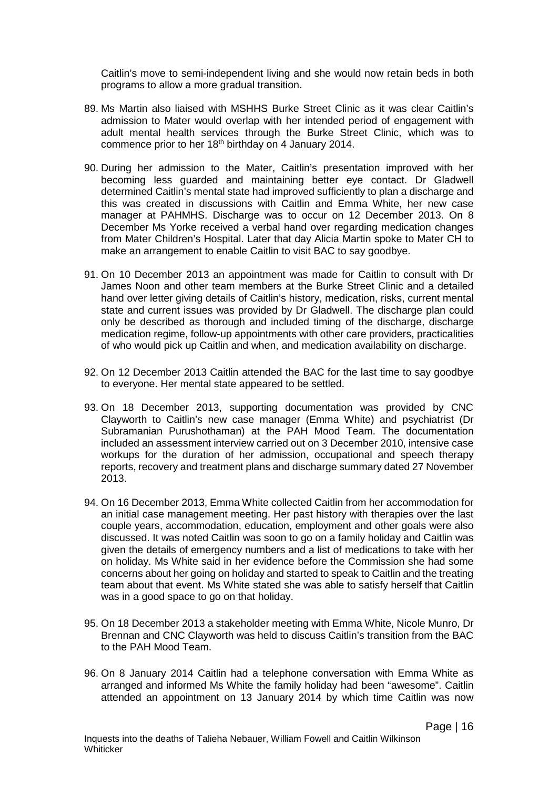Caitlin's move to semi-independent living and she would now retain beds in both programs to allow a more gradual transition.

- 89. Ms Martin also liaised with MSHHS Burke Street Clinic as it was clear Caitlin's admission to Mater would overlap with her intended period of engagement with adult mental health services through the Burke Street Clinic, which was to commence prior to her 18<sup>th</sup> birthday on 4 January 2014.
- 90. During her admission to the Mater, Caitlin's presentation improved with her becoming less guarded and maintaining better eye contact. Dr Gladwell determined Caitlin's mental state had improved sufficiently to plan a discharge and this was created in discussions with Caitlin and Emma White, her new case manager at PAHMHS. Discharge was to occur on 12 December 2013. On 8 December Ms Yorke received a verbal hand over regarding medication changes from Mater Children's Hospital. Later that day Alicia Martin spoke to Mater CH to make an arrangement to enable Caitlin to visit BAC to say goodbye.
- 91. On 10 December 2013 an appointment was made for Caitlin to consult with Dr James Noon and other team members at the Burke Street Clinic and a detailed hand over letter giving details of Caitlin's history, medication, risks, current mental state and current issues was provided by Dr Gladwell. The discharge plan could only be described as thorough and included timing of the discharge, discharge medication regime, follow-up appointments with other care providers, practicalities of who would pick up Caitlin and when, and medication availability on discharge.
- 92. On 12 December 2013 Caitlin attended the BAC for the last time to say goodbye to everyone. Her mental state appeared to be settled.
- 93. On 18 December 2013, supporting documentation was provided by CNC Clayworth to Caitlin's new case manager (Emma White) and psychiatrist (Dr Subramanian Purushothaman) at the PAH Mood Team. The documentation included an assessment interview carried out on 3 December 2010, intensive case workups for the duration of her admission, occupational and speech therapy reports, recovery and treatment plans and discharge summary dated 27 November 2013.
- 94. On 16 December 2013, Emma White collected Caitlin from her accommodation for an initial case management meeting. Her past history with therapies over the last couple years, accommodation, education, employment and other goals were also discussed. It was noted Caitlin was soon to go on a family holiday and Caitlin was given the details of emergency numbers and a list of medications to take with her on holiday. Ms White said in her evidence before the Commission she had some concerns about her going on holiday and started to speak to Caitlin and the treating team about that event. Ms White stated she was able to satisfy herself that Caitlin was in a good space to go on that holiday.
- 95. On 18 December 2013 a stakeholder meeting with Emma White, Nicole Munro, Dr Brennan and CNC Clayworth was held to discuss Caitlin's transition from the BAC to the PAH Mood Team.
- 96. On 8 January 2014 Caitlin had a telephone conversation with Emma White as arranged and informed Ms White the family holiday had been "awesome". Caitlin attended an appointment on 13 January 2014 by which time Caitlin was now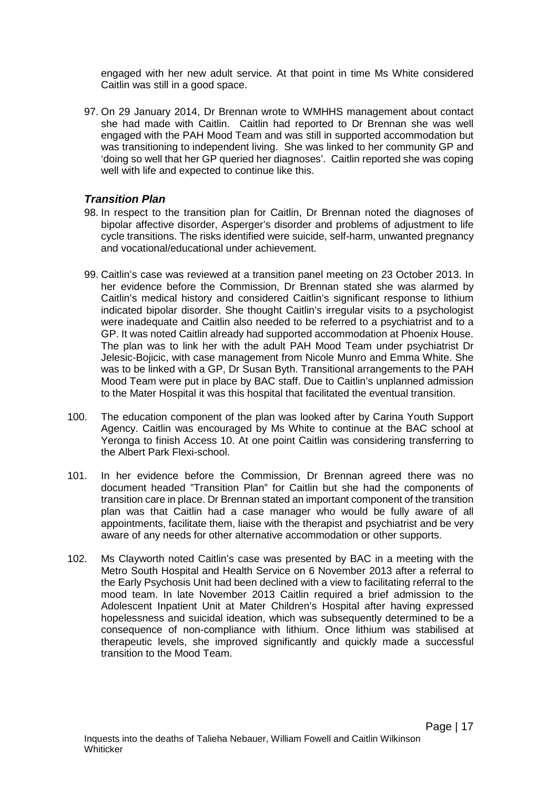engaged with her new adult service. At that point in time Ms White considered Caitlin was still in a good space.

97. On 29 January 2014, Dr Brennan wrote to WMHHS management about contact she had made with Caitlin. Caitlin had reported to Dr Brennan she was well engaged with the PAH Mood Team and was still in supported accommodation but was transitioning to independent living. She was linked to her community GP and 'doing so well that her GP queried her diagnoses'. Caitlin reported she was coping well with life and expected to continue like this.

#### <span id="page-20-0"></span>*Transition Plan*

- 98. In respect to the transition plan for Caitlin, Dr Brennan noted the diagnoses of bipolar affective disorder, Asperger's disorder and problems of adjustment to life cycle transitions. The risks identified were suicide, self-harm, unwanted pregnancy and vocational/educational under achievement.
- 99. Caitlin's case was reviewed at a transition panel meeting on 23 October 2013. In her evidence before the Commission, Dr Brennan stated she was alarmed by Caitlin's medical history and considered Caitlin's significant response to lithium indicated bipolar disorder. She thought Caitlin's irregular visits to a psychologist were inadequate and Caitlin also needed to be referred to a psychiatrist and to a GP. It was noted Caitlin already had supported accommodation at Phoenix House. The plan was to link her with the adult PAH Mood Team under psychiatrist Dr Jelesic-Bojicic, with case management from Nicole Munro and Emma White. She was to be linked with a GP, Dr Susan Byth. Transitional arrangements to the PAH Mood Team were put in place by BAC staff. Due to Caitlin's unplanned admission to the Mater Hospital it was this hospital that facilitated the eventual transition.
- 100. The education component of the plan was looked after by Carina Youth Support Agency. Caitlin was encouraged by Ms White to continue at the BAC school at Yeronga to finish Access 10. At one point Caitlin was considering transferring to the Albert Park Flexi-school.
- 101. In her evidence before the Commission, Dr Brennan agreed there was no document headed "Transition Plan" for Caitlin but she had the components of transition care in place. Dr Brennan stated an important component of the transition plan was that Caitlin had a case manager who would be fully aware of all appointments, facilitate them, liaise with the therapist and psychiatrist and be very aware of any needs for other alternative accommodation or other supports.
- 102. Ms Clayworth noted Caitlin's case was presented by BAC in a meeting with the Metro South Hospital and Health Service on 6 November 2013 after a referral to the Early Psychosis Unit had been declined with a view to facilitating referral to the mood team. In late November 2013 Caitlin required a brief admission to the Adolescent Inpatient Unit at Mater Children's Hospital after having expressed hopelessness and suicidal ideation, which was subsequently determined to be a consequence of non-compliance with lithium. Once lithium was stabilised at therapeutic levels, she improved significantly and quickly made a successful transition to the Mood Team.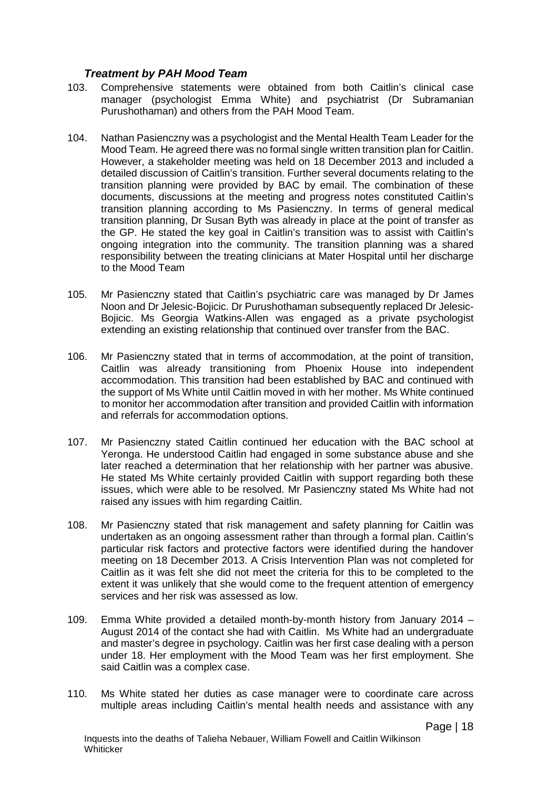#### <span id="page-21-0"></span>*Treatment by PAH Mood Team*

- 103. Comprehensive statements were obtained from both Caitlin's clinical case manager (psychologist Emma White) and psychiatrist (Dr Subramanian Purushothaman) and others from the PAH Mood Team.
- 104. Nathan Pasienczny was a psychologist and the Mental Health Team Leader for the Mood Team. He agreed there was no formal single written transition plan for Caitlin. However, a stakeholder meeting was held on 18 December 2013 and included a detailed discussion of Caitlin's transition. Further several documents relating to the transition planning were provided by BAC by email. The combination of these documents, discussions at the meeting and progress notes constituted Caitlin's transition planning according to Ms Pasienczny. In terms of general medical transition planning, Dr Susan Byth was already in place at the point of transfer as the GP. He stated the key goal in Caitlin's transition was to assist with Caitlin's ongoing integration into the community. The transition planning was a shared responsibility between the treating clinicians at Mater Hospital until her discharge to the Mood Team
- 105. Mr Pasienczny stated that Caitlin's psychiatric care was managed by Dr James Noon and Dr Jelesic-Bojicic. Dr Purushothaman subsequently replaced Dr Jelesic-Bojicic. Ms Georgia Watkins-Allen was engaged as a private psychologist extending an existing relationship that continued over transfer from the BAC.
- 106. Mr Pasienczny stated that in terms of accommodation, at the point of transition, Caitlin was already transitioning from Phoenix House into independent accommodation. This transition had been established by BAC and continued with the support of Ms White until Caitlin moved in with her mother. Ms White continued to monitor her accommodation after transition and provided Caitlin with information and referrals for accommodation options.
- 107. Mr Pasienczny stated Caitlin continued her education with the BAC school at Yeronga. He understood Caitlin had engaged in some substance abuse and she later reached a determination that her relationship with her partner was abusive. He stated Ms White certainly provided Caitlin with support regarding both these issues, which were able to be resolved. Mr Pasienczny stated Ms White had not raised any issues with him regarding Caitlin.
- 108. Mr Pasienczny stated that risk management and safety planning for Caitlin was undertaken as an ongoing assessment rather than through a formal plan. Caitlin's particular risk factors and protective factors were identified during the handover meeting on 18 December 2013. A Crisis Intervention Plan was not completed for Caitlin as it was felt she did not meet the criteria for this to be completed to the extent it was unlikely that she would come to the frequent attention of emergency services and her risk was assessed as low.
- 109. Emma White provided a detailed month-by-month history from January 2014 August 2014 of the contact she had with Caitlin. Ms White had an undergraduate and master's degree in psychology. Caitlin was her first case dealing with a person under 18. Her employment with the Mood Team was her first employment. She said Caitlin was a complex case.
- 110. Ms White stated her duties as case manager were to coordinate care across multiple areas including Caitlin's mental health needs and assistance with any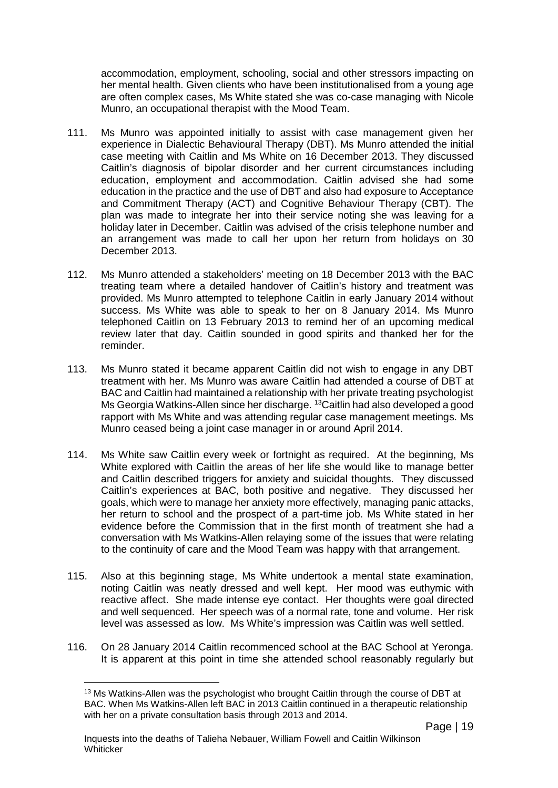accommodation, employment, schooling, social and other stressors impacting on her mental health. Given clients who have been institutionalised from a young age are often complex cases, Ms White stated she was co-case managing with Nicole Munro, an occupational therapist with the Mood Team.

- 111. Ms Munro was appointed initially to assist with case management given her experience in Dialectic Behavioural Therapy (DBT). Ms Munro attended the initial case meeting with Caitlin and Ms White on 16 December 2013. They discussed Caitlin's diagnosis of bipolar disorder and her current circumstances including education, employment and accommodation. Caitlin advised she had some education in the practice and the use of DBT and also had exposure to Acceptance and Commitment Therapy (ACT) and Cognitive Behaviour Therapy (CBT). The plan was made to integrate her into their service noting she was leaving for a holiday later in December. Caitlin was advised of the crisis telephone number and an arrangement was made to call her upon her return from holidays on 30 December 2013.
- 112. Ms Munro attended a stakeholders' meeting on 18 December 2013 with the BAC treating team where a detailed handover of Caitlin's history and treatment was provided. Ms Munro attempted to telephone Caitlin in early January 2014 without success. Ms White was able to speak to her on 8 January 2014. Ms Munro telephoned Caitlin on 13 February 2013 to remind her of an upcoming medical review later that day. Caitlin sounded in good spirits and thanked her for the reminder.
- 113. Ms Munro stated it became apparent Caitlin did not wish to engage in any DBT treatment with her. Ms Munro was aware Caitlin had attended a course of DBT at BAC and Caitlin had maintained a relationship with her private treating psychologist Ms Georgia Watkins-Allen since her discharge. <sup>[13](#page-22-0)</sup>Caitlin had also developed a good rapport with Ms White and was attending regular case management meetings. Ms Munro ceased being a joint case manager in or around April 2014.
- 114. Ms White saw Caitlin every week or fortnight as required. At the beginning, Ms White explored with Caitlin the areas of her life she would like to manage better and Caitlin described triggers for anxiety and suicidal thoughts. They discussed Caitlin's experiences at BAC, both positive and negative. They discussed her goals, which were to manage her anxiety more effectively, managing panic attacks, her return to school and the prospect of a part-time job. Ms White stated in her evidence before the Commission that in the first month of treatment she had a conversation with Ms Watkins-Allen relaying some of the issues that were relating to the continuity of care and the Mood Team was happy with that arrangement.
- 115. Also at this beginning stage, Ms White undertook a mental state examination, noting Caitlin was neatly dressed and well kept. Her mood was euthymic with reactive affect. She made intense eye contact. Her thoughts were goal directed and well sequenced. Her speech was of a normal rate, tone and volume. Her risk level was assessed as low. Ms White's impression was Caitlin was well settled.
- <span id="page-22-0"></span>116. On 28 January 2014 Caitlin recommenced school at the BAC School at Yeronga. It is apparent at this point in time she attended school reasonably regularly but

<sup>&</sup>lt;sup>13</sup> Ms Watkins-Allen was the psychologist who brought Caitlin through the course of DBT at BAC. When Ms Watkins-Allen left BAC in 2013 Caitlin continued in a therapeutic relationship with her on a private consultation basis through 2013 and 2014.  $\overline{a}$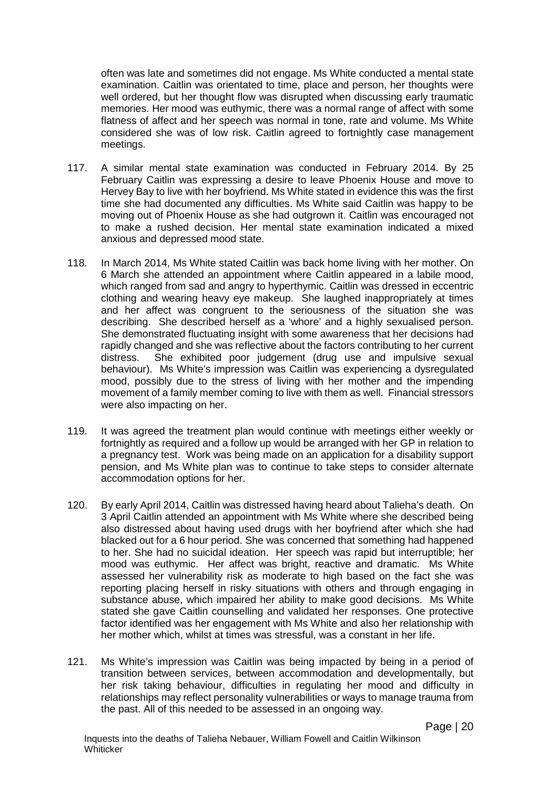often was late and sometimes did not engage. Ms White conducted a mental state examination. Caitlin was orientated to time, place and person, her thoughts were well ordered, but her thought flow was disrupted when discussing early traumatic memories. Her mood was euthymic, there was a normal range of affect with some flatness of affect and her speech was normal in tone, rate and volume. Ms White considered she was of low risk. Caitlin agreed to fortnightly case management meetings.

- 117. A similar mental state examination was conducted in February 2014. By 25 February Caitlin was expressing a desire to leave Phoenix House and move to Hervey Bay to live with her boyfriend. Ms White stated in evidence this was the first time she had documented any difficulties. Ms White said Caitlin was happy to be moving out of Phoenix House as she had outgrown it. Caitlin was encouraged not to make a rushed decision. Her mental state examination indicated a mixed anxious and depressed mood state.
- 118. In March 2014, Ms White stated Caitlin was back home living with her mother. On 6 March she attended an appointment where Caitlin appeared in a labile mood, which ranged from sad and angry to hyperthymic. Caitlin was dressed in eccentric clothing and wearing heavy eye makeup. She laughed inappropriately at times and her affect was congruent to the seriousness of the situation she was describing. She described herself as a 'whore' and a highly sexualised person. She demonstrated fluctuating insight with some awareness that her decisions had rapidly changed and she was reflective about the factors contributing to her current distress. She exhibited poor judgement (drug use and impulsive sexual behaviour). Ms White's impression was Caitlin was experiencing a dysregulated mood, possibly due to the stress of living with her mother and the impending movement of a family member coming to live with them as well. Financial stressors were also impacting on her.
- 119. It was agreed the treatment plan would continue with meetings either weekly or fortnightly as required and a follow up would be arranged with her GP in relation to a pregnancy test. Work was being made on an application for a disability support pension, and Ms White plan was to continue to take steps to consider alternate accommodation options for her.
- 120. By early April 2014, Caitlin was distressed having heard about Talieha's death. On 3 April Caitlin attended an appointment with Ms White where she described being also distressed about having used drugs with her boyfriend after which she had blacked out for a 6 hour period. She was concerned that something had happened to her. She had no suicidal ideation. Her speech was rapid but interruptible; her mood was euthymic. Her affect was bright, reactive and dramatic. Ms White assessed her vulnerability risk as moderate to high based on the fact she was reporting placing herself in risky situations with others and through engaging in substance abuse, which impaired her ability to make good decisions. Ms White stated she gave Caitlin counselling and validated her responses. One protective factor identified was her engagement with Ms White and also her relationship with her mother which, whilst at times was stressful, was a constant in her life.
- 121. Ms White's impression was Caitlin was being impacted by being in a period of transition between services, between accommodation and developmentally, but her risk taking behaviour, difficulties in regulating her mood and difficulty in relationships may reflect personality vulnerabilities or ways to manage trauma from the past. All of this needed to be assessed in an ongoing way.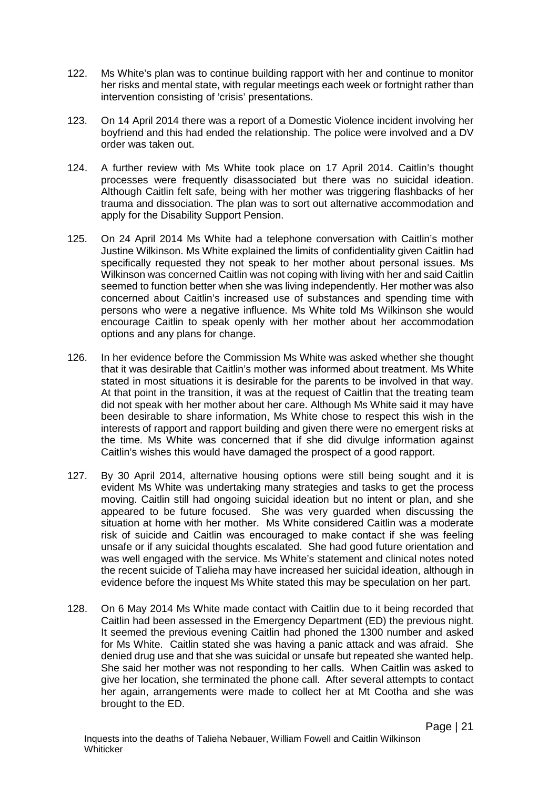- 122. Ms White's plan was to continue building rapport with her and continue to monitor her risks and mental state, with regular meetings each week or fortnight rather than intervention consisting of 'crisis' presentations.
- 123. On 14 April 2014 there was a report of a Domestic Violence incident involving her boyfriend and this had ended the relationship. The police were involved and a DV order was taken out.
- 124. A further review with Ms White took place on 17 April 2014. Caitlin's thought processes were frequently disassociated but there was no suicidal ideation. Although Caitlin felt safe, being with her mother was triggering flashbacks of her trauma and dissociation. The plan was to sort out alternative accommodation and apply for the Disability Support Pension.
- 125. On 24 April 2014 Ms White had a telephone conversation with Caitlin's mother Justine Wilkinson. Ms White explained the limits of confidentiality given Caitlin had specifically requested they not speak to her mother about personal issues. Ms Wilkinson was concerned Caitlin was not coping with living with her and said Caitlin seemed to function better when she was living independently. Her mother was also concerned about Caitlin's increased use of substances and spending time with persons who were a negative influence. Ms White told Ms Wilkinson she would encourage Caitlin to speak openly with her mother about her accommodation options and any plans for change.
- 126. In her evidence before the Commission Ms White was asked whether she thought that it was desirable that Caitlin's mother was informed about treatment. Ms White stated in most situations it is desirable for the parents to be involved in that way. At that point in the transition, it was at the request of Caitlin that the treating team did not speak with her mother about her care. Although Ms White said it may have been desirable to share information, Ms White chose to respect this wish in the interests of rapport and rapport building and given there were no emergent risks at the time. Ms White was concerned that if she did divulge information against Caitlin's wishes this would have damaged the prospect of a good rapport.
- 127. By 30 April 2014, alternative housing options were still being sought and it is evident Ms White was undertaking many strategies and tasks to get the process moving. Caitlin still had ongoing suicidal ideation but no intent or plan, and she appeared to be future focused. She was very guarded when discussing the situation at home with her mother. Ms White considered Caitlin was a moderate risk of suicide and Caitlin was encouraged to make contact if she was feeling unsafe or if any suicidal thoughts escalated. She had good future orientation and was well engaged with the service. Ms White's statement and clinical notes noted the recent suicide of Talieha may have increased her suicidal ideation, although in evidence before the inquest Ms White stated this may be speculation on her part.
- 128. On 6 May 2014 Ms White made contact with Caitlin due to it being recorded that Caitlin had been assessed in the Emergency Department (ED) the previous night. It seemed the previous evening Caitlin had phoned the 1300 number and asked for Ms White. Caitlin stated she was having a panic attack and was afraid. She denied drug use and that she was suicidal or unsafe but repeated she wanted help. She said her mother was not responding to her calls. When Caitlin was asked to give her location, she terminated the phone call. After several attempts to contact her again, arrangements were made to collect her at Mt Cootha and she was brought to the ED.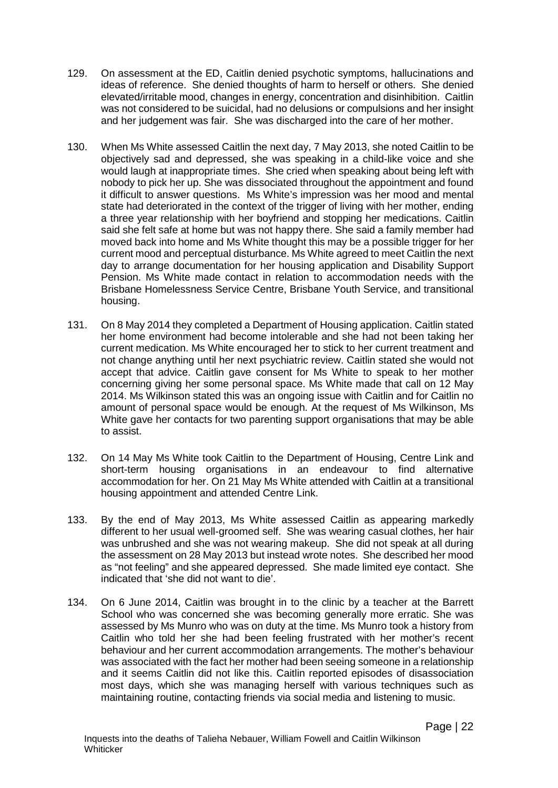- 129. On assessment at the ED, Caitlin denied psychotic symptoms, hallucinations and ideas of reference. She denied thoughts of harm to herself or others. She denied elevated/irritable mood, changes in energy, concentration and disinhibition. Caitlin was not considered to be suicidal, had no delusions or compulsions and her insight and her judgement was fair. She was discharged into the care of her mother.
- 130. When Ms White assessed Caitlin the next day, 7 May 2013, she noted Caitlin to be objectively sad and depressed, she was speaking in a child-like voice and she would laugh at inappropriate times. She cried when speaking about being left with nobody to pick her up. She was dissociated throughout the appointment and found it difficult to answer questions. Ms White's impression was her mood and mental state had deteriorated in the context of the trigger of living with her mother, ending a three year relationship with her boyfriend and stopping her medications. Caitlin said she felt safe at home but was not happy there. She said a family member had moved back into home and Ms White thought this may be a possible trigger for her current mood and perceptual disturbance. Ms White agreed to meet Caitlin the next day to arrange documentation for her housing application and Disability Support Pension. Ms White made contact in relation to accommodation needs with the Brisbane Homelessness Service Centre, Brisbane Youth Service, and transitional housing.
- 131. On 8 May 2014 they completed a Department of Housing application. Caitlin stated her home environment had become intolerable and she had not been taking her current medication. Ms White encouraged her to stick to her current treatment and not change anything until her next psychiatric review. Caitlin stated she would not accept that advice. Caitlin gave consent for Ms White to speak to her mother concerning giving her some personal space. Ms White made that call on 12 May 2014. Ms Wilkinson stated this was an ongoing issue with Caitlin and for Caitlin no amount of personal space would be enough. At the request of Ms Wilkinson, Ms White gave her contacts for two parenting support organisations that may be able to assist.
- 132. On 14 May Ms White took Caitlin to the Department of Housing, Centre Link and short-term housing organisations in an endeavour to find alternative accommodation for her. On 21 May Ms White attended with Caitlin at a transitional housing appointment and attended Centre Link.
- 133. By the end of May 2013, Ms White assessed Caitlin as appearing markedly different to her usual well-groomed self. She was wearing casual clothes, her hair was unbrushed and she was not wearing makeup. She did not speak at all during the assessment on 28 May 2013 but instead wrote notes. She described her mood as "not feeling" and she appeared depressed. She made limited eye contact. She indicated that 'she did not want to die'.
- 134. On 6 June 2014, Caitlin was brought in to the clinic by a teacher at the Barrett School who was concerned she was becoming generally more erratic. She was assessed by Ms Munro who was on duty at the time. Ms Munro took a history from Caitlin who told her she had been feeling frustrated with her mother's recent behaviour and her current accommodation arrangements. The mother's behaviour was associated with the fact her mother had been seeing someone in a relationship and it seems Caitlin did not like this. Caitlin reported episodes of disassociation most days, which she was managing herself with various techniques such as maintaining routine, contacting friends via social media and listening to music.

Page | 22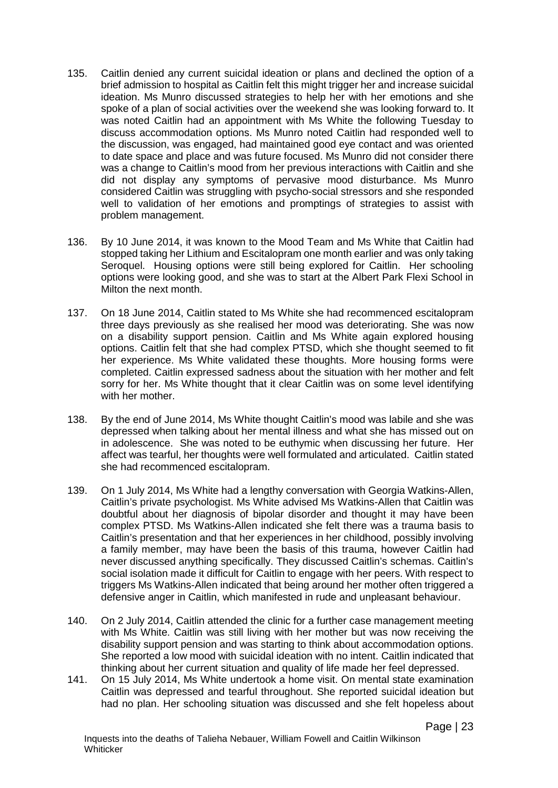- 135. Caitlin denied any current suicidal ideation or plans and declined the option of a brief admission to hospital as Caitlin felt this might trigger her and increase suicidal ideation. Ms Munro discussed strategies to help her with her emotions and she spoke of a plan of social activities over the weekend she was looking forward to. It was noted Caitlin had an appointment with Ms White the following Tuesday to discuss accommodation options. Ms Munro noted Caitlin had responded well to the discussion, was engaged, had maintained good eye contact and was oriented to date space and place and was future focused. Ms Munro did not consider there was a change to Caitlin's mood from her previous interactions with Caitlin and she did not display any symptoms of pervasive mood disturbance. Ms Munro considered Caitlin was struggling with psycho-social stressors and she responded well to validation of her emotions and promptings of strategies to assist with problem management.
- 136. By 10 June 2014, it was known to the Mood Team and Ms White that Caitlin had stopped taking her Lithium and Escitalopram one month earlier and was only taking Seroquel. Housing options were still being explored for Caitlin. Her schooling options were looking good, and she was to start at the Albert Park Flexi School in Milton the next month.
- 137. On 18 June 2014, Caitlin stated to Ms White she had recommenced escitalopram three days previously as she realised her mood was deteriorating. She was now on a disability support pension. Caitlin and Ms White again explored housing options. Caitlin felt that she had complex PTSD, which she thought seemed to fit her experience. Ms White validated these thoughts. More housing forms were completed. Caitlin expressed sadness about the situation with her mother and felt sorry for her. Ms White thought that it clear Caitlin was on some level identifying with her mother.
- 138. By the end of June 2014, Ms White thought Caitlin's mood was labile and she was depressed when talking about her mental illness and what she has missed out on in adolescence. She was noted to be euthymic when discussing her future. Her affect was tearful, her thoughts were well formulated and articulated. Caitlin stated she had recommenced escitalopram.
- 139. On 1 July 2014, Ms White had a lengthy conversation with Georgia Watkins-Allen, Caitlin's private psychologist. Ms White advised Ms Watkins-Allen that Caitlin was doubtful about her diagnosis of bipolar disorder and thought it may have been complex PTSD. Ms Watkins-Allen indicated she felt there was a trauma basis to Caitlin's presentation and that her experiences in her childhood, possibly involving a family member, may have been the basis of this trauma, however Caitlin had never discussed anything specifically. They discussed Caitlin's schemas. Caitlin's social isolation made it difficult for Caitlin to engage with her peers. With respect to triggers Ms Watkins-Allen indicated that being around her mother often triggered a defensive anger in Caitlin, which manifested in rude and unpleasant behaviour.
- 140. On 2 July 2014, Caitlin attended the clinic for a further case management meeting with Ms White. Caitlin was still living with her mother but was now receiving the disability support pension and was starting to think about accommodation options. She reported a low mood with suicidal ideation with no intent. Caitlin indicated that thinking about her current situation and quality of life made her feel depressed.
- 141. On 15 July 2014, Ms White undertook a home visit. On mental state examination Caitlin was depressed and tearful throughout. She reported suicidal ideation but had no plan. Her schooling situation was discussed and she felt hopeless about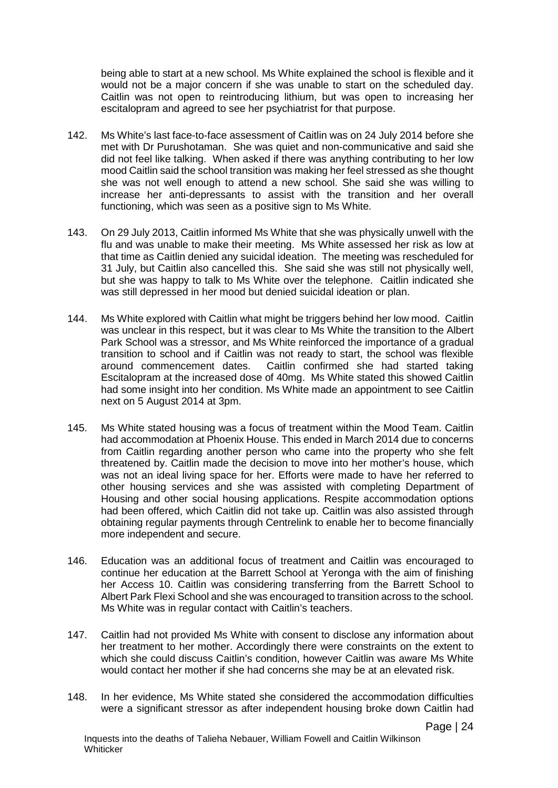being able to start at a new school. Ms White explained the school is flexible and it would not be a major concern if she was unable to start on the scheduled day. Caitlin was not open to reintroducing lithium, but was open to increasing her escitalopram and agreed to see her psychiatrist for that purpose.

- 142. Ms White's last face-to-face assessment of Caitlin was on 24 July 2014 before she met with Dr Purushotaman. She was quiet and non-communicative and said she did not feel like talking. When asked if there was anything contributing to her low mood Caitlin said the school transition was making her feel stressed as she thought she was not well enough to attend a new school. She said she was willing to increase her anti-depressants to assist with the transition and her overall functioning, which was seen as a positive sign to Ms White.
- 143. On 29 July 2013, Caitlin informed Ms White that she was physically unwell with the flu and was unable to make their meeting. Ms White assessed her risk as low at that time as Caitlin denied any suicidal ideation. The meeting was rescheduled for 31 July, but Caitlin also cancelled this. She said she was still not physically well, but she was happy to talk to Ms White over the telephone. Caitlin indicated she was still depressed in her mood but denied suicidal ideation or plan.
- 144. Ms White explored with Caitlin what might be triggers behind her low mood. Caitlin was unclear in this respect, but it was clear to Ms White the transition to the Albert Park School was a stressor, and Ms White reinforced the importance of a gradual transition to school and if Caitlin was not ready to start, the school was flexible around commencement dates. Caitlin confirmed she had started taking Escitalopram at the increased dose of 40mg. Ms White stated this showed Caitlin had some insight into her condition. Ms White made an appointment to see Caitlin next on 5 August 2014 at 3pm.
- 145. Ms White stated housing was a focus of treatment within the Mood Team. Caitlin had accommodation at Phoenix House. This ended in March 2014 due to concerns from Caitlin regarding another person who came into the property who she felt threatened by. Caitlin made the decision to move into her mother's house, which was not an ideal living space for her. Efforts were made to have her referred to other housing services and she was assisted with completing Department of Housing and other social housing applications. Respite accommodation options had been offered, which Caitlin did not take up. Caitlin was also assisted through obtaining regular payments through Centrelink to enable her to become financially more independent and secure.
- 146. Education was an additional focus of treatment and Caitlin was encouraged to continue her education at the Barrett School at Yeronga with the aim of finishing her Access 10. Caitlin was considering transferring from the Barrett School to Albert Park Flexi School and she was encouraged to transition across to the school. Ms White was in regular contact with Caitlin's teachers.
- 147. Caitlin had not provided Ms White with consent to disclose any information about her treatment to her mother. Accordingly there were constraints on the extent to which she could discuss Caitlin's condition, however Caitlin was aware Ms White would contact her mother if she had concerns she may be at an elevated risk.
- 148. In her evidence, Ms White stated she considered the accommodation difficulties were a significant stressor as after independent housing broke down Caitlin had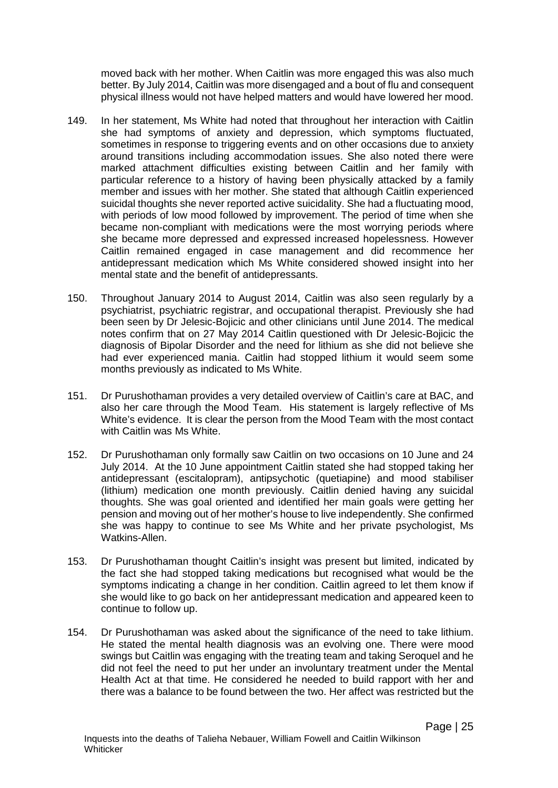moved back with her mother. When Caitlin was more engaged this was also much better. By July 2014, Caitlin was more disengaged and a bout of flu and consequent physical illness would not have helped matters and would have lowered her mood.

- 149. In her statement, Ms White had noted that throughout her interaction with Caitlin she had symptoms of anxiety and depression, which symptoms fluctuated, sometimes in response to triggering events and on other occasions due to anxiety around transitions including accommodation issues. She also noted there were marked attachment difficulties existing between Caitlin and her family with particular reference to a history of having been physically attacked by a family member and issues with her mother. She stated that although Caitlin experienced suicidal thoughts she never reported active suicidality. She had a fluctuating mood, with periods of low mood followed by improvement. The period of time when she became non-compliant with medications were the most worrying periods where she became more depressed and expressed increased hopelessness. However Caitlin remained engaged in case management and did recommence her antidepressant medication which Ms White considered showed insight into her mental state and the benefit of antidepressants.
- 150. Throughout January 2014 to August 2014, Caitlin was also seen regularly by a psychiatrist, psychiatric registrar, and occupational therapist. Previously she had been seen by Dr Jelesic-Bojicic and other clinicians until June 2014. The medical notes confirm that on 27 May 2014 Caitlin questioned with Dr Jelesic-Bojicic the diagnosis of Bipolar Disorder and the need for lithium as she did not believe she had ever experienced mania. Caitlin had stopped lithium it would seem some months previously as indicated to Ms White.
- 151. Dr Purushothaman provides a very detailed overview of Caitlin's care at BAC, and also her care through the Mood Team. His statement is largely reflective of Ms White's evidence. It is clear the person from the Mood Team with the most contact with Caitlin was Ms White.
- 152. Dr Purushothaman only formally saw Caitlin on two occasions on 10 June and 24 July 2014. At the 10 June appointment Caitlin stated she had stopped taking her antidepressant (escitalopram), antipsychotic (quetiapine) and mood stabiliser (lithium) medication one month previously. Caitlin denied having any suicidal thoughts. She was goal oriented and identified her main goals were getting her pension and moving out of her mother's house to live independently. She confirmed she was happy to continue to see Ms White and her private psychologist, Ms Watkins-Allen.
- 153. Dr Purushothaman thought Caitlin's insight was present but limited, indicated by the fact she had stopped taking medications but recognised what would be the symptoms indicating a change in her condition. Caitlin agreed to let them know if she would like to go back on her antidepressant medication and appeared keen to continue to follow up.
- 154. Dr Purushothaman was asked about the significance of the need to take lithium. He stated the mental health diagnosis was an evolving one. There were mood swings but Caitlin was engaging with the treating team and taking Seroquel and he did not feel the need to put her under an involuntary treatment under the Mental Health Act at that time. He considered he needed to build rapport with her and there was a balance to be found between the two. Her affect was restricted but the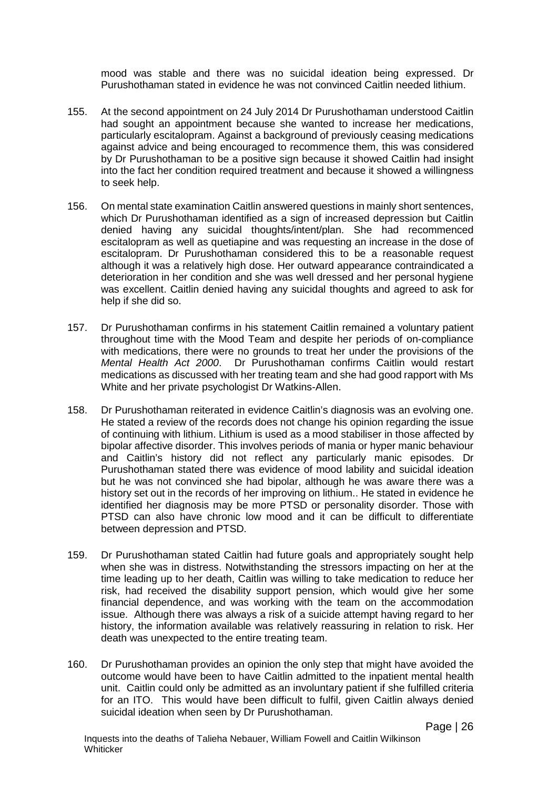mood was stable and there was no suicidal ideation being expressed. Dr Purushothaman stated in evidence he was not convinced Caitlin needed lithium.

- 155. At the second appointment on 24 July 2014 Dr Purushothaman understood Caitlin had sought an appointment because she wanted to increase her medications, particularly escitalopram. Against a background of previously ceasing medications against advice and being encouraged to recommence them, this was considered by Dr Purushothaman to be a positive sign because it showed Caitlin had insight into the fact her condition required treatment and because it showed a willingness to seek help.
- 156. On mental state examination Caitlin answered questions in mainly short sentences, which Dr Purushothaman identified as a sign of increased depression but Caitlin denied having any suicidal thoughts/intent/plan. She had recommenced escitalopram as well as quetiapine and was requesting an increase in the dose of escitalopram. Dr Purushothaman considered this to be a reasonable request although it was a relatively high dose. Her outward appearance contraindicated a deterioration in her condition and she was well dressed and her personal hygiene was excellent. Caitlin denied having any suicidal thoughts and agreed to ask for help if she did so.
- 157. Dr Purushothaman confirms in his statement Caitlin remained a voluntary patient throughout time with the Mood Team and despite her periods of on-compliance with medications, there were no grounds to treat her under the provisions of the *Mental Health Act 2000*. Dr Purushothaman confirms Caitlin would restart medications as discussed with her treating team and she had good rapport with Ms White and her private psychologist Dr Watkins-Allen.
- 158. Dr Purushothaman reiterated in evidence Caitlin's diagnosis was an evolving one. He stated a review of the records does not change his opinion regarding the issue of continuing with lithium. Lithium is used as a mood stabiliser in those affected by bipolar affective disorder. This involves periods of mania or hyper manic behaviour and Caitlin's history did not reflect any particularly manic episodes. Dr Purushothaman stated there was evidence of mood lability and suicidal ideation but he was not convinced she had bipolar, although he was aware there was a history set out in the records of her improving on lithium.. He stated in evidence he identified her diagnosis may be more PTSD or personality disorder. Those with PTSD can also have chronic low mood and it can be difficult to differentiate between depression and PTSD.
- 159. Dr Purushothaman stated Caitlin had future goals and appropriately sought help when she was in distress. Notwithstanding the stressors impacting on her at the time leading up to her death, Caitlin was willing to take medication to reduce her risk, had received the disability support pension, which would give her some financial dependence, and was working with the team on the accommodation issue. Although there was always a risk of a suicide attempt having regard to her history, the information available was relatively reassuring in relation to risk. Her death was unexpected to the entire treating team.
- 160. Dr Purushothaman provides an opinion the only step that might have avoided the outcome would have been to have Caitlin admitted to the inpatient mental health unit. Caitlin could only be admitted as an involuntary patient if she fulfilled criteria for an ITO. This would have been difficult to fulfil, given Caitlin always denied suicidal ideation when seen by Dr Purushothaman.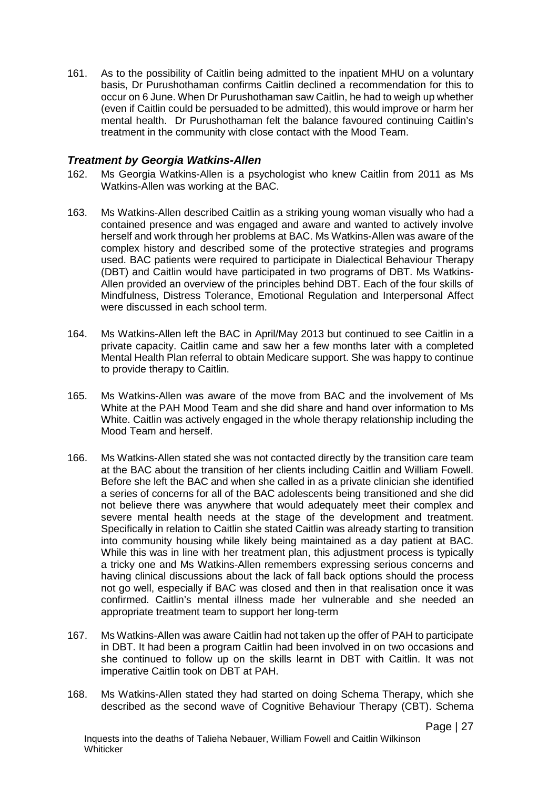161. As to the possibility of Caitlin being admitted to the inpatient MHU on a voluntary basis, Dr Purushothaman confirms Caitlin declined a recommendation for this to occur on 6 June. When Dr Purushothaman saw Caitlin, he had to weigh up whether (even if Caitlin could be persuaded to be admitted), this would improve or harm her mental health. Dr Purushothaman felt the balance favoured continuing Caitlin's treatment in the community with close contact with the Mood Team.

#### <span id="page-30-0"></span>*Treatment by Georgia Watkins-Allen*

- 162. Ms Georgia Watkins-Allen is a psychologist who knew Caitlin from 2011 as Ms Watkins-Allen was working at the BAC.
- 163. Ms Watkins-Allen described Caitlin as a striking young woman visually who had a contained presence and was engaged and aware and wanted to actively involve herself and work through her problems at BAC. Ms Watkins-Allen was aware of the complex history and described some of the protective strategies and programs used. BAC patients were required to participate in Dialectical Behaviour Therapy (DBT) and Caitlin would have participated in two programs of DBT. Ms Watkins-Allen provided an overview of the principles behind DBT. Each of the four skills of Mindfulness, Distress Tolerance, Emotional Regulation and Interpersonal Affect were discussed in each school term.
- 164. Ms Watkins-Allen left the BAC in April/May 2013 but continued to see Caitlin in a private capacity. Caitlin came and saw her a few months later with a completed Mental Health Plan referral to obtain Medicare support. She was happy to continue to provide therapy to Caitlin.
- 165. Ms Watkins-Allen was aware of the move from BAC and the involvement of Ms White at the PAH Mood Team and she did share and hand over information to Ms White. Caitlin was actively engaged in the whole therapy relationship including the Mood Team and herself.
- 166. Ms Watkins-Allen stated she was not contacted directly by the transition care team at the BAC about the transition of her clients including Caitlin and William Fowell. Before she left the BAC and when she called in as a private clinician she identified a series of concerns for all of the BAC adolescents being transitioned and she did not believe there was anywhere that would adequately meet their complex and severe mental health needs at the stage of the development and treatment. Specifically in relation to Caitlin she stated Caitlin was already starting to transition into community housing while likely being maintained as a day patient at BAC. While this was in line with her treatment plan, this adjustment process is typically a tricky one and Ms Watkins-Allen remembers expressing serious concerns and having clinical discussions about the lack of fall back options should the process not go well, especially if BAC was closed and then in that realisation once it was confirmed. Caitlin's mental illness made her vulnerable and she needed an appropriate treatment team to support her long-term
- 167. Ms Watkins-Allen was aware Caitlin had not taken up the offer of PAH to participate in DBT. It had been a program Caitlin had been involved in on two occasions and she continued to follow up on the skills learnt in DBT with Caitlin. It was not imperative Caitlin took on DBT at PAH.
- 168. Ms Watkins-Allen stated they had started on doing Schema Therapy, which she described as the second wave of Cognitive Behaviour Therapy (CBT). Schema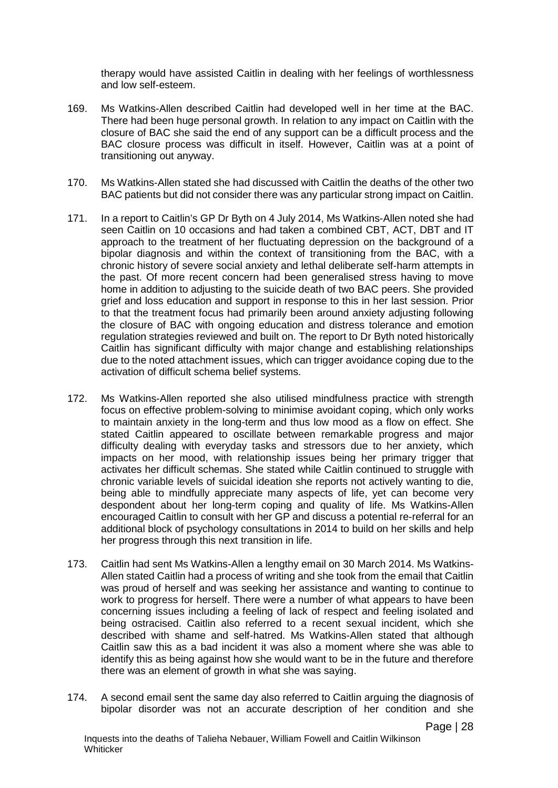therapy would have assisted Caitlin in dealing with her feelings of worthlessness and low self-esteem.

- 169. Ms Watkins-Allen described Caitlin had developed well in her time at the BAC. There had been huge personal growth. In relation to any impact on Caitlin with the closure of BAC she said the end of any support can be a difficult process and the BAC closure process was difficult in itself. However, Caitlin was at a point of transitioning out anyway.
- 170. Ms Watkins-Allen stated she had discussed with Caitlin the deaths of the other two BAC patients but did not consider there was any particular strong impact on Caitlin.
- 171. In a report to Caitlin's GP Dr Byth on 4 July 2014, Ms Watkins-Allen noted she had seen Caitlin on 10 occasions and had taken a combined CBT, ACT, DBT and IT approach to the treatment of her fluctuating depression on the background of a bipolar diagnosis and within the context of transitioning from the BAC, with a chronic history of severe social anxiety and lethal deliberate self-harm attempts in the past. Of more recent concern had been generalised stress having to move home in addition to adjusting to the suicide death of two BAC peers. She provided grief and loss education and support in response to this in her last session. Prior to that the treatment focus had primarily been around anxiety adjusting following the closure of BAC with ongoing education and distress tolerance and emotion regulation strategies reviewed and built on. The report to Dr Byth noted historically Caitlin has significant difficulty with major change and establishing relationships due to the noted attachment issues, which can trigger avoidance coping due to the activation of difficult schema belief systems.
- 172. Ms Watkins-Allen reported she also utilised mindfulness practice with strength focus on effective problem-solving to minimise avoidant coping, which only works to maintain anxiety in the long-term and thus low mood as a flow on effect. She stated Caitlin appeared to oscillate between remarkable progress and major difficulty dealing with everyday tasks and stressors due to her anxiety, which impacts on her mood, with relationship issues being her primary trigger that activates her difficult schemas. She stated while Caitlin continued to struggle with chronic variable levels of suicidal ideation she reports not actively wanting to die, being able to mindfully appreciate many aspects of life, yet can become very despondent about her long-term coping and quality of life. Ms Watkins-Allen encouraged Caitlin to consult with her GP and discuss a potential re-referral for an additional block of psychology consultations in 2014 to build on her skills and help her progress through this next transition in life.
- 173. Caitlin had sent Ms Watkins-Allen a lengthy email on 30 March 2014. Ms Watkins-Allen stated Caitlin had a process of writing and she took from the email that Caitlin was proud of herself and was seeking her assistance and wanting to continue to work to progress for herself. There were a number of what appears to have been concerning issues including a feeling of lack of respect and feeling isolated and being ostracised. Caitlin also referred to a recent sexual incident, which she described with shame and self-hatred. Ms Watkins-Allen stated that although Caitlin saw this as a bad incident it was also a moment where she was able to identify this as being against how she would want to be in the future and therefore there was an element of growth in what she was saying.
- 174. A second email sent the same day also referred to Caitlin arguing the diagnosis of bipolar disorder was not an accurate description of her condition and she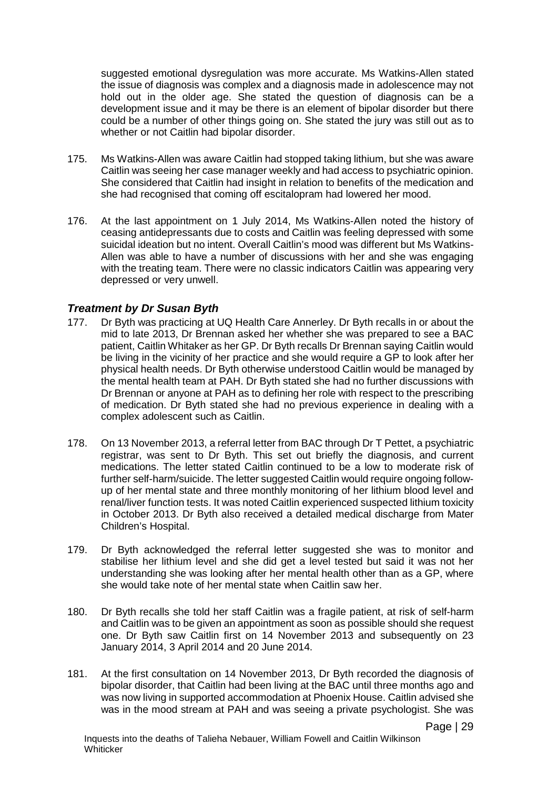suggested emotional dysregulation was more accurate. Ms Watkins-Allen stated the issue of diagnosis was complex and a diagnosis made in adolescence may not hold out in the older age. She stated the question of diagnosis can be a development issue and it may be there is an element of bipolar disorder but there could be a number of other things going on. She stated the jury was still out as to whether or not Caitlin had bipolar disorder.

- 175. Ms Watkins-Allen was aware Caitlin had stopped taking lithium, but she was aware Caitlin was seeing her case manager weekly and had access to psychiatric opinion. She considered that Caitlin had insight in relation to benefits of the medication and she had recognised that coming off escitalopram had lowered her mood.
- 176. At the last appointment on 1 July 2014, Ms Watkins-Allen noted the history of ceasing antidepressants due to costs and Caitlin was feeling depressed with some suicidal ideation but no intent. Overall Caitlin's mood was different but Ms Watkins-Allen was able to have a number of discussions with her and she was engaging with the treating team. There were no classic indicators Caitlin was appearing very depressed or very unwell.

#### <span id="page-32-0"></span>*Treatment by Dr Susan Byth*

- 177. Dr Byth was practicing at UQ Health Care Annerley. Dr Byth recalls in or about the mid to late 2013, Dr Brennan asked her whether she was prepared to see a BAC patient, Caitlin Whitaker as her GP. Dr Byth recalls Dr Brennan saying Caitlin would be living in the vicinity of her practice and she would require a GP to look after her physical health needs. Dr Byth otherwise understood Caitlin would be managed by the mental health team at PAH. Dr Byth stated she had no further discussions with Dr Brennan or anyone at PAH as to defining her role with respect to the prescribing of medication. Dr Byth stated she had no previous experience in dealing with a complex adolescent such as Caitlin.
- 178. On 13 November 2013, a referral letter from BAC through Dr T Pettet, a psychiatric registrar, was sent to Dr Byth. This set out briefly the diagnosis, and current medications. The letter stated Caitlin continued to be a low to moderate risk of further self-harm/suicide. The letter suggested Caitlin would require ongoing followup of her mental state and three monthly monitoring of her lithium blood level and renal/liver function tests. It was noted Caitlin experienced suspected lithium toxicity in October 2013. Dr Byth also received a detailed medical discharge from Mater Children's Hospital.
- 179. Dr Byth acknowledged the referral letter suggested she was to monitor and stabilise her lithium level and she did get a level tested but said it was not her understanding she was looking after her mental health other than as a GP, where she would take note of her mental state when Caitlin saw her.
- 180. Dr Byth recalls she told her staff Caitlin was a fragile patient, at risk of self-harm and Caitlin was to be given an appointment as soon as possible should she request one. Dr Byth saw Caitlin first on 14 November 2013 and subsequently on 23 January 2014, 3 April 2014 and 20 June 2014.
- 181. At the first consultation on 14 November 2013, Dr Byth recorded the diagnosis of bipolar disorder, that Caitlin had been living at the BAC until three months ago and was now living in supported accommodation at Phoenix House. Caitlin advised she was in the mood stream at PAH and was seeing a private psychologist. She was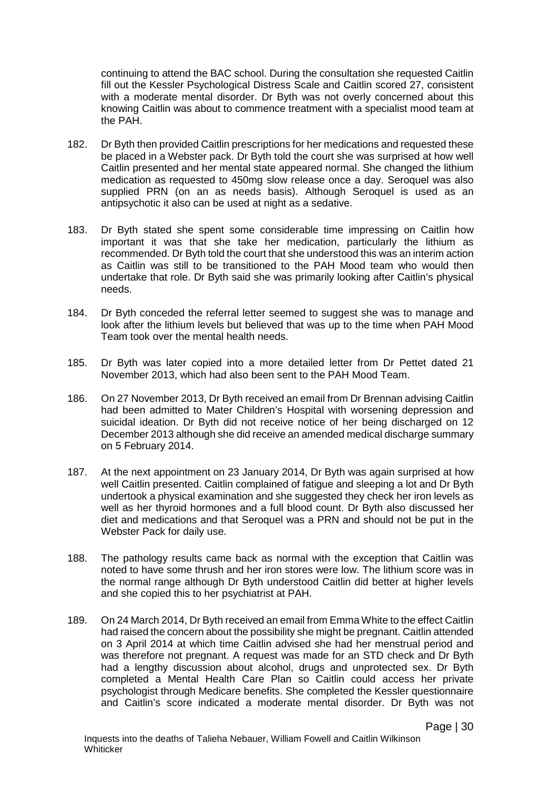continuing to attend the BAC school. During the consultation she requested Caitlin fill out the Kessler Psychological Distress Scale and Caitlin scored 27, consistent with a moderate mental disorder. Dr Byth was not overly concerned about this knowing Caitlin was about to commence treatment with a specialist mood team at the PAH.

- 182. Dr Byth then provided Caitlin prescriptions for her medications and requested these be placed in a Webster pack. Dr Byth told the court she was surprised at how well Caitlin presented and her mental state appeared normal. She changed the lithium medication as requested to 450mg slow release once a day. Seroquel was also supplied PRN (on an as needs basis). Although Seroquel is used as an antipsychotic it also can be used at night as a sedative.
- 183. Dr Byth stated she spent some considerable time impressing on Caitlin how important it was that she take her medication, particularly the lithium as recommended. Dr Byth told the court that she understood this was an interim action as Caitlin was still to be transitioned to the PAH Mood team who would then undertake that role. Dr Byth said she was primarily looking after Caitlin's physical needs.
- 184. Dr Byth conceded the referral letter seemed to suggest she was to manage and look after the lithium levels but believed that was up to the time when PAH Mood Team took over the mental health needs.
- 185. Dr Byth was later copied into a more detailed letter from Dr Pettet dated 21 November 2013, which had also been sent to the PAH Mood Team.
- 186. On 27 November 2013, Dr Byth received an email from Dr Brennan advising Caitlin had been admitted to Mater Children's Hospital with worsening depression and suicidal ideation. Dr Byth did not receive notice of her being discharged on 12 December 2013 although she did receive an amended medical discharge summary on 5 February 2014.
- 187. At the next appointment on 23 January 2014, Dr Byth was again surprised at how well Caitlin presented. Caitlin complained of fatigue and sleeping a lot and Dr Byth undertook a physical examination and she suggested they check her iron levels as well as her thyroid hormones and a full blood count. Dr Byth also discussed her diet and medications and that Seroquel was a PRN and should not be put in the Webster Pack for daily use.
- 188. The pathology results came back as normal with the exception that Caitlin was noted to have some thrush and her iron stores were low. The lithium score was in the normal range although Dr Byth understood Caitlin did better at higher levels and she copied this to her psychiatrist at PAH.
- 189. On 24 March 2014, Dr Byth received an email from Emma White to the effect Caitlin had raised the concern about the possibility she might be pregnant. Caitlin attended on 3 April 2014 at which time Caitlin advised she had her menstrual period and was therefore not pregnant. A request was made for an STD check and Dr Byth had a lengthy discussion about alcohol, drugs and unprotected sex. Dr Byth completed a Mental Health Care Plan so Caitlin could access her private psychologist through Medicare benefits. She completed the Kessler questionnaire and Caitlin's score indicated a moderate mental disorder. Dr Byth was not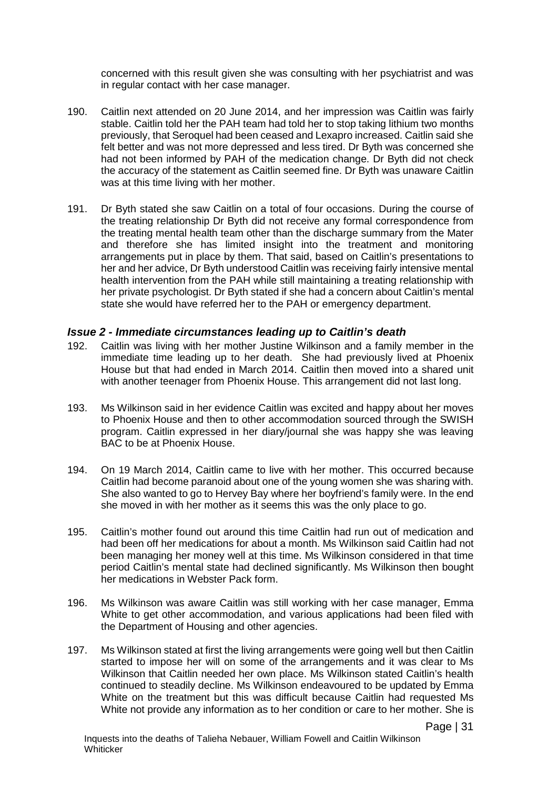concerned with this result given she was consulting with her psychiatrist and was in regular contact with her case manager.

- 190. Caitlin next attended on 20 June 2014, and her impression was Caitlin was fairly stable. Caitlin told her the PAH team had told her to stop taking lithium two months previously, that Seroquel had been ceased and Lexapro increased. Caitlin said she felt better and was not more depressed and less tired. Dr Byth was concerned she had not been informed by PAH of the medication change. Dr Byth did not check the accuracy of the statement as Caitlin seemed fine. Dr Byth was unaware Caitlin was at this time living with her mother.
- 191. Dr Byth stated she saw Caitlin on a total of four occasions. During the course of the treating relationship Dr Byth did not receive any formal correspondence from the treating mental health team other than the discharge summary from the Mater and therefore she has limited insight into the treatment and monitoring arrangements put in place by them. That said, based on Caitlin's presentations to her and her advice, Dr Byth understood Caitlin was receiving fairly intensive mental health intervention from the PAH while still maintaining a treating relationship with her private psychologist. Dr Byth stated if she had a concern about Caitlin's mental state she would have referred her to the PAH or emergency department.

#### <span id="page-34-0"></span>*Issue 2 - Immediate circumstances leading up to Caitlin's death*

- 192. Caitlin was living with her mother Justine Wilkinson and a family member in the immediate time leading up to her death. She had previously lived at Phoenix House but that had ended in March 2014. Caitlin then moved into a shared unit with another teenager from Phoenix House. This arrangement did not last long.
- 193. Ms Wilkinson said in her evidence Caitlin was excited and happy about her moves to Phoenix House and then to other accommodation sourced through the SWISH program. Caitlin expressed in her diary/journal she was happy she was leaving BAC to be at Phoenix House.
- 194. On 19 March 2014, Caitlin came to live with her mother. This occurred because Caitlin had become paranoid about one of the young women she was sharing with. She also wanted to go to Hervey Bay where her boyfriend's family were. In the end she moved in with her mother as it seems this was the only place to go.
- 195. Caitlin's mother found out around this time Caitlin had run out of medication and had been off her medications for about a month. Ms Wilkinson said Caitlin had not been managing her money well at this time. Ms Wilkinson considered in that time period Caitlin's mental state had declined significantly. Ms Wilkinson then bought her medications in Webster Pack form.
- 196. Ms Wilkinson was aware Caitlin was still working with her case manager, Emma White to get other accommodation, and various applications had been filed with the Department of Housing and other agencies.
- 197. Ms Wilkinson stated at first the living arrangements were going well but then Caitlin started to impose her will on some of the arrangements and it was clear to Ms Wilkinson that Caitlin needed her own place. Ms Wilkinson stated Caitlin's health continued to steadily decline. Ms Wilkinson endeavoured to be updated by Emma White on the treatment but this was difficult because Caitlin had requested Ms White not provide any information as to her condition or care to her mother. She is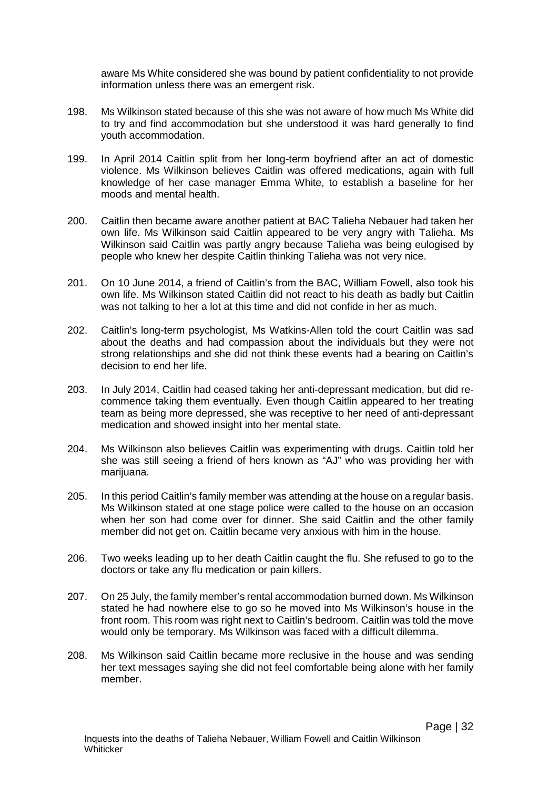aware Ms White considered she was bound by patient confidentiality to not provide information unless there was an emergent risk.

- 198. Ms Wilkinson stated because of this she was not aware of how much Ms White did to try and find accommodation but she understood it was hard generally to find youth accommodation.
- 199. In April 2014 Caitlin split from her long-term boyfriend after an act of domestic violence. Ms Wilkinson believes Caitlin was offered medications, again with full knowledge of her case manager Emma White, to establish a baseline for her moods and mental health.
- 200. Caitlin then became aware another patient at BAC Talieha Nebauer had taken her own life. Ms Wilkinson said Caitlin appeared to be very angry with Talieha. Ms Wilkinson said Caitlin was partly angry because Talieha was being eulogised by people who knew her despite Caitlin thinking Talieha was not very nice.
- 201. On 10 June 2014, a friend of Caitlin's from the BAC, William Fowell, also took his own life. Ms Wilkinson stated Caitlin did not react to his death as badly but Caitlin was not talking to her a lot at this time and did not confide in her as much.
- 202. Caitlin's long-term psychologist, Ms Watkins-Allen told the court Caitlin was sad about the deaths and had compassion about the individuals but they were not strong relationships and she did not think these events had a bearing on Caitlin's decision to end her life.
- 203. In July 2014, Caitlin had ceased taking her anti-depressant medication, but did recommence taking them eventually. Even though Caitlin appeared to her treating team as being more depressed, she was receptive to her need of anti-depressant medication and showed insight into her mental state.
- 204. Ms Wilkinson also believes Caitlin was experimenting with drugs. Caitlin told her she was still seeing a friend of hers known as "AJ" who was providing her with marijuana.
- 205. In this period Caitlin's family member was attending at the house on a regular basis. Ms Wilkinson stated at one stage police were called to the house on an occasion when her son had come over for dinner. She said Caitlin and the other family member did not get on. Caitlin became very anxious with him in the house.
- 206. Two weeks leading up to her death Caitlin caught the flu. She refused to go to the doctors or take any flu medication or pain killers.
- 207. On 25 July, the family member's rental accommodation burned down. Ms Wilkinson stated he had nowhere else to go so he moved into Ms Wilkinson's house in the front room. This room was right next to Caitlin's bedroom. Caitlin was told the move would only be temporary. Ms Wilkinson was faced with a difficult dilemma.
- 208. Ms Wilkinson said Caitlin became more reclusive in the house and was sending her text messages saying she did not feel comfortable being alone with her family member.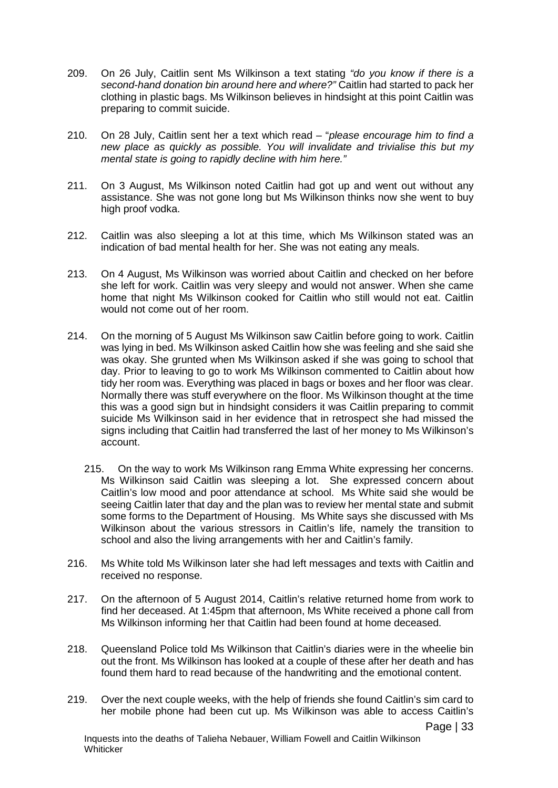- 209. On 26 July, Caitlin sent Ms Wilkinson a text stating *"do you know if there is a second-hand donation bin around here and where?"* Caitlin had started to pack her clothing in plastic bags. Ms Wilkinson believes in hindsight at this point Caitlin was preparing to commit suicide.
- 210. On 28 July, Caitlin sent her a text which read "*please encourage him to find a new place as quickly as possible. You will invalidate and trivialise this but my mental state is going to rapidly decline with him here."*
- 211. On 3 August, Ms Wilkinson noted Caitlin had got up and went out without any assistance. She was not gone long but Ms Wilkinson thinks now she went to buy high proof vodka.
- 212. Caitlin was also sleeping a lot at this time, which Ms Wilkinson stated was an indication of bad mental health for her. She was not eating any meals.
- 213. On 4 August, Ms Wilkinson was worried about Caitlin and checked on her before she left for work. Caitlin was very sleepy and would not answer. When she came home that night Ms Wilkinson cooked for Caitlin who still would not eat. Caitlin would not come out of her room.
- 214. On the morning of 5 August Ms Wilkinson saw Caitlin before going to work. Caitlin was lying in bed. Ms Wilkinson asked Caitlin how she was feeling and she said she was okay. She grunted when Ms Wilkinson asked if she was going to school that day. Prior to leaving to go to work Ms Wilkinson commented to Caitlin about how tidy her room was. Everything was placed in bags or boxes and her floor was clear. Normally there was stuff everywhere on the floor. Ms Wilkinson thought at the time this was a good sign but in hindsight considers it was Caitlin preparing to commit suicide Ms Wilkinson said in her evidence that in retrospect she had missed the signs including that Caitlin had transferred the last of her money to Ms Wilkinson's account.
	- 215. On the way to work Ms Wilkinson rang Emma White expressing her concerns. Ms Wilkinson said Caitlin was sleeping a lot. She expressed concern about Caitlin's low mood and poor attendance at school. Ms White said she would be seeing Caitlin later that day and the plan was to review her mental state and submit some forms to the Department of Housing. Ms White says she discussed with Ms Wilkinson about the various stressors in Caitlin's life, namely the transition to school and also the living arrangements with her and Caitlin's family.
- 216. Ms White told Ms Wilkinson later she had left messages and texts with Caitlin and received no response.
- 217. On the afternoon of 5 August 2014, Caitlin's relative returned home from work to find her deceased. At 1:45pm that afternoon, Ms White received a phone call from Ms Wilkinson informing her that Caitlin had been found at home deceased.
- 218. Queensland Police told Ms Wilkinson that Caitlin's diaries were in the wheelie bin out the front. Ms Wilkinson has looked at a couple of these after her death and has found them hard to read because of the handwriting and the emotional content.
- 219. Over the next couple weeks, with the help of friends she found Caitlin's sim card to her mobile phone had been cut up. Ms Wilkinson was able to access Caitlin's

Page | 33

Inquests into the deaths of Talieha Nebauer, William Fowell and Caitlin Wilkinson **Whiticker**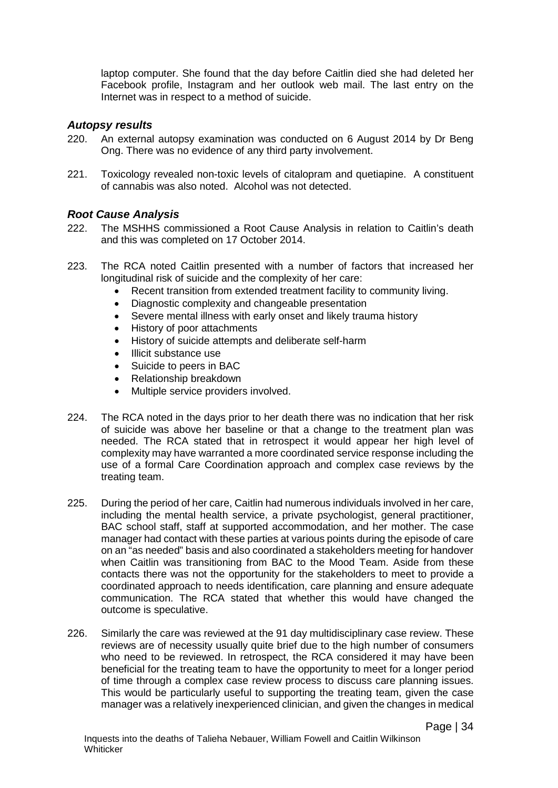laptop computer. She found that the day before Caitlin died she had deleted her Facebook profile, Instagram and her outlook web mail. The last entry on the Internet was in respect to a method of suicide.

## *Autopsy results*

- 220. An external autopsy examination was conducted on 6 August 2014 by Dr Beng Ong. There was no evidence of any third party involvement.
- 221. Toxicology revealed non-toxic levels of citalopram and quetiapine. A constituent of cannabis was also noted. Alcohol was not detected.

### *Root Cause Analysis*

- 222. The MSHHS commissioned a Root Cause Analysis in relation to Caitlin's death and this was completed on 17 October 2014.
- 223. The RCA noted Caitlin presented with a number of factors that increased her longitudinal risk of suicide and the complexity of her care:
	- Recent transition from extended treatment facility to community living.
	- Diagnostic complexity and changeable presentation
	- Severe mental illness with early onset and likely trauma history
	- History of poor attachments
	- History of suicide attempts and deliberate self-harm
	- Illicit substance use
	- Suicide to peers in BAC
	- Relationship breakdown
	- Multiple service providers involved.
- 224. The RCA noted in the days prior to her death there was no indication that her risk of suicide was above her baseline or that a change to the treatment plan was needed. The RCA stated that in retrospect it would appear her high level of complexity may have warranted a more coordinated service response including the use of a formal Care Coordination approach and complex case reviews by the treating team.
- 225. During the period of her care, Caitlin had numerous individuals involved in her care, including the mental health service, a private psychologist, general practitioner, BAC school staff, staff at supported accommodation, and her mother. The case manager had contact with these parties at various points during the episode of care on an "as needed" basis and also coordinated a stakeholders meeting for handover when Caitlin was transitioning from BAC to the Mood Team. Aside from these contacts there was not the opportunity for the stakeholders to meet to provide a coordinated approach to needs identification, care planning and ensure adequate communication. The RCA stated that whether this would have changed the outcome is speculative.
- 226. Similarly the care was reviewed at the 91 day multidisciplinary case review. These reviews are of necessity usually quite brief due to the high number of consumers who need to be reviewed. In retrospect, the RCA considered it may have been beneficial for the treating team to have the opportunity to meet for a longer period of time through a complex case review process to discuss care planning issues. This would be particularly useful to supporting the treating team, given the case manager was a relatively inexperienced clinician, and given the changes in medical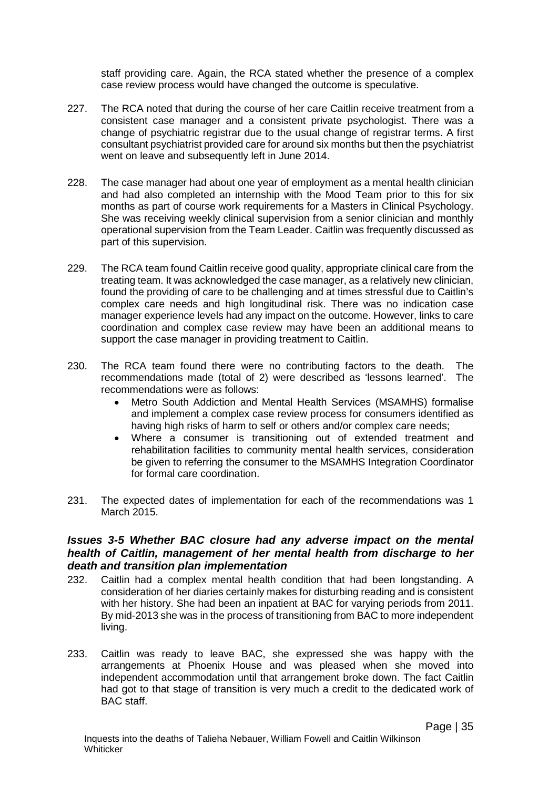staff providing care. Again, the RCA stated whether the presence of a complex case review process would have changed the outcome is speculative.

- 227. The RCA noted that during the course of her care Caitlin receive treatment from a consistent case manager and a consistent private psychologist. There was a change of psychiatric registrar due to the usual change of registrar terms. A first consultant psychiatrist provided care for around six months but then the psychiatrist went on leave and subsequently left in June 2014.
- 228. The case manager had about one year of employment as a mental health clinician and had also completed an internship with the Mood Team prior to this for six months as part of course work requirements for a Masters in Clinical Psychology. She was receiving weekly clinical supervision from a senior clinician and monthly operational supervision from the Team Leader. Caitlin was frequently discussed as part of this supervision.
- 229. The RCA team found Caitlin receive good quality, appropriate clinical care from the treating team. It was acknowledged the case manager, as a relatively new clinician, found the providing of care to be challenging and at times stressful due to Caitlin's complex care needs and high longitudinal risk. There was no indication case manager experience levels had any impact on the outcome. However, links to care coordination and complex case review may have been an additional means to support the case manager in providing treatment to Caitlin.
- 230. The RCA team found there were no contributing factors to the death. The recommendations made (total of 2) were described as 'lessons learned'. The recommendations were as follows:
	- Metro South Addiction and Mental Health Services (MSAMHS) formalise and implement a complex case review process for consumers identified as having high risks of harm to self or others and/or complex care needs;
	- Where a consumer is transitioning out of extended treatment and rehabilitation facilities to community mental health services, consideration be given to referring the consumer to the MSAMHS Integration Coordinator for formal care coordination.
- 231. The expected dates of implementation for each of the recommendations was 1 March 2015.

### *Issues 3-5 Whether BAC closure had any adverse impact on the mental health of Caitlin, management of her mental health from discharge to her death and transition plan implementation*

- 232. Caitlin had a complex mental health condition that had been longstanding. A consideration of her diaries certainly makes for disturbing reading and is consistent with her history. She had been an inpatient at BAC for varying periods from 2011. By mid-2013 she was in the process of transitioning from BAC to more independent living.
- 233. Caitlin was ready to leave BAC, she expressed she was happy with the arrangements at Phoenix House and was pleased when she moved into independent accommodation until that arrangement broke down. The fact Caitlin had got to that stage of transition is very much a credit to the dedicated work of BAC staff.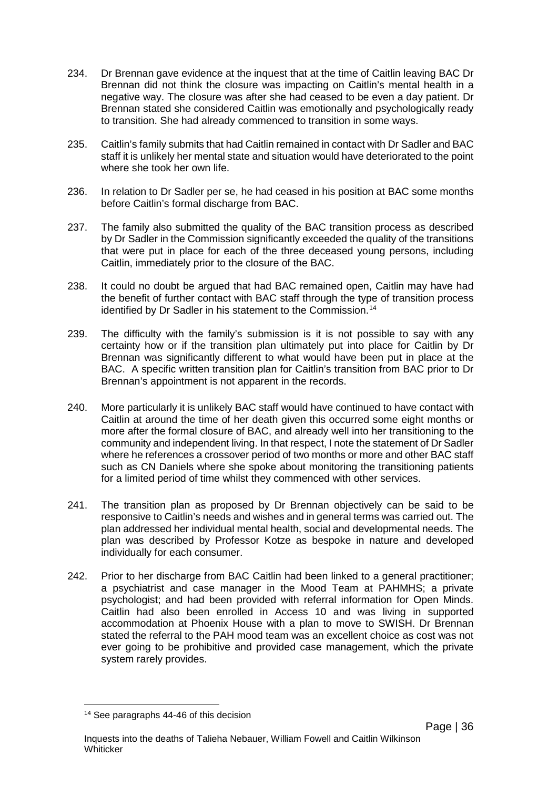- 234. Dr Brennan gave evidence at the inquest that at the time of Caitlin leaving BAC Dr Brennan did not think the closure was impacting on Caitlin's mental health in a negative way. The closure was after she had ceased to be even a day patient. Dr Brennan stated she considered Caitlin was emotionally and psychologically ready to transition. She had already commenced to transition in some ways.
- 235. Caitlin's family submits that had Caitlin remained in contact with Dr Sadler and BAC staff it is unlikely her mental state and situation would have deteriorated to the point where she took her own life.
- 236. In relation to Dr Sadler per se, he had ceased in his position at BAC some months before Caitlin's formal discharge from BAC.
- 237. The family also submitted the quality of the BAC transition process as described by Dr Sadler in the Commission significantly exceeded the quality of the transitions that were put in place for each of the three deceased young persons, including Caitlin, immediately prior to the closure of the BAC.
- 238. It could no doubt be argued that had BAC remained open, Caitlin may have had the benefit of further contact with BAC staff through the type of transition process identified by Dr Sadler in his statement to the Commission.<sup>[14](#page-39-0)</sup>
- 239. The difficulty with the family's submission is it is not possible to say with any certainty how or if the transition plan ultimately put into place for Caitlin by Dr Brennan was significantly different to what would have been put in place at the BAC. A specific written transition plan for Caitlin's transition from BAC prior to Dr Brennan's appointment is not apparent in the records.
- 240. More particularly it is unlikely BAC staff would have continued to have contact with Caitlin at around the time of her death given this occurred some eight months or more after the formal closure of BAC, and already well into her transitioning to the community and independent living. In that respect, I note the statement of Dr Sadler where he references a crossover period of two months or more and other BAC staff such as CN Daniels where she spoke about monitoring the transitioning patients for a limited period of time whilst they commenced with other services.
- 241. The transition plan as proposed by Dr Brennan objectively can be said to be responsive to Caitlin's needs and wishes and in general terms was carried out. The plan addressed her individual mental health, social and developmental needs. The plan was described by Professor Kotze as bespoke in nature and developed individually for each consumer.
- 242. Prior to her discharge from BAC Caitlin had been linked to a general practitioner; a psychiatrist and case manager in the Mood Team at PAHMHS; a private psychologist; and had been provided with referral information for Open Minds. Caitlin had also been enrolled in Access 10 and was living in supported accommodation at Phoenix House with a plan to move to SWISH. Dr Brennan stated the referral to the PAH mood team was an excellent choice as cost was not ever going to be prohibitive and provided case management, which the private system rarely provides.

<span id="page-39-0"></span><sup>14</sup> See paragraphs 44-46 of this decision  $\overline{a}$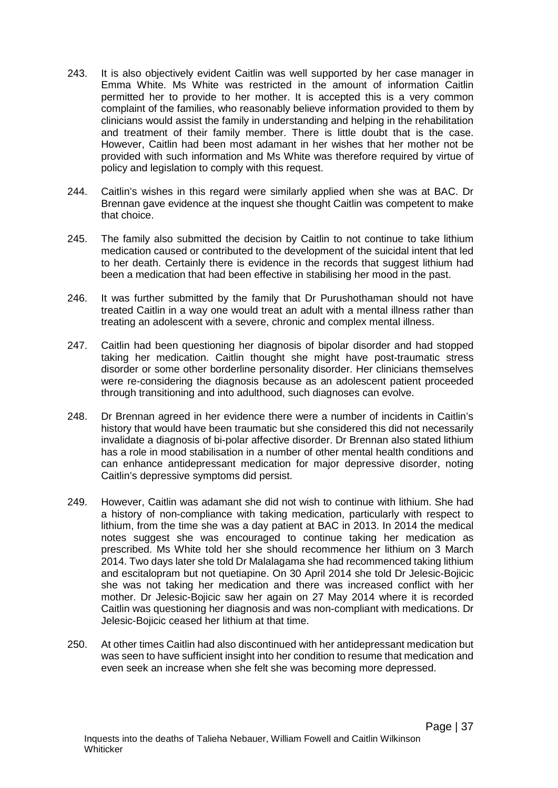- 243. It is also objectively evident Caitlin was well supported by her case manager in Emma White. Ms White was restricted in the amount of information Caitlin permitted her to provide to her mother. It is accepted this is a very common complaint of the families, who reasonably believe information provided to them by clinicians would assist the family in understanding and helping in the rehabilitation and treatment of their family member. There is little doubt that is the case. However, Caitlin had been most adamant in her wishes that her mother not be provided with such information and Ms White was therefore required by virtue of policy and legislation to comply with this request.
- 244. Caitlin's wishes in this regard were similarly applied when she was at BAC. Dr Brennan gave evidence at the inquest she thought Caitlin was competent to make that choice.
- 245. The family also submitted the decision by Caitlin to not continue to take lithium medication caused or contributed to the development of the suicidal intent that led to her death. Certainly there is evidence in the records that suggest lithium had been a medication that had been effective in stabilising her mood in the past.
- 246. It was further submitted by the family that Dr Purushothaman should not have treated Caitlin in a way one would treat an adult with a mental illness rather than treating an adolescent with a severe, chronic and complex mental illness.
- 247. Caitlin had been questioning her diagnosis of bipolar disorder and had stopped taking her medication. Caitlin thought she might have post-traumatic stress disorder or some other borderline personality disorder. Her clinicians themselves were re-considering the diagnosis because as an adolescent patient proceeded through transitioning and into adulthood, such diagnoses can evolve.
- 248. Dr Brennan agreed in her evidence there were a number of incidents in Caitlin's history that would have been traumatic but she considered this did not necessarily invalidate a diagnosis of bi-polar affective disorder. Dr Brennan also stated lithium has a role in mood stabilisation in a number of other mental health conditions and can enhance antidepressant medication for major depressive disorder, noting Caitlin's depressive symptoms did persist.
- 249. However, Caitlin was adamant she did not wish to continue with lithium. She had a history of non-compliance with taking medication, particularly with respect to lithium, from the time she was a day patient at BAC in 2013. In 2014 the medical notes suggest she was encouraged to continue taking her medication as prescribed. Ms White told her she should recommence her lithium on 3 March 2014. Two days later she told Dr Malalagama she had recommenced taking lithium and escitalopram but not quetiapine. On 30 April 2014 she told Dr Jelesic-Bojicic she was not taking her medication and there was increased conflict with her mother. Dr Jelesic-Bojicic saw her again on 27 May 2014 where it is recorded Caitlin was questioning her diagnosis and was non-compliant with medications. Dr Jelesic-Bojicic ceased her lithium at that time.
- 250. At other times Caitlin had also discontinued with her antidepressant medication but was seen to have sufficient insight into her condition to resume that medication and even seek an increase when she felt she was becoming more depressed.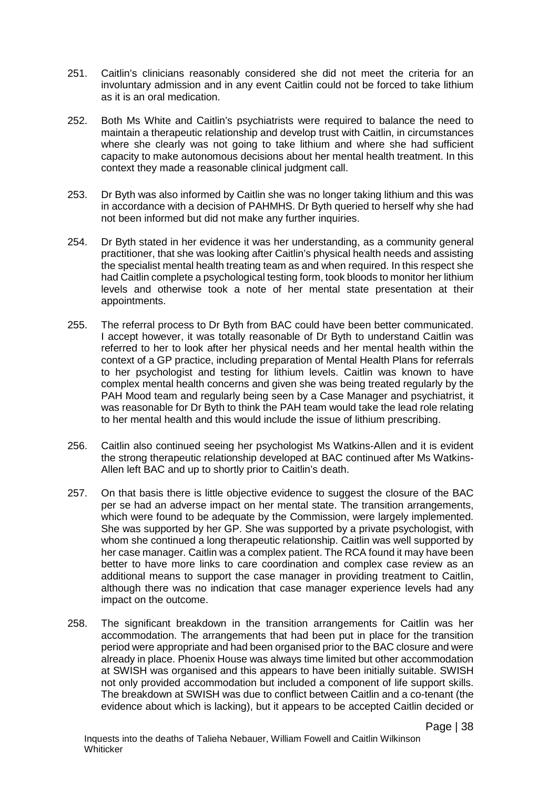- 251. Caitlin's clinicians reasonably considered she did not meet the criteria for an involuntary admission and in any event Caitlin could not be forced to take lithium as it is an oral medication.
- 252. Both Ms White and Caitlin's psychiatrists were required to balance the need to maintain a therapeutic relationship and develop trust with Caitlin, in circumstances where she clearly was not going to take lithium and where she had sufficient capacity to make autonomous decisions about her mental health treatment. In this context they made a reasonable clinical judgment call.
- 253. Dr Byth was also informed by Caitlin she was no longer taking lithium and this was in accordance with a decision of PAHMHS. Dr Byth queried to herself why she had not been informed but did not make any further inquiries.
- 254. Dr Byth stated in her evidence it was her understanding, as a community general practitioner, that she was looking after Caitlin's physical health needs and assisting the specialist mental health treating team as and when required. In this respect she had Caitlin complete a psychological testing form, took bloods to monitor her lithium levels and otherwise took a note of her mental state presentation at their appointments.
- 255. The referral process to Dr Byth from BAC could have been better communicated. I accept however, it was totally reasonable of Dr Byth to understand Caitlin was referred to her to look after her physical needs and her mental health within the context of a GP practice, including preparation of Mental Health Plans for referrals to her psychologist and testing for lithium levels. Caitlin was known to have complex mental health concerns and given she was being treated regularly by the PAH Mood team and regularly being seen by a Case Manager and psychiatrist, it was reasonable for Dr Byth to think the PAH team would take the lead role relating to her mental health and this would include the issue of lithium prescribing.
- 256. Caitlin also continued seeing her psychologist Ms Watkins-Allen and it is evident the strong therapeutic relationship developed at BAC continued after Ms Watkins-Allen left BAC and up to shortly prior to Caitlin's death.
- 257. On that basis there is little objective evidence to suggest the closure of the BAC per se had an adverse impact on her mental state. The transition arrangements, which were found to be adequate by the Commission, were largely implemented. She was supported by her GP. She was supported by a private psychologist, with whom she continued a long therapeutic relationship. Caitlin was well supported by her case manager. Caitlin was a complex patient. The RCA found it may have been better to have more links to care coordination and complex case review as an additional means to support the case manager in providing treatment to Caitlin, although there was no indication that case manager experience levels had any impact on the outcome.
- 258. The significant breakdown in the transition arrangements for Caitlin was her accommodation. The arrangements that had been put in place for the transition period were appropriate and had been organised prior to the BAC closure and were already in place. Phoenix House was always time limited but other accommodation at SWISH was organised and this appears to have been initially suitable. SWISH not only provided accommodation but included a component of life support skills. The breakdown at SWISH was due to conflict between Caitlin and a co-tenant (the evidence about which is lacking), but it appears to be accepted Caitlin decided or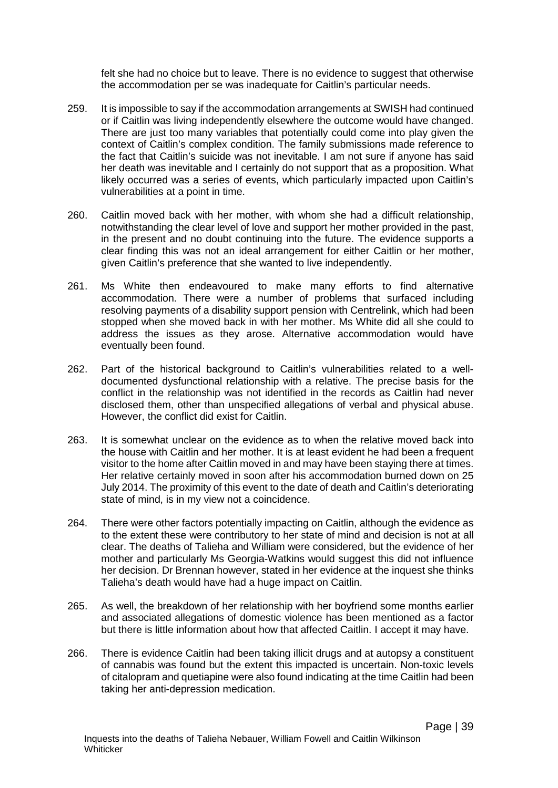felt she had no choice but to leave. There is no evidence to suggest that otherwise the accommodation per se was inadequate for Caitlin's particular needs.

- 259. It is impossible to say if the accommodation arrangements at SWISH had continued or if Caitlin was living independently elsewhere the outcome would have changed. There are just too many variables that potentially could come into play given the context of Caitlin's complex condition. The family submissions made reference to the fact that Caitlin's suicide was not inevitable. I am not sure if anyone has said her death was inevitable and I certainly do not support that as a proposition. What likely occurred was a series of events, which particularly impacted upon Caitlin's vulnerabilities at a point in time.
- 260. Caitlin moved back with her mother, with whom she had a difficult relationship, notwithstanding the clear level of love and support her mother provided in the past, in the present and no doubt continuing into the future. The evidence supports a clear finding this was not an ideal arrangement for either Caitlin or her mother, given Caitlin's preference that she wanted to live independently.
- 261. Ms White then endeavoured to make many efforts to find alternative accommodation. There were a number of problems that surfaced including resolving payments of a disability support pension with Centrelink, which had been stopped when she moved back in with her mother. Ms White did all she could to address the issues as they arose. Alternative accommodation would have eventually been found.
- 262. Part of the historical background to Caitlin's vulnerabilities related to a welldocumented dysfunctional relationship with a relative. The precise basis for the conflict in the relationship was not identified in the records as Caitlin had never disclosed them, other than unspecified allegations of verbal and physical abuse. However, the conflict did exist for Caitlin.
- 263. It is somewhat unclear on the evidence as to when the relative moved back into the house with Caitlin and her mother. It is at least evident he had been a frequent visitor to the home after Caitlin moved in and may have been staying there at times. Her relative certainly moved in soon after his accommodation burned down on 25 July 2014. The proximity of this event to the date of death and Caitlin's deteriorating state of mind, is in my view not a coincidence.
- 264. There were other factors potentially impacting on Caitlin, although the evidence as to the extent these were contributory to her state of mind and decision is not at all clear. The deaths of Talieha and William were considered, but the evidence of her mother and particularly Ms Georgia-Watkins would suggest this did not influence her decision. Dr Brennan however, stated in her evidence at the inquest she thinks Talieha's death would have had a huge impact on Caitlin.
- 265. As well, the breakdown of her relationship with her boyfriend some months earlier and associated allegations of domestic violence has been mentioned as a factor but there is little information about how that affected Caitlin. I accept it may have.
- 266. There is evidence Caitlin had been taking illicit drugs and at autopsy a constituent of cannabis was found but the extent this impacted is uncertain. Non-toxic levels of citalopram and quetiapine were also found indicating at the time Caitlin had been taking her anti-depression medication.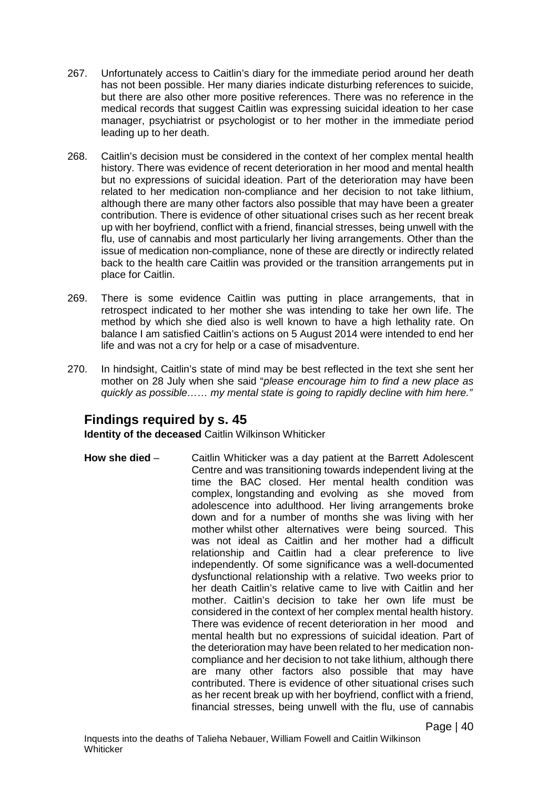- 267. Unfortunately access to Caitlin's diary for the immediate period around her death has not been possible. Her many diaries indicate disturbing references to suicide, but there are also other more positive references. There was no reference in the medical records that suggest Caitlin was expressing suicidal ideation to her case manager, psychiatrist or psychologist or to her mother in the immediate period leading up to her death.
- 268. Caitlin's decision must be considered in the context of her complex mental health history. There was evidence of recent deterioration in her mood and mental health but no expressions of suicidal ideation. Part of the deterioration may have been related to her medication non-compliance and her decision to not take lithium, although there are many other factors also possible that may have been a greater contribution. There is evidence of other situational crises such as her recent break up with her boyfriend, conflict with a friend, financial stresses, being unwell with the flu, use of cannabis and most particularly her living arrangements. Other than the issue of medication non-compliance, none of these are directly or indirectly related back to the health care Caitlin was provided or the transition arrangements put in place for Caitlin.
- 269. There is some evidence Caitlin was putting in place arrangements, that in retrospect indicated to her mother she was intending to take her own life. The method by which she died also is well known to have a high lethality rate. On balance I am satisfied Caitlin's actions on 5 August 2014 were intended to end her life and was not a cry for help or a case of misadventure.
- 270. In hindsight, Caitlin's state of mind may be best reflected in the text she sent her mother on 28 July when she said "*please encourage him to find a new place as quickly as possible…… my mental state is going to rapidly decline with him here."*

# **Findings required by s. 45**

**Identity of the deceased** Caitlin Wilkinson Whiticker

**How she died** – Caitlin Whiticker was a day patient at the Barrett Adolescent Centre and was transitioning towards independent living at the time the BAC closed. Her mental health condition was complex, longstanding and evolving as she moved from adolescence into adulthood. Her living arrangements broke down and for a number of months she was living with her mother whilst other alternatives were being sourced. This was not ideal as Caitlin and her mother had a difficult relationship and Caitlin had a clear preference to live independently. Of some significance was a well-documented dysfunctional relationship with a relative. Two weeks prior to her death Caitlin's relative came to live with Caitlin and her mother. Caitlin's decision to take her own life must be considered in the context of her complex mental health history. There was evidence of recent deterioration in her mood and mental health but no expressions of suicidal ideation. Part of the deterioration may have been related to her medication noncompliance and her decision to not take lithium, although there are many other factors also possible that may have contributed. There is evidence of other situational crises such as her recent break up with her boyfriend, conflict with a friend, financial stresses, being unwell with the flu, use of cannabis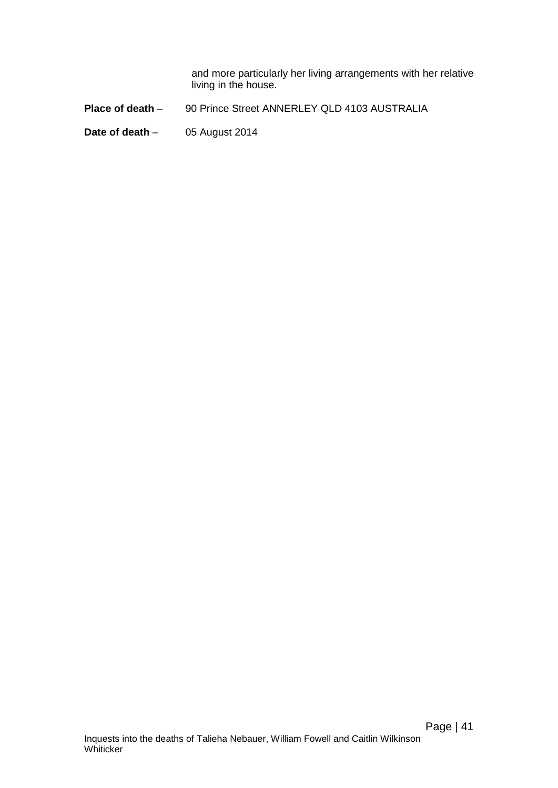and more particularly her living arrangements with her relative living in the house.

**Place of death** – 90 Prince Street ANNERLEY QLD 4103 AUSTRALIA

**Date of death** - 05 August 2014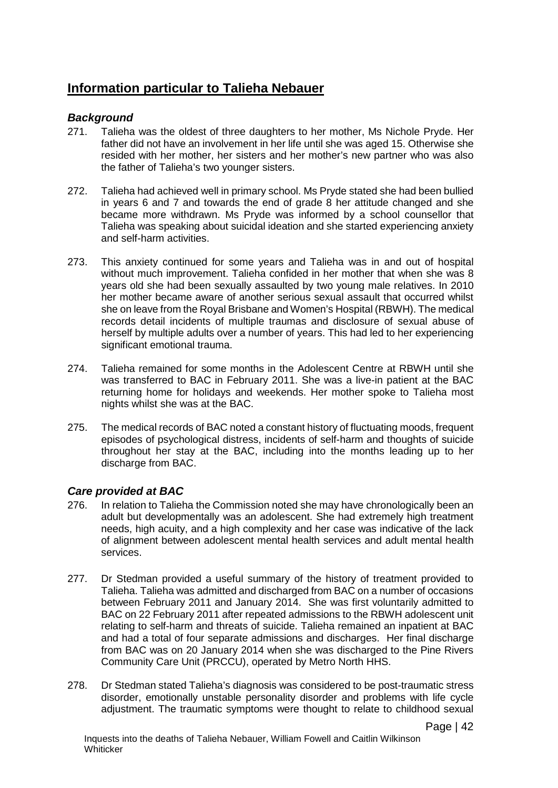# **Information particular to Talieha Nebauer**

### *Background*

- 271. Talieha was the oldest of three daughters to her mother, Ms Nichole Pryde. Her father did not have an involvement in her life until she was aged 15. Otherwise she resided with her mother, her sisters and her mother's new partner who was also the father of Talieha's two younger sisters.
- 272. Talieha had achieved well in primary school. Ms Pryde stated she had been bullied in years 6 and 7 and towards the end of grade 8 her attitude changed and she became more withdrawn. Ms Pryde was informed by a school counsellor that Talieha was speaking about suicidal ideation and she started experiencing anxiety and self-harm activities.
- 273. This anxiety continued for some years and Talieha was in and out of hospital without much improvement. Talieha confided in her mother that when she was 8 years old she had been sexually assaulted by two young male relatives. In 2010 her mother became aware of another serious sexual assault that occurred whilst she on leave from the Royal Brisbane and Women's Hospital (RBWH). The medical records detail incidents of multiple traumas and disclosure of sexual abuse of herself by multiple adults over a number of years. This had led to her experiencing significant emotional trauma.
- 274. Talieha remained for some months in the Adolescent Centre at RBWH until she was transferred to BAC in February 2011. She was a live-in patient at the BAC returning home for holidays and weekends. Her mother spoke to Talieha most nights whilst she was at the BAC.
- 275. The medical records of BAC noted a constant history of fluctuating moods, frequent episodes of psychological distress, incidents of self-harm and thoughts of suicide throughout her stay at the BAC, including into the months leading up to her discharge from BAC.

## *Care provided at BAC*

- 276. In relation to Talieha the Commission noted she may have chronologically been an adult but developmentally was an adolescent. She had extremely high treatment needs, high acuity, and a high complexity and her case was indicative of the lack of alignment between adolescent mental health services and adult mental health services.
- 277. Dr Stedman provided a useful summary of the history of treatment provided to Talieha. Talieha was admitted and discharged from BAC on a number of occasions between February 2011 and January 2014. She was first voluntarily admitted to BAC on 22 February 2011 after repeated admissions to the RBWH adolescent unit relating to self-harm and threats of suicide. Talieha remained an inpatient at BAC and had a total of four separate admissions and discharges. Her final discharge from BAC was on 20 January 2014 when she was discharged to the Pine Rivers Community Care Unit (PRCCU), operated by Metro North HHS.
- 278. Dr Stedman stated Talieha's diagnosis was considered to be post-traumatic stress disorder, emotionally unstable personality disorder and problems with life cycle adjustment. The traumatic symptoms were thought to relate to childhood sexual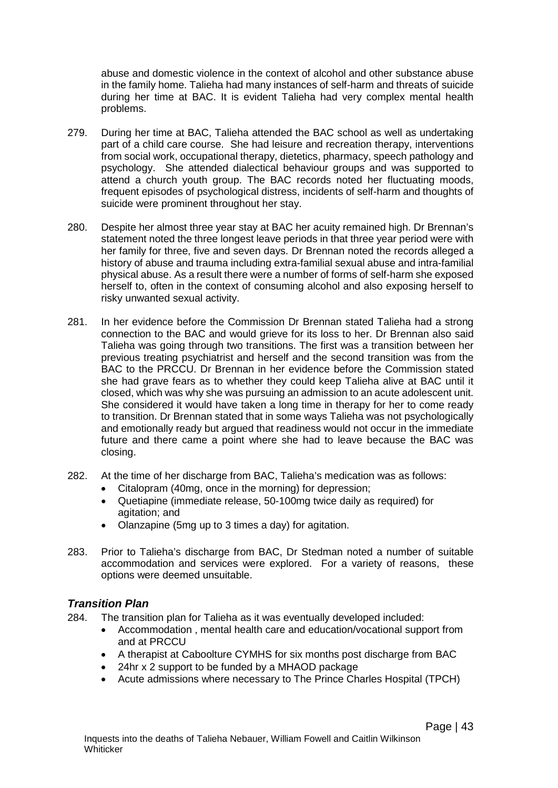abuse and domestic violence in the context of alcohol and other substance abuse in the family home. Talieha had many instances of self-harm and threats of suicide during her time at BAC. It is evident Talieha had very complex mental health problems.

- 279. During her time at BAC, Talieha attended the BAC school as well as undertaking part of a child care course. She had leisure and recreation therapy, interventions from social work, occupational therapy, dietetics, pharmacy, speech pathology and psychology. She attended dialectical behaviour groups and was supported to attend a church youth group. The BAC records noted her fluctuating moods, frequent episodes of psychological distress, incidents of self-harm and thoughts of suicide were prominent throughout her stay.
- 280. Despite her almost three year stay at BAC her acuity remained high. Dr Brennan's statement noted the three longest leave periods in that three year period were with her family for three, five and seven days. Dr Brennan noted the records alleged a history of abuse and trauma including extra-familial sexual abuse and intra-familial physical abuse. As a result there were a number of forms of self-harm she exposed herself to, often in the context of consuming alcohol and also exposing herself to risky unwanted sexual activity.
- 281. In her evidence before the Commission Dr Brennan stated Talieha had a strong connection to the BAC and would grieve for its loss to her. Dr Brennan also said Talieha was going through two transitions. The first was a transition between her previous treating psychiatrist and herself and the second transition was from the BAC to the PRCCU. Dr Brennan in her evidence before the Commission stated she had grave fears as to whether they could keep Talieha alive at BAC until it closed, which was why she was pursuing an admission to an acute adolescent unit. She considered it would have taken a long time in therapy for her to come ready to transition. Dr Brennan stated that in some ways Talieha was not psychologically and emotionally ready but argued that readiness would not occur in the immediate future and there came a point where she had to leave because the BAC was closing.
- 282. At the time of her discharge from BAC, Talieha's medication was as follows:
	- Citalopram (40mg, once in the morning) for depression;
	- Quetiapine (immediate release, 50-100mg twice daily as required) for agitation; and
	- Olanzapine (5mg up to 3 times a day) for agitation.
- 283. Prior to Talieha's discharge from BAC, Dr Stedman noted a number of suitable accommodation and services were explored. For a variety of reasons, these options were deemed unsuitable.

### *Transition Plan*

- 284. The transition plan for Talieha as it was eventually developed included:
	- Accommodation , mental health care and education/vocational support from and at PRCCU
	- A therapist at Caboolture CYMHS for six months post discharge from BAC
	- 24hr x 2 support to be funded by a MHAOD package
	- Acute admissions where necessary to The Prince Charles Hospital (TPCH)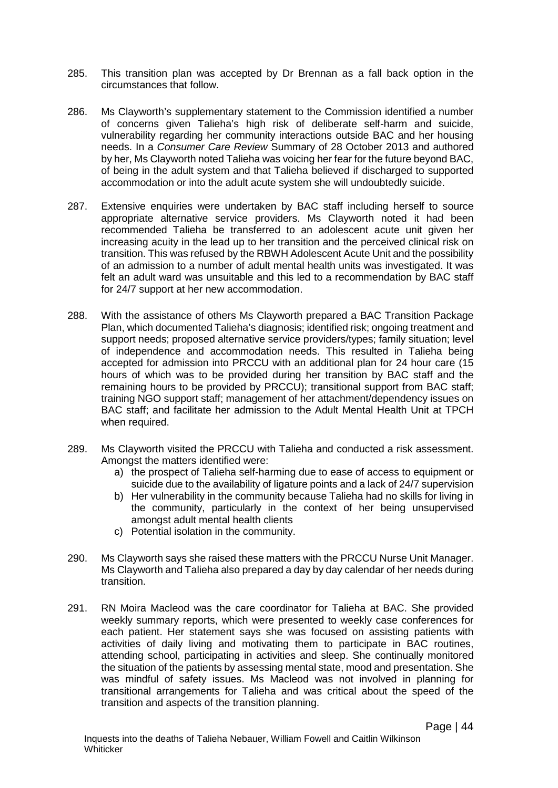- 285. This transition plan was accepted by Dr Brennan as a fall back option in the circumstances that follow.
- 286. Ms Clayworth's supplementary statement to the Commission identified a number of concerns given Talieha's high risk of deliberate self-harm and suicide, vulnerability regarding her community interactions outside BAC and her housing needs. In a *Consumer Care Review* Summary of 28 October 2013 and authored by her, Ms Clayworth noted Talieha was voicing her fear for the future beyond BAC, of being in the adult system and that Talieha believed if discharged to supported accommodation or into the adult acute system she will undoubtedly suicide.
- 287. Extensive enquiries were undertaken by BAC staff including herself to source appropriate alternative service providers. Ms Clayworth noted it had been recommended Talieha be transferred to an adolescent acute unit given her increasing acuity in the lead up to her transition and the perceived clinical risk on transition. This was refused by the RBWH Adolescent Acute Unit and the possibility of an admission to a number of adult mental health units was investigated. It was felt an adult ward was unsuitable and this led to a recommendation by BAC staff for 24/7 support at her new accommodation.
- 288. With the assistance of others Ms Clayworth prepared a BAC Transition Package Plan, which documented Talieha's diagnosis; identified risk; ongoing treatment and support needs; proposed alternative service providers/types; family situation; level of independence and accommodation needs. This resulted in Talieha being accepted for admission into PRCCU with an additional plan for 24 hour care (15 hours of which was to be provided during her transition by BAC staff and the remaining hours to be provided by PRCCU); transitional support from BAC staff; training NGO support staff; management of her attachment/dependency issues on BAC staff; and facilitate her admission to the Adult Mental Health Unit at TPCH when required.
- 289. Ms Clayworth visited the PRCCU with Talieha and conducted a risk assessment. Amongst the matters identified were:
	- a) the prospect of Talieha self-harming due to ease of access to equipment or suicide due to the availability of ligature points and a lack of 24/7 supervision
	- b) Her vulnerability in the community because Talieha had no skills for living in the community, particularly in the context of her being unsupervised amongst adult mental health clients
	- c) Potential isolation in the community.
- 290. Ms Clayworth says she raised these matters with the PRCCU Nurse Unit Manager. Ms Clayworth and Talieha also prepared a day by day calendar of her needs during transition.
- 291. RN Moira Macleod was the care coordinator for Talieha at BAC. She provided weekly summary reports, which were presented to weekly case conferences for each patient. Her statement says she was focused on assisting patients with activities of daily living and motivating them to participate in BAC routines, attending school, participating in activities and sleep. She continually monitored the situation of the patients by assessing mental state, mood and presentation. She was mindful of safety issues. Ms Macleod was not involved in planning for transitional arrangements for Talieha and was critical about the speed of the transition and aspects of the transition planning.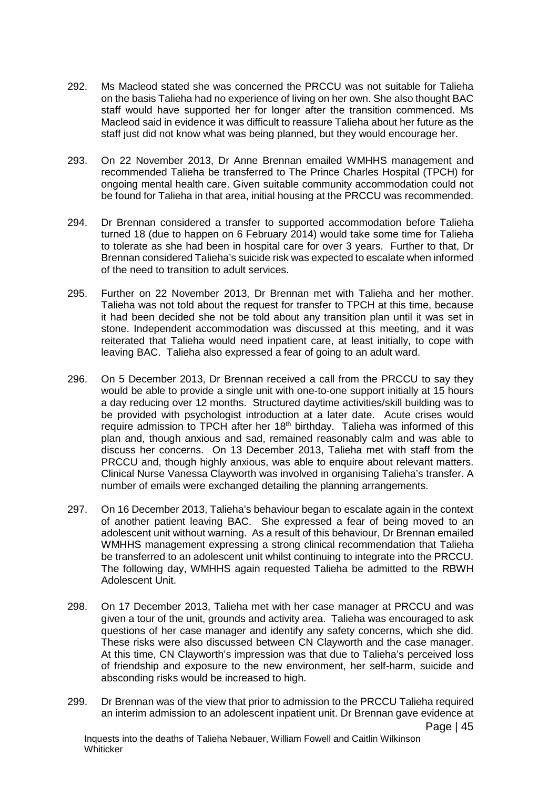- 292. Ms Macleod stated she was concerned the PRCCU was not suitable for Talieha on the basis Talieha had no experience of living on her own. She also thought BAC staff would have supported her for longer after the transition commenced. Ms Macleod said in evidence it was difficult to reassure Talieha about her future as the staff just did not know what was being planned, but they would encourage her.
- 293. On 22 November 2013, Dr Anne Brennan emailed WMHHS management and recommended Talieha be transferred to The Prince Charles Hospital (TPCH) for ongoing mental health care. Given suitable community accommodation could not be found for Talieha in that area, initial housing at the PRCCU was recommended.
- 294. Dr Brennan considered a transfer to supported accommodation before Talieha turned 18 (due to happen on 6 February 2014) would take some time for Talieha to tolerate as she had been in hospital care for over 3 years. Further to that, Dr Brennan considered Talieha's suicide risk was expected to escalate when informed of the need to transition to adult services.
- 295. Further on 22 November 2013, Dr Brennan met with Talieha and her mother. Talieha was not told about the request for transfer to TPCH at this time, because it had been decided she not be told about any transition plan until it was set in stone. Independent accommodation was discussed at this meeting, and it was reiterated that Talieha would need inpatient care, at least initially, to cope with leaving BAC. Talieha also expressed a fear of going to an adult ward.
- 296. On 5 December 2013, Dr Brennan received a call from the PRCCU to say they would be able to provide a single unit with one-to-one support initially at 15 hours a day reducing over 12 months. Structured daytime activities/skill building was to be provided with psychologist introduction at a later date. Acute crises would require admission to TPCH after her 18<sup>th</sup> birthday. Talieha was informed of this plan and, though anxious and sad, remained reasonably calm and was able to discuss her concerns. On 13 December 2013, Talieha met with staff from the PRCCU and, though highly anxious, was able to enquire about relevant matters. Clinical Nurse Vanessa Clayworth was involved in organising Talieha's transfer. A number of emails were exchanged detailing the planning arrangements.
- 297. On 16 December 2013, Talieha's behaviour began to escalate again in the context of another patient leaving BAC. She expressed a fear of being moved to an adolescent unit without warning. As a result of this behaviour, Dr Brennan emailed WMHHS management expressing a strong clinical recommendation that Talieha be transferred to an adolescent unit whilst continuing to integrate into the PRCCU. The following day, WMHHS again requested Talieha be admitted to the RBWH Adolescent Unit.
- 298. On 17 December 2013, Talieha met with her case manager at PRCCU and was given a tour of the unit, grounds and activity area. Talieha was encouraged to ask questions of her case manager and identify any safety concerns, which she did. These risks were also discussed between CN Clayworth and the case manager. At this time, CN Clayworth's impression was that due to Talieha's perceived loss of friendship and exposure to the new environment, her self-harm, suicide and absconding risks would be increased to high.
- 299. Dr Brennan was of the view that prior to admission to the PRCCU Talieha required an interim admission to an adolescent inpatient unit. Dr Brennan gave evidence at Page | 45 Inquests into the deaths of Talieha Nebauer, William Fowell and Caitlin Wilkinson

**Whiticker**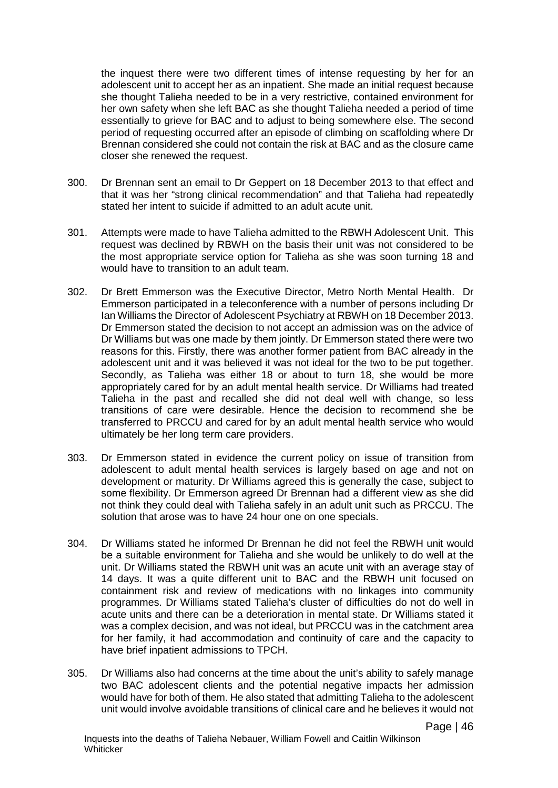the inquest there were two different times of intense requesting by her for an adolescent unit to accept her as an inpatient. She made an initial request because she thought Talieha needed to be in a very restrictive, contained environment for her own safety when she left BAC as she thought Talieha needed a period of time essentially to grieve for BAC and to adjust to being somewhere else. The second period of requesting occurred after an episode of climbing on scaffolding where Dr Brennan considered she could not contain the risk at BAC and as the closure came closer she renewed the request.

- 300. Dr Brennan sent an email to Dr Geppert on 18 December 2013 to that effect and that it was her "strong clinical recommendation" and that Talieha had repeatedly stated her intent to suicide if admitted to an adult acute unit.
- 301. Attempts were made to have Talieha admitted to the RBWH Adolescent Unit. This request was declined by RBWH on the basis their unit was not considered to be the most appropriate service option for Talieha as she was soon turning 18 and would have to transition to an adult team.
- 302. Dr Brett Emmerson was the Executive Director, Metro North Mental Health. Dr Emmerson participated in a teleconference with a number of persons including Dr Ian Williams the Director of Adolescent Psychiatry at RBWH on 18 December 2013. Dr Emmerson stated the decision to not accept an admission was on the advice of Dr Williams but was one made by them jointly. Dr Emmerson stated there were two reasons for this. Firstly, there was another former patient from BAC already in the adolescent unit and it was believed it was not ideal for the two to be put together. Secondly, as Talieha was either 18 or about to turn 18, she would be more appropriately cared for by an adult mental health service. Dr Williams had treated Talieha in the past and recalled she did not deal well with change, so less transitions of care were desirable. Hence the decision to recommend she be transferred to PRCCU and cared for by an adult mental health service who would ultimately be her long term care providers.
- 303. Dr Emmerson stated in evidence the current policy on issue of transition from adolescent to adult mental health services is largely based on age and not on development or maturity. Dr Williams agreed this is generally the case, subject to some flexibility. Dr Emmerson agreed Dr Brennan had a different view as she did not think they could deal with Talieha safely in an adult unit such as PRCCU. The solution that arose was to have 24 hour one on one specials.
- 304. Dr Williams stated he informed Dr Brennan he did not feel the RBWH unit would be a suitable environment for Talieha and she would be unlikely to do well at the unit. Dr Williams stated the RBWH unit was an acute unit with an average stay of 14 days. It was a quite different unit to BAC and the RBWH unit focused on containment risk and review of medications with no linkages into community programmes. Dr Williams stated Talieha's cluster of difficulties do not do well in acute units and there can be a deterioration in mental state. Dr Williams stated it was a complex decision, and was not ideal, but PRCCU was in the catchment area for her family, it had accommodation and continuity of care and the capacity to have brief inpatient admissions to TPCH.
- 305. Dr Williams also had concerns at the time about the unit's ability to safely manage two BAC adolescent clients and the potential negative impacts her admission would have for both of them. He also stated that admitting Talieha to the adolescent unit would involve avoidable transitions of clinical care and he believes it would not

Page | 46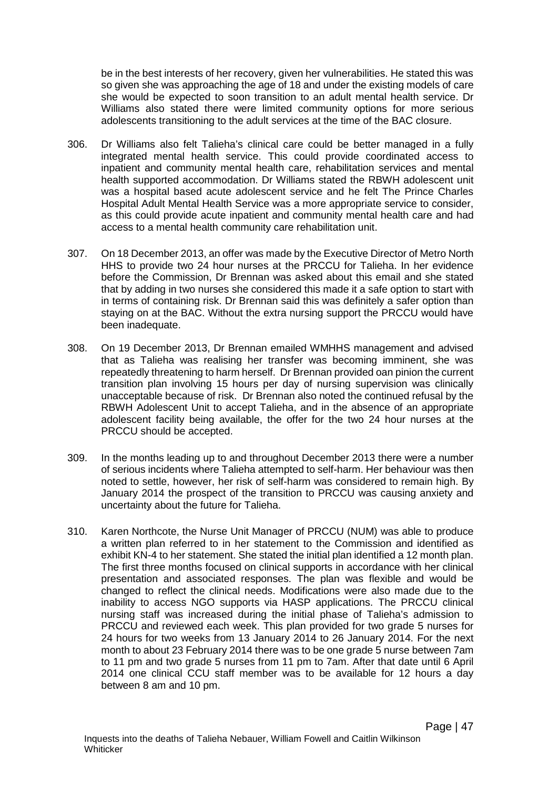be in the best interests of her recovery, given her vulnerabilities. He stated this was so given she was approaching the age of 18 and under the existing models of care she would be expected to soon transition to an adult mental health service. Dr Williams also stated there were limited community options for more serious adolescents transitioning to the adult services at the time of the BAC closure.

- 306. Dr Williams also felt Talieha's clinical care could be better managed in a fully integrated mental health service. This could provide coordinated access to inpatient and community mental health care, rehabilitation services and mental health supported accommodation. Dr Williams stated the RBWH adolescent unit was a hospital based acute adolescent service and he felt The Prince Charles Hospital Adult Mental Health Service was a more appropriate service to consider, as this could provide acute inpatient and community mental health care and had access to a mental health community care rehabilitation unit.
- 307. On 18 December 2013, an offer was made by the Executive Director of Metro North HHS to provide two 24 hour nurses at the PRCCU for Talieha. In her evidence before the Commission, Dr Brennan was asked about this email and she stated that by adding in two nurses she considered this made it a safe option to start with in terms of containing risk. Dr Brennan said this was definitely a safer option than staying on at the BAC. Without the extra nursing support the PRCCU would have been inadequate.
- 308. On 19 December 2013, Dr Brennan emailed WMHHS management and advised that as Talieha was realising her transfer was becoming imminent, she was repeatedly threatening to harm herself. Dr Brennan provided oan pinion the current transition plan involving 15 hours per day of nursing supervision was clinically unacceptable because of risk. Dr Brennan also noted the continued refusal by the RBWH Adolescent Unit to accept Talieha, and in the absence of an appropriate adolescent facility being available, the offer for the two 24 hour nurses at the PRCCU should be accepted.
- 309. In the months leading up to and throughout December 2013 there were a number of serious incidents where Talieha attempted to self-harm. Her behaviour was then noted to settle, however, her risk of self-harm was considered to remain high. By January 2014 the prospect of the transition to PRCCU was causing anxiety and uncertainty about the future for Talieha.
- 310. Karen Northcote, the Nurse Unit Manager of PRCCU (NUM) was able to produce a written plan referred to in her statement to the Commission and identified as exhibit KN-4 to her statement. She stated the initial plan identified a 12 month plan. The first three months focused on clinical supports in accordance with her clinical presentation and associated responses. The plan was flexible and would be changed to reflect the clinical needs. Modifications were also made due to the inability to access NGO supports via HASP applications. The PRCCU clinical nursing staff was increased during the initial phase of Talieha's admission to PRCCU and reviewed each week. This plan provided for two grade 5 nurses for 24 hours for two weeks from 13 January 2014 to 26 January 2014. For the next month to about 23 February 2014 there was to be one grade 5 nurse between 7am to 11 pm and two grade 5 nurses from 11 pm to 7am. After that date until 6 April 2014 one clinical CCU staff member was to be available for 12 hours a day between 8 am and 10 pm.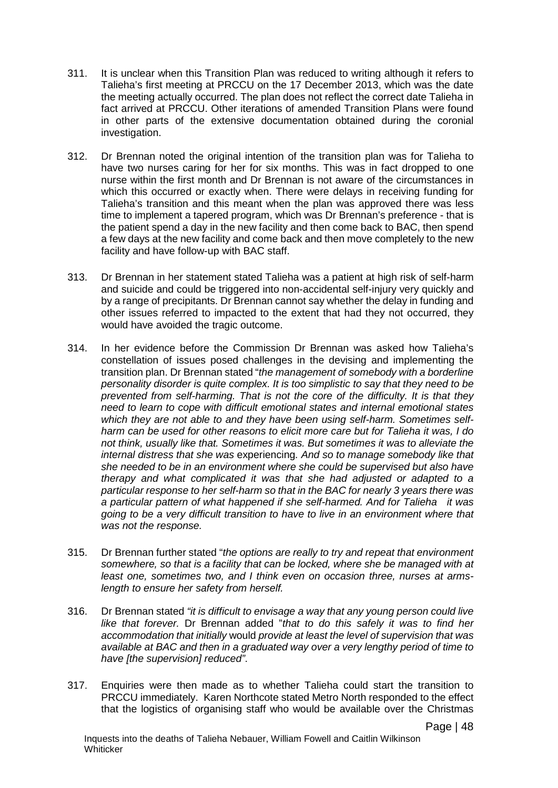- 311. It is unclear when this Transition Plan was reduced to writing although it refers to Talieha's first meeting at PRCCU on the 17 December 2013, which was the date the meeting actually occurred. The plan does not reflect the correct date Talieha in fact arrived at PRCCU. Other iterations of amended Transition Plans were found in other parts of the extensive documentation obtained during the coronial investigation.
- 312. Dr Brennan noted the original intention of the transition plan was for Talieha to have two nurses caring for her for six months. This was in fact dropped to one nurse within the first month and Dr Brennan is not aware of the circumstances in which this occurred or exactly when. There were delays in receiving funding for Talieha's transition and this meant when the plan was approved there was less time to implement a tapered program, which was Dr Brennan's preference - that is the patient spend a day in the new facility and then come back to BAC, then spend a few days at the new facility and come back and then move completely to the new facility and have follow-up with BAC staff.
- 313. Dr Brennan in her statement stated Talieha was a patient at high risk of self-harm and suicide and could be triggered into non-accidental self-injury very quickly and by a range of precipitants. Dr Brennan cannot say whether the delay in funding and other issues referred to impacted to the extent that had they not occurred, they would have avoided the tragic outcome.
- 314. In her evidence before the Commission Dr Brennan was asked how Talieha's constellation of issues posed challenges in the devising and implementing the transition plan. Dr Brennan stated "*the management of somebody with a borderline personality disorder is quite complex. It is too simplistic to say that they need to be prevented from self-harming. That is not the core of the difficulty. It is that they need to learn to cope with difficult emotional states and internal emotional states which they are not able to and they have been using self-harm. Sometimes selfharm can be used for other reasons to elicit more care but for Talieha it was, I do not think, usually like that. Sometimes it was. But sometimes it was to alleviate the internal distress that she was* experiencing*. And so to manage somebody like that she needed to be in an environment where she could be supervised but also have therapy and what complicated it was that she had adjusted or adapted to a particular response to her self-harm so that in the BAC for nearly 3 years there was a particular pattern of what happened if she self-harmed. And for Talieha it was going to be a very difficult transition to have to live in an environment where that was not the response.*
- 315. Dr Brennan further stated "*the options are really to try and repeat that environment somewhere, so that is a facility that can be locked, where she be managed with at least one, sometimes two, and I think even on occasion three, nurses at armslength to ensure her safety from herself.*
- 316. Dr Brennan stated *"it is difficult to envisage a way that any young person could live like that forever.* Dr Brennan added "*that to do this safely it was to find her accommodation that initially* would *provide at least the level of supervision that was available at BAC and then in a graduated way over a very lengthy period of time to have [the supervision] reduced"*.
- 317. Enquiries were then made as to whether Talieha could start the transition to PRCCU immediately. Karen Northcote stated Metro North responded to the effect that the logistics of organising staff who would be available over the Christmas

Page | 48

Inquests into the deaths of Talieha Nebauer, William Fowell and Caitlin Wilkinson **Whiticker**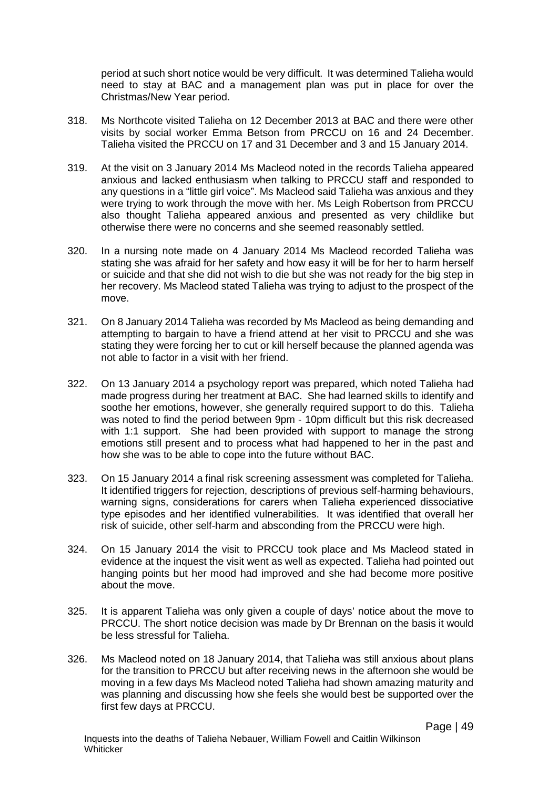period at such short notice would be very difficult. It was determined Talieha would need to stay at BAC and a management plan was put in place for over the Christmas/New Year period.

- 318. Ms Northcote visited Talieha on 12 December 2013 at BAC and there were other visits by social worker Emma Betson from PRCCU on 16 and 24 December. Talieha visited the PRCCU on 17 and 31 December and 3 and 15 January 2014.
- 319. At the visit on 3 January 2014 Ms Macleod noted in the records Talieha appeared anxious and lacked enthusiasm when talking to PRCCU staff and responded to any questions in a "little girl voice". Ms Macleod said Talieha was anxious and they were trying to work through the move with her. Ms Leigh Robertson from PRCCU also thought Talieha appeared anxious and presented as very childlike but otherwise there were no concerns and she seemed reasonably settled.
- 320. In a nursing note made on 4 January 2014 Ms Macleod recorded Talieha was stating she was afraid for her safety and how easy it will be for her to harm herself or suicide and that she did not wish to die but she was not ready for the big step in her recovery. Ms Macleod stated Talieha was trying to adjust to the prospect of the move.
- 321. On 8 January 2014 Talieha was recorded by Ms Macleod as being demanding and attempting to bargain to have a friend attend at her visit to PRCCU and she was stating they were forcing her to cut or kill herself because the planned agenda was not able to factor in a visit with her friend.
- 322. On 13 January 2014 a psychology report was prepared, which noted Talieha had made progress during her treatment at BAC. She had learned skills to identify and soothe her emotions, however, she generally required support to do this. Talieha was noted to find the period between 9pm - 10pm difficult but this risk decreased with 1:1 support. She had been provided with support to manage the strong emotions still present and to process what had happened to her in the past and how she was to be able to cope into the future without BAC.
- 323. On 15 January 2014 a final risk screening assessment was completed for Talieha. It identified triggers for rejection, descriptions of previous self-harming behaviours, warning signs, considerations for carers when Talieha experienced dissociative type episodes and her identified vulnerabilities. It was identified that overall her risk of suicide, other self-harm and absconding from the PRCCU were high.
- 324. On 15 January 2014 the visit to PRCCU took place and Ms Macleod stated in evidence at the inquest the visit went as well as expected. Talieha had pointed out hanging points but her mood had improved and she had become more positive about the move.
- 325. It is apparent Talieha was only given a couple of days' notice about the move to PRCCU. The short notice decision was made by Dr Brennan on the basis it would be less stressful for Talieha.
- 326. Ms Macleod noted on 18 January 2014, that Talieha was still anxious about plans for the transition to PRCCU but after receiving news in the afternoon she would be moving in a few days Ms Macleod noted Talieha had shown amazing maturity and was planning and discussing how she feels she would best be supported over the first few days at PRCCU.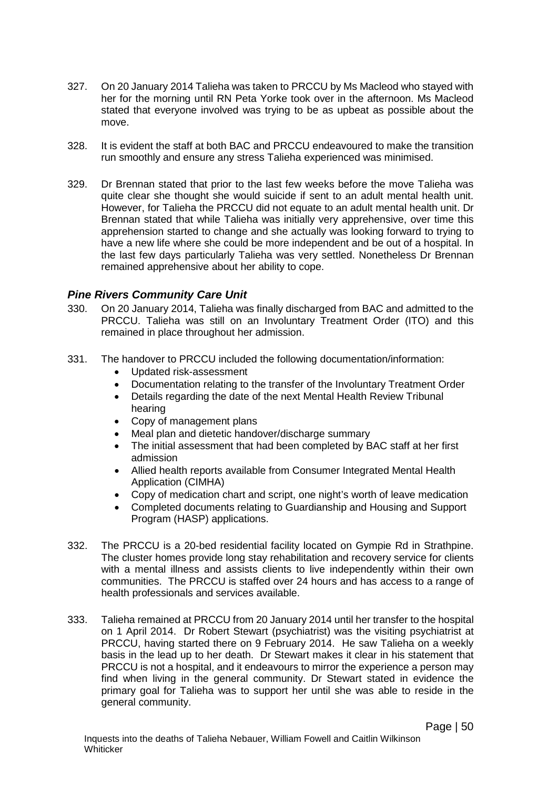- 327. On 20 January 2014 Talieha was taken to PRCCU by Ms Macleod who stayed with her for the morning until RN Peta Yorke took over in the afternoon. Ms Macleod stated that everyone involved was trying to be as upbeat as possible about the move.
- 328. It is evident the staff at both BAC and PRCCU endeavoured to make the transition run smoothly and ensure any stress Talieha experienced was minimised.
- 329. Dr Brennan stated that prior to the last few weeks before the move Talieha was quite clear she thought she would suicide if sent to an adult mental health unit. However, for Talieha the PRCCU did not equate to an adult mental health unit. Dr Brennan stated that while Talieha was initially very apprehensive, over time this apprehension started to change and she actually was looking forward to trying to have a new life where she could be more independent and be out of a hospital. In the last few days particularly Talieha was very settled. Nonetheless Dr Brennan remained apprehensive about her ability to cope.

### *Pine Rivers Community Care Unit*

- 330. On 20 January 2014, Talieha was finally discharged from BAC and admitted to the PRCCU. Talieha was still on an Involuntary Treatment Order (ITO) and this remained in place throughout her admission.
- 331. The handover to PRCCU included the following documentation/information:
	- Updated risk-assessment
	- Documentation relating to the transfer of the Involuntary Treatment Order
	- Details regarding the date of the next Mental Health Review Tribunal hearing
	- Copy of management plans
	- Meal plan and dietetic handover/discharge summary
	- The initial assessment that had been completed by BAC staff at her first admission
	- Allied health reports available from Consumer Integrated Mental Health Application (CIMHA)
	- Copy of medication chart and script, one night's worth of leave medication
	- Completed documents relating to Guardianship and Housing and Support Program (HASP) applications.
- 332. The PRCCU is a 20-bed residential facility located on Gympie Rd in Strathpine. The cluster homes provide long stay rehabilitation and recovery service for clients with a mental illness and assists clients to live independently within their own communities. The PRCCU is staffed over 24 hours and has access to a range of health professionals and services available.
- 333. Talieha remained at PRCCU from 20 January 2014 until her transfer to the hospital on 1 April 2014. Dr Robert Stewart (psychiatrist) was the visiting psychiatrist at PRCCU, having started there on 9 February 2014. He saw Talieha on a weekly basis in the lead up to her death. Dr Stewart makes it clear in his statement that PRCCU is not a hospital, and it endeavours to mirror the experience a person may find when living in the general community. Dr Stewart stated in evidence the primary goal for Talieha was to support her until she was able to reside in the general community.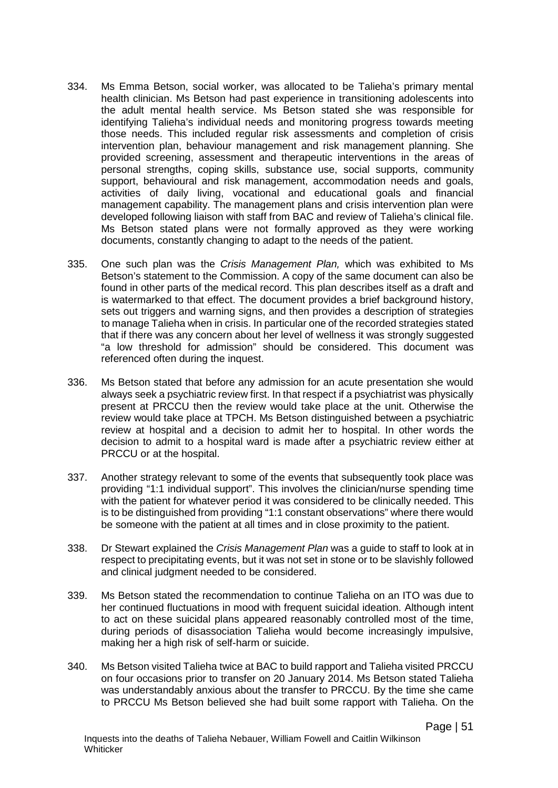- 334. Ms Emma Betson, social worker, was allocated to be Talieha's primary mental health clinician. Ms Betson had past experience in transitioning adolescents into the adult mental health service. Ms Betson stated she was responsible for identifying Talieha's individual needs and monitoring progress towards meeting those needs. This included regular risk assessments and completion of crisis intervention plan, behaviour management and risk management planning. She provided screening, assessment and therapeutic interventions in the areas of personal strengths, coping skills, substance use, social supports, community support, behavioural and risk management, accommodation needs and goals, activities of daily living, vocational and educational goals and financial management capability. The management plans and crisis intervention plan were developed following liaison with staff from BAC and review of Talieha's clinical file. Ms Betson stated plans were not formally approved as they were working documents, constantly changing to adapt to the needs of the patient.
- 335. One such plan was the *Crisis Management Plan,* which was exhibited to Ms Betson's statement to the Commission. A copy of the same document can also be found in other parts of the medical record. This plan describes itself as a draft and is watermarked to that effect. The document provides a brief background history, sets out triggers and warning signs, and then provides a description of strategies to manage Talieha when in crisis. In particular one of the recorded strategies stated that if there was any concern about her level of wellness it was strongly suggested "a low threshold for admission" should be considered. This document was referenced often during the inquest.
- 336. Ms Betson stated that before any admission for an acute presentation she would always seek a psychiatric review first. In that respect if a psychiatrist was physically present at PRCCU then the review would take place at the unit. Otherwise the review would take place at TPCH. Ms Betson distinguished between a psychiatric review at hospital and a decision to admit her to hospital. In other words the decision to admit to a hospital ward is made after a psychiatric review either at PRCCU or at the hospital.
- 337. Another strategy relevant to some of the events that subsequently took place was providing "1:1 individual support". This involves the clinician/nurse spending time with the patient for whatever period it was considered to be clinically needed. This is to be distinguished from providing "1:1 constant observations" where there would be someone with the patient at all times and in close proximity to the patient.
- 338. Dr Stewart explained the *Crisis Management Plan* was a guide to staff to look at in respect to precipitating events, but it was not set in stone or to be slavishly followed and clinical judgment needed to be considered.
- 339. Ms Betson stated the recommendation to continue Talieha on an ITO was due to her continued fluctuations in mood with frequent suicidal ideation. Although intent to act on these suicidal plans appeared reasonably controlled most of the time, during periods of disassociation Talieha would become increasingly impulsive, making her a high risk of self-harm or suicide.
- 340. Ms Betson visited Talieha twice at BAC to build rapport and Talieha visited PRCCU on four occasions prior to transfer on 20 January 2014. Ms Betson stated Talieha was understandably anxious about the transfer to PRCCU. By the time she came to PRCCU Ms Betson believed she had built some rapport with Talieha. On the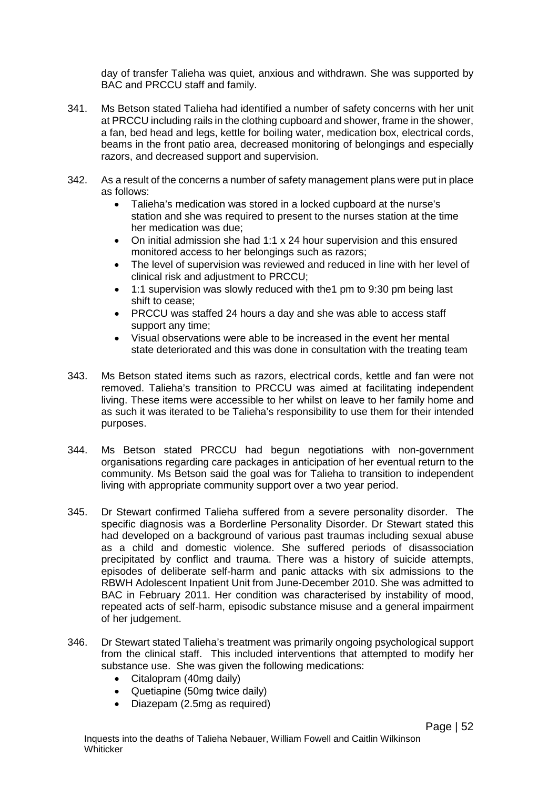day of transfer Talieha was quiet, anxious and withdrawn. She was supported by BAC and PRCCU staff and family.

- 341. Ms Betson stated Talieha had identified a number of safety concerns with her unit at PRCCU including rails in the clothing cupboard and shower, frame in the shower, a fan, bed head and legs, kettle for boiling water, medication box, electrical cords, beams in the front patio area, decreased monitoring of belongings and especially razors, and decreased support and supervision.
- 342. As a result of the concerns a number of safety management plans were put in place as follows:
	- Talieha's medication was stored in a locked cupboard at the nurse's station and she was required to present to the nurses station at the time her medication was due;
	- On initial admission she had 1:1 x 24 hour supervision and this ensured monitored access to her belongings such as razors;
	- The level of supervision was reviewed and reduced in line with her level of clinical risk and adjustment to PRCCU;
	- 1:1 supervision was slowly reduced with the1 pm to 9:30 pm being last shift to cease;
	- PRCCU was staffed 24 hours a day and she was able to access staff support any time;
	- Visual observations were able to be increased in the event her mental state deteriorated and this was done in consultation with the treating team
- 343. Ms Betson stated items such as razors, electrical cords, kettle and fan were not removed. Talieha's transition to PRCCU was aimed at facilitating independent living. These items were accessible to her whilst on leave to her family home and as such it was iterated to be Talieha's responsibility to use them for their intended purposes.
- 344. Ms Betson stated PRCCU had begun negotiations with non-government organisations regarding care packages in anticipation of her eventual return to the community. Ms Betson said the goal was for Talieha to transition to independent living with appropriate community support over a two year period.
- 345. Dr Stewart confirmed Talieha suffered from a severe personality disorder. The specific diagnosis was a Borderline Personality Disorder. Dr Stewart stated this had developed on a background of various past traumas including sexual abuse as a child and domestic violence. She suffered periods of disassociation precipitated by conflict and trauma. There was a history of suicide attempts, episodes of deliberate self-harm and panic attacks with six admissions to the RBWH Adolescent Inpatient Unit from June-December 2010. She was admitted to BAC in February 2011. Her condition was characterised by instability of mood, repeated acts of self-harm, episodic substance misuse and a general impairment of her judgement.
- 346. Dr Stewart stated Talieha's treatment was primarily ongoing psychological support from the clinical staff. This included interventions that attempted to modify her substance use. She was given the following medications:
	- Citalopram (40mg daily)
	- Quetiapine (50mg twice daily)
	- Diazepam (2.5mg as required)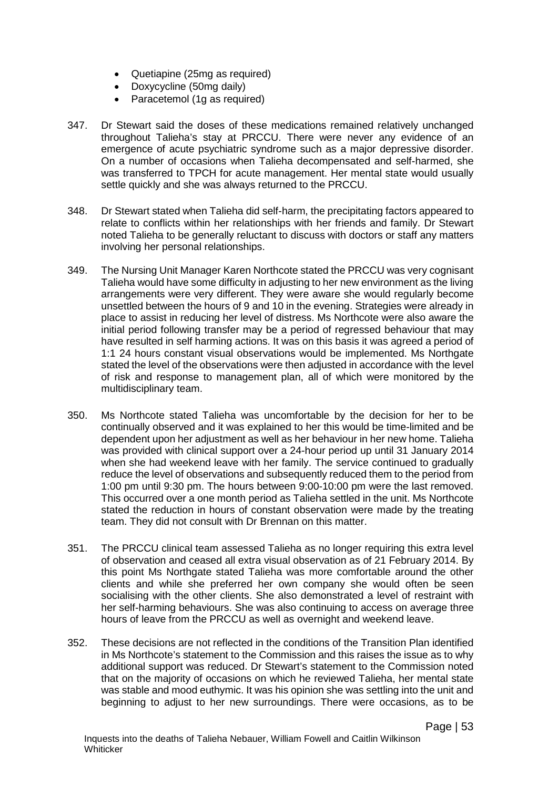- Quetiapine (25mg as required)
- Doxycycline (50mg daily)
- Paracetemol (1g as required)
- 347. Dr Stewart said the doses of these medications remained relatively unchanged throughout Talieha's stay at PRCCU. There were never any evidence of an emergence of acute psychiatric syndrome such as a major depressive disorder. On a number of occasions when Talieha decompensated and self-harmed, she was transferred to TPCH for acute management. Her mental state would usually settle quickly and she was always returned to the PRCCU.
- 348. Dr Stewart stated when Talieha did self-harm, the precipitating factors appeared to relate to conflicts within her relationships with her friends and family. Dr Stewart noted Talieha to be generally reluctant to discuss with doctors or staff any matters involving her personal relationships.
- 349. The Nursing Unit Manager Karen Northcote stated the PRCCU was very cognisant Talieha would have some difficulty in adjusting to her new environment as the living arrangements were very different. They were aware she would regularly become unsettled between the hours of 9 and 10 in the evening. Strategies were already in place to assist in reducing her level of distress. Ms Northcote were also aware the initial period following transfer may be a period of regressed behaviour that may have resulted in self harming actions. It was on this basis it was agreed a period of 1:1 24 hours constant visual observations would be implemented. Ms Northgate stated the level of the observations were then adjusted in accordance with the level of risk and response to management plan, all of which were monitored by the multidisciplinary team.
- 350. Ms Northcote stated Talieha was uncomfortable by the decision for her to be continually observed and it was explained to her this would be time-limited and be dependent upon her adjustment as well as her behaviour in her new home. Talieha was provided with clinical support over a 24-hour period up until 31 January 2014 when she had weekend leave with her family. The service continued to gradually reduce the level of observations and subsequently reduced them to the period from 1:00 pm until 9:30 pm. The hours between 9:00-10:00 pm were the last removed. This occurred over a one month period as Talieha settled in the unit. Ms Northcote stated the reduction in hours of constant observation were made by the treating team. They did not consult with Dr Brennan on this matter.
- 351. The PRCCU clinical team assessed Talieha as no longer requiring this extra level of observation and ceased all extra visual observation as of 21 February 2014. By this point Ms Northgate stated Talieha was more comfortable around the other clients and while she preferred her own company she would often be seen socialising with the other clients. She also demonstrated a level of restraint with her self-harming behaviours. She was also continuing to access on average three hours of leave from the PRCCU as well as overnight and weekend leave.
- 352. These decisions are not reflected in the conditions of the Transition Plan identified in Ms Northcote's statement to the Commission and this raises the issue as to why additional support was reduced. Dr Stewart's statement to the Commission noted that on the majority of occasions on which he reviewed Talieha, her mental state was stable and mood euthymic. It was his opinion she was settling into the unit and beginning to adjust to her new surroundings. There were occasions, as to be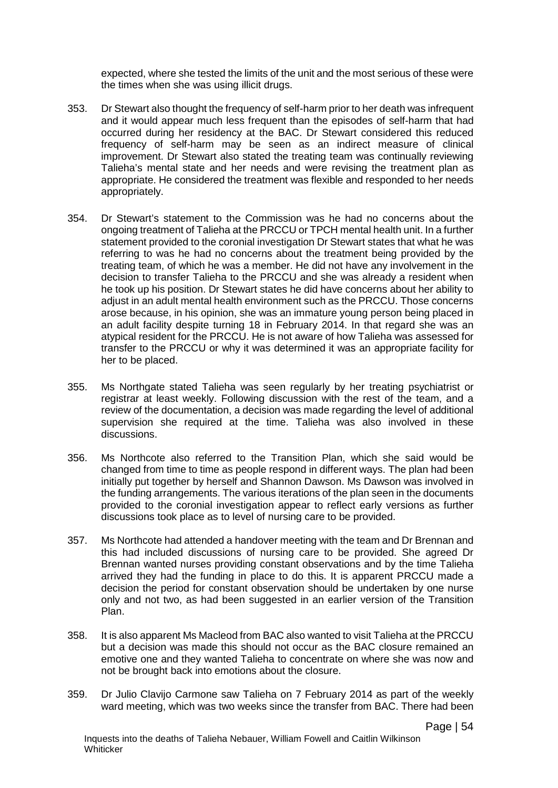expected, where she tested the limits of the unit and the most serious of these were the times when she was using illicit drugs.

- 353. Dr Stewart also thought the frequency of self-harm prior to her death was infrequent and it would appear much less frequent than the episodes of self-harm that had occurred during her residency at the BAC. Dr Stewart considered this reduced frequency of self-harm may be seen as an indirect measure of clinical improvement. Dr Stewart also stated the treating team was continually reviewing Talieha's mental state and her needs and were revising the treatment plan as appropriate. He considered the treatment was flexible and responded to her needs appropriately.
- 354. Dr Stewart's statement to the Commission was he had no concerns about the ongoing treatment of Talieha at the PRCCU or TPCH mental health unit. In a further statement provided to the coronial investigation Dr Stewart states that what he was referring to was he had no concerns about the treatment being provided by the treating team, of which he was a member. He did not have any involvement in the decision to transfer Talieha to the PRCCU and she was already a resident when he took up his position. Dr Stewart states he did have concerns about her ability to adjust in an adult mental health environment such as the PRCCU. Those concerns arose because, in his opinion, she was an immature young person being placed in an adult facility despite turning 18 in February 2014. In that regard she was an atypical resident for the PRCCU. He is not aware of how Talieha was assessed for transfer to the PRCCU or why it was determined it was an appropriate facility for her to be placed.
- 355. Ms Northgate stated Talieha was seen regularly by her treating psychiatrist or registrar at least weekly. Following discussion with the rest of the team, and a review of the documentation, a decision was made regarding the level of additional supervision she required at the time. Talieha was also involved in these discussions.
- 356. Ms Northcote also referred to the Transition Plan, which she said would be changed from time to time as people respond in different ways. The plan had been initially put together by herself and Shannon Dawson. Ms Dawson was involved in the funding arrangements. The various iterations of the plan seen in the documents provided to the coronial investigation appear to reflect early versions as further discussions took place as to level of nursing care to be provided.
- 357. Ms Northcote had attended a handover meeting with the team and Dr Brennan and this had included discussions of nursing care to be provided. She agreed Dr Brennan wanted nurses providing constant observations and by the time Talieha arrived they had the funding in place to do this. It is apparent PRCCU made a decision the period for constant observation should be undertaken by one nurse only and not two, as had been suggested in an earlier version of the Transition Plan.
- 358. It is also apparent Ms Macleod from BAC also wanted to visit Talieha at the PRCCU but a decision was made this should not occur as the BAC closure remained an emotive one and they wanted Talieha to concentrate on where she was now and not be brought back into emotions about the closure.
- 359. Dr Julio Clavijo Carmone saw Talieha on 7 February 2014 as part of the weekly ward meeting, which was two weeks since the transfer from BAC. There had been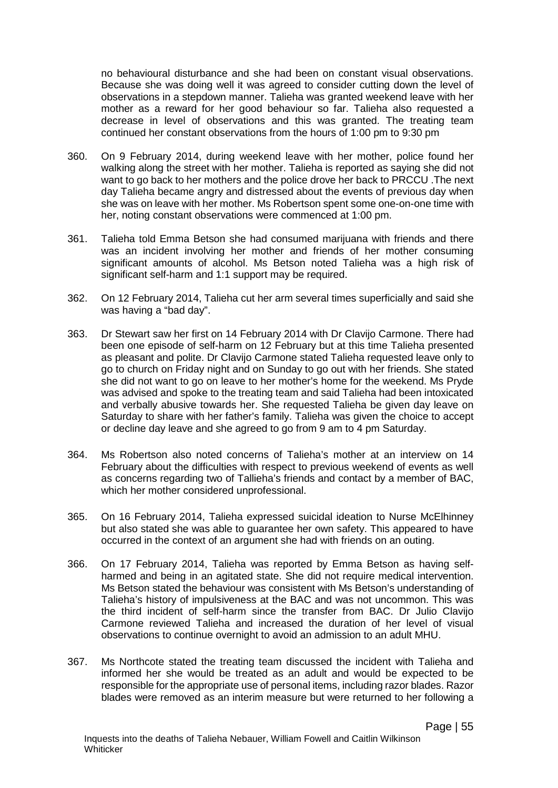no behavioural disturbance and she had been on constant visual observations. Because she was doing well it was agreed to consider cutting down the level of observations in a stepdown manner. Talieha was granted weekend leave with her mother as a reward for her good behaviour so far. Talieha also requested a decrease in level of observations and this was granted. The treating team continued her constant observations from the hours of 1:00 pm to 9:30 pm

- 360. On 9 February 2014, during weekend leave with her mother, police found her walking along the street with her mother. Talieha is reported as saying she did not want to go back to her mothers and the police drove her back to PRCCU .The next day Talieha became angry and distressed about the events of previous day when she was on leave with her mother. Ms Robertson spent some one-on-one time with her, noting constant observations were commenced at 1:00 pm.
- 361. Talieha told Emma Betson she had consumed marijuana with friends and there was an incident involving her mother and friends of her mother consuming significant amounts of alcohol. Ms Betson noted Talieha was a high risk of significant self-harm and 1:1 support may be required.
- 362. On 12 February 2014, Talieha cut her arm several times superficially and said she was having a "bad day".
- 363. Dr Stewart saw her first on 14 February 2014 with Dr Clavijo Carmone. There had been one episode of self-harm on 12 February but at this time Talieha presented as pleasant and polite. Dr Clavijo Carmone stated Talieha requested leave only to go to church on Friday night and on Sunday to go out with her friends. She stated she did not want to go on leave to her mother's home for the weekend. Ms Pryde was advised and spoke to the treating team and said Talieha had been intoxicated and verbally abusive towards her. She requested Talieha be given day leave on Saturday to share with her father's family. Talieha was given the choice to accept or decline day leave and she agreed to go from 9 am to 4 pm Saturday.
- 364. Ms Robertson also noted concerns of Talieha's mother at an interview on 14 February about the difficulties with respect to previous weekend of events as well as concerns regarding two of Tallieha's friends and contact by a member of BAC, which her mother considered unprofessional.
- 365. On 16 February 2014, Talieha expressed suicidal ideation to Nurse McElhinney but also stated she was able to guarantee her own safety. This appeared to have occurred in the context of an argument she had with friends on an outing.
- 366. On 17 February 2014, Talieha was reported by Emma Betson as having selfharmed and being in an agitated state. She did not require medical intervention. Ms Betson stated the behaviour was consistent with Ms Betson's understanding of Talieha's history of impulsiveness at the BAC and was not uncommon. This was the third incident of self-harm since the transfer from BAC. Dr Julio Clavijo Carmone reviewed Talieha and increased the duration of her level of visual observations to continue overnight to avoid an admission to an adult MHU.
- 367. Ms Northcote stated the treating team discussed the incident with Talieha and informed her she would be treated as an adult and would be expected to be responsible for the appropriate use of personal items, including razor blades. Razor blades were removed as an interim measure but were returned to her following a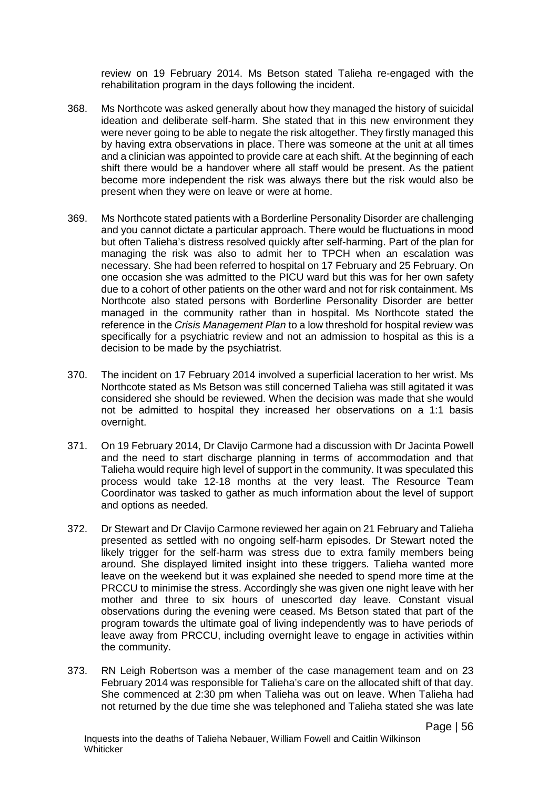review on 19 February 2014. Ms Betson stated Talieha re-engaged with the rehabilitation program in the days following the incident.

- 368. Ms Northcote was asked generally about how they managed the history of suicidal ideation and deliberate self-harm. She stated that in this new environment they were never going to be able to negate the risk altogether. They firstly managed this by having extra observations in place. There was someone at the unit at all times and a clinician was appointed to provide care at each shift. At the beginning of each shift there would be a handover where all staff would be present. As the patient become more independent the risk was always there but the risk would also be present when they were on leave or were at home.
- 369. Ms Northcote stated patients with a Borderline Personality Disorder are challenging and you cannot dictate a particular approach. There would be fluctuations in mood but often Talieha's distress resolved quickly after self-harming. Part of the plan for managing the risk was also to admit her to TPCH when an escalation was necessary. She had been referred to hospital on 17 February and 25 February. On one occasion she was admitted to the PICU ward but this was for her own safety due to a cohort of other patients on the other ward and not for risk containment. Ms Northcote also stated persons with Borderline Personality Disorder are better managed in the community rather than in hospital. Ms Northcote stated the reference in the *Crisis Management Plan* to a low threshold for hospital review was specifically for a psychiatric review and not an admission to hospital as this is a decision to be made by the psychiatrist.
- 370. The incident on 17 February 2014 involved a superficial laceration to her wrist. Ms Northcote stated as Ms Betson was still concerned Talieha was still agitated it was considered she should be reviewed. When the decision was made that she would not be admitted to hospital they increased her observations on a 1:1 basis overnight.
- 371. On 19 February 2014, Dr Clavijo Carmone had a discussion with Dr Jacinta Powell and the need to start discharge planning in terms of accommodation and that Talieha would require high level of support in the community. It was speculated this process would take 12-18 months at the very least. The Resource Team Coordinator was tasked to gather as much information about the level of support and options as needed.
- 372. Dr Stewart and Dr Clavijo Carmone reviewed her again on 21 February and Talieha presented as settled with no ongoing self-harm episodes. Dr Stewart noted the likely trigger for the self-harm was stress due to extra family members being around. She displayed limited insight into these triggers. Talieha wanted more leave on the weekend but it was explained she needed to spend more time at the PRCCU to minimise the stress. Accordingly she was given one night leave with her mother and three to six hours of unescorted day leave. Constant visual observations during the evening were ceased. Ms Betson stated that part of the program towards the ultimate goal of living independently was to have periods of leave away from PRCCU, including overnight leave to engage in activities within the community.
- 373. RN Leigh Robertson was a member of the case management team and on 23 February 2014 was responsible for Talieha's care on the allocated shift of that day. She commenced at 2:30 pm when Talieha was out on leave. When Talieha had not returned by the due time she was telephoned and Talieha stated she was late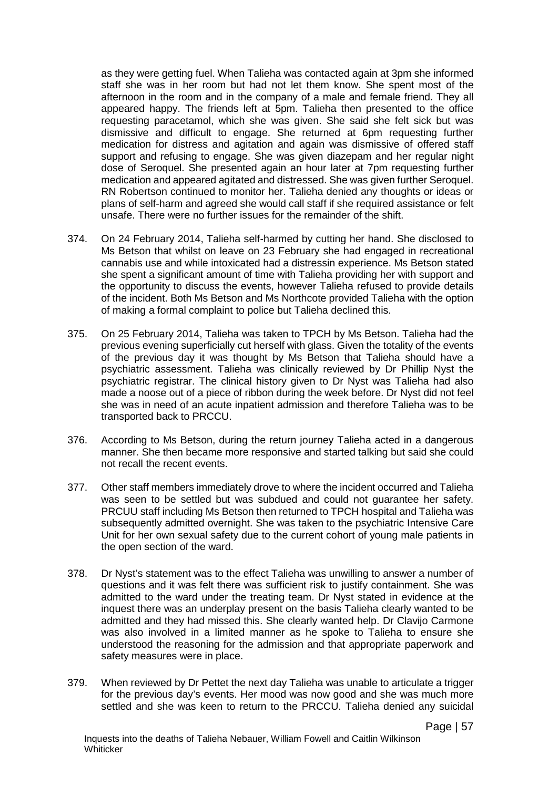as they were getting fuel. When Talieha was contacted again at 3pm she informed staff she was in her room but had not let them know. She spent most of the afternoon in the room and in the company of a male and female friend. They all appeared happy. The friends left at 5pm. Talieha then presented to the office requesting paracetamol, which she was given. She said she felt sick but was dismissive and difficult to engage. She returned at 6pm requesting further medication for distress and agitation and again was dismissive of offered staff support and refusing to engage. She was given diazepam and her regular night dose of Seroquel. She presented again an hour later at 7pm requesting further medication and appeared agitated and distressed. She was given further Seroquel. RN Robertson continued to monitor her. Talieha denied any thoughts or ideas or plans of self-harm and agreed she would call staff if she required assistance or felt unsafe. There were no further issues for the remainder of the shift.

- 374. On 24 February 2014, Talieha self-harmed by cutting her hand. She disclosed to Ms Betson that whilst on leave on 23 February she had engaged in recreational cannabis use and while intoxicated had a distressin experience. Ms Betson stated she spent a significant amount of time with Talieha providing her with support and the opportunity to discuss the events, however Talieha refused to provide details of the incident. Both Ms Betson and Ms Northcote provided Talieha with the option of making a formal complaint to police but Talieha declined this.
- 375. On 25 February 2014, Talieha was taken to TPCH by Ms Betson. Talieha had the previous evening superficially cut herself with glass. Given the totality of the events of the previous day it was thought by Ms Betson that Talieha should have a psychiatric assessment. Talieha was clinically reviewed by Dr Phillip Nyst the psychiatric registrar. The clinical history given to Dr Nyst was Talieha had also made a noose out of a piece of ribbon during the week before. Dr Nyst did not feel she was in need of an acute inpatient admission and therefore Talieha was to be transported back to PRCCU.
- 376. According to Ms Betson, during the return journey Talieha acted in a dangerous manner. She then became more responsive and started talking but said she could not recall the recent events.
- 377. Other staff members immediately drove to where the incident occurred and Talieha was seen to be settled but was subdued and could not guarantee her safety. PRCUU staff including Ms Betson then returned to TPCH hospital and Talieha was subsequently admitted overnight. She was taken to the psychiatric Intensive Care Unit for her own sexual safety due to the current cohort of young male patients in the open section of the ward.
- 378. Dr Nyst's statement was to the effect Talieha was unwilling to answer a number of questions and it was felt there was sufficient risk to justify containment. She was admitted to the ward under the treating team. Dr Nyst stated in evidence at the inquest there was an underplay present on the basis Talieha clearly wanted to be admitted and they had missed this. She clearly wanted help. Dr Clavijo Carmone was also involved in a limited manner as he spoke to Talieha to ensure she understood the reasoning for the admission and that appropriate paperwork and safety measures were in place.
- 379. When reviewed by Dr Pettet the next day Talieha was unable to articulate a trigger for the previous day's events. Her mood was now good and she was much more settled and she was keen to return to the PRCCU. Talieha denied any suicidal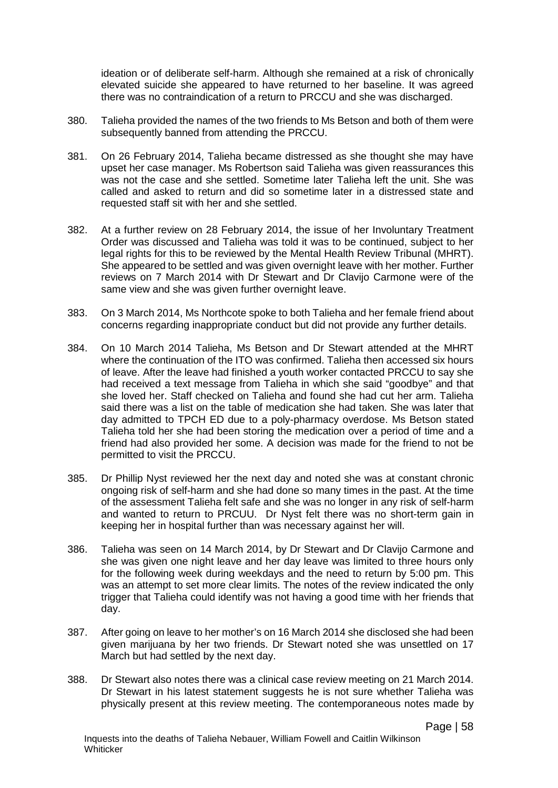ideation or of deliberate self-harm. Although she remained at a risk of chronically elevated suicide she appeared to have returned to her baseline. It was agreed there was no contraindication of a return to PRCCU and she was discharged.

- 380. Talieha provided the names of the two friends to Ms Betson and both of them were subsequently banned from attending the PRCCU.
- 381. On 26 February 2014, Talieha became distressed as she thought she may have upset her case manager. Ms Robertson said Talieha was given reassurances this was not the case and she settled. Sometime later Talieha left the unit. She was called and asked to return and did so sometime later in a distressed state and requested staff sit with her and she settled.
- 382. At a further review on 28 February 2014, the issue of her Involuntary Treatment Order was discussed and Talieha was told it was to be continued, subject to her legal rights for this to be reviewed by the Mental Health Review Tribunal (MHRT). She appeared to be settled and was given overnight leave with her mother. Further reviews on 7 March 2014 with Dr Stewart and Dr Clavijo Carmone were of the same view and she was given further overnight leave.
- 383. On 3 March 2014, Ms Northcote spoke to both Talieha and her female friend about concerns regarding inappropriate conduct but did not provide any further details.
- 384. On 10 March 2014 Talieha, Ms Betson and Dr Stewart attended at the MHRT where the continuation of the ITO was confirmed. Talieha then accessed six hours of leave. After the leave had finished a youth worker contacted PRCCU to say she had received a text message from Talieha in which she said "goodbye" and that she loved her. Staff checked on Talieha and found she had cut her arm. Talieha said there was a list on the table of medication she had taken. She was later that day admitted to TPCH ED due to a poly-pharmacy overdose. Ms Betson stated Talieha told her she had been storing the medication over a period of time and a friend had also provided her some. A decision was made for the friend to not be permitted to visit the PRCCU.
- 385. Dr Phillip Nyst reviewed her the next day and noted she was at constant chronic ongoing risk of self-harm and she had done so many times in the past. At the time of the assessment Talieha felt safe and she was no longer in any risk of self-harm and wanted to return to PRCUU. Dr Nyst felt there was no short-term gain in keeping her in hospital further than was necessary against her will.
- 386. Talieha was seen on 14 March 2014, by Dr Stewart and Dr Clavijo Carmone and she was given one night leave and her day leave was limited to three hours only for the following week during weekdays and the need to return by 5:00 pm. This was an attempt to set more clear limits. The notes of the review indicated the only trigger that Talieha could identify was not having a good time with her friends that day.
- 387. After going on leave to her mother's on 16 March 2014 she disclosed she had been given marijuana by her two friends. Dr Stewart noted she was unsettled on 17 March but had settled by the next day.
- 388. Dr Stewart also notes there was a clinical case review meeting on 21 March 2014. Dr Stewart in his latest statement suggests he is not sure whether Talieha was physically present at this review meeting. The contemporaneous notes made by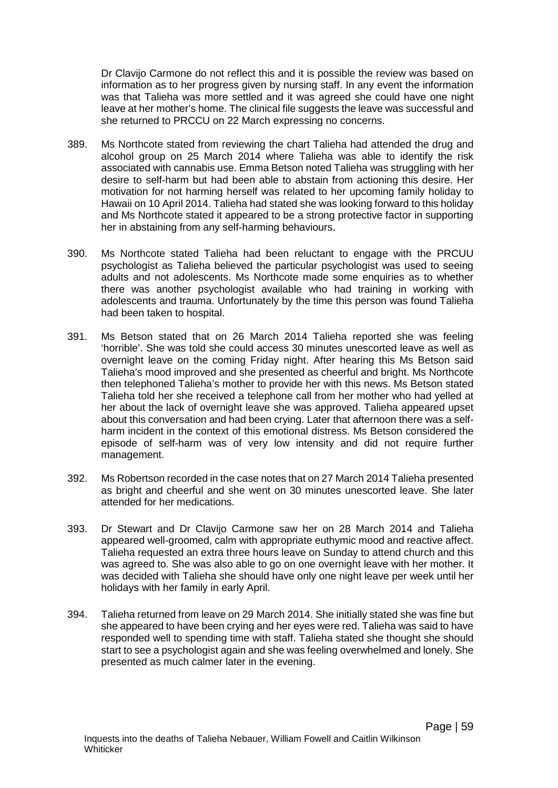Dr Clavijo Carmone do not reflect this and it is possible the review was based on information as to her progress given by nursing staff. In any event the information was that Talieha was more settled and it was agreed she could have one night leave at her mother's home. The clinical file suggests the leave was successful and she returned to PRCCU on 22 March expressing no concerns.

- 389. Ms Northcote stated from reviewing the chart Talieha had attended the drug and alcohol group on 25 March 2014 where Talieha was able to identify the risk associated with cannabis use. Emma Betson noted Talieha was struggling with her desire to self-harm but had been able to abstain from actioning this desire. Her motivation for not harming herself was related to her upcoming family holiday to Hawaii on 10 April 2014. Talieha had stated she was looking forward to this holiday and Ms Northcote stated it appeared to be a strong protective factor in supporting her in abstaining from any self-harming behaviours.
- 390. Ms Northcote stated Talieha had been reluctant to engage with the PRCUU psychologist as Talieha believed the particular psychologist was used to seeing adults and not adolescents. Ms Northcote made some enquiries as to whether there was another psychologist available who had training in working with adolescents and trauma. Unfortunately by the time this person was found Talieha had been taken to hospital.
- 391. Ms Betson stated that on 26 March 2014 Talieha reported she was feeling 'horrible'. She was told she could access 30 minutes unescorted leave as well as overnight leave on the coming Friday night. After hearing this Ms Betson said Talieha's mood improved and she presented as cheerful and bright. Ms Northcote then telephoned Talieha's mother to provide her with this news. Ms Betson stated Talieha told her she received a telephone call from her mother who had yelled at her about the lack of overnight leave she was approved. Talieha appeared upset about this conversation and had been crying. Later that afternoon there was a selfharm incident in the context of this emotional distress. Ms Betson considered the episode of self-harm was of very low intensity and did not require further management.
- 392. Ms Robertson recorded in the case notes that on 27 March 2014 Talieha presented as bright and cheerful and she went on 30 minutes unescorted leave. She later attended for her medications.
- 393. Dr Stewart and Dr Clavijo Carmone saw her on 28 March 2014 and Talieha appeared well-groomed, calm with appropriate euthymic mood and reactive affect. Talieha requested an extra three hours leave on Sunday to attend church and this was agreed to. She was also able to go on one overnight leave with her mother. It was decided with Talieha she should have only one night leave per week until her holidays with her family in early April.
- 394. Talieha returned from leave on 29 March 2014. She initially stated she was fine but she appeared to have been crying and her eyes were red. Talieha was said to have responded well to spending time with staff. Talieha stated she thought she should start to see a psychologist again and she was feeling overwhelmed and lonely. She presented as much calmer later in the evening.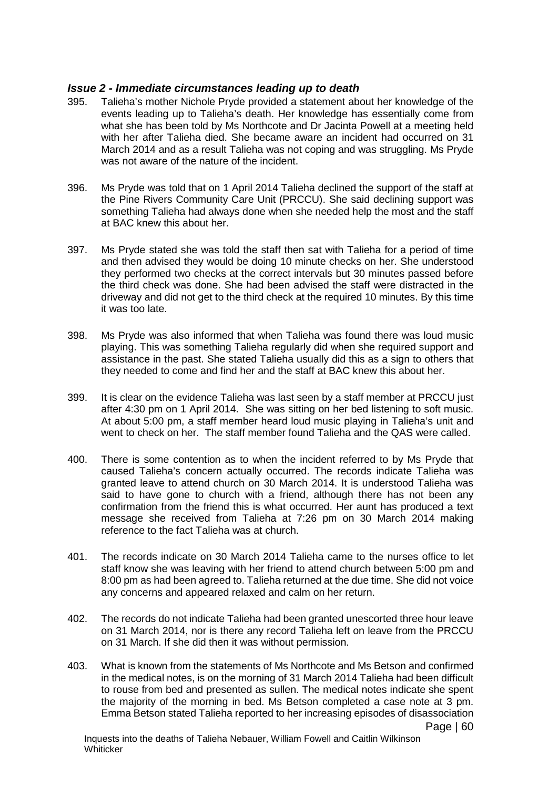## *Issue 2 - Immediate circumstances leading up to death*

- 395. Talieha's mother Nichole Pryde provided a statement about her knowledge of the events leading up to Talieha's death. Her knowledge has essentially come from what she has been told by Ms Northcote and Dr Jacinta Powell at a meeting held with her after Talieha died. She became aware an incident had occurred on 31 March 2014 and as a result Talieha was not coping and was struggling. Ms Pryde was not aware of the nature of the incident.
- 396. Ms Pryde was told that on 1 April 2014 Talieha declined the support of the staff at the Pine Rivers Community Care Unit (PRCCU). She said declining support was something Talieha had always done when she needed help the most and the staff at BAC knew this about her.
- 397. Ms Pryde stated she was told the staff then sat with Talieha for a period of time and then advised they would be doing 10 minute checks on her. She understood they performed two checks at the correct intervals but 30 minutes passed before the third check was done. She had been advised the staff were distracted in the driveway and did not get to the third check at the required 10 minutes. By this time it was too late.
- 398. Ms Pryde was also informed that when Talieha was found there was loud music playing. This was something Talieha regularly did when she required support and assistance in the past. She stated Talieha usually did this as a sign to others that they needed to come and find her and the staff at BAC knew this about her.
- 399. It is clear on the evidence Talieha was last seen by a staff member at PRCCU just after 4:30 pm on 1 April 2014. She was sitting on her bed listening to soft music. At about 5:00 pm, a staff member heard loud music playing in Talieha's unit and went to check on her. The staff member found Talieha and the QAS were called.
- 400. There is some contention as to when the incident referred to by Ms Pryde that caused Talieha's concern actually occurred. The records indicate Talieha was granted leave to attend church on 30 March 2014. It is understood Talieha was said to have gone to church with a friend, although there has not been any confirmation from the friend this is what occurred. Her aunt has produced a text message she received from Talieha at 7:26 pm on 30 March 2014 making reference to the fact Talieha was at church.
- 401. The records indicate on 30 March 2014 Talieha came to the nurses office to let staff know she was leaving with her friend to attend church between 5:00 pm and 8:00 pm as had been agreed to. Talieha returned at the due time. She did not voice any concerns and appeared relaxed and calm on her return.
- 402. The records do not indicate Talieha had been granted unescorted three hour leave on 31 March 2014, nor is there any record Talieha left on leave from the PRCCU on 31 March. If she did then it was without permission.
- 403. What is known from the statements of Ms Northcote and Ms Betson and confirmed in the medical notes, is on the morning of 31 March 2014 Talieha had been difficult to rouse from bed and presented as sullen. The medical notes indicate she spent the majority of the morning in bed. Ms Betson completed a case note at 3 pm. Emma Betson stated Talieha reported to her increasing episodes of disassociation Page | 60

Inquests into the deaths of Talieha Nebauer, William Fowell and Caitlin Wilkinson **Whiticker**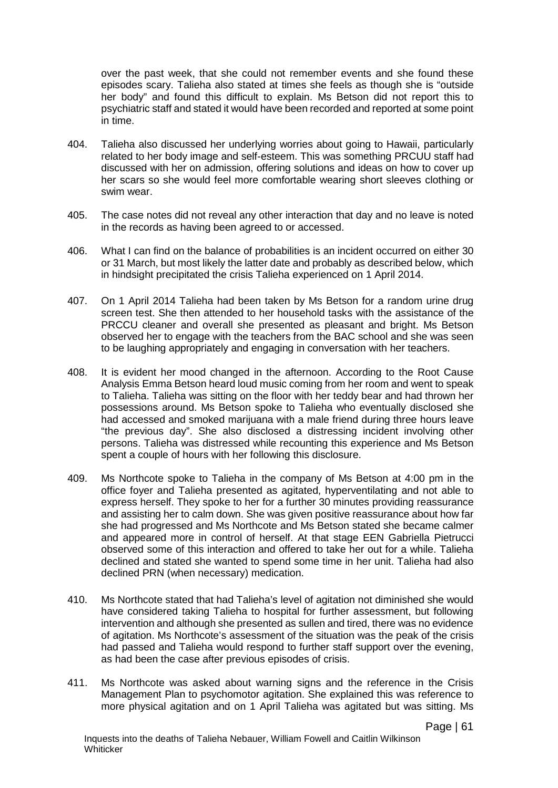over the past week, that she could not remember events and she found these episodes scary. Talieha also stated at times she feels as though she is "outside her body" and found this difficult to explain. Ms Betson did not report this to psychiatric staff and stated it would have been recorded and reported at some point in time.

- 404. Talieha also discussed her underlying worries about going to Hawaii, particularly related to her body image and self-esteem. This was something PRCUU staff had discussed with her on admission, offering solutions and ideas on how to cover up her scars so she would feel more comfortable wearing short sleeves clothing or swim wear.
- 405. The case notes did not reveal any other interaction that day and no leave is noted in the records as having been agreed to or accessed.
- 406. What I can find on the balance of probabilities is an incident occurred on either 30 or 31 March, but most likely the latter date and probably as described below, which in hindsight precipitated the crisis Talieha experienced on 1 April 2014.
- 407. On 1 April 2014 Talieha had been taken by Ms Betson for a random urine drug screen test. She then attended to her household tasks with the assistance of the PRCCU cleaner and overall she presented as pleasant and bright. Ms Betson observed her to engage with the teachers from the BAC school and she was seen to be laughing appropriately and engaging in conversation with her teachers.
- 408. It is evident her mood changed in the afternoon. According to the Root Cause Analysis Emma Betson heard loud music coming from her room and went to speak to Talieha. Talieha was sitting on the floor with her teddy bear and had thrown her possessions around. Ms Betson spoke to Talieha who eventually disclosed she had accessed and smoked marijuana with a male friend during three hours leave "the previous day". She also disclosed a distressing incident involving other persons. Talieha was distressed while recounting this experience and Ms Betson spent a couple of hours with her following this disclosure.
- 409. Ms Northcote spoke to Talieha in the company of Ms Betson at 4:00 pm in the office foyer and Talieha presented as agitated, hyperventilating and not able to express herself. They spoke to her for a further 30 minutes providing reassurance and assisting her to calm down. She was given positive reassurance about how far she had progressed and Ms Northcote and Ms Betson stated she became calmer and appeared more in control of herself. At that stage EEN Gabriella Pietrucci observed some of this interaction and offered to take her out for a while. Talieha declined and stated she wanted to spend some time in her unit. Talieha had also declined PRN (when necessary) medication.
- 410. Ms Northcote stated that had Talieha's level of agitation not diminished she would have considered taking Talieha to hospital for further assessment, but following intervention and although she presented as sullen and tired, there was no evidence of agitation. Ms Northcote's assessment of the situation was the peak of the crisis had passed and Talieha would respond to further staff support over the evening, as had been the case after previous episodes of crisis.
- 411. Ms Northcote was asked about warning signs and the reference in the Crisis Management Plan to psychomotor agitation. She explained this was reference to more physical agitation and on 1 April Talieha was agitated but was sitting. Ms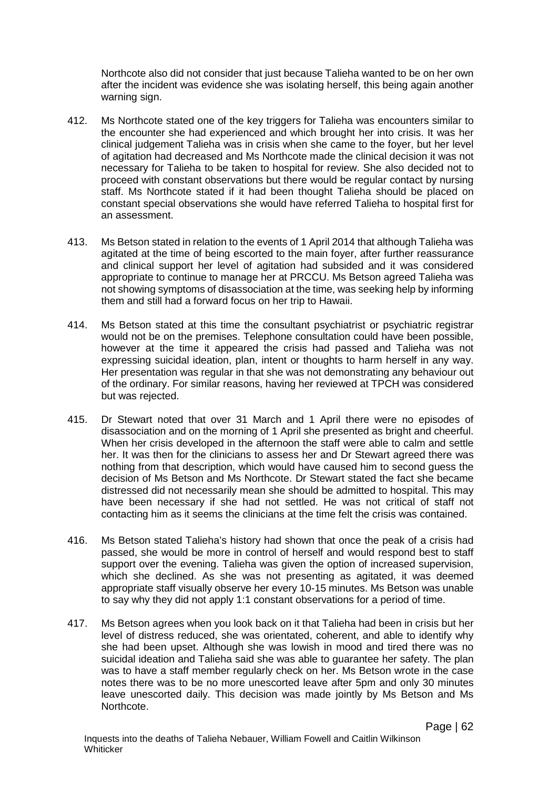Northcote also did not consider that just because Talieha wanted to be on her own after the incident was evidence she was isolating herself, this being again another warning sign.

- 412. Ms Northcote stated one of the key triggers for Talieha was encounters similar to the encounter she had experienced and which brought her into crisis. It was her clinical judgement Talieha was in crisis when she came to the foyer, but her level of agitation had decreased and Ms Northcote made the clinical decision it was not necessary for Talieha to be taken to hospital for review. She also decided not to proceed with constant observations but there would be regular contact by nursing staff. Ms Northcote stated if it had been thought Talieha should be placed on constant special observations she would have referred Talieha to hospital first for an assessment.
- 413. Ms Betson stated in relation to the events of 1 April 2014 that although Talieha was agitated at the time of being escorted to the main foyer, after further reassurance and clinical support her level of agitation had subsided and it was considered appropriate to continue to manage her at PRCCU. Ms Betson agreed Talieha was not showing symptoms of disassociation at the time, was seeking help by informing them and still had a forward focus on her trip to Hawaii.
- 414. Ms Betson stated at this time the consultant psychiatrist or psychiatric registrar would not be on the premises. Telephone consultation could have been possible, however at the time it appeared the crisis had passed and Talieha was not expressing suicidal ideation, plan, intent or thoughts to harm herself in any way. Her presentation was regular in that she was not demonstrating any behaviour out of the ordinary. For similar reasons, having her reviewed at TPCH was considered but was rejected.
- 415. Dr Stewart noted that over 31 March and 1 April there were no episodes of disassociation and on the morning of 1 April she presented as bright and cheerful. When her crisis developed in the afternoon the staff were able to calm and settle her. It was then for the clinicians to assess her and Dr Stewart agreed there was nothing from that description, which would have caused him to second guess the decision of Ms Betson and Ms Northcote. Dr Stewart stated the fact she became distressed did not necessarily mean she should be admitted to hospital. This may have been necessary if she had not settled. He was not critical of staff not contacting him as it seems the clinicians at the time felt the crisis was contained.
- 416. Ms Betson stated Talieha's history had shown that once the peak of a crisis had passed, she would be more in control of herself and would respond best to staff support over the evening. Talieha was given the option of increased supervision, which she declined. As she was not presenting as agitated, it was deemed appropriate staff visually observe her every 10-15 minutes. Ms Betson was unable to say why they did not apply 1:1 constant observations for a period of time.
- 417. Ms Betson agrees when you look back on it that Talieha had been in crisis but her level of distress reduced, she was orientated, coherent, and able to identify why she had been upset. Although she was lowish in mood and tired there was no suicidal ideation and Talieha said she was able to guarantee her safety. The plan was to have a staff member regularly check on her. Ms Betson wrote in the case notes there was to be no more unescorted leave after 5pm and only 30 minutes leave unescorted daily. This decision was made jointly by Ms Betson and Ms Northcote.

Page | 62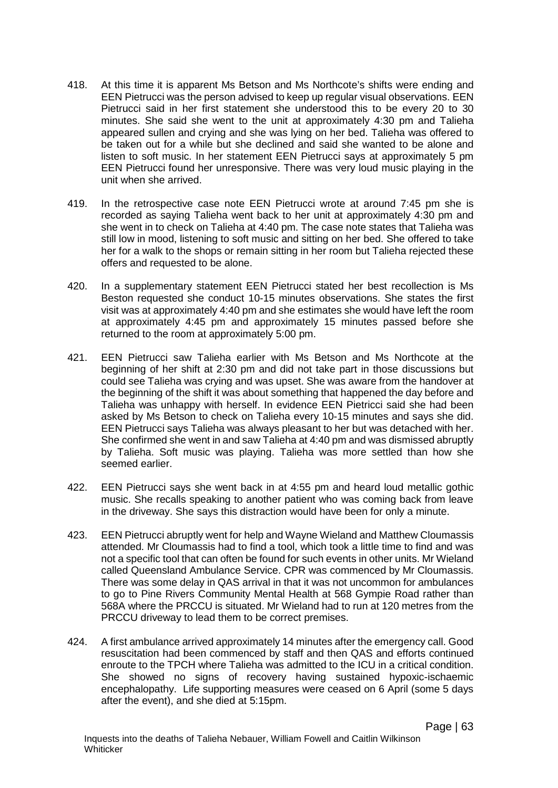- 418. At this time it is apparent Ms Betson and Ms Northcote's shifts were ending and EEN Pietrucci was the person advised to keep up regular visual observations. EEN Pietrucci said in her first statement she understood this to be every 20 to 30 minutes. She said she went to the unit at approximately 4:30 pm and Talieha appeared sullen and crying and she was lying on her bed. Talieha was offered to be taken out for a while but she declined and said she wanted to be alone and listen to soft music. In her statement EEN Pietrucci says at approximately 5 pm EEN Pietrucci found her unresponsive. There was very loud music playing in the unit when she arrived.
- 419. In the retrospective case note EEN Pietrucci wrote at around 7:45 pm she is recorded as saying Talieha went back to her unit at approximately 4:30 pm and she went in to check on Talieha at 4:40 pm. The case note states that Talieha was still low in mood, listening to soft music and sitting on her bed. She offered to take her for a walk to the shops or remain sitting in her room but Talieha rejected these offers and requested to be alone.
- 420. In a supplementary statement EEN Pietrucci stated her best recollection is Ms Beston requested she conduct 10-15 minutes observations. She states the first visit was at approximately 4:40 pm and she estimates she would have left the room at approximately 4:45 pm and approximately 15 minutes passed before she returned to the room at approximately 5:00 pm.
- 421. EEN Pietrucci saw Talieha earlier with Ms Betson and Ms Northcote at the beginning of her shift at 2:30 pm and did not take part in those discussions but could see Talieha was crying and was upset. She was aware from the handover at the beginning of the shift it was about something that happened the day before and Talieha was unhappy with herself. In evidence EEN Pietricci said she had been asked by Ms Betson to check on Talieha every 10-15 minutes and says she did. EEN Pietrucci says Talieha was always pleasant to her but was detached with her. She confirmed she went in and saw Talieha at 4:40 pm and was dismissed abruptly by Talieha. Soft music was playing. Talieha was more settled than how she seemed earlier.
- 422. EEN Pietrucci says she went back in at 4:55 pm and heard loud metallic gothic music. She recalls speaking to another patient who was coming back from leave in the driveway. She says this distraction would have been for only a minute.
- 423. EEN Pietrucci abruptly went for help and Wayne Wieland and Matthew Cloumassis attended. Mr Cloumassis had to find a tool, which took a little time to find and was not a specific tool that can often be found for such events in other units. Mr Wieland called Queensland Ambulance Service. CPR was commenced by Mr Cloumassis. There was some delay in QAS arrival in that it was not uncommon for ambulances to go to Pine Rivers Community Mental Health at 568 Gympie Road rather than 568A where the PRCCU is situated. Mr Wieland had to run at 120 metres from the PRCCU driveway to lead them to be correct premises.
- 424. A first ambulance arrived approximately 14 minutes after the emergency call. Good resuscitation had been commenced by staff and then QAS and efforts continued enroute to the TPCH where Talieha was admitted to the ICU in a critical condition. She showed no signs of recovery having sustained hypoxic-ischaemic encephalopathy. Life supporting measures were ceased on 6 April (some 5 days after the event), and she died at 5:15pm.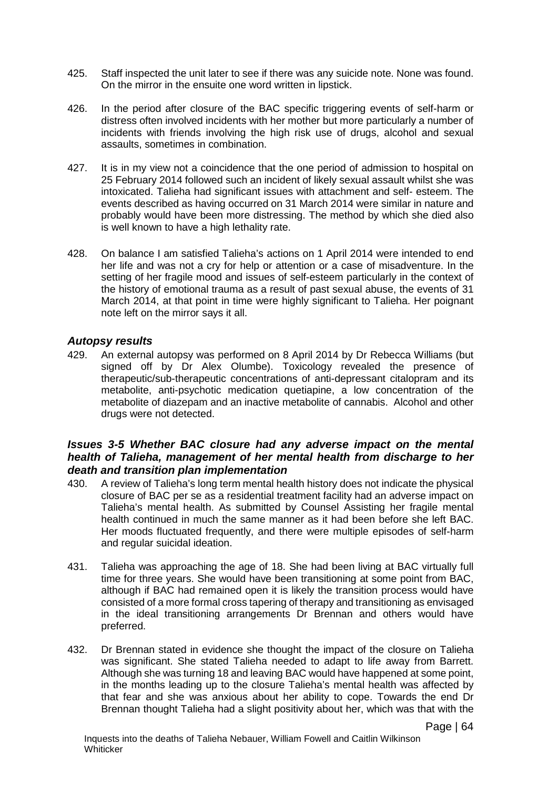- 425. Staff inspected the unit later to see if there was any suicide note. None was found. On the mirror in the ensuite one word written in lipstick.
- 426. In the period after closure of the BAC specific triggering events of self-harm or distress often involved incidents with her mother but more particularly a number of incidents with friends involving the high risk use of drugs, alcohol and sexual assaults, sometimes in combination.
- 427. It is in my view not a coincidence that the one period of admission to hospital on 25 February 2014 followed such an incident of likely sexual assault whilst she was intoxicated. Talieha had significant issues with attachment and self- esteem. The events described as having occurred on 31 March 2014 were similar in nature and probably would have been more distressing. The method by which she died also is well known to have a high lethality rate.
- 428. On balance I am satisfied Talieha's actions on 1 April 2014 were intended to end her life and was not a cry for help or attention or a case of misadventure. In the setting of her fragile mood and issues of self-esteem particularly in the context of the history of emotional trauma as a result of past sexual abuse, the events of 31 March 2014, at that point in time were highly significant to Talieha. Her poignant note left on the mirror says it all.

## *Autopsy results*

429. An external autopsy was performed on 8 April 2014 by Dr Rebecca Williams (but signed off by Dr Alex Olumbe). Toxicology revealed the presence of therapeutic/sub-therapeutic concentrations of anti-depressant citalopram and its metabolite, anti-psychotic medication quetiapine, a low concentration of the metabolite of diazepam and an inactive metabolite of cannabis. Alcohol and other drugs were not detected.

### *Issues 3-5 Whether BAC closure had any adverse impact on the mental*  health of Talieha, management of her mental health from discharge to her *death and transition plan implementation*

- 430. A review of Talieha's long term mental health history does not indicate the physical closure of BAC per se as a residential treatment facility had an adverse impact on Talieha's mental health. As submitted by Counsel Assisting her fragile mental health continued in much the same manner as it had been before she left BAC. Her moods fluctuated frequently, and there were multiple episodes of self-harm and regular suicidal ideation.
- 431. Talieha was approaching the age of 18. She had been living at BAC virtually full time for three years. She would have been transitioning at some point from BAC, although if BAC had remained open it is likely the transition process would have consisted of a more formal cross tapering of therapy and transitioning as envisaged in the ideal transitioning arrangements Dr Brennan and others would have preferred.
- 432. Dr Brennan stated in evidence she thought the impact of the closure on Talieha was significant. She stated Talieha needed to adapt to life away from Barrett. Although she was turning 18 and leaving BAC would have happened at some point, in the months leading up to the closure Talieha's mental health was affected by that fear and she was anxious about her ability to cope. Towards the end Dr Brennan thought Talieha had a slight positivity about her, which was that with the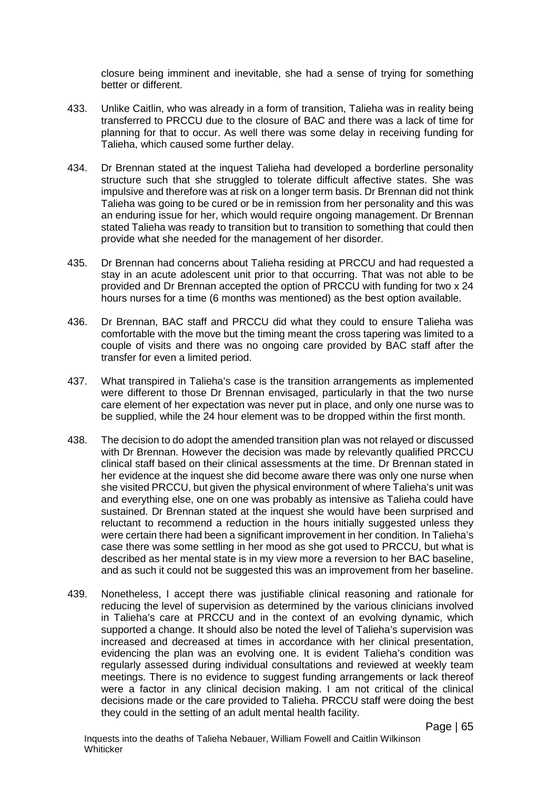closure being imminent and inevitable, she had a sense of trying for something better or different.

- 433. Unlike Caitlin, who was already in a form of transition, Talieha was in reality being transferred to PRCCU due to the closure of BAC and there was a lack of time for planning for that to occur. As well there was some delay in receiving funding for Talieha, which caused some further delay.
- 434. Dr Brennan stated at the inquest Talieha had developed a borderline personality structure such that she struggled to tolerate difficult affective states. She was impulsive and therefore was at risk on a longer term basis. Dr Brennan did not think Talieha was going to be cured or be in remission from her personality and this was an enduring issue for her, which would require ongoing management. Dr Brennan stated Talieha was ready to transition but to transition to something that could then provide what she needed for the management of her disorder.
- 435. Dr Brennan had concerns about Talieha residing at PRCCU and had requested a stay in an acute adolescent unit prior to that occurring. That was not able to be provided and Dr Brennan accepted the option of PRCCU with funding for two x 24 hours nurses for a time (6 months was mentioned) as the best option available.
- 436. Dr Brennan, BAC staff and PRCCU did what they could to ensure Talieha was comfortable with the move but the timing meant the cross tapering was limited to a couple of visits and there was no ongoing care provided by BAC staff after the transfer for even a limited period.
- 437. What transpired in Talieha's case is the transition arrangements as implemented were different to those Dr Brennan envisaged, particularly in that the two nurse care element of her expectation was never put in place, and only one nurse was to be supplied, while the 24 hour element was to be dropped within the first month.
- 438. The decision to do adopt the amended transition plan was not relayed or discussed with Dr Brennan. However the decision was made by relevantly qualified PRCCU clinical staff based on their clinical assessments at the time. Dr Brennan stated in her evidence at the inquest she did become aware there was only one nurse when she visited PRCCU, but given the physical environment of where Talieha's unit was and everything else, one on one was probably as intensive as Talieha could have sustained. Dr Brennan stated at the inquest she would have been surprised and reluctant to recommend a reduction in the hours initially suggested unless they were certain there had been a significant improvement in her condition. In Talieha's case there was some settling in her mood as she got used to PRCCU, but what is described as her mental state is in my view more a reversion to her BAC baseline, and as such it could not be suggested this was an improvement from her baseline.
- 439. Nonetheless, I accept there was justifiable clinical reasoning and rationale for reducing the level of supervision as determined by the various clinicians involved in Talieha's care at PRCCU and in the context of an evolving dynamic, which supported a change. It should also be noted the level of Talieha's supervision was increased and decreased at times in accordance with her clinical presentation, evidencing the plan was an evolving one. It is evident Talieha's condition was regularly assessed during individual consultations and reviewed at weekly team meetings. There is no evidence to suggest funding arrangements or lack thereof were a factor in any clinical decision making. I am not critical of the clinical decisions made or the care provided to Talieha. PRCCU staff were doing the best they could in the setting of an adult mental health facility.

Page | 65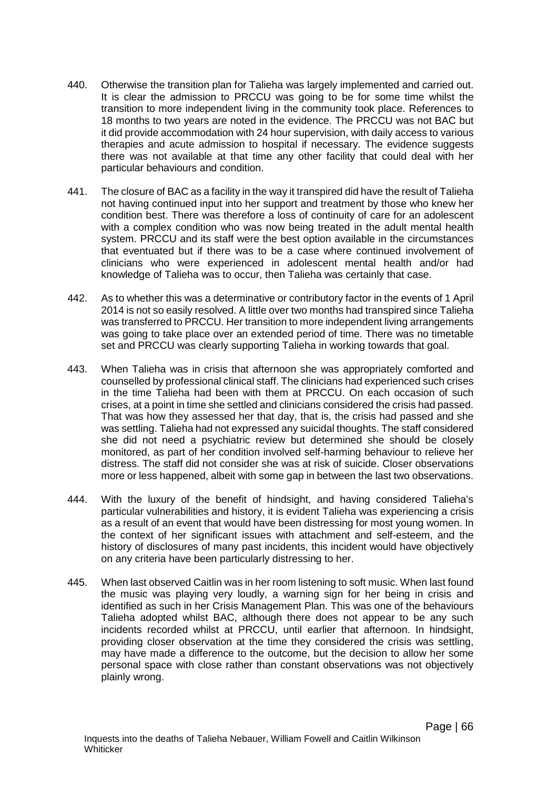- 440. Otherwise the transition plan for Talieha was largely implemented and carried out. It is clear the admission to PRCCU was going to be for some time whilst the transition to more independent living in the community took place. References to 18 months to two years are noted in the evidence. The PRCCU was not BAC but it did provide accommodation with 24 hour supervision, with daily access to various therapies and acute admission to hospital if necessary. The evidence suggests there was not available at that time any other facility that could deal with her particular behaviours and condition.
- 441. The closure of BAC as a facility in the way it transpired did have the result of Talieha not having continued input into her support and treatment by those who knew her condition best. There was therefore a loss of continuity of care for an adolescent with a complex condition who was now being treated in the adult mental health system. PRCCU and its staff were the best option available in the circumstances that eventuated but if there was to be a case where continued involvement of clinicians who were experienced in adolescent mental health and/or had knowledge of Talieha was to occur, then Talieha was certainly that case.
- 442. As to whether this was a determinative or contributory factor in the events of 1 April 2014 is not so easily resolved. A little over two months had transpired since Talieha was transferred to PRCCU. Her transition to more independent living arrangements was going to take place over an extended period of time. There was no timetable set and PRCCU was clearly supporting Talieha in working towards that goal.
- 443. When Talieha was in crisis that afternoon she was appropriately comforted and counselled by professional clinical staff. The clinicians had experienced such crises in the time Talieha had been with them at PRCCU. On each occasion of such crises, at a point in time she settled and clinicians considered the crisis had passed. That was how they assessed her that day, that is, the crisis had passed and she was settling. Talieha had not expressed any suicidal thoughts. The staff considered she did not need a psychiatric review but determined she should be closely monitored, as part of her condition involved self-harming behaviour to relieve her distress. The staff did not consider she was at risk of suicide. Closer observations more or less happened, albeit with some gap in between the last two observations.
- 444. With the luxury of the benefit of hindsight, and having considered Talieha's particular vulnerabilities and history, it is evident Talieha was experiencing a crisis as a result of an event that would have been distressing for most young women. In the context of her significant issues with attachment and self-esteem, and the history of disclosures of many past incidents, this incident would have objectively on any criteria have been particularly distressing to her.
- 445. When last observed Caitlin was in her room listening to soft music. When last found the music was playing very loudly, a warning sign for her being in crisis and identified as such in her Crisis Management Plan. This was one of the behaviours Talieha adopted whilst BAC, although there does not appear to be any such incidents recorded whilst at PRCCU, until earlier that afternoon. In hindsight, providing closer observation at the time they considered the crisis was settling, may have made a difference to the outcome, but the decision to allow her some personal space with close rather than constant observations was not objectively plainly wrong.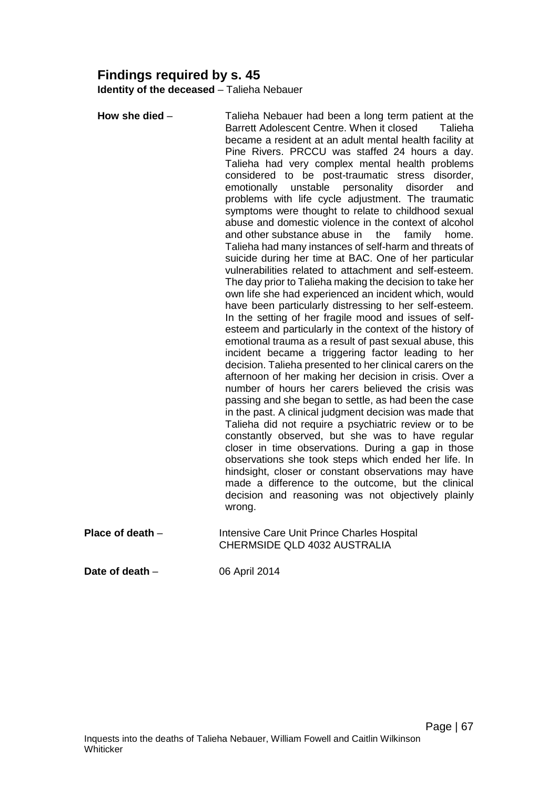# **Findings required by s. 45**

**Identity of the deceased** – Talieha Nebauer

**How she died** – Talieha Nebauer had been a long term patient at the Barrett Adolescent Centre. When it closed Talieha became a resident at an adult mental health facility at Pine Rivers. PRCCU was staffed 24 hours a day. Talieha had very complex mental health problems considered to be post-traumatic stress disorder, emotionally unstable personality disorder and problems with life cycle adjustment. The traumatic symptoms were thought to relate to childhood sexual abuse and domestic violence in the context of alcohol and other substance abuse in the family home. Talieha had many instances of self-harm and threats of suicide during her time at BAC. One of her particular vulnerabilities related to attachment and self-esteem. The day prior to Talieha making the decision to take her own life she had experienced an incident which, would have been particularly distressing to her self-esteem. In the setting of her fragile mood and issues of selfesteem and particularly in the context of the history of emotional trauma as a result of past sexual abuse, this incident became a triggering factor leading to her decision. Talieha presented to her clinical carers on the afternoon of her making her decision in crisis. Over a number of hours her carers believed the crisis was passing and she began to settle, as had been the case in the past. A clinical judgment decision was made that Talieha did not require a psychiatric review or to be constantly observed, but she was to have regular closer in time observations. During a gap in those observations she took steps which ended her life. In hindsight, closer or constant observations may have made a difference to the outcome, but the clinical decision and reasoning was not objectively plainly wrong. **Place of death** – Intensive Care Unit Prince Charles Hospital CHERMSIDE QLD 4032 AUSTRALIA **Date of death** – 06 April 2014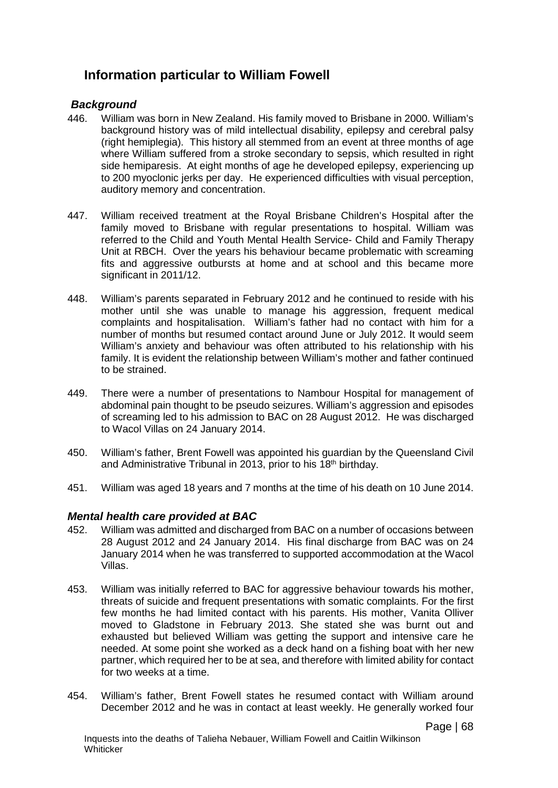# **Information particular to William Fowell**

## *Background*

- 446. William was born in New Zealand. His family moved to Brisbane in 2000. William's background history was of mild intellectual disability, epilepsy and cerebral palsy (right hemiplegia). This history all stemmed from an event at three months of age where William suffered from a stroke secondary to sepsis, which resulted in right side hemiparesis. At eight months of age he developed epilepsy, experiencing up to 200 myoclonic jerks per day. He experienced difficulties with visual perception, auditory memory and concentration.
- 447. William received treatment at the Royal Brisbane Children's Hospital after the family moved to Brisbane with regular presentations to hospital. William was referred to the Child and Youth Mental Health Service- Child and Family Therapy Unit at RBCH. Over the years his behaviour became problematic with screaming fits and aggressive outbursts at home and at school and this became more significant in 2011/12.
- 448. William's parents separated in February 2012 and he continued to reside with his mother until she was unable to manage his aggression, frequent medical complaints and hospitalisation. William's father had no contact with him for a number of months but resumed contact around June or July 2012. It would seem William's anxiety and behaviour was often attributed to his relationship with his family. It is evident the relationship between William's mother and father continued to be strained.
- 449. There were a number of presentations to Nambour Hospital for management of abdominal pain thought to be pseudo seizures. William's aggression and episodes of screaming led to his admission to BAC on 28 August 2012. He was discharged to Wacol Villas on 24 January 2014.
- 450. William's father, Brent Fowell was appointed his guardian by the Queensland Civil and Administrative Tribunal in 2013, prior to his 18<sup>th</sup> birthday.
- 451. William was aged 18 years and 7 months at the time of his death on 10 June 2014.

### *Mental health care provided at BAC*

- 452. William was admitted and discharged from BAC on a number of occasions between 28 August 2012 and 24 January 2014. His final discharge from BAC was on 24 January 2014 when he was transferred to supported accommodation at the Wacol Villas.
- 453. William was initially referred to BAC for aggressive behaviour towards his mother, threats of suicide and frequent presentations with somatic complaints. For the first few months he had limited contact with his parents. His mother, Vanita Olliver moved to Gladstone in February 2013. She stated she was burnt out and exhausted but believed William was getting the support and intensive care he needed. At some point she worked as a deck hand on a fishing boat with her new partner, which required her to be at sea, and therefore with limited ability for contact for two weeks at a time.
- 454. William's father, Brent Fowell states he resumed contact with William around December 2012 and he was in contact at least weekly. He generally worked four

Page | 68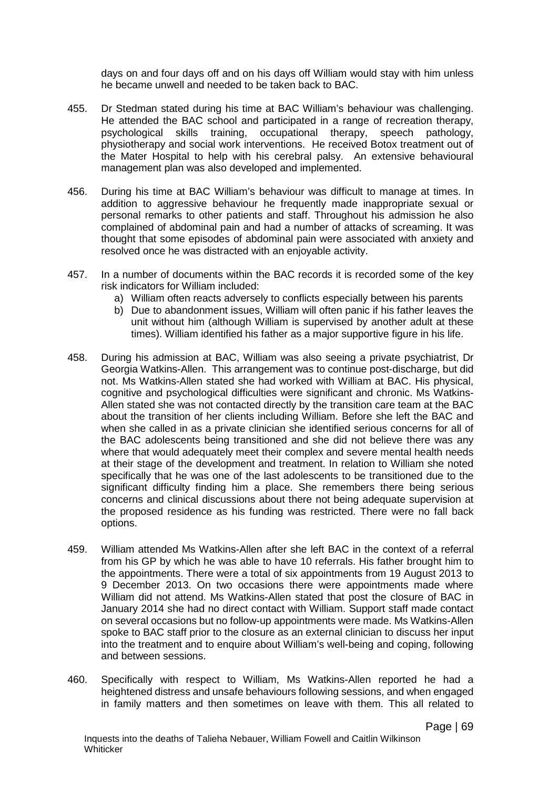days on and four days off and on his days off William would stay with him unless he became unwell and needed to be taken back to BAC.

- 455. Dr Stedman stated during his time at BAC William's behaviour was challenging. He attended the BAC school and participated in a range of recreation therapy, psychological skills training, occupational therapy, speech pathology, physiotherapy and social work interventions. He received Botox treatment out of the Mater Hospital to help with his cerebral palsy. An extensive behavioural management plan was also developed and implemented.
- 456. During his time at BAC William's behaviour was difficult to manage at times. In addition to aggressive behaviour he frequently made inappropriate sexual or personal remarks to other patients and staff. Throughout his admission he also complained of abdominal pain and had a number of attacks of screaming. It was thought that some episodes of abdominal pain were associated with anxiety and resolved once he was distracted with an enjoyable activity.
- 457. In a number of documents within the BAC records it is recorded some of the key risk indicators for William included:
	- a) William often reacts adversely to conflicts especially between his parents
	- b) Due to abandonment issues, William will often panic if his father leaves the unit without him (although William is supervised by another adult at these times). William identified his father as a major supportive figure in his life.
- 458. During his admission at BAC, William was also seeing a private psychiatrist, Dr Georgia Watkins-Allen. This arrangement was to continue post-discharge, but did not. Ms Watkins-Allen stated she had worked with William at BAC. His physical, cognitive and psychological difficulties were significant and chronic. Ms Watkins-Allen stated she was not contacted directly by the transition care team at the BAC about the transition of her clients including William. Before she left the BAC and when she called in as a private clinician she identified serious concerns for all of the BAC adolescents being transitioned and she did not believe there was any where that would adequately meet their complex and severe mental health needs at their stage of the development and treatment. In relation to William she noted specifically that he was one of the last adolescents to be transitioned due to the significant difficulty finding him a place. She remembers there being serious concerns and clinical discussions about there not being adequate supervision at the proposed residence as his funding was restricted. There were no fall back options.
- 459. William attended Ms Watkins-Allen after she left BAC in the context of a referral from his GP by which he was able to have 10 referrals. His father brought him to the appointments. There were a total of six appointments from 19 August 2013 to 9 December 2013. On two occasions there were appointments made where William did not attend. Ms Watkins-Allen stated that post the closure of BAC in January 2014 she had no direct contact with William. Support staff made contact on several occasions but no follow-up appointments were made. Ms Watkins-Allen spoke to BAC staff prior to the closure as an external clinician to discuss her input into the treatment and to enquire about William's well-being and coping, following and between sessions.
- 460. Specifically with respect to William, Ms Watkins-Allen reported he had a heightened distress and unsafe behaviours following sessions, and when engaged in family matters and then sometimes on leave with them. This all related to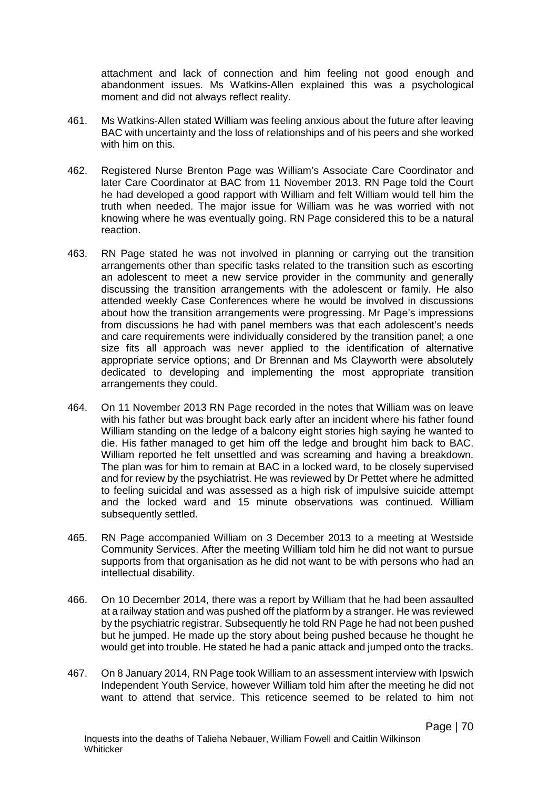attachment and lack of connection and him feeling not good enough and abandonment issues. Ms Watkins-Allen explained this was a psychological moment and did not always reflect reality.

- 461. Ms Watkins-Allen stated William was feeling anxious about the future after leaving BAC with uncertainty and the loss of relationships and of his peers and she worked with him on this.
- 462. Registered Nurse Brenton Page was William's Associate Care Coordinator and later Care Coordinator at BAC from 11 November 2013. RN Page told the Court he had developed a good rapport with William and felt William would tell him the truth when needed. The major issue for William was he was worried with not knowing where he was eventually going. RN Page considered this to be a natural reaction.
- 463. RN Page stated he was not involved in planning or carrying out the transition arrangements other than specific tasks related to the transition such as escorting an adolescent to meet a new service provider in the community and generally discussing the transition arrangements with the adolescent or family. He also attended weekly Case Conferences where he would be involved in discussions about how the transition arrangements were progressing. Mr Page's impressions from discussions he had with panel members was that each adolescent's needs and care requirements were individually considered by the transition panel; a one size fits all approach was never applied to the identification of alternative appropriate service options; and Dr Brennan and Ms Clayworth were absolutely dedicated to developing and implementing the most appropriate transition arrangements they could.
- 464. On 11 November 2013 RN Page recorded in the notes that William was on leave with his father but was brought back early after an incident where his father found William standing on the ledge of a balcony eight stories high saying he wanted to die. His father managed to get him off the ledge and brought him back to BAC. William reported he felt unsettled and was screaming and having a breakdown. The plan was for him to remain at BAC in a locked ward, to be closely supervised and for review by the psychiatrist. He was reviewed by Dr Pettet where he admitted to feeling suicidal and was assessed as a high risk of impulsive suicide attempt and the locked ward and 15 minute observations was continued. William subsequently settled.
- 465. RN Page accompanied William on 3 December 2013 to a meeting at Westside Community Services. After the meeting William told him he did not want to pursue supports from that organisation as he did not want to be with persons who had an intellectual disability.
- 466. On 10 December 2014, there was a report by William that he had been assaulted at a railway station and was pushed off the platform by a stranger. He was reviewed by the psychiatric registrar. Subsequently he told RN Page he had not been pushed but he jumped. He made up the story about being pushed because he thought he would get into trouble. He stated he had a panic attack and jumped onto the tracks.
- 467. On 8 January 2014, RN Page took William to an assessment interview with Ipswich Independent Youth Service, however William told him after the meeting he did not want to attend that service. This reticence seemed to be related to him not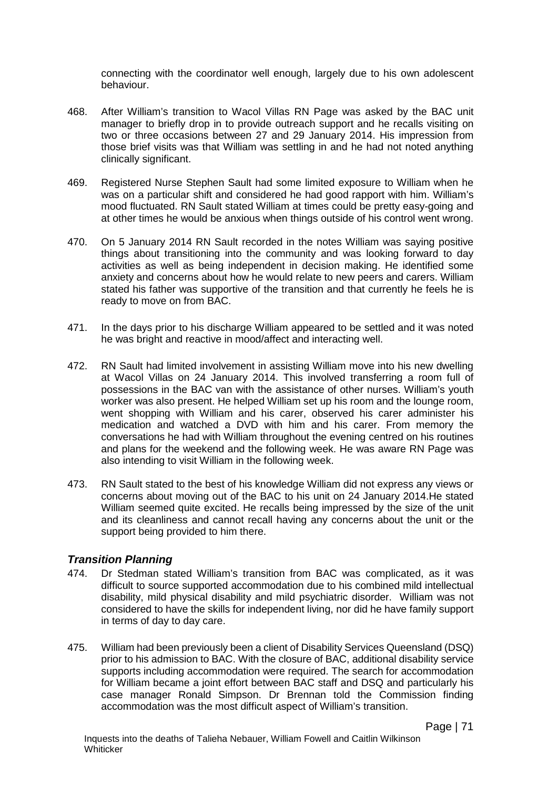connecting with the coordinator well enough, largely due to his own adolescent behaviour.

- 468. After William's transition to Wacol Villas RN Page was asked by the BAC unit manager to briefly drop in to provide outreach support and he recalls visiting on two or three occasions between 27 and 29 January 2014. His impression from those brief visits was that William was settling in and he had not noted anything clinically significant.
- 469. Registered Nurse Stephen Sault had some limited exposure to William when he was on a particular shift and considered he had good rapport with him. William's mood fluctuated. RN Sault stated William at times could be pretty easy-going and at other times he would be anxious when things outside of his control went wrong.
- 470. On 5 January 2014 RN Sault recorded in the notes William was saying positive things about transitioning into the community and was looking forward to day activities as well as being independent in decision making. He identified some anxiety and concerns about how he would relate to new peers and carers. William stated his father was supportive of the transition and that currently he feels he is ready to move on from BAC.
- 471. In the days prior to his discharge William appeared to be settled and it was noted he was bright and reactive in mood/affect and interacting well.
- 472. RN Sault had limited involvement in assisting William move into his new dwelling at Wacol Villas on 24 January 2014. This involved transferring a room full of possessions in the BAC van with the assistance of other nurses. William's youth worker was also present. He helped William set up his room and the lounge room, went shopping with William and his carer, observed his carer administer his medication and watched a DVD with him and his carer. From memory the conversations he had with William throughout the evening centred on his routines and plans for the weekend and the following week. He was aware RN Page was also intending to visit William in the following week.
- 473. RN Sault stated to the best of his knowledge William did not express any views or concerns about moving out of the BAC to his unit on 24 January 2014.He stated William seemed quite excited. He recalls being impressed by the size of the unit and its cleanliness and cannot recall having any concerns about the unit or the support being provided to him there.

### *Transition Planning*

- 474. Dr Stedman stated William's transition from BAC was complicated, as it was difficult to source supported accommodation due to his combined mild intellectual disability, mild physical disability and mild psychiatric disorder. William was not considered to have the skills for independent living, nor did he have family support in terms of day to day care.
- 475. William had been previously been a client of Disability Services Queensland (DSQ) prior to his admission to BAC. With the closure of BAC, additional disability service supports including accommodation were required. The search for accommodation for William became a joint effort between BAC staff and DSQ and particularly his case manager Ronald Simpson. Dr Brennan told the Commission finding accommodation was the most difficult aspect of William's transition.

Page | 71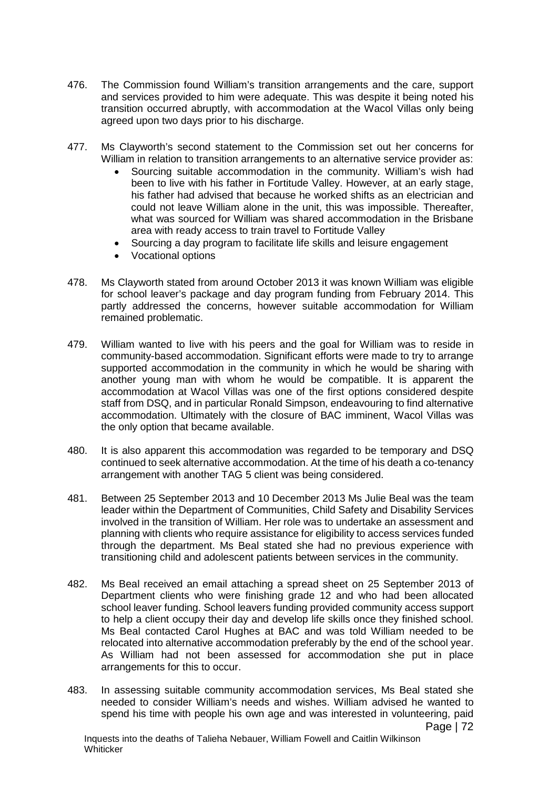- 476. The Commission found William's transition arrangements and the care, support and services provided to him were adequate. This was despite it being noted his transition occurred abruptly, with accommodation at the Wacol Villas only being agreed upon two days prior to his discharge.
- 477. Ms Clayworth's second statement to the Commission set out her concerns for William in relation to transition arrangements to an alternative service provider as:
	- Sourcing suitable accommodation in the community. William's wish had been to live with his father in Fortitude Valley. However, at an early stage, his father had advised that because he worked shifts as an electrician and could not leave William alone in the unit, this was impossible. Thereafter, what was sourced for William was shared accommodation in the Brisbane area with ready access to train travel to Fortitude Valley
	- Sourcing a day program to facilitate life skills and leisure engagement
	- Vocational options
- 478. Ms Clayworth stated from around October 2013 it was known William was eligible for school leaver's package and day program funding from February 2014. This partly addressed the concerns, however suitable accommodation for William remained problematic.
- 479. William wanted to live with his peers and the goal for William was to reside in community-based accommodation. Significant efforts were made to try to arrange supported accommodation in the community in which he would be sharing with another young man with whom he would be compatible. It is apparent the accommodation at Wacol Villas was one of the first options considered despite staff from DSQ, and in particular Ronald Simpson, endeavouring to find alternative accommodation. Ultimately with the closure of BAC imminent, Wacol Villas was the only option that became available.
- 480. It is also apparent this accommodation was regarded to be temporary and DSQ continued to seek alternative accommodation. At the time of his death a co-tenancy arrangement with another TAG 5 client was being considered.
- 481. Between 25 September 2013 and 10 December 2013 Ms Julie Beal was the team leader within the Department of Communities, Child Safety and Disability Services involved in the transition of William. Her role was to undertake an assessment and planning with clients who require assistance for eligibility to access services funded through the department. Ms Beal stated she had no previous experience with transitioning child and adolescent patients between services in the community.
- 482. Ms Beal received an email attaching a spread sheet on 25 September 2013 of Department clients who were finishing grade 12 and who had been allocated school leaver funding. School leavers funding provided community access support to help a client occupy their day and develop life skills once they finished school. Ms Beal contacted Carol Hughes at BAC and was told William needed to be relocated into alternative accommodation preferably by the end of the school year. As William had not been assessed for accommodation she put in place arrangements for this to occur.
- 483. In assessing suitable community accommodation services, Ms Beal stated she needed to consider William's needs and wishes. William advised he wanted to spend his time with people his own age and was interested in volunteering, paid Page | 72

Inquests into the deaths of Talieha Nebauer, William Fowell and Caitlin Wilkinson **Whiticker**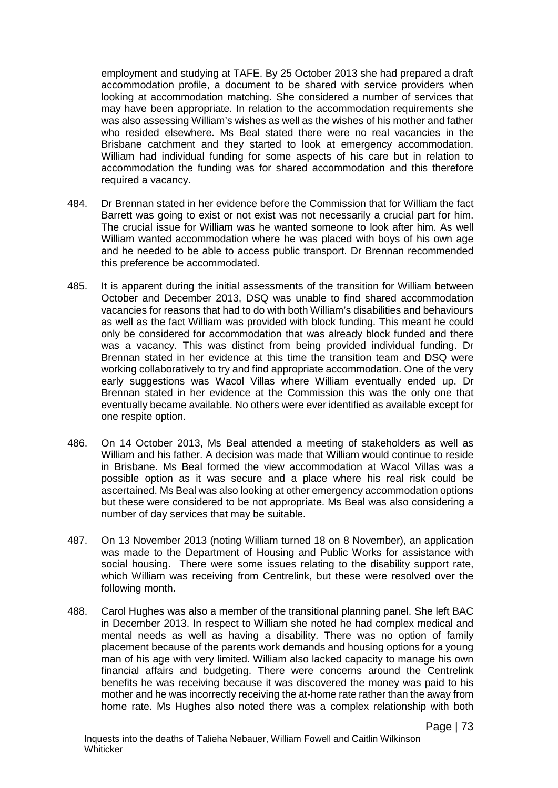employment and studying at TAFE. By 25 October 2013 she had prepared a draft accommodation profile, a document to be shared with service providers when looking at accommodation matching. She considered a number of services that may have been appropriate. In relation to the accommodation requirements she was also assessing William's wishes as well as the wishes of his mother and father who resided elsewhere. Ms Beal stated there were no real vacancies in the Brisbane catchment and they started to look at emergency accommodation. William had individual funding for some aspects of his care but in relation to accommodation the funding was for shared accommodation and this therefore required a vacancy.

- 484. Dr Brennan stated in her evidence before the Commission that for William the fact Barrett was going to exist or not exist was not necessarily a crucial part for him. The crucial issue for William was he wanted someone to look after him. As well William wanted accommodation where he was placed with boys of his own age and he needed to be able to access public transport. Dr Brennan recommended this preference be accommodated.
- 485. It is apparent during the initial assessments of the transition for William between October and December 2013, DSQ was unable to find shared accommodation vacancies for reasons that had to do with both William's disabilities and behaviours as well as the fact William was provided with block funding. This meant he could only be considered for accommodation that was already block funded and there was a vacancy. This was distinct from being provided individual funding. Dr Brennan stated in her evidence at this time the transition team and DSQ were working collaboratively to try and find appropriate accommodation. One of the very early suggestions was Wacol Villas where William eventually ended up. Dr Brennan stated in her evidence at the Commission this was the only one that eventually became available. No others were ever identified as available except for one respite option.
- 486. On 14 October 2013, Ms Beal attended a meeting of stakeholders as well as William and his father. A decision was made that William would continue to reside in Brisbane. Ms Beal formed the view accommodation at Wacol Villas was a possible option as it was secure and a place where his real risk could be ascertained. Ms Beal was also looking at other emergency accommodation options but these were considered to be not appropriate. Ms Beal was also considering a number of day services that may be suitable.
- 487. On 13 November 2013 (noting William turned 18 on 8 November), an application was made to the Department of Housing and Public Works for assistance with social housing. There were some issues relating to the disability support rate, which William was receiving from Centrelink, but these were resolved over the following month.
- 488. Carol Hughes was also a member of the transitional planning panel. She left BAC in December 2013. In respect to William she noted he had complex medical and mental needs as well as having a disability. There was no option of family placement because of the parents work demands and housing options for a young man of his age with very limited. William also lacked capacity to manage his own financial affairs and budgeting. There were concerns around the Centrelink benefits he was receiving because it was discovered the money was paid to his mother and he was incorrectly receiving the at-home rate rather than the away from home rate. Ms Hughes also noted there was a complex relationship with both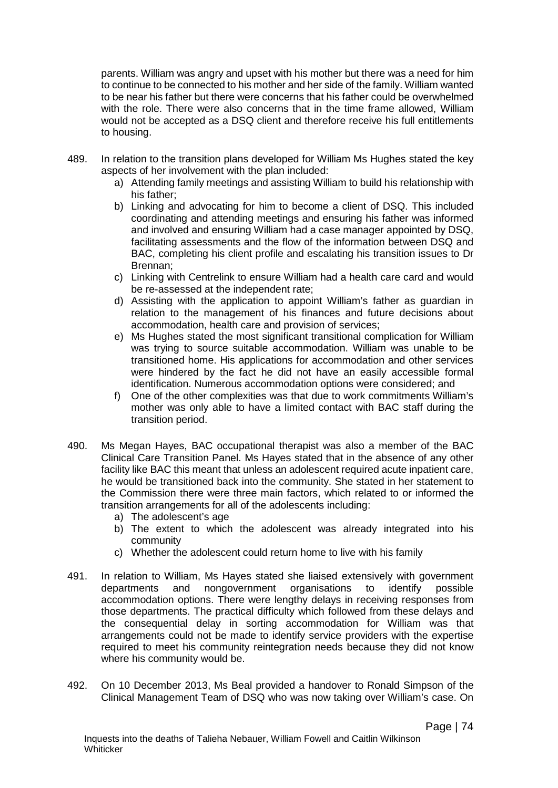parents. William was angry and upset with his mother but there was a need for him to continue to be connected to his mother and her side of the family. William wanted to be near his father but there were concerns that his father could be overwhelmed with the role. There were also concerns that in the time frame allowed, William would not be accepted as a DSQ client and therefore receive his full entitlements to housing.

- 489. In relation to the transition plans developed for William Ms Hughes stated the key aspects of her involvement with the plan included:
	- a) Attending family meetings and assisting William to build his relationship with his father;
	- b) Linking and advocating for him to become a client of DSQ. This included coordinating and attending meetings and ensuring his father was informed and involved and ensuring William had a case manager appointed by DSQ, facilitating assessments and the flow of the information between DSQ and BAC, completing his client profile and escalating his transition issues to Dr Brennan;
	- c) Linking with Centrelink to ensure William had a health care card and would be re-assessed at the independent rate;
	- d) Assisting with the application to appoint William's father as guardian in relation to the management of his finances and future decisions about accommodation, health care and provision of services;
	- e) Ms Hughes stated the most significant transitional complication for William was trying to source suitable accommodation. William was unable to be transitioned home. His applications for accommodation and other services were hindered by the fact he did not have an easily accessible formal identification. Numerous accommodation options were considered; and
	- f) One of the other complexities was that due to work commitments William's mother was only able to have a limited contact with BAC staff during the transition period.
- 490. Ms Megan Hayes, BAC occupational therapist was also a member of the BAC Clinical Care Transition Panel. Ms Hayes stated that in the absence of any other facility like BAC this meant that unless an adolescent required acute inpatient care, he would be transitioned back into the community. She stated in her statement to the Commission there were three main factors, which related to or informed the transition arrangements for all of the adolescents including:
	- a) The adolescent's age
	- b) The extent to which the adolescent was already integrated into his community
	- c) Whether the adolescent could return home to live with his family
- 491. In relation to William, Ms Hayes stated she liaised extensively with government departments and nongovernment organisations to identify possible accommodation options. There were lengthy delays in receiving responses from those departments. The practical difficulty which followed from these delays and the consequential delay in sorting accommodation for William was that arrangements could not be made to identify service providers with the expertise required to meet his community reintegration needs because they did not know where his community would be.
- 492. On 10 December 2013, Ms Beal provided a handover to Ronald Simpson of the Clinical Management Team of DSQ who was now taking over William's case. On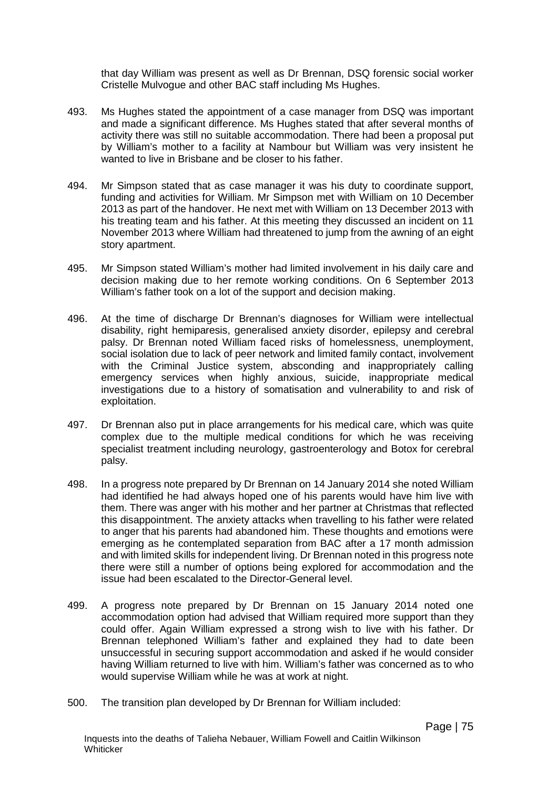that day William was present as well as Dr Brennan, DSQ forensic social worker Cristelle Mulvogue and other BAC staff including Ms Hughes.

- 493. Ms Hughes stated the appointment of a case manager from DSQ was important and made a significant difference. Ms Hughes stated that after several months of activity there was still no suitable accommodation. There had been a proposal put by William's mother to a facility at Nambour but William was very insistent he wanted to live in Brisbane and be closer to his father.
- 494. Mr Simpson stated that as case manager it was his duty to coordinate support, funding and activities for William. Mr Simpson met with William on 10 December 2013 as part of the handover. He next met with William on 13 December 2013 with his treating team and his father. At this meeting they discussed an incident on 11 November 2013 where William had threatened to jump from the awning of an eight story apartment.
- 495. Mr Simpson stated William's mother had limited involvement in his daily care and decision making due to her remote working conditions. On 6 September 2013 William's father took on a lot of the support and decision making.
- 496. At the time of discharge Dr Brennan's diagnoses for William were intellectual disability, right hemiparesis, generalised anxiety disorder, epilepsy and cerebral palsy. Dr Brennan noted William faced risks of homelessness, unemployment, social isolation due to lack of peer network and limited family contact, involvement with the Criminal Justice system, absconding and inappropriately calling emergency services when highly anxious, suicide, inappropriate medical investigations due to a history of somatisation and vulnerability to and risk of exploitation.
- 497. Dr Brennan also put in place arrangements for his medical care, which was quite complex due to the multiple medical conditions for which he was receiving specialist treatment including neurology, gastroenterology and Botox for cerebral palsy.
- 498. In a progress note prepared by Dr Brennan on 14 January 2014 she noted William had identified he had always hoped one of his parents would have him live with them. There was anger with his mother and her partner at Christmas that reflected this disappointment. The anxiety attacks when travelling to his father were related to anger that his parents had abandoned him. These thoughts and emotions were emerging as he contemplated separation from BAC after a 17 month admission and with limited skills for independent living. Dr Brennan noted in this progress note there were still a number of options being explored for accommodation and the issue had been escalated to the Director-General level.
- 499. A progress note prepared by Dr Brennan on 15 January 2014 noted one accommodation option had advised that William required more support than they could offer. Again William expressed a strong wish to live with his father. Dr Brennan telephoned William's father and explained they had to date been unsuccessful in securing support accommodation and asked if he would consider having William returned to live with him. William's father was concerned as to who would supervise William while he was at work at night.
- 500. The transition plan developed by Dr Brennan for William included: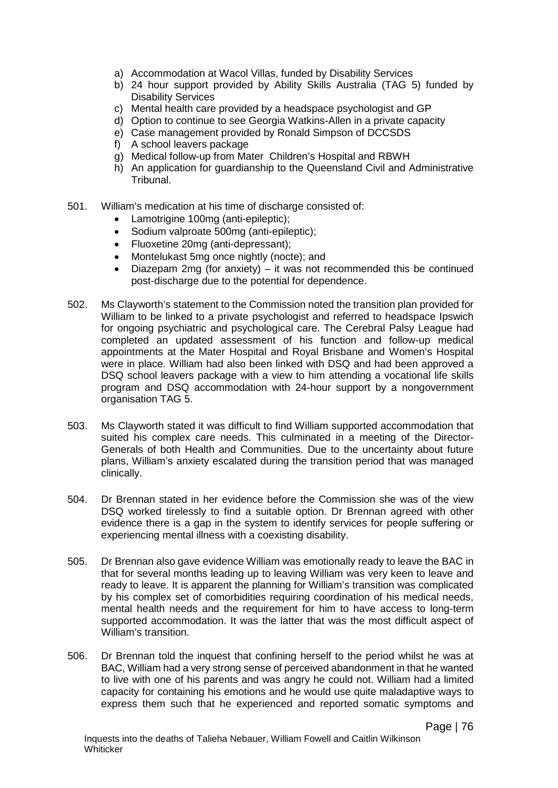- a) Accommodation at Wacol Villas, funded by Disability Services
- b) 24 hour support provided by Ability Skills Australia (TAG 5) funded by Disability Services
- c) Mental health care provided by a headspace psychologist and GP
- d) Option to continue to see Georgia Watkins-Allen in a private capacity
- e) Case management provided by Ronald Simpson of DCCSDS
- f) A school leavers package
- g) Medical follow-up from Mater Children's Hospital and RBWH
- h) An application for guardianship to the Queensland Civil and Administrative Tribunal.
- 501. William's medication at his time of discharge consisted of:
	- Lamotrigine 100mg (anti-epileptic);
	- Sodium valproate 500mg (anti-epileptic);
	- Fluoxetine 20mg (anti-depressant);
	- Montelukast 5mg once nightly (nocte); and
	- Diazepam 2mg (for anxiety) it was not recommended this be continued post-discharge due to the potential for dependence.
- 502. Ms Clayworth's statement to the Commission noted the transition plan provided for William to be linked to a private psychologist and referred to headspace Ipswich for ongoing psychiatric and psychological care. The Cerebral Palsy League had completed an updated assessment of his function and follow-up medical appointments at the Mater Hospital and Royal Brisbane and Women's Hospital were in place. William had also been linked with DSQ and had been approved a DSQ school leavers package with a view to him attending a vocational life skills program and DSQ accommodation with 24-hour support by a nongovernment organisation TAG 5.
- 503. Ms Clayworth stated it was difficult to find William supported accommodation that suited his complex care needs. This culminated in a meeting of the Director-Generals of both Health and Communities. Due to the uncertainty about future plans, William's anxiety escalated during the transition period that was managed clinically.
- 504. Dr Brennan stated in her evidence before the Commission she was of the view DSQ worked tirelessly to find a suitable option. Dr Brennan agreed with other evidence there is a gap in the system to identify services for people suffering or experiencing mental illness with a coexisting disability.
- 505. Dr Brennan also gave evidence William was emotionally ready to leave the BAC in that for several months leading up to leaving William was very keen to leave and ready to leave. It is apparent the planning for William's transition was complicated by his complex set of comorbidities requiring coordination of his medical needs, mental health needs and the requirement for him to have access to long-term supported accommodation. It was the latter that was the most difficult aspect of William's transition.
- 506. Dr Brennan told the inquest that confining herself to the period whilst he was at BAC, William had a very strong sense of perceived abandonment in that he wanted to live with one of his parents and was angry he could not. William had a limited capacity for containing his emotions and he would use quite maladaptive ways to express them such that he experienced and reported somatic symptoms and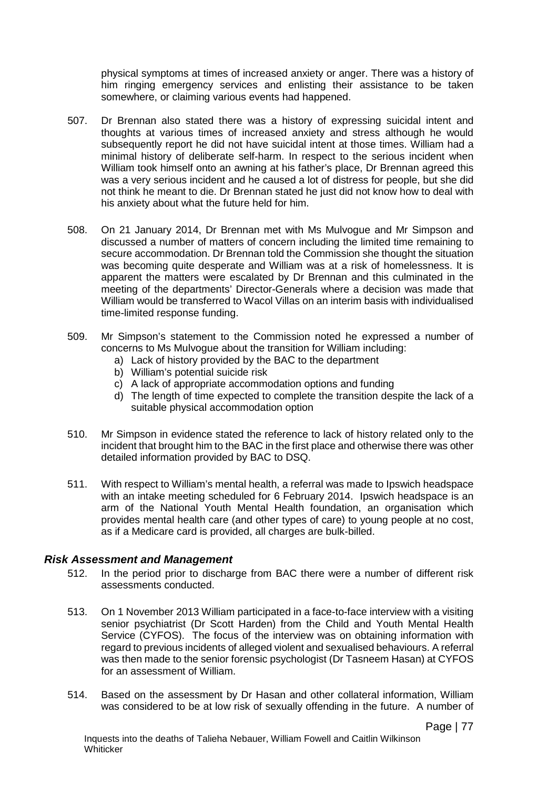physical symptoms at times of increased anxiety or anger. There was a history of him ringing emergency services and enlisting their assistance to be taken somewhere, or claiming various events had happened.

- 507. Dr Brennan also stated there was a history of expressing suicidal intent and thoughts at various times of increased anxiety and stress although he would subsequently report he did not have suicidal intent at those times. William had a minimal history of deliberate self-harm. In respect to the serious incident when William took himself onto an awning at his father's place, Dr Brennan agreed this was a very serious incident and he caused a lot of distress for people, but she did not think he meant to die. Dr Brennan stated he just did not know how to deal with his anxiety about what the future held for him.
- 508. On 21 January 2014, Dr Brennan met with Ms Mulvogue and Mr Simpson and discussed a number of matters of concern including the limited time remaining to secure accommodation. Dr Brennan told the Commission she thought the situation was becoming quite desperate and William was at a risk of homelessness. It is apparent the matters were escalated by Dr Brennan and this culminated in the meeting of the departments' Director-Generals where a decision was made that William would be transferred to Wacol Villas on an interim basis with individualised time-limited response funding.
- 509. Mr Simpson's statement to the Commission noted he expressed a number of concerns to Ms Mulvogue about the transition for William including:
	- a) Lack of history provided by the BAC to the department
	- b) William's potential suicide risk
	- c) A lack of appropriate accommodation options and funding
	- d) The length of time expected to complete the transition despite the lack of a suitable physical accommodation option
- 510. Mr Simpson in evidence stated the reference to lack of history related only to the incident that brought him to the BAC in the first place and otherwise there was other detailed information provided by BAC to DSQ.
- 511. With respect to William's mental health, a referral was made to Ipswich headspace with an intake meeting scheduled for 6 February 2014. Ipswich headspace is an arm of the National Youth Mental Health foundation, an organisation which provides mental health care (and other types of care) to young people at no cost, as if a Medicare card is provided, all charges are bulk-billed.

### *Risk Assessment and Management*

- 512. In the period prior to discharge from BAC there were a number of different risk assessments conducted.
- 513. On 1 November 2013 William participated in a face-to-face interview with a visiting senior psychiatrist (Dr Scott Harden) from the Child and Youth Mental Health Service (CYFOS). The focus of the interview was on obtaining information with regard to previous incidents of alleged violent and sexualised behaviours. A referral was then made to the senior forensic psychologist (Dr Tasneem Hasan) at CYFOS for an assessment of William.
- 514. Based on the assessment by Dr Hasan and other collateral information, William was considered to be at low risk of sexually offending in the future. A number of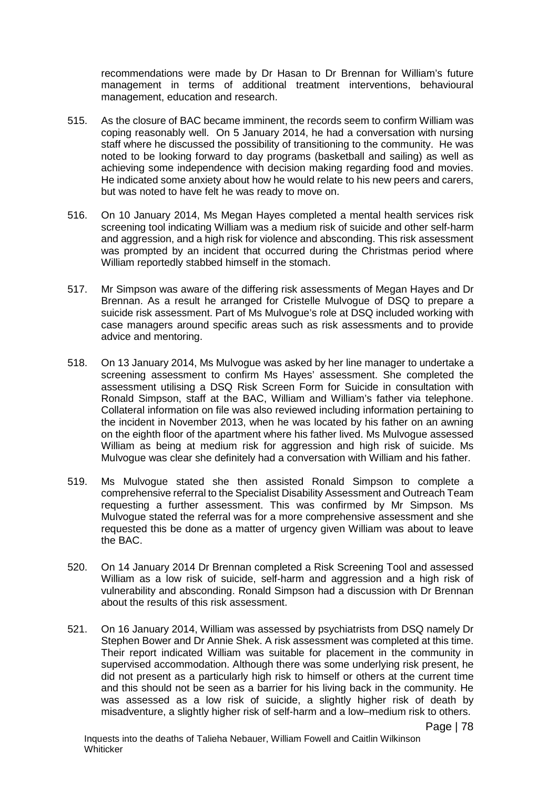recommendations were made by Dr Hasan to Dr Brennan for William's future management in terms of additional treatment interventions, behavioural management, education and research.

- 515. As the closure of BAC became imminent, the records seem to confirm William was coping reasonably well. On 5 January 2014, he had a conversation with nursing staff where he discussed the possibility of transitioning to the community. He was noted to be looking forward to day programs (basketball and sailing) as well as achieving some independence with decision making regarding food and movies. He indicated some anxiety about how he would relate to his new peers and carers, but was noted to have felt he was ready to move on.
- 516. On 10 January 2014, Ms Megan Hayes completed a mental health services risk screening tool indicating William was a medium risk of suicide and other self-harm and aggression, and a high risk for violence and absconding. This risk assessment was prompted by an incident that occurred during the Christmas period where William reportedly stabbed himself in the stomach.
- 517. Mr Simpson was aware of the differing risk assessments of Megan Hayes and Dr Brennan. As a result he arranged for Cristelle Mulvogue of DSQ to prepare a suicide risk assessment. Part of Ms Mulvogue's role at DSQ included working with case managers around specific areas such as risk assessments and to provide advice and mentoring.
- 518. On 13 January 2014, Ms Mulvogue was asked by her line manager to undertake a screening assessment to confirm Ms Hayes' assessment. She completed the assessment utilising a DSQ Risk Screen Form for Suicide in consultation with Ronald Simpson, staff at the BAC, William and William's father via telephone. Collateral information on file was also reviewed including information pertaining to the incident in November 2013, when he was located by his father on an awning on the eighth floor of the apartment where his father lived. Ms Mulvogue assessed William as being at medium risk for aggression and high risk of suicide. Ms Mulvogue was clear she definitely had a conversation with William and his father.
- 519. Ms Mulvogue stated she then assisted Ronald Simpson to complete a comprehensive referral to the Specialist Disability Assessment and Outreach Team requesting a further assessment. This was confirmed by Mr Simpson. Ms Mulvogue stated the referral was for a more comprehensive assessment and she requested this be done as a matter of urgency given William was about to leave the BAC.
- 520. On 14 January 2014 Dr Brennan completed a Risk Screening Tool and assessed William as a low risk of suicide, self-harm and aggression and a high risk of vulnerability and absconding. Ronald Simpson had a discussion with Dr Brennan about the results of this risk assessment.
- 521. On 16 January 2014, William was assessed by psychiatrists from DSQ namely Dr Stephen Bower and Dr Annie Shek. A risk assessment was completed at this time. Their report indicated William was suitable for placement in the community in supervised accommodation. Although there was some underlying risk present, he did not present as a particularly high risk to himself or others at the current time and this should not be seen as a barrier for his living back in the community. He was assessed as a low risk of suicide, a slightly higher risk of death by misadventure, a slightly higher risk of self-harm and a low–medium risk to others.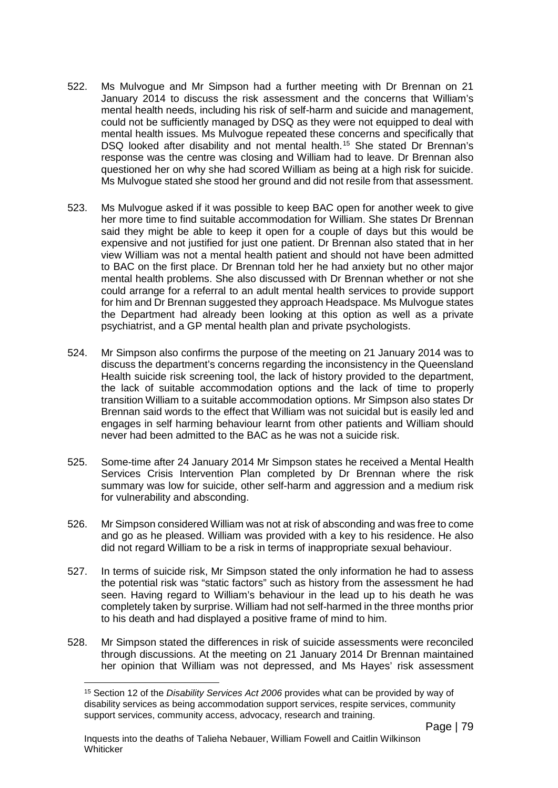- 522. Ms Mulvogue and Mr Simpson had a further meeting with Dr Brennan on 21 January 2014 to discuss the risk assessment and the concerns that William's mental health needs, including his risk of self-harm and suicide and management, could not be sufficiently managed by DSQ as they were not equipped to deal with mental health issues. Ms Mulvogue repeated these concerns and specifically that DSQ looked after disability and not mental health.<sup>[15](#page-82-0)</sup> She stated Dr Brennan's response was the centre was closing and William had to leave. Dr Brennan also questioned her on why she had scored William as being at a high risk for suicide. Ms Mulvogue stated she stood her ground and did not resile from that assessment.
- 523. Ms Mulvogue asked if it was possible to keep BAC open for another week to give her more time to find suitable accommodation for William. She states Dr Brennan said they might be able to keep it open for a couple of days but this would be expensive and not justified for just one patient. Dr Brennan also stated that in her view William was not a mental health patient and should not have been admitted to BAC on the first place. Dr Brennan told her he had anxiety but no other major mental health problems. She also discussed with Dr Brennan whether or not she could arrange for a referral to an adult mental health services to provide support for him and Dr Brennan suggested they approach Headspace. Ms Mulvogue states the Department had already been looking at this option as well as a private psychiatrist, and a GP mental health plan and private psychologists.
- 524. Mr Simpson also confirms the purpose of the meeting on 21 January 2014 was to discuss the department's concerns regarding the inconsistency in the Queensland Health suicide risk screening tool, the lack of history provided to the department, the lack of suitable accommodation options and the lack of time to properly transition William to a suitable accommodation options. Mr Simpson also states Dr Brennan said words to the effect that William was not suicidal but is easily led and engages in self harming behaviour learnt from other patients and William should never had been admitted to the BAC as he was not a suicide risk.
- 525. Some-time after 24 January 2014 Mr Simpson states he received a Mental Health Services Crisis Intervention Plan completed by Dr Brennan where the risk summary was low for suicide, other self-harm and aggression and a medium risk for vulnerability and absconding.
- 526. Mr Simpson considered William was not at risk of absconding and was free to come and go as he pleased. William was provided with a key to his residence. He also did not regard William to be a risk in terms of inappropriate sexual behaviour.
- 527. In terms of suicide risk, Mr Simpson stated the only information he had to assess the potential risk was "static factors" such as history from the assessment he had seen. Having regard to William's behaviour in the lead up to his death he was completely taken by surprise. William had not self-harmed in the three months prior to his death and had displayed a positive frame of mind to him.
- <span id="page-82-0"></span>528. Mr Simpson stated the differences in risk of suicide assessments were reconciled through discussions. At the meeting on 21 January 2014 Dr Brennan maintained her opinion that William was not depressed, and Ms Hayes' risk assessment

<sup>15</sup> Section 12 of the *Disability Services Act 2006* provides what can be provided by way of disability services as being accommodation support services, respite services, community support services, community access, advocacy, research and training.  $\overline{a}$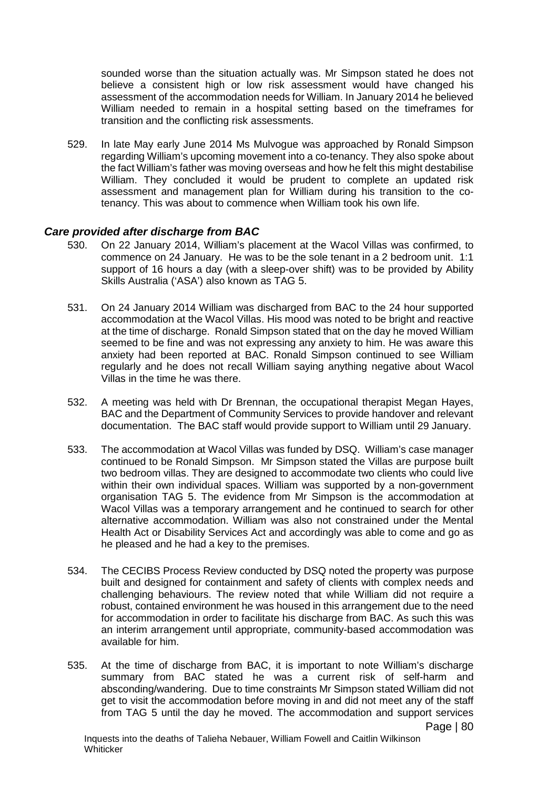sounded worse than the situation actually was. Mr Simpson stated he does not believe a consistent high or low risk assessment would have changed his assessment of the accommodation needs for William. In January 2014 he believed William needed to remain in a hospital setting based on the timeframes for transition and the conflicting risk assessments.

529. In late May early June 2014 Ms Mulvogue was approached by Ronald Simpson regarding William's upcoming movement into a co-tenancy. They also spoke about the fact William's father was moving overseas and how he felt this might destabilise William. They concluded it would be prudent to complete an updated risk assessment and management plan for William during his transition to the cotenancy. This was about to commence when William took his own life.

### *Care provided after discharge from BAC*

- 530. On 22 January 2014, William's placement at the Wacol Villas was confirmed, to commence on 24 January. He was to be the sole tenant in a 2 bedroom unit. 1:1 support of 16 hours a day (with a sleep-over shift) was to be provided by Ability Skills Australia ('ASA') also known as TAG 5.
- 531. On 24 January 2014 William was discharged from BAC to the 24 hour supported accommodation at the Wacol Villas. His mood was noted to be bright and reactive at the time of discharge. Ronald Simpson stated that on the day he moved William seemed to be fine and was not expressing any anxiety to him. He was aware this anxiety had been reported at BAC. Ronald Simpson continued to see William regularly and he does not recall William saying anything negative about Wacol Villas in the time he was there.
- 532. A meeting was held with Dr Brennan, the occupational therapist Megan Hayes, BAC and the Department of Community Services to provide handover and relevant documentation. The BAC staff would provide support to William until 29 January.
- 533. The accommodation at Wacol Villas was funded by DSQ. William's case manager continued to be Ronald Simpson. Mr Simpson stated the Villas are purpose built two bedroom villas. They are designed to accommodate two clients who could live within their own individual spaces. William was supported by a non-government organisation TAG 5. The evidence from Mr Simpson is the accommodation at Wacol Villas was a temporary arrangement and he continued to search for other alternative accommodation. William was also not constrained under the Mental Health Act or Disability Services Act and accordingly was able to come and go as he pleased and he had a key to the premises.
- 534. The CECIBS Process Review conducted by DSQ noted the property was purpose built and designed for containment and safety of clients with complex needs and challenging behaviours. The review noted that while William did not require a robust, contained environment he was housed in this arrangement due to the need for accommodation in order to facilitate his discharge from BAC. As such this was an interim arrangement until appropriate, community-based accommodation was available for him.
- 535. At the time of discharge from BAC, it is important to note William's discharge summary from BAC stated he was a current risk of self-harm and absconding/wandering. Due to time constraints Mr Simpson stated William did not get to visit the accommodation before moving in and did not meet any of the staff from TAG 5 until the day he moved. The accommodation and support services Page | 80

Inquests into the deaths of Talieha Nebauer, William Fowell and Caitlin Wilkinson **Whiticker**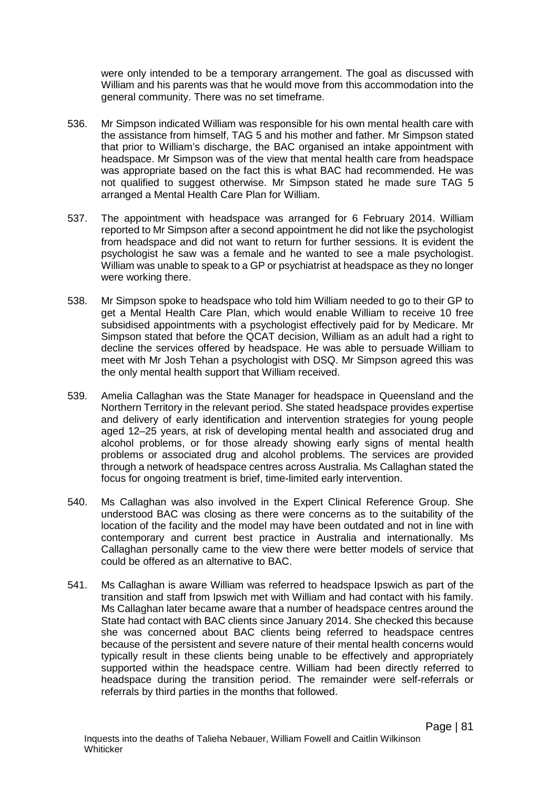were only intended to be a temporary arrangement. The goal as discussed with William and his parents was that he would move from this accommodation into the general community. There was no set timeframe.

- 536. Mr Simpson indicated William was responsible for his own mental health care with the assistance from himself, TAG 5 and his mother and father. Mr Simpson stated that prior to William's discharge, the BAC organised an intake appointment with headspace. Mr Simpson was of the view that mental health care from headspace was appropriate based on the fact this is what BAC had recommended. He was not qualified to suggest otherwise. Mr Simpson stated he made sure TAG 5 arranged a Mental Health Care Plan for William.
- 537. The appointment with headspace was arranged for 6 February 2014. William reported to Mr Simpson after a second appointment he did not like the psychologist from headspace and did not want to return for further sessions. It is evident the psychologist he saw was a female and he wanted to see a male psychologist. William was unable to speak to a GP or psychiatrist at headspace as they no longer were working there.
- 538. Mr Simpson spoke to headspace who told him William needed to go to their GP to get a Mental Health Care Plan, which would enable William to receive 10 free subsidised appointments with a psychologist effectively paid for by Medicare. Mr Simpson stated that before the QCAT decision, William as an adult had a right to decline the services offered by headspace. He was able to persuade William to meet with Mr Josh Tehan a psychologist with DSQ. Mr Simpson agreed this was the only mental health support that William received.
- 539. Amelia Callaghan was the State Manager for headspace in Queensland and the Northern Territory in the relevant period. She stated headspace provides expertise and delivery of early identification and intervention strategies for young people aged 12–25 years, at risk of developing mental health and associated drug and alcohol problems, or for those already showing early signs of mental health problems or associated drug and alcohol problems. The services are provided through a network of headspace centres across Australia. Ms Callaghan stated the focus for ongoing treatment is brief, time-limited early intervention.
- 540. Ms Callaghan was also involved in the Expert Clinical Reference Group. She understood BAC was closing as there were concerns as to the suitability of the location of the facility and the model may have been outdated and not in line with contemporary and current best practice in Australia and internationally. Ms Callaghan personally came to the view there were better models of service that could be offered as an alternative to BAC.
- 541. Ms Callaghan is aware William was referred to headspace Ipswich as part of the transition and staff from Ipswich met with William and had contact with his family. Ms Callaghan later became aware that a number of headspace centres around the State had contact with BAC clients since January 2014. She checked this because she was concerned about BAC clients being referred to headspace centres because of the persistent and severe nature of their mental health concerns would typically result in these clients being unable to be effectively and appropriately supported within the headspace centre. William had been directly referred to headspace during the transition period. The remainder were self-referrals or referrals by third parties in the months that followed.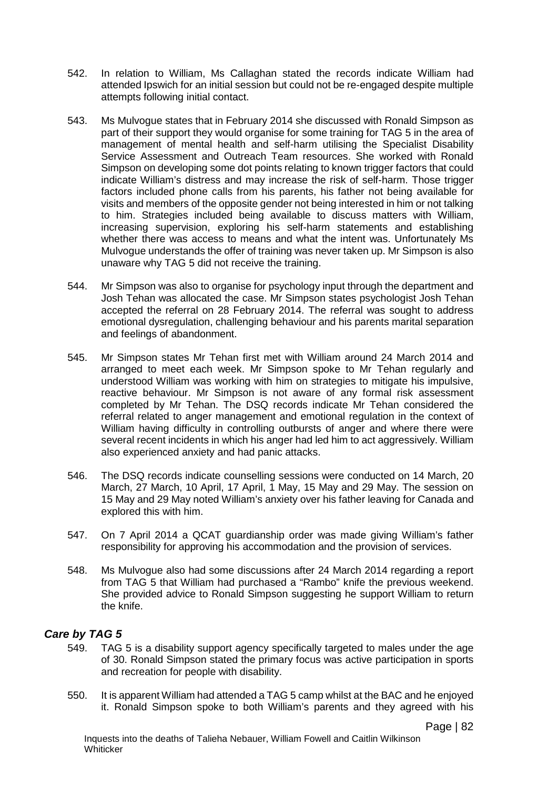- 542. In relation to William, Ms Callaghan stated the records indicate William had attended Ipswich for an initial session but could not be re-engaged despite multiple attempts following initial contact.
- 543. Ms Mulvogue states that in February 2014 she discussed with Ronald Simpson as part of their support they would organise for some training for TAG 5 in the area of management of mental health and self-harm utilising the Specialist Disability Service Assessment and Outreach Team resources. She worked with Ronald Simpson on developing some dot points relating to known trigger factors that could indicate William's distress and may increase the risk of self-harm. Those trigger factors included phone calls from his parents, his father not being available for visits and members of the opposite gender not being interested in him or not talking to him. Strategies included being available to discuss matters with William, increasing supervision, exploring his self-harm statements and establishing whether there was access to means and what the intent was. Unfortunately Ms Mulvogue understands the offer of training was never taken up. Mr Simpson is also unaware why TAG 5 did not receive the training.
- 544. Mr Simpson was also to organise for psychology input through the department and Josh Tehan was allocated the case. Mr Simpson states psychologist Josh Tehan accepted the referral on 28 February 2014. The referral was sought to address emotional dysregulation, challenging behaviour and his parents marital separation and feelings of abandonment.
- 545. Mr Simpson states Mr Tehan first met with William around 24 March 2014 and arranged to meet each week. Mr Simpson spoke to Mr Tehan regularly and understood William was working with him on strategies to mitigate his impulsive, reactive behaviour. Mr Simpson is not aware of any formal risk assessment completed by Mr Tehan. The DSQ records indicate Mr Tehan considered the referral related to anger management and emotional regulation in the context of William having difficulty in controlling outbursts of anger and where there were several recent incidents in which his anger had led him to act aggressively. William also experienced anxiety and had panic attacks.
- 546. The DSQ records indicate counselling sessions were conducted on 14 March, 20 March, 27 March, 10 April, 17 April, 1 May, 15 May and 29 May. The session on 15 May and 29 May noted William's anxiety over his father leaving for Canada and explored this with him.
- 547. On 7 April 2014 a QCAT guardianship order was made giving William's father responsibility for approving his accommodation and the provision of services.
- 548. Ms Mulvogue also had some discussions after 24 March 2014 regarding a report from TAG 5 that William had purchased a "Rambo" knife the previous weekend. She provided advice to Ronald Simpson suggesting he support William to return the knife.

### *Care by TAG 5*

- 549. TAG 5 is a disability support agency specifically targeted to males under the age of 30. Ronald Simpson stated the primary focus was active participation in sports and recreation for people with disability.
- 550. It is apparent William had attended a TAG 5 camp whilst at the BAC and he enjoyed it. Ronald Simpson spoke to both William's parents and they agreed with his

Page | 82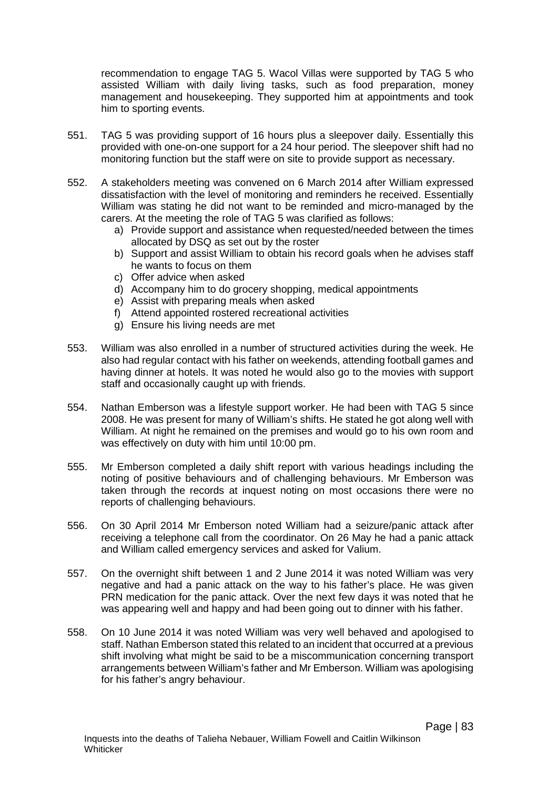recommendation to engage TAG 5. Wacol Villas were supported by TAG 5 who assisted William with daily living tasks, such as food preparation, money management and housekeeping. They supported him at appointments and took him to sporting events.

- 551. TAG 5 was providing support of 16 hours plus a sleepover daily. Essentially this provided with one-on-one support for a 24 hour period. The sleepover shift had no monitoring function but the staff were on site to provide support as necessary.
- 552. A stakeholders meeting was convened on 6 March 2014 after William expressed dissatisfaction with the level of monitoring and reminders he received. Essentially William was stating he did not want to be reminded and micro-managed by the carers. At the meeting the role of TAG 5 was clarified as follows:
	- a) Provide support and assistance when requested/needed between the times allocated by DSQ as set out by the roster
	- b) Support and assist William to obtain his record goals when he advises staff he wants to focus on them
	- c) Offer advice when asked
	- d) Accompany him to do grocery shopping, medical appointments
	- e) Assist with preparing meals when asked
	- f) Attend appointed rostered recreational activities
	- g) Ensure his living needs are met
- 553. William was also enrolled in a number of structured activities during the week. He also had regular contact with his father on weekends, attending football games and having dinner at hotels. It was noted he would also go to the movies with support staff and occasionally caught up with friends.
- 554. Nathan Emberson was a lifestyle support worker. He had been with TAG 5 since 2008. He was present for many of William's shifts. He stated he got along well with William. At night he remained on the premises and would go to his own room and was effectively on duty with him until 10:00 pm.
- 555. Mr Emberson completed a daily shift report with various headings including the noting of positive behaviours and of challenging behaviours. Mr Emberson was taken through the records at inquest noting on most occasions there were no reports of challenging behaviours.
- 556. On 30 April 2014 Mr Emberson noted William had a seizure/panic attack after receiving a telephone call from the coordinator. On 26 May he had a panic attack and William called emergency services and asked for Valium.
- 557. On the overnight shift between 1 and 2 June 2014 it was noted William was very negative and had a panic attack on the way to his father's place. He was given PRN medication for the panic attack. Over the next few days it was noted that he was appearing well and happy and had been going out to dinner with his father.
- 558. On 10 June 2014 it was noted William was very well behaved and apologised to staff. Nathan Emberson stated this related to an incident that occurred at a previous shift involving what might be said to be a miscommunication concerning transport arrangements between William's father and Mr Emberson. William was apologising for his father's angry behaviour.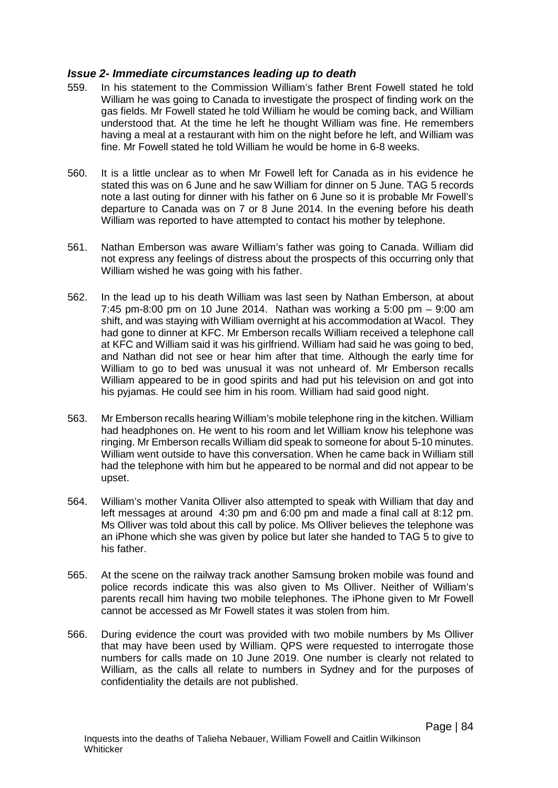### *Issue 2- Immediate circumstances leading up to death*

- 559. In his statement to the Commission William's father Brent Fowell stated he told William he was going to Canada to investigate the prospect of finding work on the gas fields. Mr Fowell stated he told William he would be coming back, and William understood that. At the time he left he thought William was fine. He remembers having a meal at a restaurant with him on the night before he left, and William was fine. Mr Fowell stated he told William he would be home in 6-8 weeks.
- 560. It is a little unclear as to when Mr Fowell left for Canada as in his evidence he stated this was on 6 June and he saw William for dinner on 5 June. TAG 5 records note a last outing for dinner with his father on 6 June so it is probable Mr Fowell's departure to Canada was on 7 or 8 June 2014. In the evening before his death William was reported to have attempted to contact his mother by telephone.
- 561. Nathan Emberson was aware William's father was going to Canada. William did not express any feelings of distress about the prospects of this occurring only that William wished he was going with his father.
- 562. In the lead up to his death William was last seen by Nathan Emberson, at about 7:45 pm-8:00 pm on 10 June 2014. Nathan was working a 5:00 pm – 9:00 am shift, and was staying with William overnight at his accommodation at Wacol. They had gone to dinner at KFC. Mr Emberson recalls William received a telephone call at KFC and William said it was his girlfriend. William had said he was going to bed, and Nathan did not see or hear him after that time. Although the early time for William to go to bed was unusual it was not unheard of. Mr Emberson recalls William appeared to be in good spirits and had put his television on and got into his pyjamas. He could see him in his room. William had said good night.
- 563. Mr Emberson recalls hearing William's mobile telephone ring in the kitchen. William had headphones on. He went to his room and let William know his telephone was ringing. Mr Emberson recalls William did speak to someone for about 5-10 minutes. William went outside to have this conversation. When he came back in William still had the telephone with him but he appeared to be normal and did not appear to be upset.
- 564. William's mother Vanita Olliver also attempted to speak with William that day and left messages at around 4:30 pm and 6:00 pm and made a final call at 8:12 pm. Ms Olliver was told about this call by police. Ms Olliver believes the telephone was an iPhone which she was given by police but later she handed to TAG 5 to give to his father.
- 565. At the scene on the railway track another Samsung broken mobile was found and police records indicate this was also given to Ms Olliver. Neither of William's parents recall him having two mobile telephones. The iPhone given to Mr Fowell cannot be accessed as Mr Fowell states it was stolen from him.
- 566. During evidence the court was provided with two mobile numbers by Ms Olliver that may have been used by William. QPS were requested to interrogate those numbers for calls made on 10 June 2019. One number is clearly not related to William, as the calls all relate to numbers in Sydney and for the purposes of confidentiality the details are not published.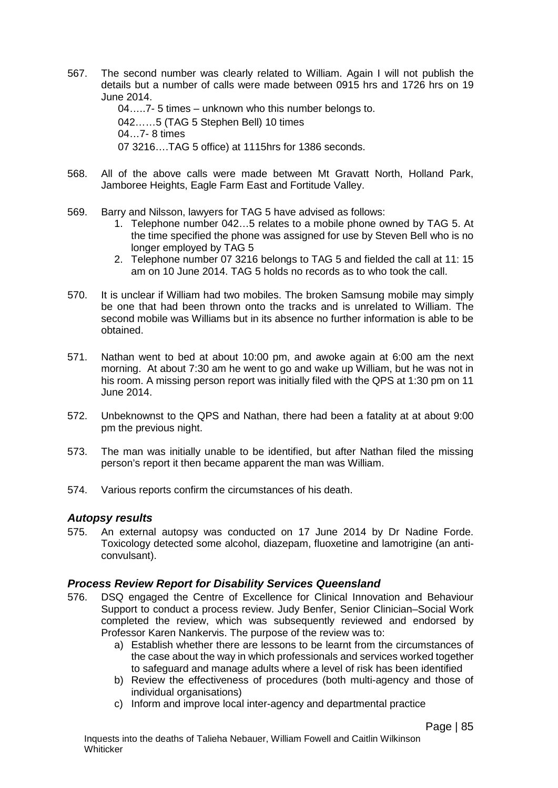567. The second number was clearly related to William. Again I will not publish the details but a number of calls were made between 0915 hrs and 1726 hrs on 19 June 2014.

04…..7- 5 times – unknown who this number belongs to. 042……5 (TAG 5 Stephen Bell) 10 times 04…7- 8 times 07 3216….TAG 5 office) at 1115hrs for 1386 seconds.

- 568. All of the above calls were made between Mt Gravatt North, Holland Park, Jamboree Heights, Eagle Farm East and Fortitude Valley.
- 569. Barry and Nilsson, lawyers for TAG 5 have advised as follows:
	- 1. Telephone number 042…5 relates to a mobile phone owned by TAG 5. At the time specified the phone was assigned for use by Steven Bell who is no longer employed by TAG 5
	- 2. Telephone number 07 3216 belongs to TAG 5 and fielded the call at 11: 15 am on 10 June 2014. TAG 5 holds no records as to who took the call.
- 570. It is unclear if William had two mobiles. The broken Samsung mobile may simply be one that had been thrown onto the tracks and is unrelated to William. The second mobile was Williams but in its absence no further information is able to be obtained.
- 571. Nathan went to bed at about 10:00 pm, and awoke again at 6:00 am the next morning. At about 7:30 am he went to go and wake up William, but he was not in his room. A missing person report was initially filed with the QPS at 1:30 pm on 11 June 2014.
- 572. Unbeknownst to the QPS and Nathan, there had been a fatality at at about 9:00 pm the previous night.
- 573. The man was initially unable to be identified, but after Nathan filed the missing person's report it then became apparent the man was William.
- 574. Various reports confirm the circumstances of his death.

### *Autopsy results*

575. An external autopsy was conducted on 17 June 2014 by Dr Nadine Forde. Toxicology detected some alcohol, diazepam, fluoxetine and lamotrigine (an anticonvulsant).

### *Process Review Report for Disability Services Queensland*

- 576. DSQ engaged the Centre of Excellence for Clinical Innovation and Behaviour Support to conduct a process review. Judy Benfer, Senior Clinician–Social Work completed the review, which was subsequently reviewed and endorsed by Professor Karen Nankervis. The purpose of the review was to:
	- a) Establish whether there are lessons to be learnt from the circumstances of the case about the way in which professionals and services worked together to safeguard and manage adults where a level of risk has been identified
	- b) Review the effectiveness of procedures (both multi-agency and those of individual organisations)
	- c) Inform and improve local inter-agency and departmental practice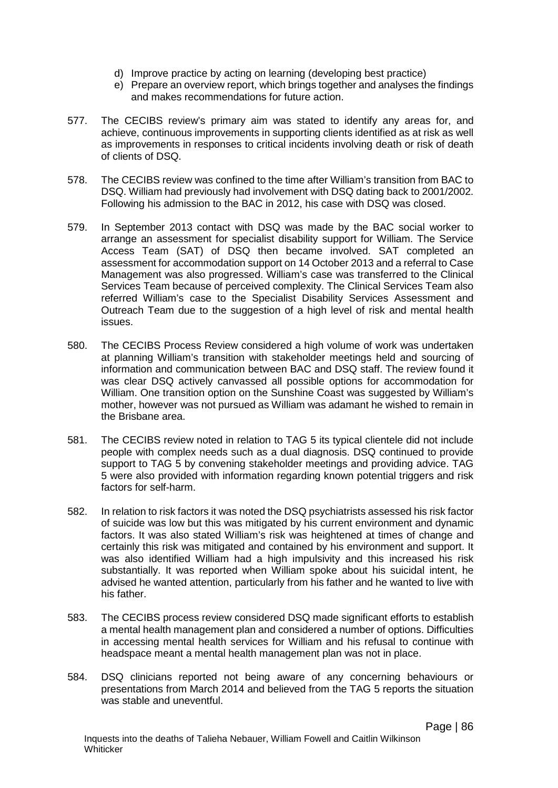- d) Improve practice by acting on learning (developing best practice)
- e) Prepare an overview report, which brings together and analyses the findings and makes recommendations for future action.
- 577. The CECIBS review's primary aim was stated to identify any areas for, and achieve, continuous improvements in supporting clients identified as at risk as well as improvements in responses to critical incidents involving death or risk of death of clients of DSQ.
- 578. The CECIBS review was confined to the time after William's transition from BAC to DSQ. William had previously had involvement with DSQ dating back to 2001/2002. Following his admission to the BAC in 2012, his case with DSQ was closed.
- 579. In September 2013 contact with DSQ was made by the BAC social worker to arrange an assessment for specialist disability support for William. The Service Access Team (SAT) of DSQ then became involved. SAT completed an assessment for accommodation support on 14 October 2013 and a referral to Case Management was also progressed. William's case was transferred to the Clinical Services Team because of perceived complexity. The Clinical Services Team also referred William's case to the Specialist Disability Services Assessment and Outreach Team due to the suggestion of a high level of risk and mental health issues.
- 580. The CECIBS Process Review considered a high volume of work was undertaken at planning William's transition with stakeholder meetings held and sourcing of information and communication between BAC and DSQ staff. The review found it was clear DSQ actively canvassed all possible options for accommodation for William. One transition option on the Sunshine Coast was suggested by William's mother, however was not pursued as William was adamant he wished to remain in the Brisbane area.
- 581. The CECIBS review noted in relation to TAG 5 its typical clientele did not include people with complex needs such as a dual diagnosis. DSQ continued to provide support to TAG 5 by convening stakeholder meetings and providing advice. TAG 5 were also provided with information regarding known potential triggers and risk factors for self-harm.
- 582. In relation to risk factors it was noted the DSQ psychiatrists assessed his risk factor of suicide was low but this was mitigated by his current environment and dynamic factors. It was also stated William's risk was heightened at times of change and certainly this risk was mitigated and contained by his environment and support. It was also identified William had a high impulsivity and this increased his risk substantially. It was reported when William spoke about his suicidal intent, he advised he wanted attention, particularly from his father and he wanted to live with his father.
- 583. The CECIBS process review considered DSQ made significant efforts to establish a mental health management plan and considered a number of options. Difficulties in accessing mental health services for William and his refusal to continue with headspace meant a mental health management plan was not in place.
- 584. DSQ clinicians reported not being aware of any concerning behaviours or presentations from March 2014 and believed from the TAG 5 reports the situation was stable and uneventful.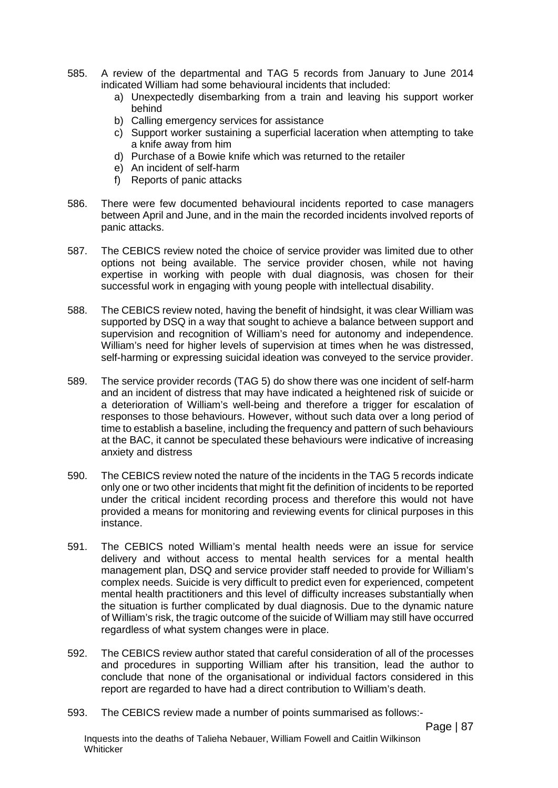- 585. A review of the departmental and TAG 5 records from January to June 2014 indicated William had some behavioural incidents that included:
	- a) Unexpectedly disembarking from a train and leaving his support worker behind
	- b) Calling emergency services for assistance
	- c) Support worker sustaining a superficial laceration when attempting to take a knife away from him
	- d) Purchase of a Bowie knife which was returned to the retailer
	- e) An incident of self-harm
	- f) Reports of panic attacks
- 586. There were few documented behavioural incidents reported to case managers between April and June, and in the main the recorded incidents involved reports of panic attacks.
- 587. The CEBICS review noted the choice of service provider was limited due to other options not being available. The service provider chosen, while not having expertise in working with people with dual diagnosis, was chosen for their successful work in engaging with young people with intellectual disability.
- 588. The CEBICS review noted, having the benefit of hindsight, it was clear William was supported by DSQ in a way that sought to achieve a balance between support and supervision and recognition of William's need for autonomy and independence. William's need for higher levels of supervision at times when he was distressed, self-harming or expressing suicidal ideation was conveyed to the service provider.
- 589. The service provider records (TAG 5) do show there was one incident of self-harm and an incident of distress that may have indicated a heightened risk of suicide or a deterioration of William's well-being and therefore a trigger for escalation of responses to those behaviours. However, without such data over a long period of time to establish a baseline, including the frequency and pattern of such behaviours at the BAC, it cannot be speculated these behaviours were indicative of increasing anxiety and distress
- 590. The CEBICS review noted the nature of the incidents in the TAG 5 records indicate only one or two other incidents that might fit the definition of incidents to be reported under the critical incident recording process and therefore this would not have provided a means for monitoring and reviewing events for clinical purposes in this instance.
- 591. The CEBICS noted William's mental health needs were an issue for service delivery and without access to mental health services for a mental health management plan, DSQ and service provider staff needed to provide for William's complex needs. Suicide is very difficult to predict even for experienced, competent mental health practitioners and this level of difficulty increases substantially when the situation is further complicated by dual diagnosis. Due to the dynamic nature of William's risk, the tragic outcome of the suicide of William may still have occurred regardless of what system changes were in place.
- 592. The CEBICS review author stated that careful consideration of all of the processes and procedures in supporting William after his transition, lead the author to conclude that none of the organisational or individual factors considered in this report are regarded to have had a direct contribution to William's death.
- 593. The CEBICS review made a number of points summarised as follows:-

Page | 87

Inquests into the deaths of Talieha Nebauer, William Fowell and Caitlin Wilkinson **Whiticker**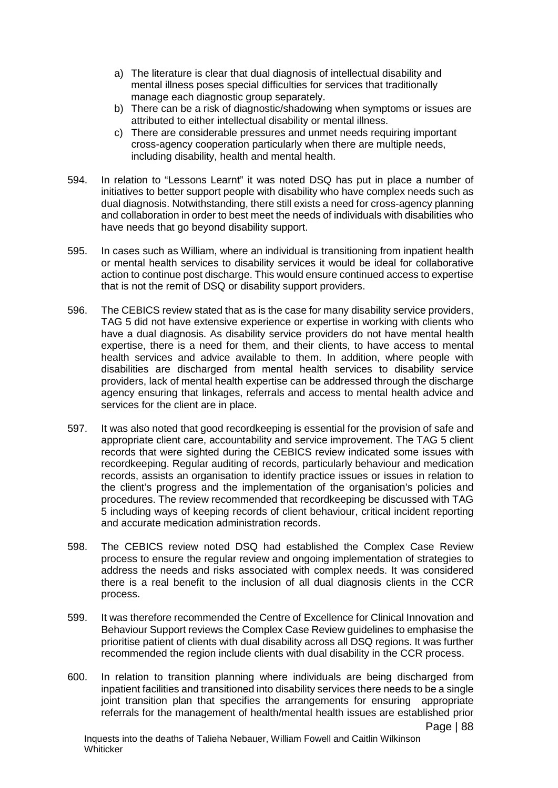- a) The literature is clear that dual diagnosis of intellectual disability and mental illness poses special difficulties for services that traditionally manage each diagnostic group separately.
- b) There can be a risk of diagnostic/shadowing when symptoms or issues are attributed to either intellectual disability or mental illness.
- c) There are considerable pressures and unmet needs requiring important cross-agency cooperation particularly when there are multiple needs, including disability, health and mental health.
- 594. In relation to "Lessons Learnt" it was noted DSQ has put in place a number of initiatives to better support people with disability who have complex needs such as dual diagnosis. Notwithstanding, there still exists a need for cross-agency planning and collaboration in order to best meet the needs of individuals with disabilities who have needs that go beyond disability support.
- 595. In cases such as William, where an individual is transitioning from inpatient health or mental health services to disability services it would be ideal for collaborative action to continue post discharge. This would ensure continued access to expertise that is not the remit of DSQ or disability support providers.
- 596. The CEBICS review stated that as is the case for many disability service providers, TAG 5 did not have extensive experience or expertise in working with clients who have a dual diagnosis. As disability service providers do not have mental health expertise, there is a need for them, and their clients, to have access to mental health services and advice available to them. In addition, where people with disabilities are discharged from mental health services to disability service providers, lack of mental health expertise can be addressed through the discharge agency ensuring that linkages, referrals and access to mental health advice and services for the client are in place.
- 597. It was also noted that good recordkeeping is essential for the provision of safe and appropriate client care, accountability and service improvement. The TAG 5 client records that were sighted during the CEBICS review indicated some issues with recordkeeping. Regular auditing of records, particularly behaviour and medication records, assists an organisation to identify practice issues or issues in relation to the client's progress and the implementation of the organisation's policies and procedures. The review recommended that recordkeeping be discussed with TAG 5 including ways of keeping records of client behaviour, critical incident reporting and accurate medication administration records.
- 598. The CEBICS review noted DSQ had established the Complex Case Review process to ensure the regular review and ongoing implementation of strategies to address the needs and risks associated with complex needs. It was considered there is a real benefit to the inclusion of all dual diagnosis clients in the CCR process.
- 599. It was therefore recommended the Centre of Excellence for Clinical Innovation and Behaviour Support reviews the Complex Case Review guidelines to emphasise the prioritise patient of clients with dual disability across all DSQ regions. It was further recommended the region include clients with dual disability in the CCR process.
- 600. In relation to transition planning where individuals are being discharged from inpatient facilities and transitioned into disability services there needs to be a single joint transition plan that specifies the arrangements for ensuring appropriate referrals for the management of health/mental health issues are established prior

Inquests into the deaths of Talieha Nebauer, William Fowell and Caitlin Wilkinson **Whiticker**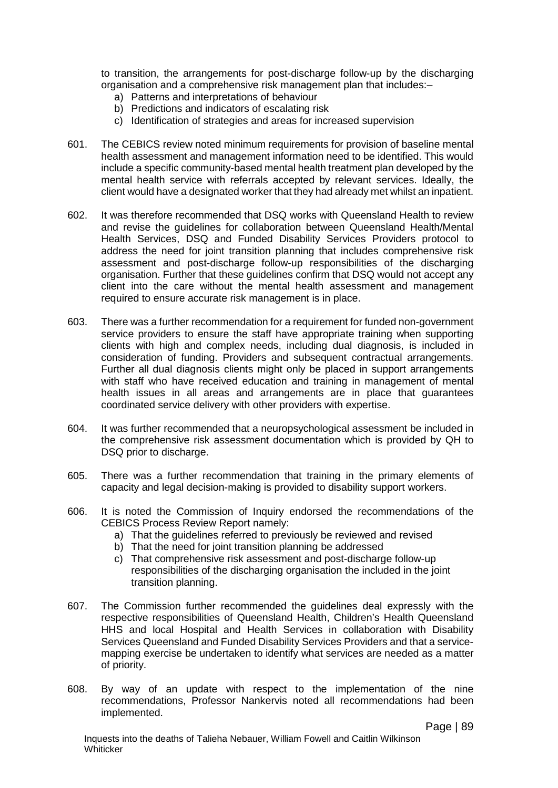to transition, the arrangements for post-discharge follow-up by the discharging organisation and a comprehensive risk management plan that includes:–

- a) Patterns and interpretations of behaviour
- b) Predictions and indicators of escalating risk
- c) Identification of strategies and areas for increased supervision
- 601. The CEBICS review noted minimum requirements for provision of baseline mental health assessment and management information need to be identified. This would include a specific community-based mental health treatment plan developed by the mental health service with referrals accepted by relevant services. Ideally, the client would have a designated worker that they had already met whilst an inpatient.
- 602. It was therefore recommended that DSQ works with Queensland Health to review and revise the guidelines for collaboration between Queensland Health/Mental Health Services, DSQ and Funded Disability Services Providers protocol to address the need for joint transition planning that includes comprehensive risk assessment and post-discharge follow-up responsibilities of the discharging organisation. Further that these guidelines confirm that DSQ would not accept any client into the care without the mental health assessment and management required to ensure accurate risk management is in place.
- 603. There was a further recommendation for a requirement for funded non-government service providers to ensure the staff have appropriate training when supporting clients with high and complex needs, including dual diagnosis, is included in consideration of funding. Providers and subsequent contractual arrangements. Further all dual diagnosis clients might only be placed in support arrangements with staff who have received education and training in management of mental health issues in all areas and arrangements are in place that guarantees coordinated service delivery with other providers with expertise.
- 604. It was further recommended that a neuropsychological assessment be included in the comprehensive risk assessment documentation which is provided by QH to DSQ prior to discharge.
- 605. There was a further recommendation that training in the primary elements of capacity and legal decision-making is provided to disability support workers.
- 606. It is noted the Commission of Inquiry endorsed the recommendations of the CEBICS Process Review Report namely:
	- a) That the guidelines referred to previously be reviewed and revised
	- b) That the need for joint transition planning be addressed
	- c) That comprehensive risk assessment and post-discharge follow-up responsibilities of the discharging organisation the included in the joint transition planning.
- 607. The Commission further recommended the guidelines deal expressly with the respective responsibilities of Queensland Health, Children's Health Queensland HHS and local Hospital and Health Services in collaboration with Disability Services Queensland and Funded Disability Services Providers and that a servicemapping exercise be undertaken to identify what services are needed as a matter of priority.
- 608. By way of an update with respect to the implementation of the nine recommendations, Professor Nankervis noted all recommendations had been implemented.

Page | 89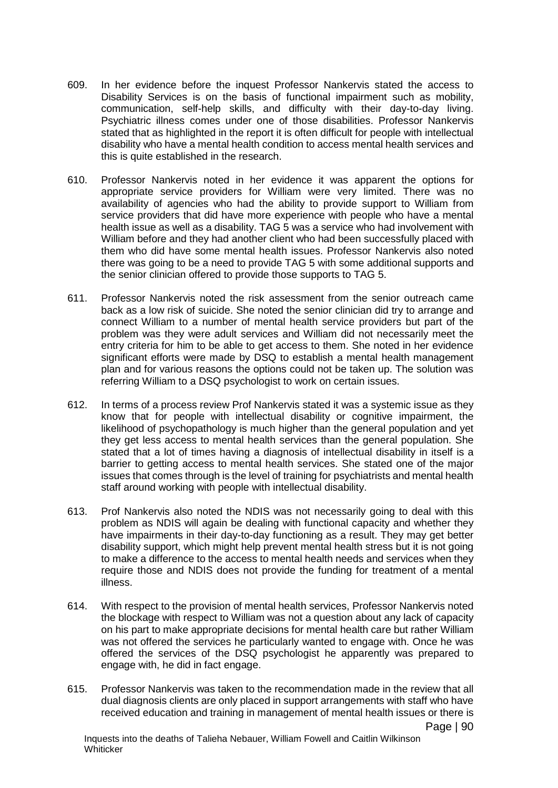- 609. In her evidence before the inquest Professor Nankervis stated the access to Disability Services is on the basis of functional impairment such as mobility, communication, self-help skills, and difficulty with their day-to-day living. Psychiatric illness comes under one of those disabilities. Professor Nankervis stated that as highlighted in the report it is often difficult for people with intellectual disability who have a mental health condition to access mental health services and this is quite established in the research.
- 610. Professor Nankervis noted in her evidence it was apparent the options for appropriate service providers for William were very limited. There was no availability of agencies who had the ability to provide support to William from service providers that did have more experience with people who have a mental health issue as well as a disability. TAG 5 was a service who had involvement with William before and they had another client who had been successfully placed with them who did have some mental health issues. Professor Nankervis also noted there was going to be a need to provide TAG 5 with some additional supports and the senior clinician offered to provide those supports to TAG 5.
- 611. Professor Nankervis noted the risk assessment from the senior outreach came back as a low risk of suicide. She noted the senior clinician did try to arrange and connect William to a number of mental health service providers but part of the problem was they were adult services and William did not necessarily meet the entry criteria for him to be able to get access to them. She noted in her evidence significant efforts were made by DSQ to establish a mental health management plan and for various reasons the options could not be taken up. The solution was referring William to a DSQ psychologist to work on certain issues.
- 612. In terms of a process review Prof Nankervis stated it was a systemic issue as they know that for people with intellectual disability or cognitive impairment, the likelihood of psychopathology is much higher than the general population and yet they get less access to mental health services than the general population. She stated that a lot of times having a diagnosis of intellectual disability in itself is a barrier to getting access to mental health services. She stated one of the major issues that comes through is the level of training for psychiatrists and mental health staff around working with people with intellectual disability.
- 613. Prof Nankervis also noted the NDIS was not necessarily going to deal with this problem as NDIS will again be dealing with functional capacity and whether they have impairments in their day-to-day functioning as a result. They may get better disability support, which might help prevent mental health stress but it is not going to make a difference to the access to mental health needs and services when they require those and NDIS does not provide the funding for treatment of a mental illness.
- 614. With respect to the provision of mental health services, Professor Nankervis noted the blockage with respect to William was not a question about any lack of capacity on his part to make appropriate decisions for mental health care but rather William was not offered the services he particularly wanted to engage with. Once he was offered the services of the DSQ psychologist he apparently was prepared to engage with, he did in fact engage.
- 615. Professor Nankervis was taken to the recommendation made in the review that all dual diagnosis clients are only placed in support arrangements with staff who have received education and training in management of mental health issues or there is

Page | 90

Inquests into the deaths of Talieha Nebauer, William Fowell and Caitlin Wilkinson **Whiticker**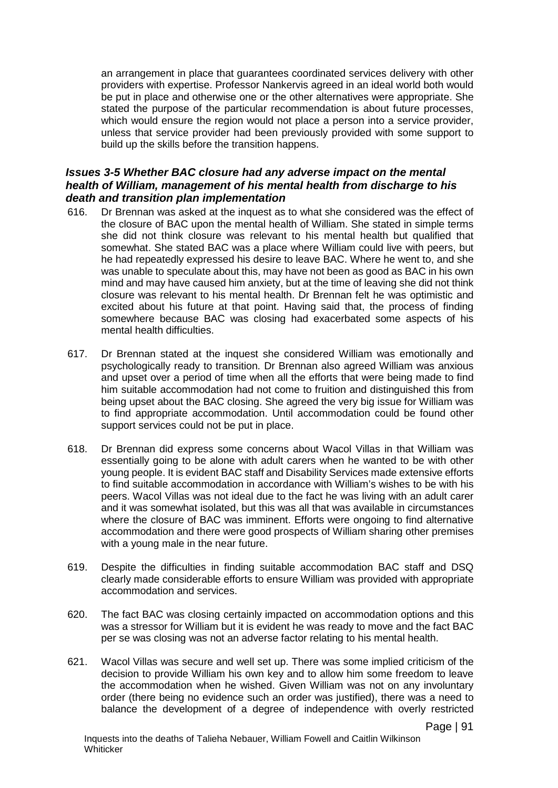an arrangement in place that guarantees coordinated services delivery with other providers with expertise. Professor Nankervis agreed in an ideal world both would be put in place and otherwise one or the other alternatives were appropriate. She stated the purpose of the particular recommendation is about future processes, which would ensure the region would not place a person into a service provider, unless that service provider had been previously provided with some support to build up the skills before the transition happens.

### *Issues 3-5 Whether BAC closure had any adverse impact on the mental health of William, management of his mental health from discharge to his death and transition plan implementation*

- 616. Dr Brennan was asked at the inquest as to what she considered was the effect of the closure of BAC upon the mental health of William. She stated in simple terms she did not think closure was relevant to his mental health but qualified that somewhat. She stated BAC was a place where William could live with peers, but he had repeatedly expressed his desire to leave BAC. Where he went to, and she was unable to speculate about this, may have not been as good as BAC in his own mind and may have caused him anxiety, but at the time of leaving she did not think closure was relevant to his mental health. Dr Brennan felt he was optimistic and excited about his future at that point. Having said that, the process of finding somewhere because BAC was closing had exacerbated some aspects of his mental health difficulties.
- 617. Dr Brennan stated at the inquest she considered William was emotionally and psychologically ready to transition. Dr Brennan also agreed William was anxious and upset over a period of time when all the efforts that were being made to find him suitable accommodation had not come to fruition and distinguished this from being upset about the BAC closing. She agreed the very big issue for William was to find appropriate accommodation. Until accommodation could be found other support services could not be put in place.
- 618. Dr Brennan did express some concerns about Wacol Villas in that William was essentially going to be alone with adult carers when he wanted to be with other young people. It is evident BAC staff and Disability Services made extensive efforts to find suitable accommodation in accordance with William's wishes to be with his peers. Wacol Villas was not ideal due to the fact he was living with an adult carer and it was somewhat isolated, but this was all that was available in circumstances where the closure of BAC was imminent. Efforts were ongoing to find alternative accommodation and there were good prospects of William sharing other premises with a young male in the near future.
- 619. Despite the difficulties in finding suitable accommodation BAC staff and DSQ clearly made considerable efforts to ensure William was provided with appropriate accommodation and services.
- 620. The fact BAC was closing certainly impacted on accommodation options and this was a stressor for William but it is evident he was ready to move and the fact BAC per se was closing was not an adverse factor relating to his mental health.
- 621. Wacol Villas was secure and well set up. There was some implied criticism of the decision to provide William his own key and to allow him some freedom to leave the accommodation when he wished. Given William was not on any involuntary order (there being no evidence such an order was justified), there was a need to balance the development of a degree of independence with overly restricted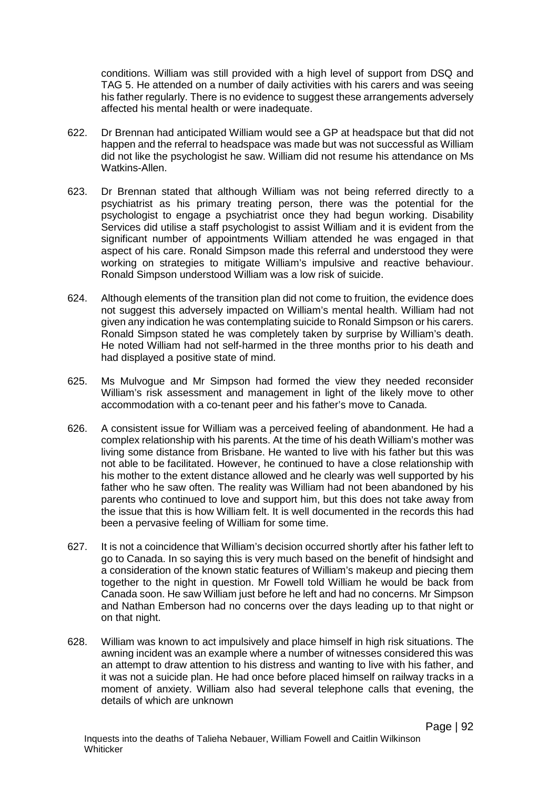conditions. William was still provided with a high level of support from DSQ and TAG 5. He attended on a number of daily activities with his carers and was seeing his father regularly. There is no evidence to suggest these arrangements adversely affected his mental health or were inadequate.

- 622. Dr Brennan had anticipated William would see a GP at headspace but that did not happen and the referral to headspace was made but was not successful as William did not like the psychologist he saw. William did not resume his attendance on Ms Watkins-Allen.
- 623. Dr Brennan stated that although William was not being referred directly to a psychiatrist as his primary treating person, there was the potential for the psychologist to engage a psychiatrist once they had begun working. Disability Services did utilise a staff psychologist to assist William and it is evident from the significant number of appointments William attended he was engaged in that aspect of his care. Ronald Simpson made this referral and understood they were working on strategies to mitigate William's impulsive and reactive behaviour. Ronald Simpson understood William was a low risk of suicide.
- 624. Although elements of the transition plan did not come to fruition, the evidence does not suggest this adversely impacted on William's mental health. William had not given any indication he was contemplating suicide to Ronald Simpson or his carers. Ronald Simpson stated he was completely taken by surprise by William's death. He noted William had not self-harmed in the three months prior to his death and had displayed a positive state of mind.
- 625. Ms Mulvogue and Mr Simpson had formed the view they needed reconsider William's risk assessment and management in light of the likely move to other accommodation with a co-tenant peer and his father's move to Canada.
- 626. A consistent issue for William was a perceived feeling of abandonment. He had a complex relationship with his parents. At the time of his death William's mother was living some distance from Brisbane. He wanted to live with his father but this was not able to be facilitated. However, he continued to have a close relationship with his mother to the extent distance allowed and he clearly was well supported by his father who he saw often. The reality was William had not been abandoned by his parents who continued to love and support him, but this does not take away from the issue that this is how William felt. It is well documented in the records this had been a pervasive feeling of William for some time.
- 627. It is not a coincidence that William's decision occurred shortly after his father left to go to Canada. In so saying this is very much based on the benefit of hindsight and a consideration of the known static features of William's makeup and piecing them together to the night in question. Mr Fowell told William he would be back from Canada soon. He saw William just before he left and had no concerns. Mr Simpson and Nathan Emberson had no concerns over the days leading up to that night or on that night.
- 628. William was known to act impulsively and place himself in high risk situations. The awning incident was an example where a number of witnesses considered this was an attempt to draw attention to his distress and wanting to live with his father, and it was not a suicide plan. He had once before placed himself on railway tracks in a moment of anxiety. William also had several telephone calls that evening, the details of which are unknown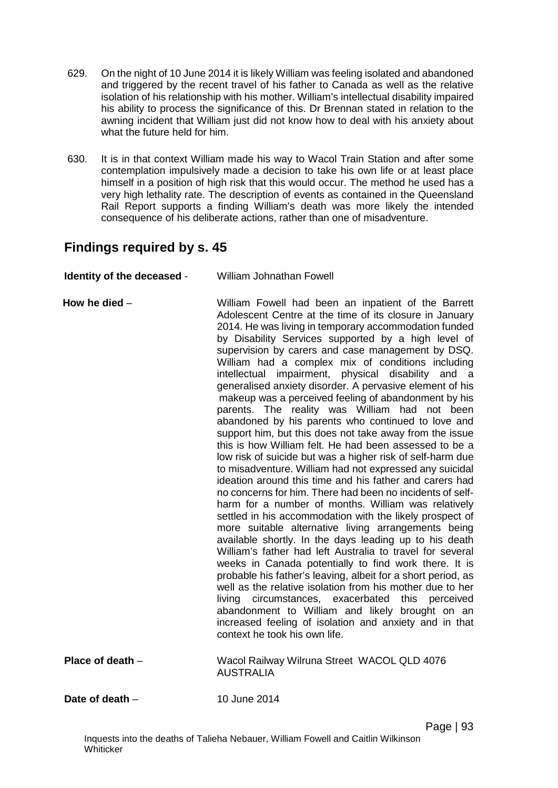- 629. On the night of 10 June 2014 it is likely William was feeling isolated and abandoned and triggered by the recent travel of his father to Canada as well as the relative isolation of his relationship with his mother. William's intellectual disability impaired his ability to process the significance of this. Dr Brennan stated in relation to the awning incident that William just did not know how to deal with his anxiety about what the future held for him.
- 630. It is in that context William made his way to Wacol Train Station and after some contemplation impulsively made a decision to take his own life or at least place himself in a position of high risk that this would occur. The method he used has a very high lethality rate. The description of events as contained in the Queensland Rail Report supports a finding William's death was more likely the intended consequence of his deliberate actions, rather than one of misadventure.

# **Findings required by s. 45**

| Identity of the deceased - | <b>William Johnathan Fowell</b>                                                                                                                                                                                                                                                                                                                                                                                                                                                                                                                                                                                                                                                                                                                                                                                                                                                                                                                                                                                                                                                                                                                                                                                                                                                                                                                                                                                                                                                                                                                                                                                                                                                                |
|----------------------------|------------------------------------------------------------------------------------------------------------------------------------------------------------------------------------------------------------------------------------------------------------------------------------------------------------------------------------------------------------------------------------------------------------------------------------------------------------------------------------------------------------------------------------------------------------------------------------------------------------------------------------------------------------------------------------------------------------------------------------------------------------------------------------------------------------------------------------------------------------------------------------------------------------------------------------------------------------------------------------------------------------------------------------------------------------------------------------------------------------------------------------------------------------------------------------------------------------------------------------------------------------------------------------------------------------------------------------------------------------------------------------------------------------------------------------------------------------------------------------------------------------------------------------------------------------------------------------------------------------------------------------------------------------------------------------------------|
| How he died $-$            | William Fowell had been an inpatient of the Barrett<br>Adolescent Centre at the time of its closure in January<br>2014. He was living in temporary accommodation funded<br>by Disability Services supported by a high level of<br>supervision by carers and case management by DSQ.<br>William had a complex mix of conditions including<br>intellectual impairment, physical disability and a<br>generalised anxiety disorder. A pervasive element of his<br>makeup was a perceived feeling of abandonment by his<br>parents. The reality was William had not been<br>abandoned by his parents who continued to love and<br>support him, but this does not take away from the issue<br>this is how William felt. He had been assessed to be a<br>low risk of suicide but was a higher risk of self-harm due<br>to misadventure. William had not expressed any suicidal<br>ideation around this time and his father and carers had<br>no concerns for him. There had been no incidents of self-<br>harm for a number of months. William was relatively<br>settled in his accommodation with the likely prospect of<br>more suitable alternative living arrangements being<br>available shortly. In the days leading up to his death<br>William's father had left Australia to travel for several<br>weeks in Canada potentially to find work there. It is<br>probable his father's leaving, albeit for a short period, as<br>well as the relative isolation from his mother due to her<br>living circumstances, exacerbated<br>this<br>perceived<br>abandonment to William and likely brought on an<br>increased feeling of isolation and anxiety and in that<br>context he took his own life. |
| Place of death $-$         | Wacol Railway Wilruna Street WACOL QLD 4076<br><b>AUSTRALIA</b>                                                                                                                                                                                                                                                                                                                                                                                                                                                                                                                                                                                                                                                                                                                                                                                                                                                                                                                                                                                                                                                                                                                                                                                                                                                                                                                                                                                                                                                                                                                                                                                                                                |
| Date of death $-$          | 10 June 2014                                                                                                                                                                                                                                                                                                                                                                                                                                                                                                                                                                                                                                                                                                                                                                                                                                                                                                                                                                                                                                                                                                                                                                                                                                                                                                                                                                                                                                                                                                                                                                                                                                                                                   |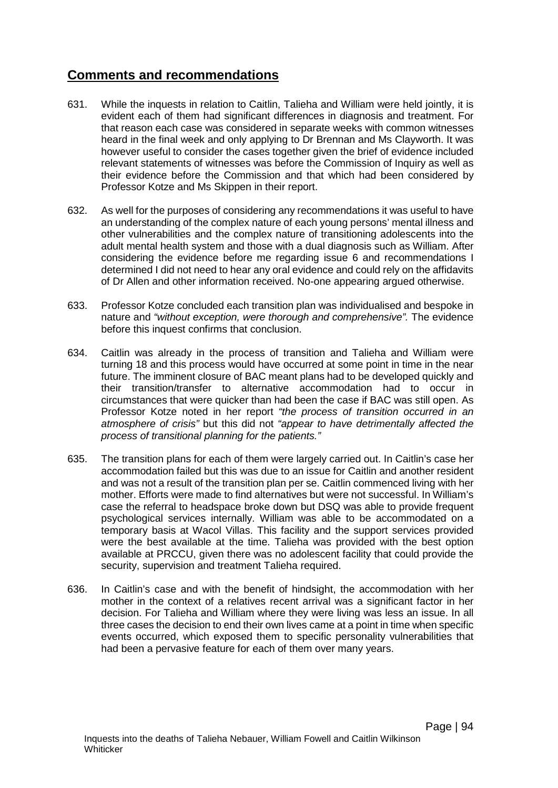# **Comments and recommendations**

- 631. While the inquests in relation to Caitlin, Talieha and William were held jointly, it is evident each of them had significant differences in diagnosis and treatment. For that reason each case was considered in separate weeks with common witnesses heard in the final week and only applying to Dr Brennan and Ms Clayworth. It was however useful to consider the cases together given the brief of evidence included relevant statements of witnesses was before the Commission of Inquiry as well as their evidence before the Commission and that which had been considered by Professor Kotze and Ms Skippen in their report.
- 632. As well for the purposes of considering any recommendations it was useful to have an understanding of the complex nature of each young persons' mental illness and other vulnerabilities and the complex nature of transitioning adolescents into the adult mental health system and those with a dual diagnosis such as William. After considering the evidence before me regarding issue 6 and recommendations I determined I did not need to hear any oral evidence and could rely on the affidavits of Dr Allen and other information received. No-one appearing argued otherwise.
- 633. Professor Kotze concluded each transition plan was individualised and bespoke in nature and *"without exception, were thorough and comprehensive".* The evidence before this inquest confirms that conclusion.
- 634. Caitlin was already in the process of transition and Talieha and William were turning 18 and this process would have occurred at some point in time in the near future. The imminent closure of BAC meant plans had to be developed quickly and their transition/transfer to alternative accommodation had to occur in circumstances that were quicker than had been the case if BAC was still open. As Professor Kotze noted in her report *"the process of transition occurred in an atmosphere of crisis"* but this did not *"appear to have detrimentally affected the process of transitional planning for the patients."*
- 635. The transition plans for each of them were largely carried out. In Caitlin's case her accommodation failed but this was due to an issue for Caitlin and another resident and was not a result of the transition plan per se. Caitlin commenced living with her mother. Efforts were made to find alternatives but were not successful. In William's case the referral to headspace broke down but DSQ was able to provide frequent psychological services internally. William was able to be accommodated on a temporary basis at Wacol Villas. This facility and the support services provided were the best available at the time. Talieha was provided with the best option available at PRCCU, given there was no adolescent facility that could provide the security, supervision and treatment Talieha required.
- 636. In Caitlin's case and with the benefit of hindsight, the accommodation with her mother in the context of a relatives recent arrival was a significant factor in her decision. For Talieha and William where they were living was less an issue. In all three cases the decision to end their own lives came at a point in time when specific events occurred, which exposed them to specific personality vulnerabilities that had been a pervasive feature for each of them over many years.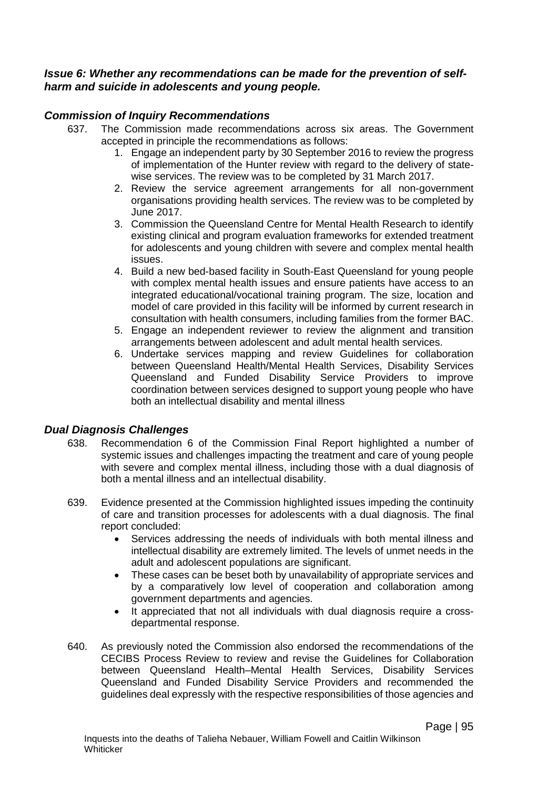### *Issue 6: Whether any recommendations can be made for the prevention of selfharm and suicide in adolescents and young people.*

## *Commission of Inquiry Recommendations*

- 637. The Commission made recommendations across six areas. The Government accepted in principle the recommendations as follows:
	- 1. Engage an independent party by 30 September 2016 to review the progress of implementation of the Hunter review with regard to the delivery of statewise services. The review was to be completed by 31 March 2017.
	- 2. Review the service agreement arrangements for all non-government organisations providing health services. The review was to be completed by June 2017.
	- 3. Commission the Queensland Centre for Mental Health Research to identify existing clinical and program evaluation frameworks for extended treatment for adolescents and young children with severe and complex mental health issues.
	- 4. Build a new bed-based facility in South-East Queensland for young people with complex mental health issues and ensure patients have access to an integrated educational/vocational training program. The size, location and model of care provided in this facility will be informed by current research in consultation with health consumers, including families from the former BAC.
	- 5. Engage an independent reviewer to review the alignment and transition arrangements between adolescent and adult mental health services.
	- 6. Undertake services mapping and review Guidelines for collaboration between Queensland Health/Mental Health Services, Disability Services Queensland and Funded Disability Service Providers to improve coordination between services designed to support young people who have both an intellectual disability and mental illness

### *Dual Diagnosis Challenges*

- 638. Recommendation 6 of the Commission Final Report highlighted a number of systemic issues and challenges impacting the treatment and care of young people with severe and complex mental illness, including those with a dual diagnosis of both a mental illness and an intellectual disability.
- 639. Evidence presented at the Commission highlighted issues impeding the continuity of care and transition processes for adolescents with a dual diagnosis. The final report concluded:
	- Services addressing the needs of individuals with both mental illness and intellectual disability are extremely limited. The levels of unmet needs in the adult and adolescent populations are significant.
	- These cases can be beset both by unavailability of appropriate services and by a comparatively low level of cooperation and collaboration among government departments and agencies.
	- It appreciated that not all individuals with dual diagnosis require a crossdepartmental response.
- 640. As previously noted the Commission also endorsed the recommendations of the CECIBS Process Review to review and revise the Guidelines for Collaboration between Queensland Health–Mental Health Services, Disability Services Queensland and Funded Disability Service Providers and recommended the guidelines deal expressly with the respective responsibilities of those agencies and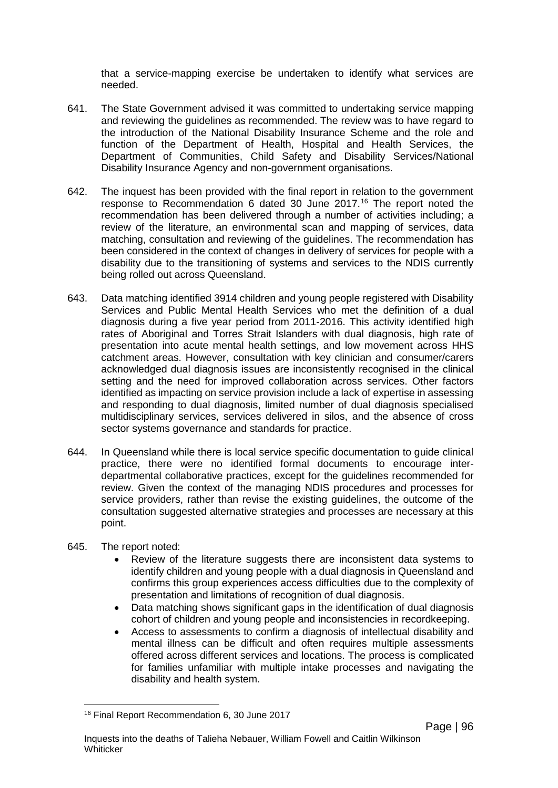that a service-mapping exercise be undertaken to identify what services are needed.

- 641. The State Government advised it was committed to undertaking service mapping and reviewing the guidelines as recommended. The review was to have regard to the introduction of the National Disability Insurance Scheme and the role and function of the Department of Health, Hospital and Health Services, the Department of Communities, Child Safety and Disability Services/National Disability Insurance Agency and non-government organisations.
- 642. The inquest has been provided with the final report in relation to the government response to Recommendation 6 dated 30 June 2017.[16](#page-99-0) The report noted the recommendation has been delivered through a number of activities including; a review of the literature, an environmental scan and mapping of services, data matching, consultation and reviewing of the guidelines. The recommendation has been considered in the context of changes in delivery of services for people with a disability due to the transitioning of systems and services to the NDIS currently being rolled out across Queensland.
- 643. Data matching identified 3914 children and young people registered with Disability Services and Public Mental Health Services who met the definition of a dual diagnosis during a five year period from 2011-2016. This activity identified high rates of Aboriginal and Torres Strait Islanders with dual diagnosis, high rate of presentation into acute mental health settings, and low movement across HHS catchment areas. However, consultation with key clinician and consumer/carers acknowledged dual diagnosis issues are inconsistently recognised in the clinical setting and the need for improved collaboration across services. Other factors identified as impacting on service provision include a lack of expertise in assessing and responding to dual diagnosis, limited number of dual diagnosis specialised multidisciplinary services, services delivered in silos, and the absence of cross sector systems governance and standards for practice.
- 644. In Queensland while there is local service specific documentation to guide clinical practice, there were no identified formal documents to encourage interdepartmental collaborative practices, except for the guidelines recommended for review. Given the context of the managing NDIS procedures and processes for service providers, rather than revise the existing guidelines, the outcome of the consultation suggested alternative strategies and processes are necessary at this point.
- 645. The report noted:
	- Review of the literature suggests there are inconsistent data systems to identify children and young people with a dual diagnosis in Queensland and confirms this group experiences access difficulties due to the complexity of presentation and limitations of recognition of dual diagnosis.
	- Data matching shows significant gaps in the identification of dual diagnosis cohort of children and young people and inconsistencies in recordkeeping.
	- Access to assessments to confirm a diagnosis of intellectual disability and mental illness can be difficult and often requires multiple assessments offered across different services and locations. The process is complicated for families unfamiliar with multiple intake processes and navigating the disability and health system.

<span id="page-99-0"></span><sup>16</sup> Final Report Recommendation 6, 30 June 2017  $\overline{a}$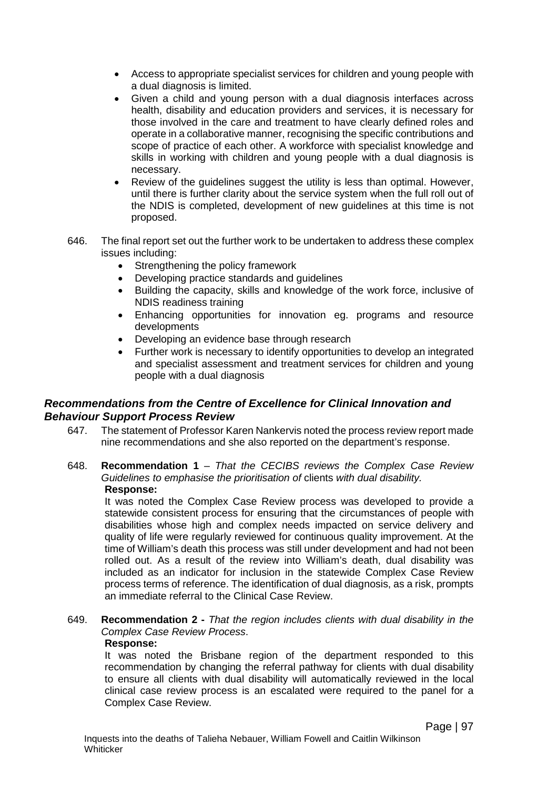- Access to appropriate specialist services for children and young people with a dual diagnosis is limited.
- Given a child and young person with a dual diagnosis interfaces across health, disability and education providers and services, it is necessary for those involved in the care and treatment to have clearly defined roles and operate in a collaborative manner, recognising the specific contributions and scope of practice of each other. A workforce with specialist knowledge and skills in working with children and young people with a dual diagnosis is necessary.
- Review of the guidelines suggest the utility is less than optimal. However, until there is further clarity about the service system when the full roll out of the NDIS is completed, development of new guidelines at this time is not proposed.
- 646. The final report set out the further work to be undertaken to address these complex issues including:
	- Strengthening the policy framework
	- Developing practice standards and guidelines
	- Building the capacity, skills and knowledge of the work force, inclusive of NDIS readiness training
	- Enhancing opportunities for innovation eg. programs and resource developments
	- Developing an evidence base through research
	- Further work is necessary to identify opportunities to develop an integrated and specialist assessment and treatment services for children and young people with a dual diagnosis

## *Recommendations from the Centre of Excellence for Clinical Innovation and Behaviour Support Process Review*

- 647. The statement of Professor Karen Nankervis noted the process review report made nine recommendations and she also reported on the department's response.
- 648. **Recommendation 1** *That the CECIBS reviews the Complex Case Review Guidelines to emphasise the prioritisation of* clients *with dual disability.* **Response:**

It was noted the Complex Case Review process was developed to provide a statewide consistent process for ensuring that the circumstances of people with disabilities whose high and complex needs impacted on service delivery and quality of life were regularly reviewed for continuous quality improvement. At the time of William's death this process was still under development and had not been rolled out. As a result of the review into William's death, dual disability was included as an indicator for inclusion in the statewide Complex Case Review process terms of reference. The identification of dual diagnosis, as a risk, prompts an immediate referral to the Clinical Case Review.

### 649. **Recommendation 2 -** *That the region includes clients with dual disability in the Complex Case Review Process*.

### **Response:**

It was noted the Brisbane region of the department responded to this recommendation by changing the referral pathway for clients with dual disability to ensure all clients with dual disability will automatically reviewed in the local clinical case review process is an escalated were required to the panel for a Complex Case Review.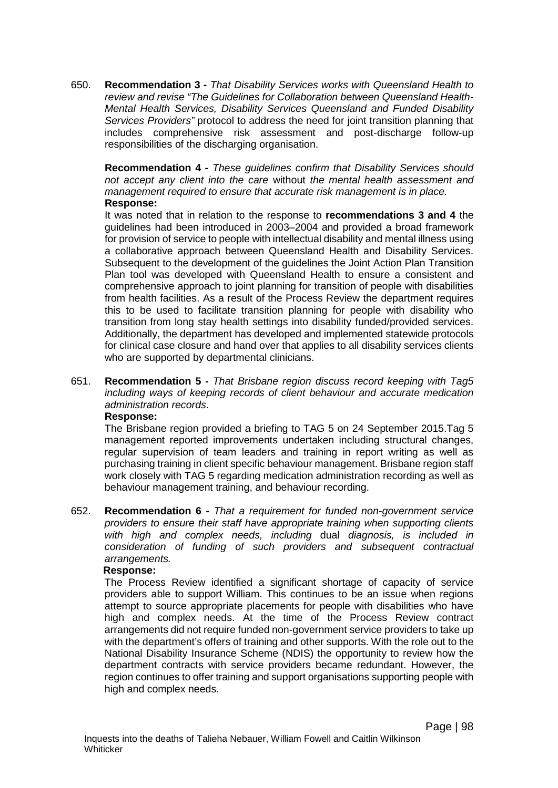650. **Recommendation 3 -** *That Disability Services works with Queensland Health to review and revise "The Guidelines for Collaboration between Queensland Health-Mental Health Services, Disability Services Queensland and Funded Disability Services Providers"* protocol to address the need for joint transition planning that includes comprehensive risk assessment and post-discharge follow-up responsibilities of the discharging organisation.

**Recommendation 4 -** *These guidelines confirm that Disability Services should not accept any client into the care* without *the mental health assessment and management required to ensure that accurate risk management is in place.*  **Response:**

It was noted that in relation to the response to **recommendations 3 and 4** the guidelines had been introduced in 2003–2004 and provided a broad framework for provision of service to people with intellectual disability and mental illness using a collaborative approach between Queensland Health and Disability Services. Subsequent to the development of the guidelines the Joint Action Plan Transition Plan tool was developed with Queensland Health to ensure a consistent and comprehensive approach to joint planning for transition of people with disabilities from health facilities. As a result of the Process Review the department requires this to be used to facilitate transition planning for people with disability who transition from long stay health settings into disability funded/provided services. Additionally, the department has developed and implemented statewide protocols for clinical case closure and hand over that applies to all disability services clients who are supported by departmental clinicians.

651. **Recommendation 5 -** *That Brisbane region discuss record keeping with Tag5 including ways of keeping records of client behaviour and accurate medication administration records*.

### **Response:**

The Brisbane region provided a briefing to TAG 5 on 24 September 2015.Tag 5 management reported improvements undertaken including structural changes, regular supervision of team leaders and training in report writing as well as purchasing training in client specific behaviour management. Brisbane region staff work closely with TAG 5 regarding medication administration recording as well as behaviour management training, and behaviour recording.

652. **Recommendation 6 -** *That a requirement for funded non-government service providers to ensure their staff have appropriate training when supporting clients with high and complex needs, including* dual *diagnosis, is included in consideration of funding of such providers and subsequent contractual arrangements.*

#### **Response:**

The Process Review identified a significant shortage of capacity of service providers able to support William. This continues to be an issue when regions attempt to source appropriate placements for people with disabilities who have high and complex needs. At the time of the Process Review contract arrangements did not require funded non-government service providers to take up with the department's offers of training and other supports. With the role out to the National Disability Insurance Scheme (NDIS) the opportunity to review how the department contracts with service providers became redundant. However, the region continues to offer training and support organisations supporting people with high and complex needs.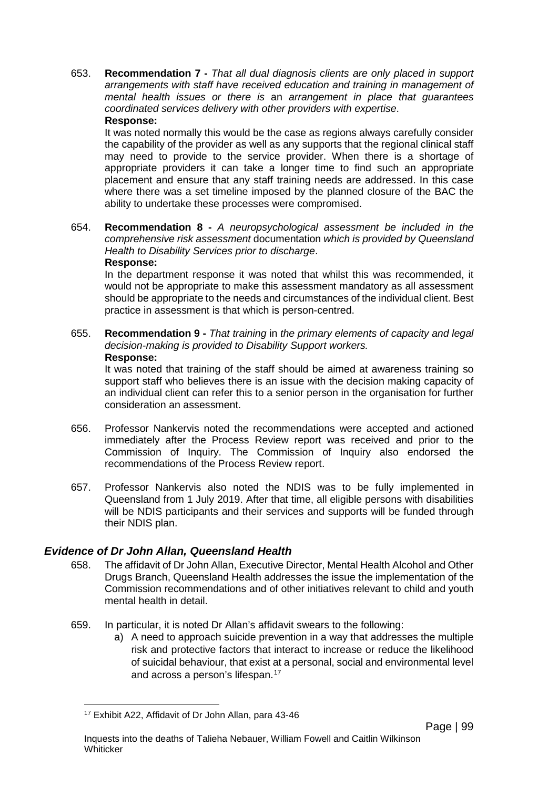653. **Recommendation 7 -** *That all dual diagnosis clients are only placed in support arrangements with staff have received education and training in management of mental health issues or there is* an *arrangement in place that guarantees coordinated services delivery with other providers with expertise*. **Response:**

It was noted normally this would be the case as regions always carefully consider the capability of the provider as well as any supports that the regional clinical staff may need to provide to the service provider. When there is a shortage of appropriate providers it can take a longer time to find such an appropriate placement and ensure that any staff training needs are addressed. In this case where there was a set timeline imposed by the planned closure of the BAC the ability to undertake these processes were compromised.

654. **Recommendation 8 -** *A neuropsychological assessment be included in the comprehensive risk assessment* documentation *which is provided by Queensland Health to Disability Services prior to discharge*. **Response:**

In the department response it was noted that whilst this was recommended, it would not be appropriate to make this assessment mandatory as all assessment should be appropriate to the needs and circumstances of the individual client. Best practice in assessment is that which is person-centred.

#### 655. **Recommendation 9 -** *That training* in *the primary elements of capacity and legal decision-making is provided to Disability Support workers.* **Response:**

It was noted that training of the staff should be aimed at awareness training so support staff who believes there is an issue with the decision making capacity of an individual client can refer this to a senior person in the organisation for further consideration an assessment.

- 656. Professor Nankervis noted the recommendations were accepted and actioned immediately after the Process Review report was received and prior to the Commission of Inquiry. The Commission of Inquiry also endorsed the recommendations of the Process Review report.
- 657. Professor Nankervis also noted the NDIS was to be fully implemented in Queensland from 1 July 2019. After that time, all eligible persons with disabilities will be NDIS participants and their services and supports will be funded through their NDIS plan.

### *Evidence of Dr John Allan, Queensland Health*

- 658. The affidavit of Dr John Allan, Executive Director, Mental Health Alcohol and Other Drugs Branch, Queensland Health addresses the issue the implementation of the Commission recommendations and of other initiatives relevant to child and youth mental health in detail.
- 659. In particular, it is noted Dr Allan's affidavit swears to the following:
	- a) A need to approach suicide prevention in a way that addresses the multiple risk and protective factors that interact to increase or reduce the likelihood of suicidal behaviour, that exist at a personal, social and environmental level and across a person's lifespan.[17](#page-102-0)

<span id="page-102-0"></span><sup>17</sup> Exhibit A22, Affidavit of Dr John Allan, para 43-46  $\overline{a}$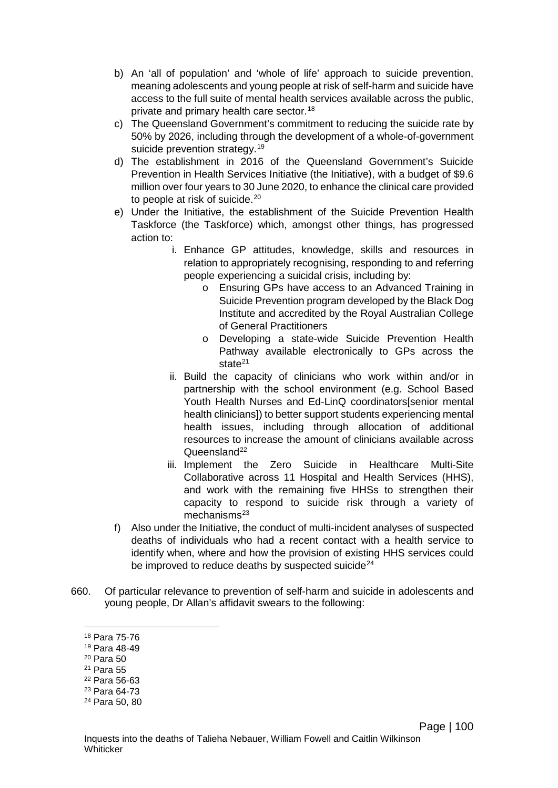- b) An 'all of population' and 'whole of life' approach to suicide prevention, meaning adolescents and young people at risk of self-harm and suicide have access to the full suite of mental health services available across the public, private and primary health care sector.<sup>[18](#page-103-0)</sup>
- c) The Queensland Government's commitment to reducing the suicide rate by 50% by 2026, including through the development of a whole-of-government suicide prevention strategy.<sup>[19](#page-103-1)</sup>
- d) The establishment in 2016 of the Queensland Government's Suicide Prevention in Health Services Initiative (the Initiative), with a budget of \$9.6 million over four years to 30 June 2020, to enhance the clinical care provided to people at risk of suicide.<sup>[20](#page-103-2)</sup>
- e) Under the Initiative, the establishment of the Suicide Prevention Health Taskforce (the Taskforce) which, amongst other things, has progressed action to:
	- i. Enhance GP attitudes, knowledge, skills and resources in relation to appropriately recognising, responding to and referring people experiencing a suicidal crisis, including by:
		- o Ensuring GPs have access to an Advanced Training in Suicide Prevention program developed by the Black Dog Institute and accredited by the Royal Australian College of General Practitioners
		- o Developing a state-wide Suicide Prevention Health Pathway available electronically to GPs across the state<sup>[21](#page-103-3)</sup>
	- ii. Build the capacity of clinicians who work within and/or in partnership with the school environment (e.g. School Based Youth Health Nurses and Ed-LinQ coordinators[senior mental health clinicians]) to better support students experiencing mental health issues, including through allocation of additional resources to increase the amount of clinicians available across Queensland<sup>[22](#page-103-4)</sup>
	- iii. Implement the Zero Suicide in Healthcare Multi-Site Collaborative across 11 Hospital and Health Services (HHS), and work with the remaining five HHSs to strengthen their capacity to respond to suicide risk through a variety of mechanisms $^{23}$
- f) Also under the Initiative, the conduct of multi-incident analyses of suspected deaths of individuals who had a recent contact with a health service to identify when, where and how the provision of existing HHS services could be improved to reduce deaths by suspected suicide $24$
- <span id="page-103-6"></span><span id="page-103-5"></span><span id="page-103-4"></span><span id="page-103-3"></span><span id="page-103-2"></span><span id="page-103-1"></span><span id="page-103-0"></span>660. Of particular relevance to prevention of self-harm and suicide in adolescents and young people, Dr Allan's affidavit swears to the following:
	- <sup>18</sup> Para 75-76  $\overline{a}$
	- <sup>19</sup> Para 48-49
	- <sup>20</sup> Para 50
	- <sup>21</sup> Para 55
	- <sup>22</sup> Para 56-63
	- <sup>23</sup> Para 64-73
	- <sup>24</sup> Para 50, 80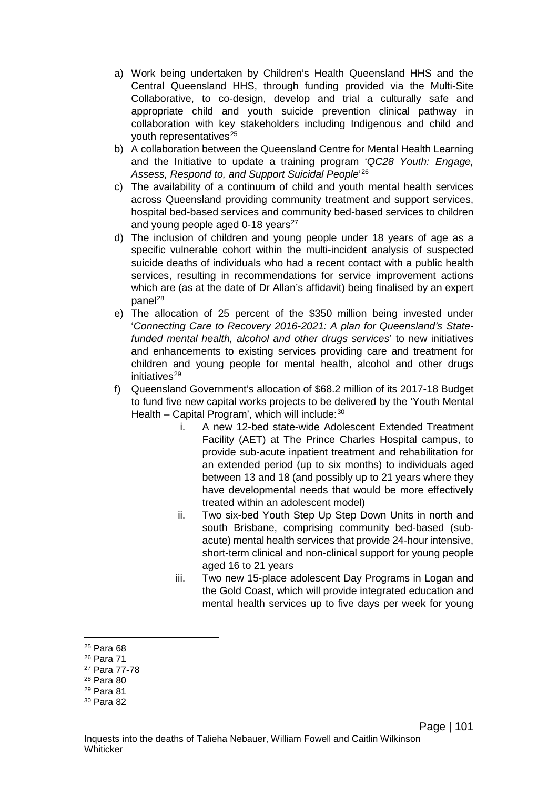- a) Work being undertaken by Children's Health Queensland HHS and the Central Queensland HHS, through funding provided via the Multi-Site Collaborative, to co-design, develop and trial a culturally safe and appropriate child and youth suicide prevention clinical pathway in collaboration with key stakeholders including Indigenous and child and youth representatives<sup>[25](#page-104-0)</sup>
- b) A collaboration between the Queensland Centre for Mental Health Learning and the Initiative to update a training program '*QC28 Youth: Engage, Assess, Respond to, and Support Suicidal People*' [26](#page-104-1)
- c) The availability of a continuum of child and youth mental health services across Queensland providing community treatment and support services, hospital bed-based services and community bed-based services to children and young people aged  $0-18$  years<sup>[27](#page-104-2)</sup>
- d) The inclusion of children and young people under 18 years of age as a specific vulnerable cohort within the multi-incident analysis of suspected suicide deaths of individuals who had a recent contact with a public health services, resulting in recommendations for service improvement actions which are (as at the date of Dr Allan's affidavit) being finalised by an expert panel<sup>[28](#page-104-3)</sup>
- e) The allocation of 25 percent of the \$350 million being invested under '*Connecting Care to Recovery 2016-2021: A plan for Queensland's Statefunded mental health, alcohol and other drugs services*' to new initiatives and enhancements to existing services providing care and treatment for children and young people for mental health, alcohol and other drugs initiatives<sup>[29](#page-104-4)</sup>
- f) Queensland Government's allocation of \$68.2 million of its 2017-18 Budget to fund five new capital works projects to be delivered by the 'Youth Mental Health – Capital Program', which will include:  $30$ 
	- i. A new 12-bed state-wide Adolescent Extended Treatment Facility (AET) at The Prince Charles Hospital campus, to provide sub-acute inpatient treatment and rehabilitation for an extended period (up to six months) to individuals aged between 13 and 18 (and possibly up to 21 years where they have developmental needs that would be more effectively treated within an adolescent model)
	- ii. Two six-bed Youth Step Up Step Down Units in north and south Brisbane, comprising community bed-based (subacute) mental health services that provide 24-hour intensive, short-term clinical and non-clinical support for young people aged 16 to 21 years
	- iii. Two new 15-place adolescent Day Programs in Logan and the Gold Coast, which will provide integrated education and mental health services up to five days per week for young

<sup>25</sup> Para 68  $\overline{a}$ 

<span id="page-104-1"></span><span id="page-104-0"></span><sup>26</sup> Para 71

<span id="page-104-2"></span><sup>27</sup> Para 77-78

<span id="page-104-3"></span><sup>28</sup> Para 80

<span id="page-104-4"></span><sup>29</sup> Para 81

<span id="page-104-5"></span><sup>30</sup> Para 82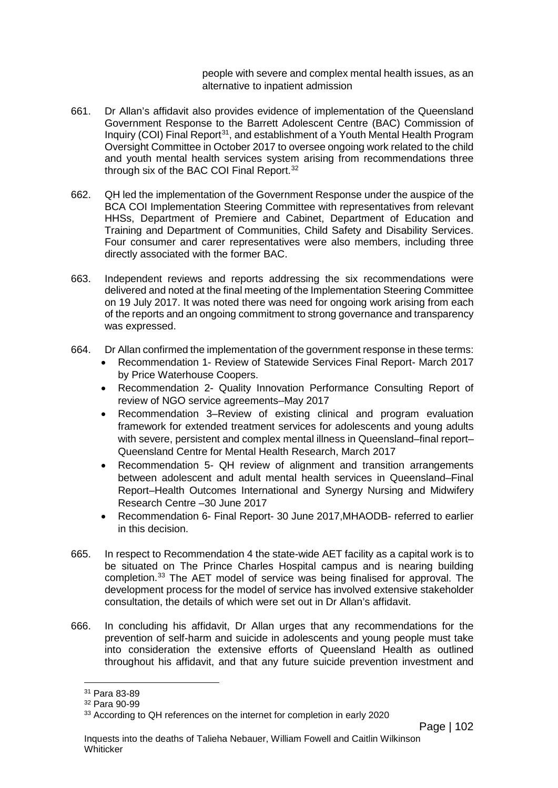people with severe and complex mental health issues, as an alternative to inpatient admission

- 661. Dr Allan's affidavit also provides evidence of implementation of the Queensland Government Response to the Barrett Adolescent Centre (BAC) Commission of Inquiry (COI) Final Report<sup>[31](#page-105-0)</sup>, and establishment of a Youth Mental Health Program Oversight Committee in October 2017 to oversee ongoing work related to the child and youth mental health services system arising from recommendations three through six of the BAC COI Final Report.<sup>[32](#page-105-1)</sup>
- 662. QH led the implementation of the Government Response under the auspice of the BCA COI Implementation Steering Committee with representatives from relevant HHSs, Department of Premiere and Cabinet, Department of Education and Training and Department of Communities, Child Safety and Disability Services. Four consumer and carer representatives were also members, including three directly associated with the former BAC.
- 663. Independent reviews and reports addressing the six recommendations were delivered and noted at the final meeting of the Implementation Steering Committee on 19 July 2017. It was noted there was need for ongoing work arising from each of the reports and an ongoing commitment to strong governance and transparency was expressed.
- 664. Dr Allan confirmed the implementation of the government response in these terms:
	- Recommendation 1- Review of Statewide Services Final Report- March 2017 by Price Waterhouse Coopers.
	- Recommendation 2- Quality Innovation Performance Consulting Report of review of NGO service agreements–May 2017
	- Recommendation 3–Review of existing clinical and program evaluation framework for extended treatment services for adolescents and young adults with severe, persistent and complex mental illness in Queensland–final report– Queensland Centre for Mental Health Research, March 2017
	- Recommendation 5- QH review of alignment and transition arrangements between adolescent and adult mental health services in Queensland–Final Report–Health Outcomes International and Synergy Nursing and Midwifery Research Centre –30 June 2017
	- Recommendation 6- Final Report- 30 June 2017,MHAODB- referred to earlier in this decision.
- 665. In respect to Recommendation 4 the state-wide AET facility as a capital work is to be situated on The Prince Charles Hospital campus and is nearing building completion[.33](#page-105-2) The AET model of service was being finalised for approval. The development process for the model of service has involved extensive stakeholder consultation, the details of which were set out in Dr Allan's affidavit.
- 666. In concluding his affidavit, Dr Allan urges that any recommendations for the prevention of self-harm and suicide in adolescents and young people must take into consideration the extensive efforts of Queensland Health as outlined throughout his affidavit, and that any future suicide prevention investment and

 $\overline{a}$ 

<span id="page-105-0"></span><sup>31</sup> Para 83-89

<span id="page-105-1"></span><sup>32</sup> Para 90-99

<span id="page-105-2"></span><sup>&</sup>lt;sup>33</sup> According to QH references on the internet for completion in early 2020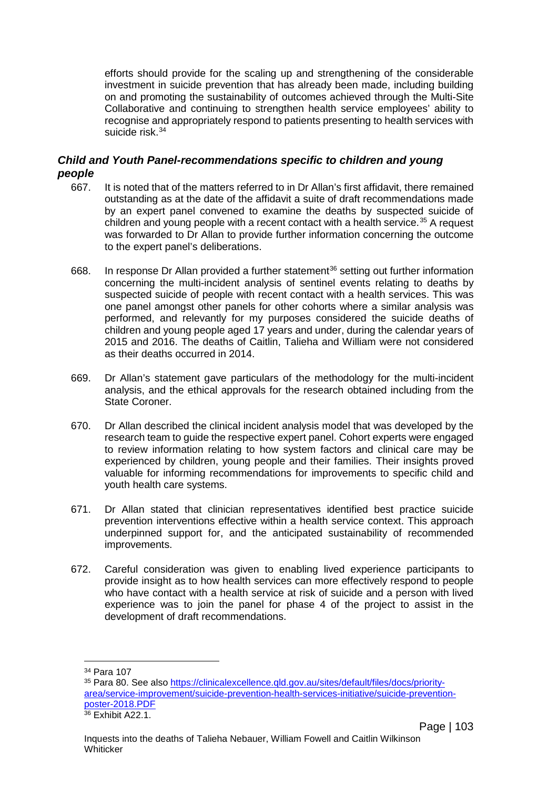efforts should provide for the scaling up and strengthening of the considerable investment in suicide prevention that has already been made, including building on and promoting the sustainability of outcomes achieved through the Multi-Site Collaborative and continuing to strengthen health service employees' ability to recognise and appropriately respond to patients presenting to health services with suicide risk.<sup>[34](#page-106-0)</sup>

## *Child and Youth Panel-recommendations specific to children and young people*

- 667. It is noted that of the matters referred to in Dr Allan's first affidavit, there remained outstanding as at the date of the affidavit a suite of draft recommendations made by an expert panel convened to examine the deaths by suspected suicide of children and young people with a recent contact with a health service.<sup>[35](#page-106-1)</sup> A request was forwarded to Dr Allan to provide further information concerning the outcome to the expert panel's deliberations.
- 668. In response Dr Allan provided a further statement<sup>[36](#page-106-2)</sup> setting out further information concerning the multi-incident analysis of sentinel events relating to deaths by suspected suicide of people with recent contact with a health services. This was one panel amongst other panels for other cohorts where a similar analysis was performed, and relevantly for my purposes considered the suicide deaths of children and young people aged 17 years and under, during the calendar years of 2015 and 2016. The deaths of Caitlin, Talieha and William were not considered as their deaths occurred in 2014.
- 669. Dr Allan's statement gave particulars of the methodology for the multi-incident analysis, and the ethical approvals for the research obtained including from the State Coroner.
- 670. Dr Allan described the clinical incident analysis model that was developed by the research team to guide the respective expert panel. Cohort experts were engaged to review information relating to how system factors and clinical care may be experienced by children, young people and their families. Their insights proved valuable for informing recommendations for improvements to specific child and youth health care systems.
- 671. Dr Allan stated that clinician representatives identified best practice suicide prevention interventions effective within a health service context. This approach underpinned support for, and the anticipated sustainability of recommended improvements.
- 672. Careful consideration was given to enabling lived experience participants to provide insight as to how health services can more effectively respond to people who have contact with a health service at risk of suicide and a person with lived experience was to join the panel for phase 4 of the project to assist in the development of draft recommendations.

<sup>34</sup> Para 107  $\overline{a}$ 

<span id="page-106-1"></span><span id="page-106-0"></span><sup>35</sup> Para 80. See also [https://clinicalexcellence.qld.gov.au/sites/default/files/docs/priority](https://clinicalexcellence.qld.gov.au/sites/default/files/docs/priority-area/service-improvement/suicide-prevention-health-services-initiative/suicide-prevention-poster-2018.PDF)[area/service-improvement/suicide-prevention-health-services-initiative/suicide-prevention](https://clinicalexcellence.qld.gov.au/sites/default/files/docs/priority-area/service-improvement/suicide-prevention-health-services-initiative/suicide-prevention-poster-2018.PDF)[poster-2018.PDF](https://clinicalexcellence.qld.gov.au/sites/default/files/docs/priority-area/service-improvement/suicide-prevention-health-services-initiative/suicide-prevention-poster-2018.PDF)

<span id="page-106-2"></span><sup>36</sup> Exhibit A22.1.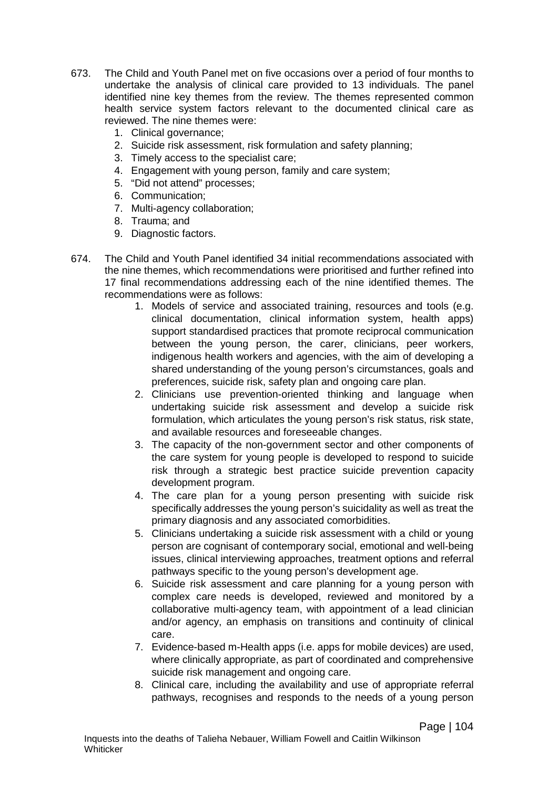- 673. The Child and Youth Panel met on five occasions over a period of four months to undertake the analysis of clinical care provided to 13 individuals. The panel identified nine key themes from the review. The themes represented common health service system factors relevant to the documented clinical care as reviewed. The nine themes were:
	- 1. Clinical governance;
	- 2. Suicide risk assessment, risk formulation and safety planning;
	- 3. Timely access to the specialist care;
	- 4. Engagement with young person, family and care system;
	- 5. "Did not attend" processes;
	- 6. Communication;
	- 7. Multi-agency collaboration;
	- 8. Trauma; and
	- 9. Diagnostic factors.
- 674. The Child and Youth Panel identified 34 initial recommendations associated with the nine themes, which recommendations were prioritised and further refined into 17 final recommendations addressing each of the nine identified themes. The recommendations were as follows:
	- 1. Models of service and associated training, resources and tools (e.g. clinical documentation, clinical information system, health apps) support standardised practices that promote reciprocal communication between the young person, the carer, clinicians, peer workers, indigenous health workers and agencies, with the aim of developing a shared understanding of the young person's circumstances, goals and preferences, suicide risk, safety plan and ongoing care plan.
	- 2. Clinicians use prevention-oriented thinking and language when undertaking suicide risk assessment and develop a suicide risk formulation, which articulates the young person's risk status, risk state, and available resources and foreseeable changes.
	- 3. The capacity of the non-government sector and other components of the care system for young people is developed to respond to suicide risk through a strategic best practice suicide prevention capacity development program.
	- 4. The care plan for a young person presenting with suicide risk specifically addresses the young person's suicidality as well as treat the primary diagnosis and any associated comorbidities.
	- 5. Clinicians undertaking a suicide risk assessment with a child or young person are cognisant of contemporary social, emotional and well-being issues, clinical interviewing approaches, treatment options and referral pathways specific to the young person's development age.
	- 6. Suicide risk assessment and care planning for a young person with complex care needs is developed, reviewed and monitored by a collaborative multi-agency team, with appointment of a lead clinician and/or agency, an emphasis on transitions and continuity of clinical care.
	- 7. Evidence-based m-Health apps (i.e. apps for mobile devices) are used, where clinically appropriate, as part of coordinated and comprehensive suicide risk management and ongoing care.
	- 8. Clinical care, including the availability and use of appropriate referral pathways, recognises and responds to the needs of a young person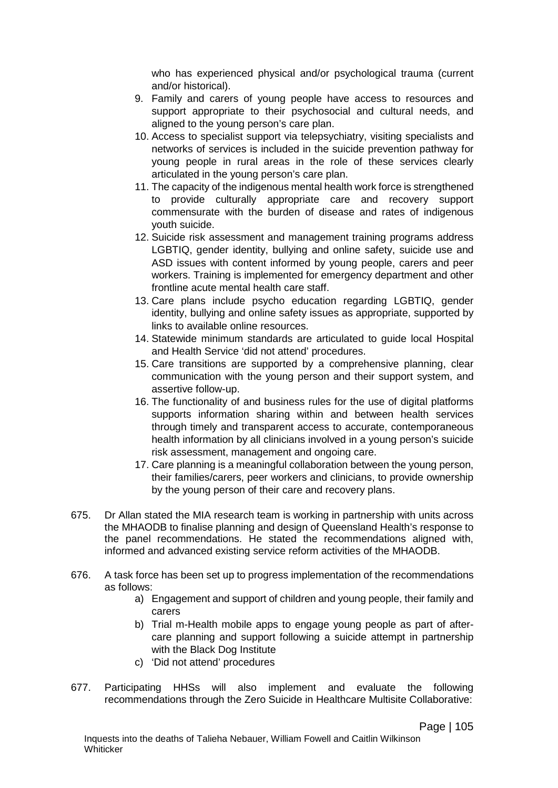who has experienced physical and/or psychological trauma (current and/or historical).

- 9. Family and carers of young people have access to resources and support appropriate to their psychosocial and cultural needs, and aligned to the young person's care plan.
- 10. Access to specialist support via telepsychiatry, visiting specialists and networks of services is included in the suicide prevention pathway for young people in rural areas in the role of these services clearly articulated in the young person's care plan.
- 11. The capacity of the indigenous mental health work force is strengthened to provide culturally appropriate care and recovery support commensurate with the burden of disease and rates of indigenous youth suicide.
- 12. Suicide risk assessment and management training programs address LGBTIQ, gender identity, bullying and online safety, suicide use and ASD issues with content informed by young people, carers and peer workers. Training is implemented for emergency department and other frontline acute mental health care staff.
- 13. Care plans include psycho education regarding LGBTIQ, gender identity, bullying and online safety issues as appropriate, supported by links to available online resources.
- 14. Statewide minimum standards are articulated to guide local Hospital and Health Service 'did not attend' procedures.
- 15. Care transitions are supported by a comprehensive planning, clear communication with the young person and their support system, and assertive follow-up.
- 16. The functionality of and business rules for the use of digital platforms supports information sharing within and between health services through timely and transparent access to accurate, contemporaneous health information by all clinicians involved in a young person's suicide risk assessment, management and ongoing care.
- 17. Care planning is a meaningful collaboration between the young person, their families/carers, peer workers and clinicians, to provide ownership by the young person of their care and recovery plans.
- 675. Dr Allan stated the MIA research team is working in partnership with units across the MHAODB to finalise planning and design of Queensland Health's response to the panel recommendations. He stated the recommendations aligned with, informed and advanced existing service reform activities of the MHAODB.
- 676. A task force has been set up to progress implementation of the recommendations as follows:
	- a) Engagement and support of children and young people, their family and carers
	- b) Trial m-Health mobile apps to engage young people as part of aftercare planning and support following a suicide attempt in partnership with the Black Dog Institute
	- c) 'Did not attend' procedures
- 677. Participating HHSs will also implement and evaluate the following recommendations through the Zero Suicide in Healthcare Multisite Collaborative: